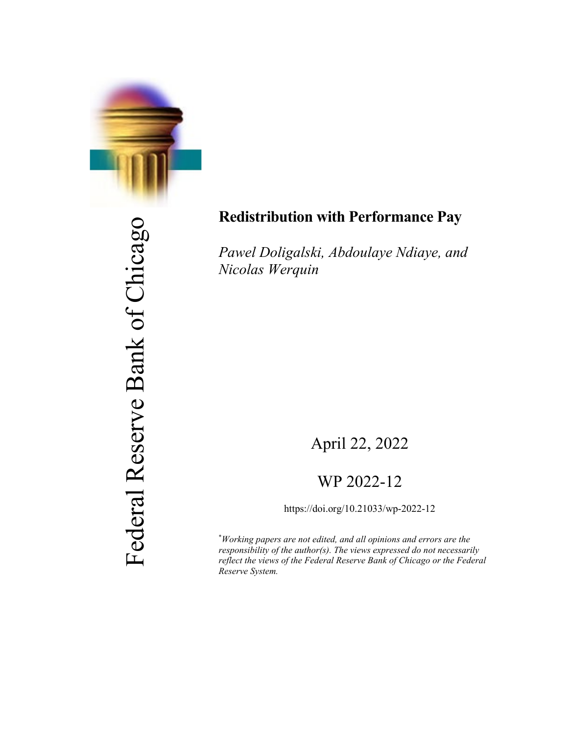

Federal Reserve Bank of Chicago Federal Reserve Bank of Chicago

# **Redistribution with Performance Pay**

*Pawel Doligalski, Abdoulaye Ndiaye, and Nicolas Werquin*

# April 22, 2022

# WP 2022-12

https://doi.org/10.21033/wp-2022-12

\* *Working papers are not edited, and all opinions and errors are the responsibility of the author(s). The views expressed do not necessarily reflect the views of the Federal Reserve Bank of Chicago or the Federal Reserve System.*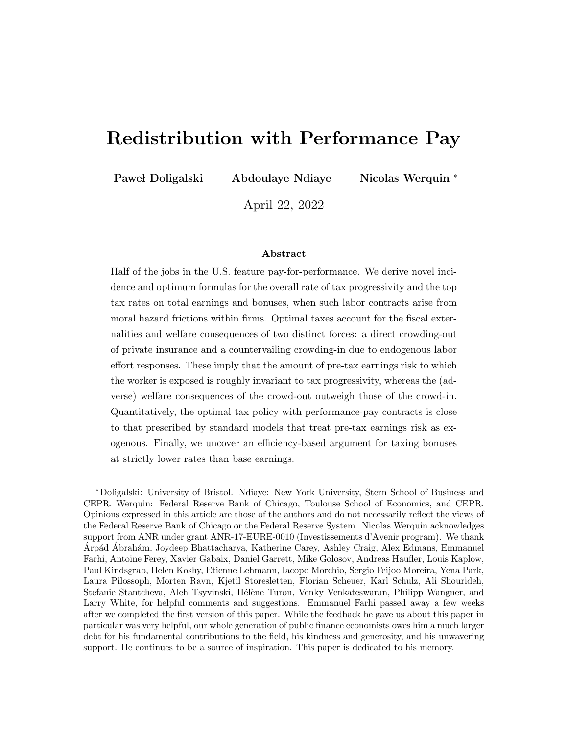# Redistribution with Performance Pay

Paweł Doligalski Abdoulaye Ndiaye Nicolas Werquin \*

April 22, 2022

#### Abstract

Half of the jobs in the U.S. feature pay-for-performance. We derive novel incidence and optimum formulas for the overall rate of tax progressivity and the top tax rates on total earnings and bonuses, when such labor contracts arise from moral hazard frictions within firms. Optimal taxes account for the fiscal externalities and welfare consequences of two distinct forces: a direct crowding-out of private insurance and a countervailing crowding-in due to endogenous labor effort responses. These imply that the amount of pre-tax earnings risk to which the worker is exposed is roughly invariant to tax progressivity, whereas the (adverse) welfare consequences of the crowd-out outweigh those of the crowd-in. Quantitatively, the optimal tax policy with performance-pay contracts is close to that prescribed by standard models that treat pre-tax earnings risk as exogenous. Finally, we uncover an efficiency-based argument for taxing bonuses at strictly lower rates than base earnings.

<sup>\*</sup>Doligalski: University of Bristol. Ndiaye: New York University, Stern School of Business and CEPR. Werquin: Federal Reserve Bank of Chicago, Toulouse School of Economics, and CEPR. Opinions expressed in this article are those of the authors and do not necessarily reflect the views of the Federal Reserve Bank of Chicago or the Federal Reserve System. Nicolas Werquin acknowledges support from ANR under grant ANR-17-EURE-0010 (Investissements d'Avenir program). We thank Arpád Abrahám, Joydeep Bhattacharya, Katherine Carey, Ashley Craig, Alex Edmans, Emmanuel Farhi, Antoine Ferey, Xavier Gabaix, Daniel Garrett, Mike Golosov, Andreas Haufler, Louis Kaplow, Paul Kindsgrab, Helen Koshy, Etienne Lehmann, Iacopo Morchio, Sergio Feijoo Moreira, Yena Park, Laura Pilossoph, Morten Ravn, Kjetil Storesletten, Florian Scheuer, Karl Schulz, Ali Shourideh, Stefanie Stantcheva, Aleh Tsyvinski, Hélène Turon, Venky Venkateswaran, Philipp Wangner, and Larry White, for helpful comments and suggestions. Emmanuel Farhi passed away a few weeks after we completed the first version of this paper. While the feedback he gave us about this paper in particular was very helpful, our whole generation of public finance economists owes him a much larger debt for his fundamental contributions to the field, his kindness and generosity, and his unwavering support. He continues to be a source of inspiration. This paper is dedicated to his memory.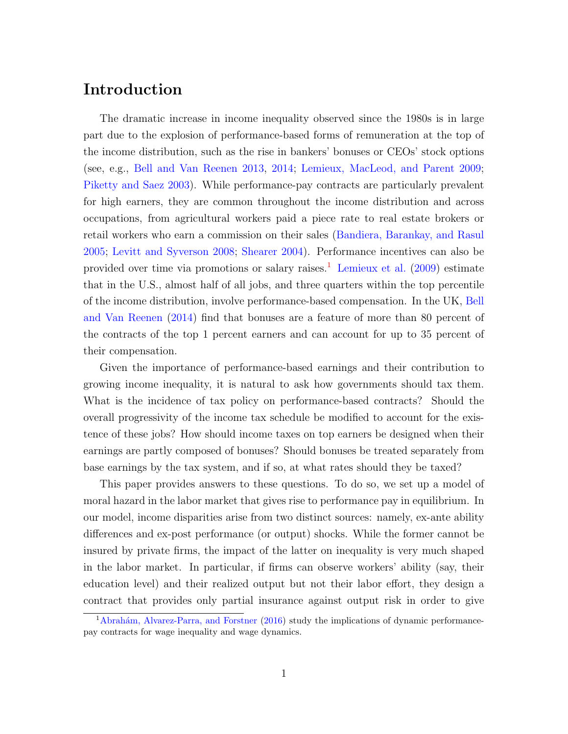# Introduction

The dramatic increase in income inequality observed since the 1980s is in large part due to the explosion of performance-based forms of remuneration at the top of the income distribution, such as the rise in bankers' bonuses or CEOs' stock options (see, e.g., [Bell and Van Reenen](#page-112-0) [2013,](#page-112-0) [2014;](#page-112-1) [Lemieux, MacLeod, and Parent](#page-115-0) [2009;](#page-115-0) [Piketty and Saez](#page-115-1) [2003\)](#page-115-1). While performance-pay contracts are particularly prevalent for high earners, they are common throughout the income distribution and across occupations, from agricultural workers paid a piece rate to real estate brokers or retail workers who earn a commission on their sales [\(Bandiera, Barankay, and Rasul](#page-112-2) [2005;](#page-112-2) [Levitt and Syverson](#page-115-2) [2008;](#page-115-2) [Shearer](#page-116-0) [2004\)](#page-116-0). Performance incentives can also be provided over time via promotions or salary raises.<sup>[1](#page-2-0)</sup> [Lemieux et al.](#page-115-0)  $(2009)$  estimate that in the U.S., almost half of all jobs, and three quarters within the top percentile of the income distribution, involve performance-based compensation. In the UK, [Bell](#page-112-1) [and Van Reenen](#page-112-1) [\(2014\)](#page-112-1) find that bonuses are a feature of more than 80 percent of the contracts of the top 1 percent earners and can account for up to 35 percent of their compensation.

Given the importance of performance-based earnings and their contribution to growing income inequality, it is natural to ask how governments should tax them. What is the incidence of tax policy on performance-based contracts? Should the overall progressivity of the income tax schedule be modified to account for the existence of these jobs? How should income taxes on top earners be designed when their earnings are partly composed of bonuses? Should bonuses be treated separately from base earnings by the tax system, and if so, at what rates should they be taxed?

This paper provides answers to these questions. To do so, we set up a model of moral hazard in the labor market that gives rise to performance pay in equilibrium. In our model, income disparities arise from two distinct sources: namely, ex-ante ability differences and ex-post performance (or output) shocks. While the former cannot be insured by private firms, the impact of the latter on inequality is very much shaped in the labor market. In particular, if firms can observe workers' ability (say, their education level) and their realized output but not their labor effort, they design a contract that provides only partial insurance against output risk in order to give

<span id="page-2-0"></span> $1A\bar{\rm}$ brahám, Alvarez-Parra, and Forstner [\(2016\)](#page-112-3) study the implications of dynamic performancepay contracts for wage inequality and wage dynamics.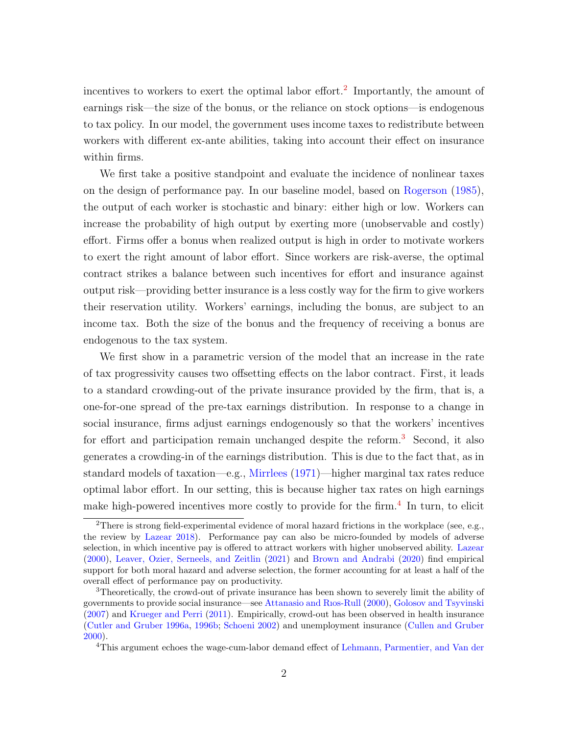incentives to workers to exert the optimal labor effort.<sup>[2](#page-3-0)</sup> Importantly, the amount of earnings risk—the size of the bonus, or the reliance on stock options—is endogenous to tax policy. In our model, the government uses income taxes to redistribute between workers with different ex-ante abilities, taking into account their effect on insurance within firms.

We first take a positive standpoint and evaluate the incidence of nonlinear taxes on the design of performance pay. In our baseline model, based on [Rogerson](#page-115-3) [\(1985\)](#page-115-3), the output of each worker is stochastic and binary: either high or low. Workers can increase the probability of high output by exerting more (unobservable and costly) effort. Firms offer a bonus when realized output is high in order to motivate workers to exert the right amount of labor effort. Since workers are risk-averse, the optimal contract strikes a balance between such incentives for effort and insurance against output risk—providing better insurance is a less costly way for the firm to give workers their reservation utility. Workers' earnings, including the bonus, are subject to an income tax. Both the size of the bonus and the frequency of receiving a bonus are endogenous to the tax system.

We first show in a parametric version of the model that an increase in the rate of tax progressivity causes two offsetting effects on the labor contract. First, it leads to a standard crowding-out of the private insurance provided by the firm, that is, a one-for-one spread of the pre-tax earnings distribution. In response to a change in social insurance, firms adjust earnings endogenously so that the workers' incentives for effort and participation remain unchanged despite the reform.<sup>[3](#page-3-1)</sup> Second, it also generates a crowding-in of the earnings distribution. This is due to the fact that, as in standard models of taxation—e.g., [Mirrlees](#page-115-4) [\(1971\)](#page-115-4)—higher marginal tax rates reduce optimal labor effort. In our setting, this is because higher tax rates on high earnings make high-powered incentives more costly to provide for the firm.<sup>[4](#page-3-2)</sup> In turn, to elicit

<span id="page-3-0"></span><sup>&</sup>lt;sup>2</sup>There is strong field-experimental evidence of moral hazard frictions in the workplace (see, e.g., the review by [Lazear](#page-114-0) [2018\)](#page-114-0). Performance pay can also be micro-founded by models of adverse selection, in which incentive pay is offered to attract workers with higher unobserved ability. [Lazear](#page-114-1) [\(2000\)](#page-114-1), [Leaver, Ozier, Serneels, and Zeitlin](#page-115-5) [\(2021\)](#page-115-5) and [Brown and Andrabi](#page-112-4) [\(2020\)](#page-112-4) find empirical support for both moral hazard and adverse selection, the former accounting for at least a half of the overall effect of performance pay on productivity.

<span id="page-3-1"></span><sup>&</sup>lt;sup>3</sup>Theoretically, the crowd-out of private insurance has been shown to severely limit the ability of governments to provide social insurance—see [Attanasio and Rıos-Rull](#page-112-5) [\(2000\)](#page-112-5), [Golosov and Tsyvinski](#page-114-2) [\(2007\)](#page-114-2) and [Krueger and Perri](#page-114-3) [\(2011\)](#page-114-3). Empirically, crowd-out has been observed in health insurance [\(Cutler and Gruber](#page-113-0) [1996a,](#page-113-0) [1996b;](#page-113-1) [Schoeni](#page-116-1) [2002\)](#page-116-1) and unemployment insurance [\(Cullen and Gruber](#page-113-2) [2000\)](#page-113-2).

<span id="page-3-2"></span><sup>4</sup>This argument echoes the wage-cum-labor demand effect of [Lehmann, Parmentier, and Van der](#page-115-6)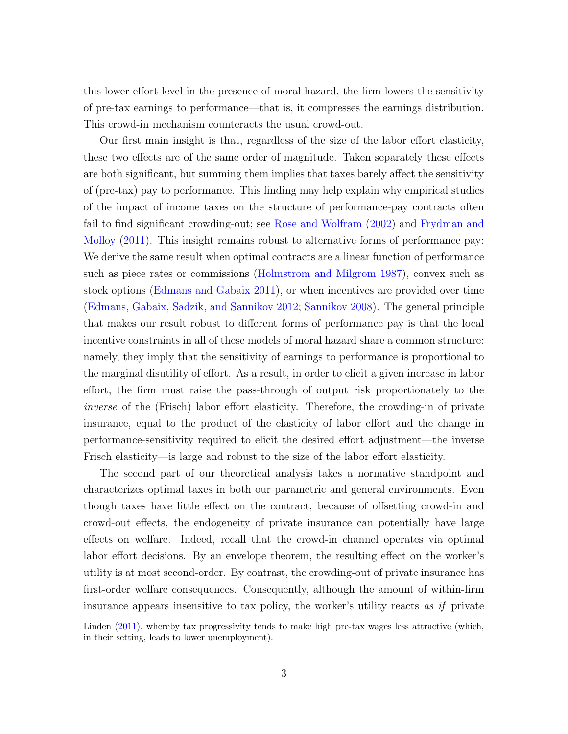[this lower effort level in the presence of moral hazard, the firm lowers the sensitivity](#page-115-6) [of pre-tax earnings to performance—that is, it compresses the earnings distribution.](#page-115-6) [This crowd-in mechanism counteracts the usual crowd-out.](#page-115-6)

[Our first main insight is that, regardless of the size of the labor effort elasticity,](#page-115-6) [these two effects are of the same order of magnitude. Taken separately these effects](#page-115-6) [are both significant, but summing them implies that taxes barely affect the sensitivity](#page-115-6) [of \(pre-tax\) pay to performance. This finding may help explain why empirical studies](#page-115-6) [of the impact of income taxes on the structure of performance-pay contracts often](#page-115-6) [fail to find significant crowding-out; see](#page-115-6) [Rose and Wolfram](#page-115-7) [\(2002\)](#page-115-7) and [Frydman and](#page-113-3) [Molloy](#page-113-3) [\(2011\). This insight remains robust to alternative forms of performance pay:](#page-115-6) [We derive the same result when optimal contracts are a linear function of performance](#page-115-6) [such as piece rates or commissions \(Holmstrom and Milgrom](#page-115-6) [1987\)](#page-114-4), convex such as stock options [\(Edmans and Gabaix](#page-113-4) [2011\), or when incentives are provided over time](#page-115-6) [\(Edmans, Gabaix, Sadzik, and Sannikov](#page-115-6) [2012;](#page-113-5) [Sannikov](#page-116-2) [2008\)](#page-116-2). The general principle [that makes our result robust to different forms of performance pay is that the local](#page-115-6) [incentive constraints in all of these models of moral hazard share a common structure:](#page-115-6) [namely, they imply that the sensitivity of earnings to performance is proportional to](#page-115-6) [the marginal disutility of effort. As a result, in order to elicit a given increase in labor](#page-115-6) [effort, the firm must raise the pass-through of output risk proportionately to the](#page-115-6) inverse [of the \(Frisch\) labor effort elasticity. Therefore, the crowding-in of private](#page-115-6) [insurance, equal to the product of the elasticity of labor effort and the change in](#page-115-6) [performance-sensitivity required to elicit the desired effort adjustment—the inverse](#page-115-6) [Frisch elasticity—is large and robust to the size of the labor effort elasticity.](#page-115-6)

[The second part of our theoretical analysis takes a normative standpoint and](#page-115-6) [characterizes optimal taxes in both our parametric and general environments. Even](#page-115-6) [though taxes have little effect on the contract, because of offsetting crowd-in and](#page-115-6) [crowd-out effects, the endogeneity of private insurance can potentially have large](#page-115-6) [effects on welfare. Indeed, recall that the crowd-in channel operates via optimal](#page-115-6) [labor effort decisions. By an envelope theorem, the resulting effect on the worker's](#page-115-6) [utility is at most second-order. By contrast, the crowding-out of private insurance has](#page-115-6) [first-order welfare consequences. Consequently, although the amount of within-firm](#page-115-6) [insurance appears insensitive to tax policy, the worker's utility reacts](#page-115-6) as if private

[Linden](#page-115-6) [\(2011\)](#page-115-6), whereby tax progressivity tends to make high pre-tax wages less attractive (which, in their setting, leads to lower unemployment).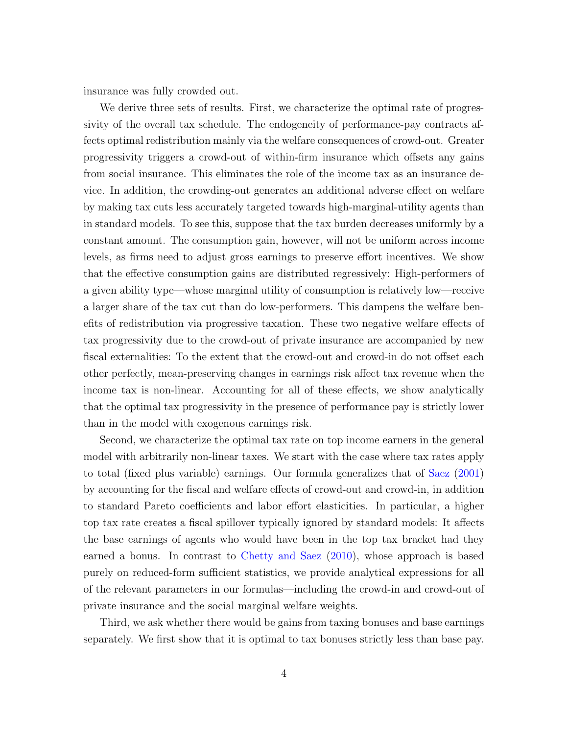insurance was fully crowded out.

We derive three sets of results. First, we characterize the optimal rate of progressivity of the overall tax schedule. The endogeneity of performance-pay contracts affects optimal redistribution mainly via the welfare consequences of crowd-out. Greater progressivity triggers a crowd-out of within-firm insurance which offsets any gains from social insurance. This eliminates the role of the income tax as an insurance device. In addition, the crowding-out generates an additional adverse effect on welfare by making tax cuts less accurately targeted towards high-marginal-utility agents than in standard models. To see this, suppose that the tax burden decreases uniformly by a constant amount. The consumption gain, however, will not be uniform across income levels, as firms need to adjust gross earnings to preserve effort incentives. We show that the effective consumption gains are distributed regressively: High-performers of a given ability type—whose marginal utility of consumption is relatively low—receive a larger share of the tax cut than do low-performers. This dampens the welfare benefits of redistribution via progressive taxation. These two negative welfare effects of tax progressivity due to the crowd-out of private insurance are accompanied by new fiscal externalities: To the extent that the crowd-out and crowd-in do not offset each other perfectly, mean-preserving changes in earnings risk affect tax revenue when the income tax is non-linear. Accounting for all of these effects, we show analytically that the optimal tax progressivity in the presence of performance pay is strictly lower than in the model with exogenous earnings risk.

Second, we characterize the optimal tax rate on top income earners in the general model with arbitrarily non-linear taxes. We start with the case where tax rates apply to total (fixed plus variable) earnings. Our formula generalizes that of [Saez](#page-116-3) [\(2001\)](#page-116-3) by accounting for the fiscal and welfare effects of crowd-out and crowd-in, in addition to standard Pareto coefficients and labor effort elasticities. In particular, a higher top tax rate creates a fiscal spillover typically ignored by standard models: It affects the base earnings of agents who would have been in the top tax bracket had they earned a bonus. In contrast to [Chetty and Saez](#page-112-6) [\(2010\)](#page-112-6), whose approach is based purely on reduced-form sufficient statistics, we provide analytical expressions for all of the relevant parameters in our formulas—including the crowd-in and crowd-out of private insurance and the social marginal welfare weights.

Third, we ask whether there would be gains from taxing bonuses and base earnings separately. We first show that it is optimal to tax bonuses strictly less than base pay.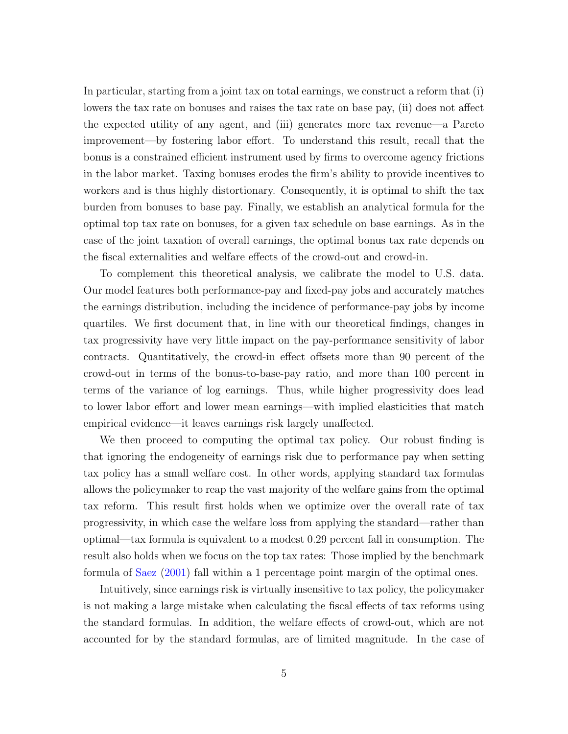In particular, starting from a joint tax on total earnings, we construct a reform that (i) lowers the tax rate on bonuses and raises the tax rate on base pay, (ii) does not affect the expected utility of any agent, and (iii) generates more tax revenue—a Pareto improvement—by fostering labor effort. To understand this result, recall that the bonus is a constrained efficient instrument used by firms to overcome agency frictions in the labor market. Taxing bonuses erodes the firm's ability to provide incentives to workers and is thus highly distortionary. Consequently, it is optimal to shift the tax burden from bonuses to base pay. Finally, we establish an analytical formula for the optimal top tax rate on bonuses, for a given tax schedule on base earnings. As in the case of the joint taxation of overall earnings, the optimal bonus tax rate depends on the fiscal externalities and welfare effects of the crowd-out and crowd-in.

To complement this theoretical analysis, we calibrate the model to U.S. data. Our model features both performance-pay and fixed-pay jobs and accurately matches the earnings distribution, including the incidence of performance-pay jobs by income quartiles. We first document that, in line with our theoretical findings, changes in tax progressivity have very little impact on the pay-performance sensitivity of labor contracts. Quantitatively, the crowd-in effect offsets more than 90 percent of the crowd-out in terms of the bonus-to-base-pay ratio, and more than 100 percent in terms of the variance of log earnings. Thus, while higher progressivity does lead to lower labor effort and lower mean earnings—with implied elasticities that match empirical evidence—it leaves earnings risk largely unaffected.

We then proceed to computing the optimal tax policy. Our robust finding is that ignoring the endogeneity of earnings risk due to performance pay when setting tax policy has a small welfare cost. In other words, applying standard tax formulas allows the policymaker to reap the vast majority of the welfare gains from the optimal tax reform. This result first holds when we optimize over the overall rate of tax progressivity, in which case the welfare loss from applying the standard—rather than optimal—tax formula is equivalent to a modest 0.29 percent fall in consumption. The result also holds when we focus on the top tax rates: Those implied by the benchmark formula of [Saez](#page-116-3) [\(2001\)](#page-116-3) fall within a 1 percentage point margin of the optimal ones.

Intuitively, since earnings risk is virtually insensitive to tax policy, the policymaker is not making a large mistake when calculating the fiscal effects of tax reforms using the standard formulas. In addition, the welfare effects of crowd-out, which are not accounted for by the standard formulas, are of limited magnitude. In the case of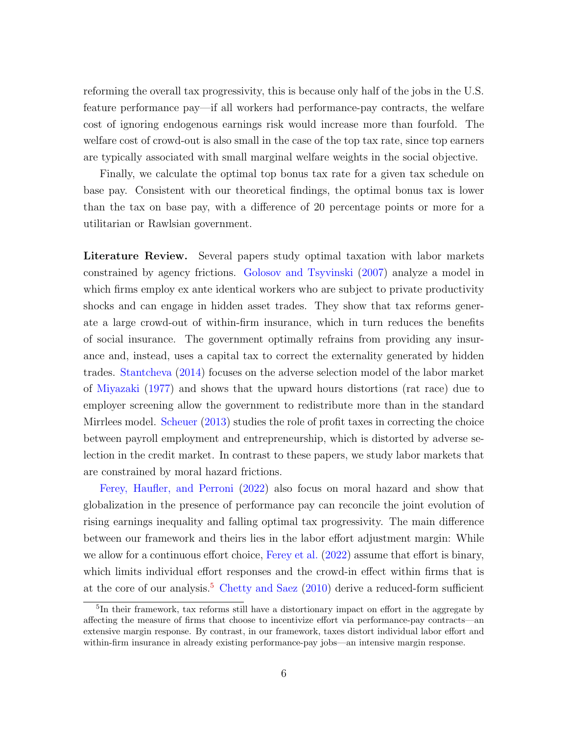reforming the overall tax progressivity, this is because only half of the jobs in the U.S. feature performance pay—if all workers had performance-pay contracts, the welfare cost of ignoring endogenous earnings risk would increase more than fourfold. The welfare cost of crowd-out is also small in the case of the top tax rate, since top earners are typically associated with small marginal welfare weights in the social objective.

Finally, we calculate the optimal top bonus tax rate for a given tax schedule on base pay. Consistent with our theoretical findings, the optimal bonus tax is lower than the tax on base pay, with a difference of 20 percentage points or more for a utilitarian or Rawlsian government.

Literature Review. Several papers study optimal taxation with labor markets constrained by agency frictions. [Golosov and Tsyvinski](#page-114-2) [\(2007\)](#page-114-2) analyze a model in which firms employ ex ante identical workers who are subject to private productivity shocks and can engage in hidden asset trades. They show that tax reforms generate a large crowd-out of within-firm insurance, which in turn reduces the benefits of social insurance. The government optimally refrains from providing any insurance and, instead, uses a capital tax to correct the externality generated by hidden trades. [Stantcheva](#page-116-4) [\(2014\)](#page-116-4) focuses on the adverse selection model of the labor market of [Miyazaki](#page-115-8) [\(1977\)](#page-115-8) and shows that the upward hours distortions (rat race) due to employer screening allow the government to redistribute more than in the standard Mirrlees model. [Scheuer](#page-116-5) [\(2013\)](#page-116-5) studies the role of profit taxes in correcting the choice between payroll employment and entrepreneurship, which is distorted by adverse selection in the credit market. In contrast to these papers, we study labor markets that are constrained by moral hazard frictions.

[Ferey, Haufler, and Perroni](#page-113-6) [\(2022\)](#page-113-6) also focus on moral hazard and show that globalization in the presence of performance pay can reconcile the joint evolution of rising earnings inequality and falling optimal tax progressivity. The main difference between our framework and theirs lies in the labor effort adjustment margin: While we allow for a continuous effort choice, [Ferey et al.](#page-113-6) [\(2022\)](#page-113-6) assume that effort is binary, which limits individual effort responses and the crowd-in effect within firms that is at the core of our analysis.<sup>[5](#page-7-0)</sup> [Chetty and Saez](#page-112-6)  $(2010)$  derive a reduced-form sufficient

<span id="page-7-0"></span><sup>&</sup>lt;sup>5</sup>In their framework, tax reforms still have a distortionary impact on effort in the aggregate by affecting the measure of firms that choose to incentivize effort via performance-pay contracts—an extensive margin response. By contrast, in our framework, taxes distort individual labor effort and within-firm insurance in already existing performance-pay jobs—an intensive margin response.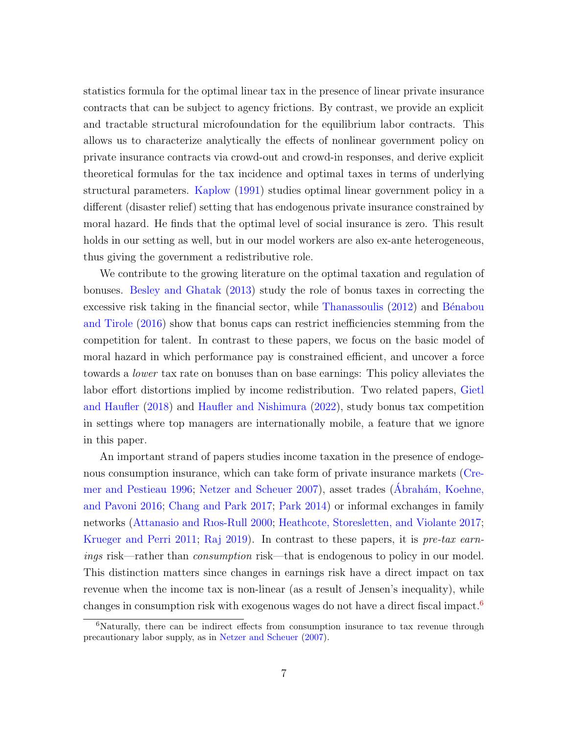statistics formula for the optimal linear tax in the presence of linear private insurance contracts that can be subject to agency frictions. By contrast, we provide an explicit and tractable structural microfoundation for the equilibrium labor contracts. This allows us to characterize analytically the effects of nonlinear government policy on private insurance contracts via crowd-out and crowd-in responses, and derive explicit theoretical formulas for the tax incidence and optimal taxes in terms of underlying structural parameters. [Kaplow](#page-114-5) [\(1991\)](#page-114-5) studies optimal linear government policy in a different (disaster relief) setting that has endogenous private insurance constrained by moral hazard. He finds that the optimal level of social insurance is zero. This result holds in our setting as well, but in our model workers are also ex-ante heterogeneous, thus giving the government a redistributive role.

We contribute to the growing literature on the optimal taxation and regulation of bonuses. [Besley and Ghatak](#page-112-7) [\(2013\)](#page-112-7) study the role of bonus taxes in correcting the excessive risk taking in the financial sector, while [Thanassoulis](#page-116-6)  $(2012)$  and Bénabou [and Tirole](#page-112-8) [\(2016\)](#page-112-8) show that bonus caps can restrict inefficiencies stemming from the competition for talent. In contrast to these papers, we focus on the basic model of moral hazard in which performance pay is constrained efficient, and uncover a force towards a lower tax rate on bonuses than on base earnings: This policy alleviates the labor effort distortions implied by income redistribution. Two related papers, [Gietl](#page-113-7) [and Haufler](#page-113-7) [\(2018\)](#page-113-7) and [Haufler and Nishimura](#page-114-6) [\(2022\)](#page-114-6), study bonus tax competition in settings where top managers are internationally mobile, a feature that we ignore in this paper.

An important strand of papers studies income taxation in the presence of endogenous consumption insurance, which can take form of private insurance markets [\(Cre](#page-113-8)[mer and Pestieau](#page-113-8) [1996;](#page-113-8) [Netzer and Scheuer](#page-115-9) [2007\)](#page-115-9), asset trades (Abrahám, Koehne, [and Pavoni](#page-112-9) [2016;](#page-112-9) [Chang and Park](#page-112-10) [2017;](#page-112-10) [Park](#page-115-10) [2014\)](#page-115-10) or informal exchanges in family networks [\(Attanasio and Rıos-Rull](#page-112-5) [2000;](#page-112-5) [Heathcote, Storesletten, and Violante](#page-114-7) [2017;](#page-114-7) [Krueger and Perri](#page-114-3) [2011;](#page-114-3) [Raj](#page-115-11) [2019\)](#page-115-11). In contrast to these papers, it is pre-tax earnings risk—rather than consumption risk—that is endogenous to policy in our model. This distinction matters since changes in earnings risk have a direct impact on tax revenue when the income tax is non-linear (as a result of Jensen's inequality), while changes in consumption risk with exogenous wages do not have a direct fiscal impact.[6](#page-8-0)

<span id="page-8-0"></span> $6$ Naturally, there can be indirect effects from consumption insurance to tax revenue through precautionary labor supply, as in [Netzer and Scheuer](#page-115-9) [\(2007\)](#page-115-9).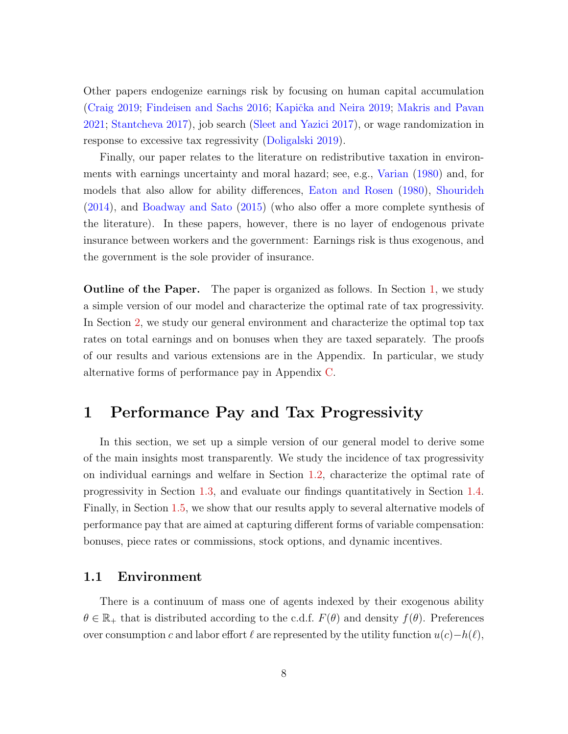Other papers endogenize earnings risk by focusing on human capital accumulation [\(Craig](#page-113-9) [2019;](#page-114-8) [Findeisen and Sachs](#page-113-10) [2016;](#page-113-10) Kapička and Neira 2019; [Makris and Pavan](#page-115-12) [2021;](#page-115-12) [Stantcheva](#page-116-7) [2017\)](#page-116-7), job search [\(Sleet and Yazici](#page-116-8) [2017\)](#page-116-8), or wage randomization in response to excessive tax regressivity [\(Doligalski](#page-113-11) [2019\)](#page-113-11).

Finally, our paper relates to the literature on redistributive taxation in environments with earnings uncertainty and moral hazard; see, e.g., [Varian](#page-116-9) [\(1980\)](#page-116-9) and, for models that also allow for ability differences, [Eaton and Rosen](#page-113-12) [\(1980\)](#page-113-12), [Shourideh](#page-116-10) [\(2014\)](#page-116-10), and [Boadway and Sato](#page-112-11) [\(2015\)](#page-112-11) (who also offer a more complete synthesis of the literature). In these papers, however, there is no layer of endogenous private insurance between workers and the government: Earnings risk is thus exogenous, and the government is the sole provider of insurance.

**Outline of the Paper.** The paper is organized as follows. In Section [1,](#page-9-0) we study a simple version of our model and characterize the optimal rate of tax progressivity. In Section [2,](#page-28-0) we study our general environment and characterize the optimal top tax rates on total earnings and on bonuses when they are taxed separately. The proofs of our results and various extensions are in the Appendix. In particular, we study alternative forms of performance pay in Appendix [C.](#page-86-0)

## <span id="page-9-0"></span>1 Performance Pay and Tax Progressivity

In this section, we set up a simple version of our general model to derive some of the main insights most transparently. We study the incidence of tax progressivity on individual earnings and welfare in Section [1.2,](#page-14-0) characterize the optimal rate of progressivity in Section [1.3,](#page-18-0) and evaluate our findings quantitatively in Section [1.4.](#page-22-0) Finally, in Section [1.5,](#page-27-0) we show that our results apply to several alternative models of performance pay that are aimed at capturing different forms of variable compensation: bonuses, piece rates or commissions, stock options, and dynamic incentives.

### 1.1 Environment

There is a continuum of mass one of agents indexed by their exogenous ability  $\theta \in \mathbb{R}_+$  that is distributed according to the c.d.f.  $F(\theta)$  and density  $f(\theta)$ . Preferences over consumption c and labor effort  $\ell$  are represented by the utility function  $u(c)-h(\ell)$ ,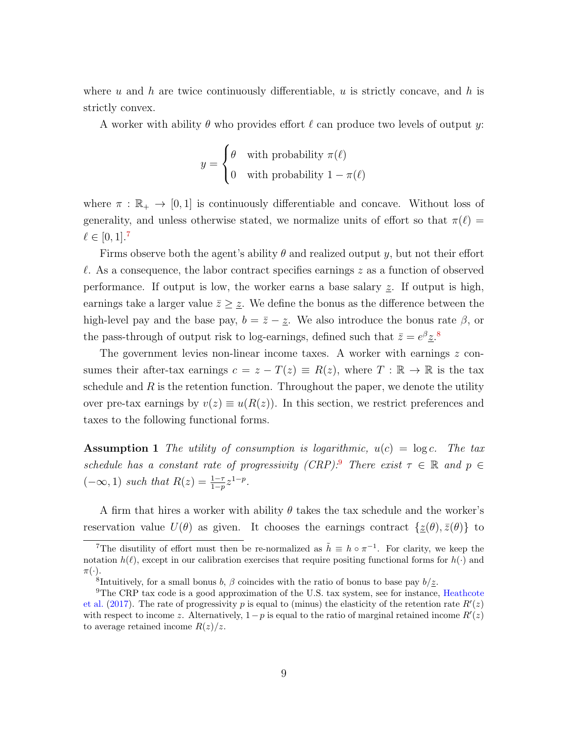where u and h are twice continuously differentiable, u is strictly concave, and h is strictly convex.

A worker with ability  $\theta$  who provides effort  $\ell$  can produce two levels of output y:

$$
y = \begin{cases} \theta & \text{with probability } \pi(\ell) \\ 0 & \text{with probability } 1 - \pi(\ell) \end{cases}
$$

where  $\pi : \mathbb{R}_+ \to [0, 1]$  is continuously differentiable and concave. Without loss of generality, and unless otherwise stated, we normalize units of effort so that  $\pi(\ell)$  $\ell \in [0, 1].^{7}$  $\ell \in [0, 1].^{7}$  $\ell \in [0, 1].^{7}$ 

Firms observe both the agent's ability  $\theta$  and realized output y, but not their effort  $\ell$ . As a consequence, the labor contract specifies earnings z as a function of observed performance. If output is low, the worker earns a base salary  $z$ . If output is high, earnings take a larger value  $\bar{z} \geq \underline{z}$ . We define the bonus as the difference between the high-level pay and the base pay,  $b = \bar{z} - \underline{z}$ . We also introduce the bonus rate  $\beta$ , or the pass-through of output risk to log-earnings, defined such that  $\bar{z} = e^{\beta} \underline{z}^{8}$  $\bar{z} = e^{\beta} \underline{z}^{8}$  $\bar{z} = e^{\beta} \underline{z}^{8}$ .

The government levies non-linear income taxes. A worker with earnings  $z$  consumes their after-tax earnings  $c = z - T(z) \equiv R(z)$ , where  $T : \mathbb{R} \to \mathbb{R}$  is the tax schedule and  $R$  is the retention function. Throughout the paper, we denote the utility over pre-tax earnings by  $v(z) \equiv u(R(z))$ . In this section, we restrict preferences and taxes to the following functional forms.

<span id="page-10-3"></span>**Assumption 1** The utility of consumption is logarithmic,  $u(c) = \log c$ . The tax schedule has a constant rate of progressivity (CRP):<sup>[9](#page-10-2)</sup> There exist  $\tau \in \mathbb{R}$  and  $p \in$  $(-\infty, 1)$  such that  $R(z) = \frac{1-\tau}{1-p} z^{1-p}$ .

A firm that hires a worker with ability  $\theta$  takes the tax schedule and the worker's reservation value  $U(\theta)$  as given. It chooses the earnings contract  $\{\underline{z}(\theta), \bar{z}(\theta)\}\)$  to

<span id="page-10-0"></span><sup>&</sup>lt;sup>7</sup>The disutility of effort must then be re-normalized as  $\tilde{h} \equiv h \circ \pi^{-1}$ . For clarity, we keep the notation  $h(\ell)$ , except in our calibration exercises that require positing functional forms for  $h(\cdot)$  and  $\pi(\cdot).$ 

<span id="page-10-2"></span><span id="page-10-1"></span><sup>&</sup>lt;sup>8</sup>Intuitively, for a small bonus  $b, \beta$  coincides with the ratio of bonus to base pay  $b/\underline{z}$ .

<sup>&</sup>lt;sup>9</sup>The CRP tax code is a good approximation of the U.S. tax system, see for instance, [Heathcote](#page-114-7) [et al.](#page-114-7) [\(2017\)](#page-114-7). The rate of progressivity p is equal to (minus) the elasticity of the retention rate  $R'(z)$ with respect to income z. Alternatively,  $1-p$  is equal to the ratio of marginal retained income  $R'(z)$ to average retained income  $R(z)/z$ .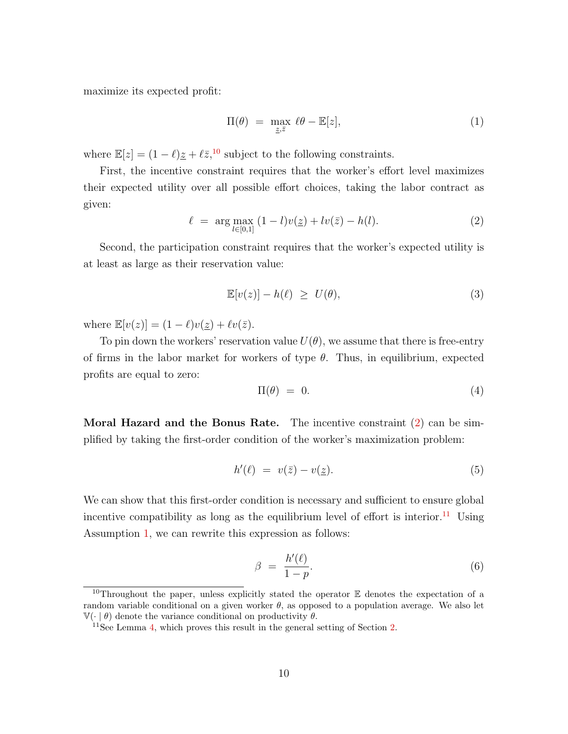maximize its expected profit:

<span id="page-11-6"></span>
$$
\Pi(\theta) = \max_{\underline{z}, \overline{z}} \ \ell\theta - \mathbb{E}[z], \tag{1}
$$

where  $\mathbb{E}[z] = (1 - \ell)\underline{z} + \ell \overline{z}$ ,<sup>[10](#page-11-0)</sup> subject to the following constraints.

First, the incentive constraint requires that the worker's effort level maximizes their expected utility over all possible effort choices, taking the labor contract as given:

<span id="page-11-1"></span>
$$
\ell = \arg \max_{l \in [0,1]} (1-l)v(\underline{z}) + l v(\overline{z}) - h(l). \tag{2}
$$

Second, the participation constraint requires that the worker's expected utility is at least as large as their reservation value:

<span id="page-11-7"></span>
$$
\mathbb{E}[v(z)] - h(\ell) \ge U(\theta), \tag{3}
$$

where  $\mathbb{E}[v(z)] = (1 - \ell)v(\underline{z}) + \ell v(\overline{z}).$ 

To pin down the workers' reservation value  $U(\theta)$ , we assume that there is free-entry of firms in the labor market for workers of type  $\theta$ . Thus, in equilibrium, expected profits are equal to zero:

<span id="page-11-4"></span>
$$
\Pi(\theta) = 0. \tag{4}
$$

**Moral Hazard and the Bonus Rate.** The incentive constraint  $(2)$  can be simplified by taking the first-order condition of the worker's maximization problem:

<span id="page-11-5"></span>
$$
h'(\ell) = v(\bar{z}) - v(\underline{z}).\tag{5}
$$

We can show that this first-order condition is necessary and sufficient to ensure global incentive compatibility as long as the equilibrium level of effort is interior.<sup>[11](#page-11-2)</sup> Using Assumption [1,](#page-10-3) we can rewrite this expression as follows:

<span id="page-11-3"></span>
$$
\beta = \frac{h'(\ell)}{1 - p}.\tag{6}
$$

<span id="page-11-0"></span><sup>&</sup>lt;sup>10</sup>Throughout the paper, unless explicitly stated the operator  $E$  denotes the expectation of a random variable conditional on a given worker  $\theta$ , as opposed to a population average. We also let  $\mathbb{V}(\cdot | \theta)$  denote the variance conditional on productivity  $\theta$ .

<span id="page-11-2"></span> $11$ See Lemma [4,](#page-29-0) which proves this result in the general setting of Section [2.](#page-28-0)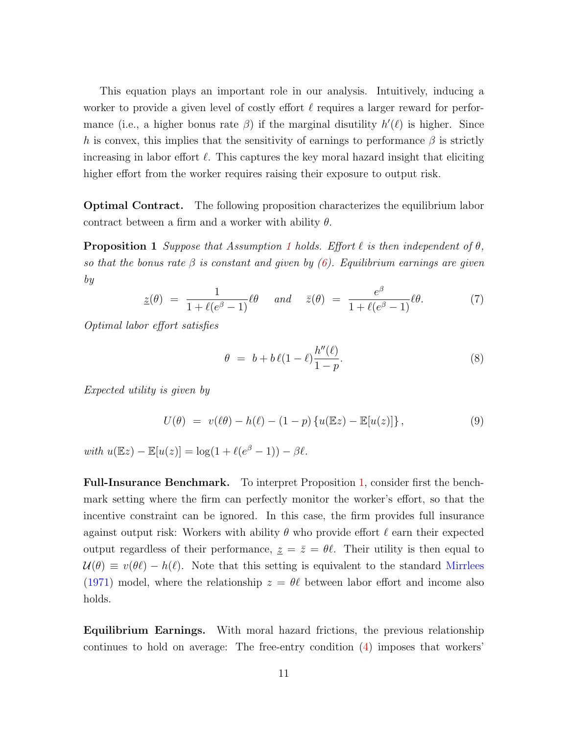This equation plays an important role in our analysis. Intuitively, inducing a worker to provide a given level of costly effort  $\ell$  requires a larger reward for performance (i.e., a higher bonus rate  $\beta$ ) if the marginal disutility  $h'(\ell)$  is higher. Since h is convex, this implies that the sensitivity of earnings to performance  $\beta$  is strictly increasing in labor effort  $\ell$ . This captures the key moral hazard insight that eliciting higher effort from the worker requires raising their exposure to output risk.

Optimal Contract. The following proposition characterizes the equilibrium labor contract between a firm and a worker with ability  $\theta$ .

<span id="page-12-0"></span>**Proposition [1](#page-10-3)** Suppose that Assumption 1 holds. Effort  $\ell$  is then independent of  $\theta$ , so that the bonus rate  $\beta$  is constant and given by [\(6\)](#page-11-3). Equilibrium earnings are given by

$$
\underline{z}(\theta) = \frac{1}{1 + \ell(e^{\beta} - 1)} \ell \theta \quad \text{and} \quad \overline{z}(\theta) = \frac{e^{\beta}}{1 + \ell(e^{\beta} - 1)} \ell \theta. \tag{7}
$$

Optimal labor effort satisfies

<span id="page-12-1"></span>
$$
\theta = b + b \ell (1 - \ell) \frac{h''(\ell)}{1 - p}.
$$
\n(8)

Expected utility is given by

<span id="page-12-2"></span>
$$
U(\theta) = v(\ell\theta) - h(\ell) - (1 - p) \{ u(\mathbb{E}z) - \mathbb{E}[u(z)] \},
$$
\n(9)

with  $u(\mathbb{E}z) - \mathbb{E}[u(z)] = \log(1 + \ell(e^{\beta} - 1)) - \beta \ell$ .

Full-Insurance Benchmark. To interpret Proposition [1,](#page-12-0) consider first the benchmark setting where the firm can perfectly monitor the worker's effort, so that the incentive constraint can be ignored. In this case, the firm provides full insurance against output risk: Workers with ability  $\theta$  who provide effort  $\ell$  earn their expected output regardless of their performance,  $z = \bar{z} = \theta \ell$ . Their utility is then equal to  $U(\theta) \equiv v(\theta \ell) - h(\ell)$ . Note that this setting is equivalent to the standard [Mirrlees](#page-115-4) [\(1971\)](#page-115-4) model, where the relationship  $z = \theta \ell$  between labor effort and income also holds.

Equilibrium Earnings. With moral hazard frictions, the previous relationship continues to hold on average: The free-entry condition [\(4\)](#page-11-4) imposes that workers'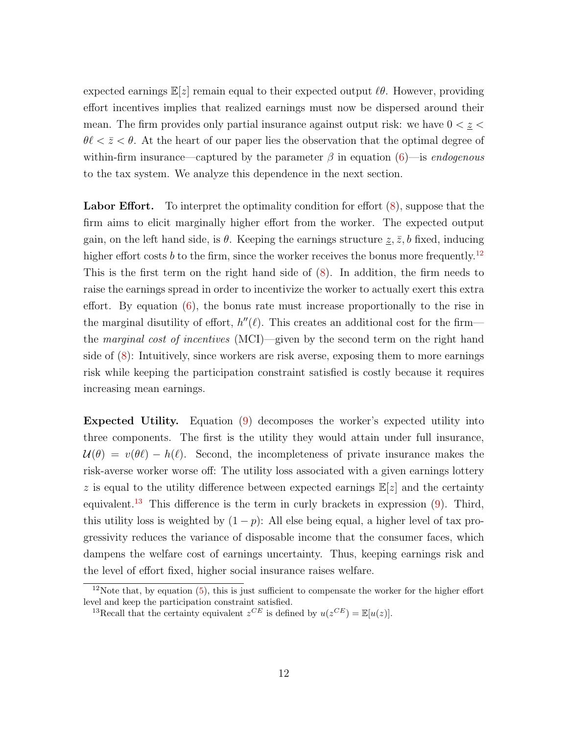expected earnings  $\mathbb{E}[z]$  remain equal to their expected output  $\ell\theta$ . However, providing effort incentives implies that realized earnings must now be dispersed around their mean. The firm provides only partial insurance against output risk: we have  $0 < \underline{z} <$  $\theta \ell < \bar{z} < \theta$ . At the heart of our paper lies the observation that the optimal degree of within-firm insurance—captured by the parameter  $\beta$  in equation  $(6)$ —is endogenous to the tax system. We analyze this dependence in the next section.

Labor Effort. To interpret the optimality condition for effort  $(8)$ , suppose that the firm aims to elicit marginally higher effort from the worker. The expected output gain, on the left hand side, is  $\theta$ . Keeping the earnings structure  $\underline{z}, \overline{z}, b$  fixed, inducing higher effort costs b to the firm, since the worker receives the bonus more frequently.<sup>[12](#page-13-0)</sup> This is the first term on the right hand side of [\(8\)](#page-12-1). In addition, the firm needs to raise the earnings spread in order to incentivize the worker to actually exert this extra effort. By equation  $(6)$ , the bonus rate must increase proportionally to the rise in the marginal disutility of effort,  $h''(\ell)$ . This creates an additional cost for the firm the marginal cost of incentives (MCI)—given by the second term on the right hand side of [\(8\)](#page-12-1): Intuitively, since workers are risk averse, exposing them to more earnings risk while keeping the participation constraint satisfied is costly because it requires increasing mean earnings.

Expected Utility. Equation [\(9\)](#page-12-2) decomposes the worker's expected utility into three components. The first is the utility they would attain under full insurance,  $\mathcal{U}(\theta) = v(\theta \ell) - h(\ell)$ . Second, the incompleteness of private insurance makes the risk-averse worker worse off: The utility loss associated with a given earnings lottery z is equal to the utility difference between expected earnings  $\mathbb{E}[z]$  and the certainty equivalent.<sup>[13](#page-13-1)</sup> This difference is the term in curly brackets in expression  $(9)$ . Third, this utility loss is weighted by  $(1-p)$ : All else being equal, a higher level of tax progressivity reduces the variance of disposable income that the consumer faces, which dampens the welfare cost of earnings uncertainty. Thus, keeping earnings risk and the level of effort fixed, higher social insurance raises welfare.

<span id="page-13-0"></span> $12$ Note that, by equation [\(5\)](#page-11-5), this is just sufficient to compensate the worker for the higher effort level and keep the participation constraint satisfied.

<span id="page-13-1"></span><sup>&</sup>lt;sup>13</sup>Recall that the certainty equivalent  $z^{CE}$  is defined by  $u(z^{CE}) = \mathbb{E}[u(z)].$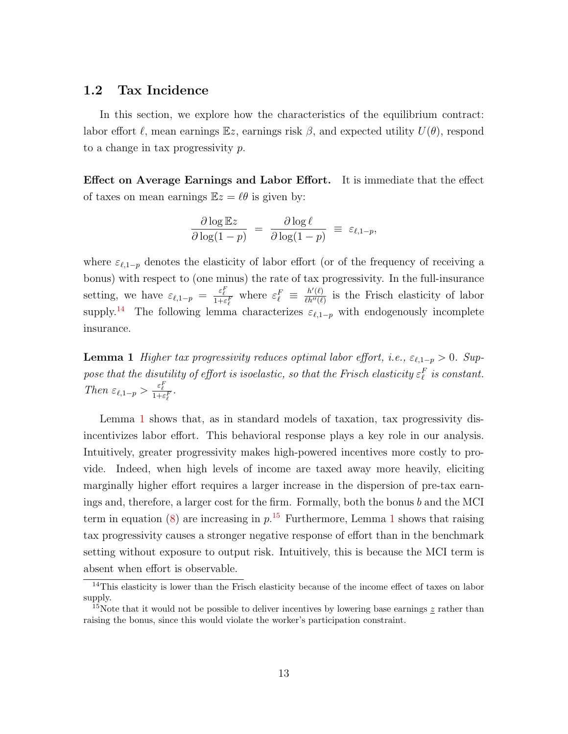### <span id="page-14-0"></span>1.2 Tax Incidence

In this section, we explore how the characteristics of the equilibrium contract: labor effort  $\ell$ , mean earnings  $\mathbb{E}z$ , earnings risk  $\beta$ , and expected utility  $U(\theta)$ , respond to a change in tax progressivity  $p$ .

Effect on Average Earnings and Labor Effort. It is immediate that the effect of taxes on mean earnings  $\mathbb{E}z = \ell\theta$  is given by:

$$
\frac{\partial \log \mathbb{E}z}{\partial \log(1-p)} = \frac{\partial \log \ell}{\partial \log(1-p)} \equiv \varepsilon_{\ell,1-p},
$$

where  $\varepsilon_{\ell,1-p}$  denotes the elasticity of labor effort (or of the frequency of receiving a bonus) with respect to (one minus) the rate of tax progressivity. In the full-insurance setting, we have  $\varepsilon_{\ell,1-p} = \frac{\varepsilon_{\ell}^F}{1+\varepsilon_{\ell}^F}$  where  $\varepsilon_{\ell}^F \equiv \frac{h'(\ell)}{h''(\ell)}$  $\frac{h'(\ell)}{h''(\ell)}$  is the Frisch elasticity of labor supply.<sup>[14](#page-14-1)</sup> The following lemma characterizes  $\varepsilon_{\ell,1-p}$  with endogenously incomplete insurance.

<span id="page-14-2"></span>**Lemma 1** Higher tax progressivity reduces optimal labor effort, i.e.,  $\varepsilon_{\ell,1-p} > 0$ . Suppose that the disutility of effort is isoelastic, so that the Frisch elasticity  $\varepsilon_{\ell}^F$  is constant. Then  $\varepsilon_{\ell,1-p} > \frac{\varepsilon_{\ell}^F}{1+\varepsilon_{\ell}^F}$ .

Lemma [1](#page-14-2) shows that, as in standard models of taxation, tax progressivity disincentivizes labor effort. This behavioral response plays a key role in our analysis. Intuitively, greater progressivity makes high-powered incentives more costly to provide. Indeed, when high levels of income are taxed away more heavily, eliciting marginally higher effort requires a larger increase in the dispersion of pre-tax earnings and, therefore, a larger cost for the firm. Formally, both the bonus  $b$  and the MCI term in equation [\(8\)](#page-12-1) are increasing in  $p<sup>15</sup>$  $p<sup>15</sup>$  $p<sup>15</sup>$ . Furthermore, Lemma [1](#page-14-2) shows that raising tax progressivity causes a stronger negative response of effort than in the benchmark setting without exposure to output risk. Intuitively, this is because the MCI term is absent when effort is observable.

<span id="page-14-1"></span><sup>&</sup>lt;sup>14</sup>This elasticity is lower than the Frisch elasticity because of the income effect of taxes on labor supply.

<span id="page-14-3"></span><sup>&</sup>lt;sup>15</sup>Note that it would not be possible to deliver incentives by lowering base earnings z rather than raising the bonus, since this would violate the worker's participation constraint.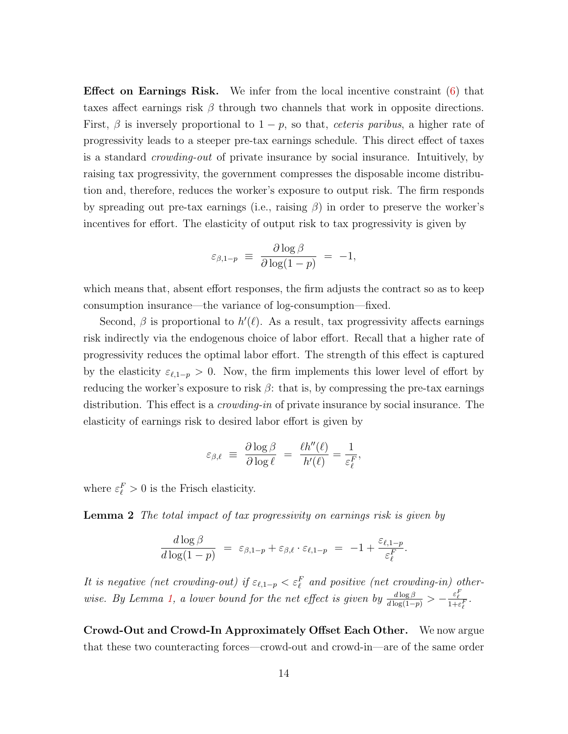Effect on Earnings Risk. We infer from the local incentive constraint [\(6\)](#page-11-3) that taxes affect earnings risk  $\beta$  through two channels that work in opposite directions. First,  $\beta$  is inversely proportional to  $1 - p$ , so that, *ceteris paribus*, a higher rate of progressivity leads to a steeper pre-tax earnings schedule. This direct effect of taxes is a standard crowding-out of private insurance by social insurance. Intuitively, by raising tax progressivity, the government compresses the disposable income distribution and, therefore, reduces the worker's exposure to output risk. The firm responds by spreading out pre-tax earnings (i.e., raising  $\beta$ ) in order to preserve the worker's incentives for effort. The elasticity of output risk to tax progressivity is given by

$$
\varepsilon_{\beta,1-p} \ \equiv \ \frac{\partial \log \beta}{\partial \log(1-p)} \ = \ -1,
$$

which means that, absent effort responses, the firm adjusts the contract so as to keep consumption insurance—the variance of log-consumption—fixed.

Second,  $\beta$  is proportional to  $h'(\ell)$ . As a result, tax progressivity affects earnings risk indirectly via the endogenous choice of labor effort. Recall that a higher rate of progressivity reduces the optimal labor effort. The strength of this effect is captured by the elasticity  $\varepsilon_{\ell,1-p} > 0$ . Now, the firm implements this lower level of effort by reducing the worker's exposure to risk  $\beta$ : that is, by compressing the pre-tax earnings distribution. This effect is a *crowding-in* of private insurance by social insurance. The elasticity of earnings risk to desired labor effort is given by

$$
\varepsilon_{\beta,\ell}\ \equiv\ \frac{\partial \log \beta}{\partial \log \ell}\ =\ \frac{\ell h''(\ell)}{h'(\ell)}=\frac{1}{\varepsilon_\ell^F},
$$

<span id="page-15-0"></span>where  $\varepsilon_{\ell}^{F} > 0$  is the Frisch elasticity.

**Lemma 2** The total impact of tax progressivity on earnings risk is given by

$$
\frac{d \log \beta}{d \log(1-p)} = \varepsilon_{\beta,1-p} + \varepsilon_{\beta,\ell} \cdot \varepsilon_{\ell,1-p} = -1 + \frac{\varepsilon_{\ell,1-p}}{\varepsilon_{\ell}^F}.
$$

It is negative (net crowding-out) if  $\varepsilon_{\ell,1-p} < \varepsilon_{\ell}^F$  and positive (net crowding-in) other-wise. By Lemma [1,](#page-14-2) a lower bound for the net effect is given by  $\frac{d \log \beta}{d \log(1-p)} > -\frac{\varepsilon_{\ell}^F}{1+\varepsilon_{\ell}^F}$ .

Crowd-Out and Crowd-In Approximately Offset Each Other. We now argue that these two counteracting forces—crowd-out and crowd-in—are of the same order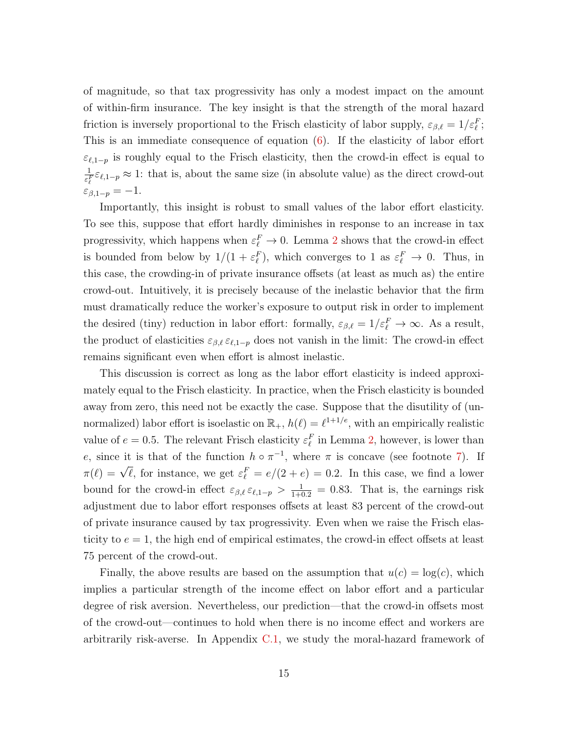of magnitude, so that tax progressivity has only a modest impact on the amount of within-firm insurance. The key insight is that the strength of the moral hazard friction is inversely proportional to the Frisch elasticity of labor supply,  $\varepsilon_{\beta,\ell} = 1/\varepsilon_{\ell}^F$ ; This is an immediate consequence of equation [\(6\)](#page-11-3). If the elasticity of labor effort  $\varepsilon_{\ell,1-p}$  is roughly equal to the Frisch elasticity, then the crowd-in effect is equal to 1  $\frac{1}{\varepsilon_{\ell}^F} \varepsilon_{\ell,1-p} \approx 1$ : that is, about the same size (in absolute value) as the direct crowd-out  $\varepsilon_{\beta,1-p}=-1.$ 

Importantly, this insight is robust to small values of the labor effort elasticity. To see this, suppose that effort hardly diminishes in response to an increase in tax progressivity, which happens when  $\varepsilon_{\ell}^F \to 0$ . Lemma [2](#page-15-0) shows that the crowd-in effect is bounded from below by  $1/(1 + \varepsilon_{\ell}^F)$ , which converges to 1 as  $\varepsilon_{\ell}^F \to 0$ . Thus, in this case, the crowding-in of private insurance offsets (at least as much as) the entire crowd-out. Intuitively, it is precisely because of the inelastic behavior that the firm must dramatically reduce the worker's exposure to output risk in order to implement the desired (tiny) reduction in labor effort: formally,  $\varepsilon_{\beta,\ell} = 1/\varepsilon_{\ell}^F \to \infty$ . As a result, the product of elasticities  $\varepsilon_{\beta,\ell} \varepsilon_{\ell,1-p}$  does not vanish in the limit: The crowd-in effect remains significant even when effort is almost inelastic.

This discussion is correct as long as the labor effort elasticity is indeed approximately equal to the Frisch elasticity. In practice, when the Frisch elasticity is bounded away from zero, this need not be exactly the case. Suppose that the disutility of (unnormalized) labor effort is isoelastic on  $\mathbb{R}_+$ ,  $h(\ell) = \ell^{1+1/e}$ , with an empirically realistic value of  $e = 0.5$ . The relevant Frisch elasticity  $\varepsilon_{\ell}^F$  in Lemma [2,](#page-15-0) however, is lower than e, since it is that of the function  $h \circ \pi^{-1}$ , where  $\pi$  is concave (see footnote [7\)](#page-10-0). If  $\pi(\ell) = \sqrt{\ell}$ , for instance, we get  $\varepsilon_{\ell}^F = e/(2 + e) = 0.2$ . In this case, we find a lower bound for the crowd-in effect  $\varepsilon_{\beta,\ell} \varepsilon_{\ell,1-p} > \frac{1}{1+0.2} = 0.83$ . That is, the earnings risk adjustment due to labor effort responses offsets at least 83 percent of the crowd-out of private insurance caused by tax progressivity. Even when we raise the Frisch elasticity to  $e = 1$ , the high end of empirical estimates, the crowd-in effect offsets at least 75 percent of the crowd-out.

Finally, the above results are based on the assumption that  $u(c) = \log(c)$ , which implies a particular strength of the income effect on labor effort and a particular degree of risk aversion. Nevertheless, our prediction—that the crowd-in offsets most of the crowd-out—continues to hold when there is no income effect and workers are arbitrarily risk-averse. In Appendix [C.1,](#page-86-1) we study the moral-hazard framework of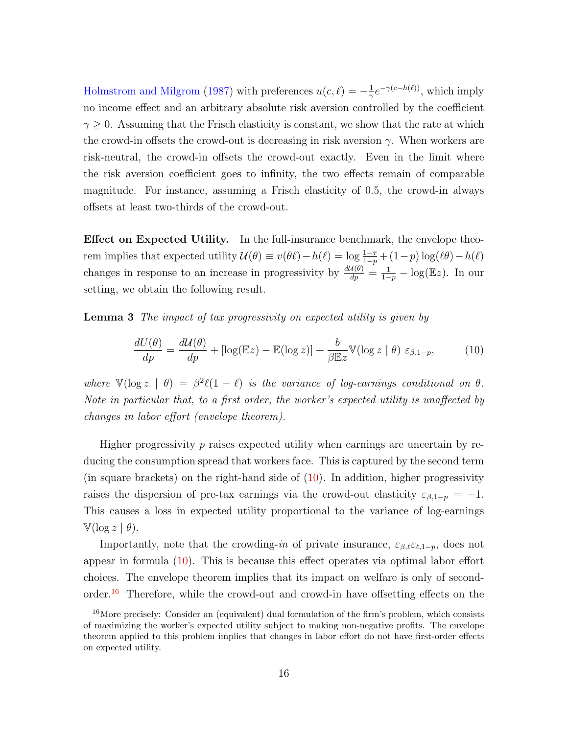[Holmstrom and Milgrom](#page-114-4) [\(1987\)](#page-114-4) with preferences  $u(c, \ell) = -\frac{1}{\alpha}$  $\frac{1}{\gamma}e^{-\gamma(c-h(\ell))}$ , which imply no income effect and an arbitrary absolute risk aversion controlled by the coefficient  $\gamma \geq 0$ . Assuming that the Frisch elasticity is constant, we show that the rate at which the crowd-in offsets the crowd-out is decreasing in risk aversion  $\gamma$ . When workers are risk-neutral, the crowd-in offsets the crowd-out exactly. Even in the limit where the risk aversion coefficient goes to infinity, the two effects remain of comparable magnitude. For instance, assuming a Frisch elasticity of 0.5, the crowd-in always offsets at least two-thirds of the crowd-out.

Effect on Expected Utility. In the full-insurance benchmark, the envelope theorem implies that expected utility  $\mathcal{U}(\theta) \equiv v(\theta \ell) - h(\ell) = \log \frac{1-\tau}{1-p} + (1-p) \log(\ell \theta) - h(\ell)$ changes in response to an increase in progressivity by  $\frac{d\mathcal{U}(\theta)}{dp} = \frac{1}{1-p} - \log(Ez)$ . In our setting, we obtain the following result.

<span id="page-17-2"></span>Lemma 3 The impact of tax progressivity on expected utility is given by

<span id="page-17-0"></span>
$$
\frac{dU(\theta)}{dp} = \frac{d\mathcal{U}(\theta)}{dp} + \left[ \log(\mathbb{E}z) - \mathbb{E}(\log z) \right] + \frac{b}{\beta \mathbb{E}z} \mathbb{V}(\log z \mid \theta) \varepsilon_{\beta, 1-p},\tag{10}
$$

where  $\mathbb{V}(\log z \mid \theta) = \beta^2 \ell(1 - \ell)$  is the variance of log-earnings conditional on  $\theta$ . Note in particular that, to a first order, the worker's expected utility is unaffected by changes in labor effort (envelope theorem).

Higher progressivity  $p$  raises expected utility when earnings are uncertain by reducing the consumption spread that workers face. This is captured by the second term (in square brackets) on the right-hand side of [\(10\)](#page-17-0). In addition, higher progressivity raises the dispersion of pre-tax earnings via the crowd-out elasticity  $\varepsilon_{\beta,1-p} = -1$ . This causes a loss in expected utility proportional to the variance of log-earnings  $\mathbb{V}(\log z \mid \theta).$ 

Importantly, note that the crowding-in of private insurance,  $\varepsilon_{\beta,\ell} \varepsilon_{\ell,1-p}$ , does not appear in formula [\(10\)](#page-17-0). This is because this effect operates via optimal labor effort choices. The envelope theorem implies that its impact on welfare is only of secondorder.[16](#page-17-1) Therefore, while the crowd-out and crowd-in have offsetting effects on the

<span id="page-17-1"></span><sup>&</sup>lt;sup>16</sup>More precisely: Consider an (equivalent) dual formulation of the firm's problem, which consists of maximizing the worker's expected utility subject to making non-negative profits. The envelope theorem applied to this problem implies that changes in labor effort do not have first-order effects on expected utility.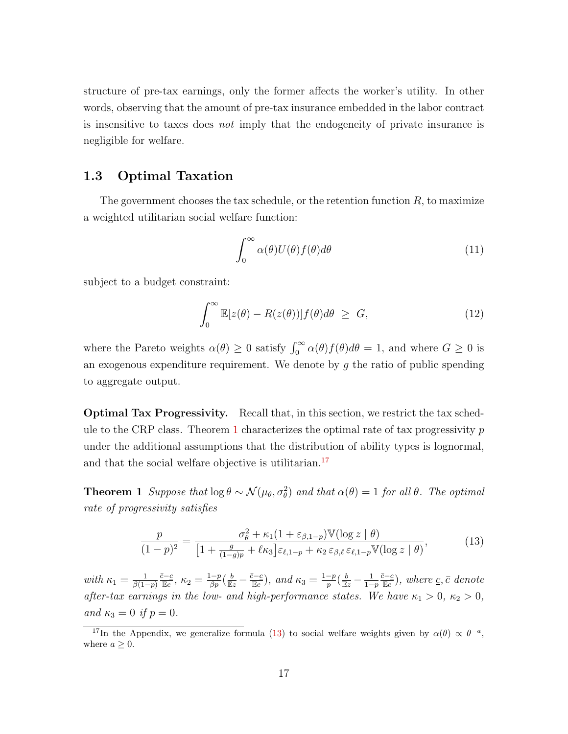structure of pre-tax earnings, only the former affects the worker's utility. In other words, observing that the amount of pre-tax insurance embedded in the labor contract is insensitive to taxes does not imply that the endogeneity of private insurance is negligible for welfare.

## <span id="page-18-0"></span>1.3 Optimal Taxation

The government chooses the tax schedule, or the retention function  $R$ , to maximize a weighted utilitarian social welfare function:

<span id="page-18-4"></span>
$$
\int_0^\infty \alpha(\theta) U(\theta) f(\theta) d\theta \tag{11}
$$

subject to a budget constraint:

$$
\int_0^\infty \mathbb{E}[z(\theta) - R(z(\theta))]f(\theta)d\theta \ge G,
$$
\n(12)

where the Pareto weights  $\alpha(\theta) \geq 0$  satisfy  $\int_0^\infty \alpha(\theta) f(\theta) d\theta = 1$ , and where  $G \geq 0$  is an exogenous expenditure requirement. We denote by  $q$  the ratio of public spending to aggregate output.

Optimal Tax Progressivity. Recall that, in this section, we restrict the tax sched-ule to the CRP class. Theorem [1](#page-18-1) characterizes the optimal rate of tax progressivity  $p$ under the additional assumptions that the distribution of ability types is lognormal, and that the social welfare objective is utilitarian.<sup>[17](#page-18-2)</sup>

<span id="page-18-1"></span>**Theorem 1** Suppose that  $\log \theta \sim \mathcal{N}(\mu_{\theta}, \sigma_{\theta}^2)$  and that  $\alpha(\theta) = 1$  for all  $\theta$ . The optimal rate of progressivity satisfies

<span id="page-18-3"></span>
$$
\frac{p}{(1-p)^2} = \frac{\sigma_\theta^2 + \kappa_1 (1 + \varepsilon_{\beta,1-p}) \mathbb{V}(\log z \mid \theta)}{[1 + \frac{g}{(1-g)p} + \ell \kappa_3] \varepsilon_{\ell,1-p} + \kappa_2 \varepsilon_{\beta,\ell} \varepsilon_{\ell,1-p} \mathbb{V}(\log z \mid \theta)},\tag{13}
$$

with  $\kappa_1 = \frac{1}{\beta(1-\beta)}$  $\beta(1-p)$  $\frac{\bar{c}-\underline{c}}{\mathbb{E}c}$ ,  $\kappa_2 = \frac{1-p}{\beta p}(\frac{b}{\mathbb{E}z} - \frac{\bar{c}-\underline{c}}{\mathbb{E}c})$ , and  $\kappa_3 = \frac{1-p}{p}$  $\frac{-p}{p}(\frac{b}{\mathbb{E}z}-\frac{1}{1-}%$  $1-p$  $\frac{\bar{c}-\underline{c}}{\mathbb{E}c}$ ), where <u>c</u>,  $\bar{c}$  denote after-tax earnings in the low- and high-performance states. We have  $\kappa_1 > 0$ ,  $\kappa_2 > 0$ , and  $\kappa_3 = 0$  if  $p = 0$ .

<span id="page-18-2"></span><sup>&</sup>lt;sup>17</sup>In the Appendix, we generalize formula [\(13\)](#page-18-3) to social welfare weights given by  $\alpha(\theta) \propto \theta^{-a}$ , where  $a > 0$ .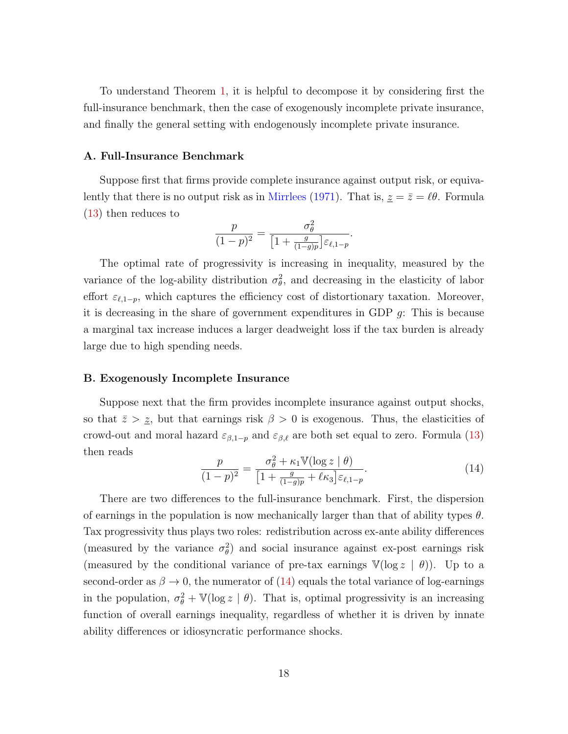To understand Theorem [1,](#page-18-1) it is helpful to decompose it by considering first the full-insurance benchmark, then the case of exogenously incomplete private insurance, and finally the general setting with endogenously incomplete private insurance.

#### A. Full-Insurance Benchmark

Suppose first that firms provide complete insurance against output risk, or equiva-lently that there is no output risk as in [Mirrlees](#page-115-4) [\(1971\)](#page-115-4). That is,  $z = \bar{z} = \ell \theta$ . Formula [\(13\)](#page-18-3) then reduces to

$$
\frac{p}{(1-p)^2} = \frac{\sigma_\theta^2}{\left[1 + \frac{g}{(1-g)p}\right] \varepsilon_{\ell, 1-p}}.
$$

The optimal rate of progressivity is increasing in inequality, measured by the variance of the log-ability distribution  $\sigma_{\theta}^2$ , and decreasing in the elasticity of labor effort  $\varepsilon_{\ell,1-p}$ , which captures the efficiency cost of distortionary taxation. Moreover, it is decreasing in the share of government expenditures in GDP  $q$ : This is because a marginal tax increase induces a larger deadweight loss if the tax burden is already large due to high spending needs.

#### B. Exogenously Incomplete Insurance

Suppose next that the firm provides incomplete insurance against output shocks, so that  $\bar{z} > \underline{z}$ , but that earnings risk  $\beta > 0$  is exogenous. Thus, the elasticities of crowd-out and moral hazard  $\varepsilon_{\beta,1-p}$  and  $\varepsilon_{\beta,\ell}$  are both set equal to zero. Formula [\(13\)](#page-18-3) then reads

<span id="page-19-0"></span>
$$
\frac{p}{(1-p)^2} = \frac{\sigma_\theta^2 + \kappa_1 \mathbb{V}(\log z \mid \theta)}{\left[1 + \frac{g}{(1-g)p} + \ell \kappa_3\right] \varepsilon_{\ell, 1-p}}.\tag{14}
$$

There are two differences to the full-insurance benchmark. First, the dispersion of earnings in the population is now mechanically larger than that of ability types  $\theta$ . Tax progressivity thus plays two roles: redistribution across ex-ante ability differences (measured by the variance  $\sigma_{\theta}^2$ ) and social insurance against ex-post earnings risk (measured by the conditional variance of pre-tax earnings  $\mathbb{V}(\log z \mid \theta)$ ). Up to a second-order as  $\beta \to 0$ , the numerator of [\(14\)](#page-19-0) equals the total variance of log-earnings in the population,  $\sigma_{\theta}^2 + \mathbb{V}(\log z \mid \theta)$ . That is, optimal progressivity is an increasing function of overall earnings inequality, regardless of whether it is driven by innate ability differences or idiosyncratic performance shocks.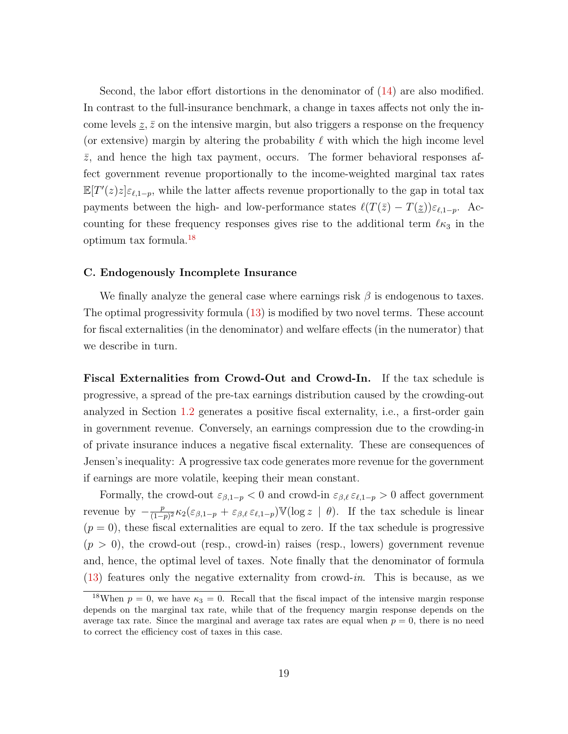Second, the labor effort distortions in the denominator of [\(14\)](#page-19-0) are also modified. In contrast to the full-insurance benchmark, a change in taxes affects not only the income levels  $z, \bar{z}$  on the intensive margin, but also triggers a response on the frequency (or extensive) margin by altering the probability  $\ell$  with which the high income level  $\bar{z}$ , and hence the high tax payment, occurs. The former behavioral responses affect government revenue proportionally to the income-weighted marginal tax rates  $\mathbb{E}[T'(z)z]\varepsilon_{\ell,1-p}$ , while the latter affects revenue proportionally to the gap in total tax payments between the high- and low-performance states  $\ell(T(\bar{z}) - T(\underline{z}))\varepsilon_{\ell,1-p}$ . Accounting for these frequency responses gives rise to the additional term  $\ell \kappa_3$  in the optimum tax formula.[18](#page-20-0)

#### C. Endogenously Incomplete Insurance

We finally analyze the general case where earnings risk  $\beta$  is endogenous to taxes. The optimal progressivity formula [\(13\)](#page-18-3) is modified by two novel terms. These account for fiscal externalities (in the denominator) and welfare effects (in the numerator) that we describe in turn.

Fiscal Externalities from Crowd-Out and Crowd-In. If the tax schedule is progressive, a spread of the pre-tax earnings distribution caused by the crowding-out analyzed in Section [1.2](#page-14-0) generates a positive fiscal externality, i.e., a first-order gain in government revenue. Conversely, an earnings compression due to the crowding-in of private insurance induces a negative fiscal externality. These are consequences of Jensen's inequality: A progressive tax code generates more revenue for the government if earnings are more volatile, keeping their mean constant.

Formally, the crowd-out  $\varepsilon_{\beta,1-p} < 0$  and crowd-in  $\varepsilon_{\beta,\ell} \varepsilon_{\ell,1-p} > 0$  affect government revenue by  $-\frac{p}{1-p}$  $\frac{p}{(1-p)^2} \kappa_2(\varepsilon_{\beta,1-p} + \varepsilon_{\beta,\ell} \varepsilon_{\ell,1-p}) \mathbb{V}(\log z \mid \theta)$ . If the tax schedule is linear  $(p = 0)$ , these fiscal externalities are equal to zero. If the tax schedule is progressive  $(p > 0)$ , the crowd-out (resp., crowd-in) raises (resp., lowers) government revenue and, hence, the optimal level of taxes. Note finally that the denominator of formula  $(13)$  features only the negative externality from crowd-in. This is because, as we

<span id="page-20-0"></span><sup>&</sup>lt;sup>18</sup>When  $p = 0$ , we have  $\kappa_3 = 0$ . Recall that the fiscal impact of the intensive margin response depends on the marginal tax rate, while that of the frequency margin response depends on the average tax rate. Since the marginal and average tax rates are equal when  $p = 0$ , there is no need to correct the efficiency cost of taxes in this case.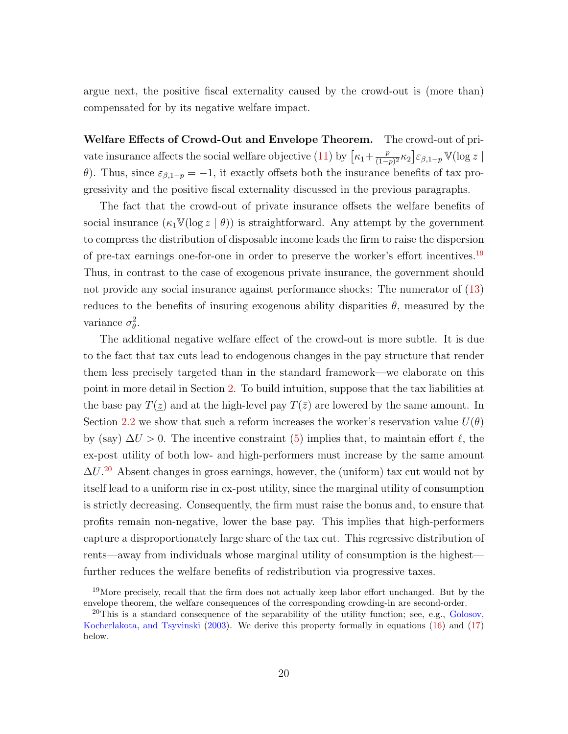argue next, the positive fiscal externality caused by the crowd-out is (more than) compensated for by its negative welfare impact.

Welfare Effects of Crowd-Out and Envelope Theorem. The crowd-out of pri-vate insurance affects the social welfare objective [\(11\)](#page-18-4) by  $\left[\kappa_1+\frac{p}{(1-p)^2}\right]$  $\frac{p}{(1-p)^2} \kappa_2 \big] \varepsilon_{\beta,1-p} \, \mathbb{V}(\log z \mid$ θ). Thus, since  $ε_{β,1-p} = -1$ , it exactly offsets both the insurance benefits of tax progressivity and the positive fiscal externality discussed in the previous paragraphs.

The fact that the crowd-out of private insurance offsets the welfare benefits of social insurance  $(\kappa_1 \mathbb{V}(\log z \mid \theta))$  is straightforward. Any attempt by the government to compress the distribution of disposable income leads the firm to raise the dispersion of pre-tax earnings one-for-one in order to preserve the worker's effort incentives.<sup>[19](#page-21-0)</sup> Thus, in contrast to the case of exogenous private insurance, the government should not provide any social insurance against performance shocks: The numerator of [\(13\)](#page-18-3) reduces to the benefits of insuring exogenous ability disparities  $\theta$ , measured by the variance  $\sigma_{\theta}^2$ .

The additional negative welfare effect of the crowd-out is more subtle. It is due to the fact that tax cuts lead to endogenous changes in the pay structure that render them less precisely targeted than in the standard framework—we elaborate on this point in more detail in Section [2.](#page-28-0) To build intuition, suppose that the tax liabilities at the base pay  $T(z)$  and at the high-level pay  $T(\bar{z})$  are lowered by the same amount. In Section [2.2](#page-30-0) we show that such a reform increases the worker's reservation value  $U(\theta)$ by (say)  $\Delta U > 0$ . The incentive constraint [\(5\)](#page-11-5) implies that, to maintain effort  $\ell$ , the ex-post utility of both low- and high-performers must increase by the same amount  $\Delta U^{20}$  $\Delta U^{20}$  $\Delta U^{20}$  Absent changes in gross earnings, however, the (uniform) tax cut would not by itself lead to a uniform rise in ex-post utility, since the marginal utility of consumption is strictly decreasing. Consequently, the firm must raise the bonus and, to ensure that profits remain non-negative, lower the base pay. This implies that high-performers capture a disproportionately large share of the tax cut. This regressive distribution of rents—away from individuals whose marginal utility of consumption is the highest further reduces the welfare benefits of redistribution via progressive taxes.

<span id="page-21-0"></span><sup>19</sup>More precisely, recall that the firm does not actually keep labor effort unchanged. But by the envelope theorem, the welfare consequences of the corresponding crowding-in are second-order.

<span id="page-21-1"></span><sup>&</sup>lt;sup>20</sup>This is a standard consequence of the separability of the utility function; see, e.g., [Golosov,](#page-113-13) [Kocherlakota, and Tsyvinski](#page-113-13) [\(2003\)](#page-113-13). We derive this property formally in equations [\(16\)](#page-30-1) and [\(17\)](#page-30-2) below.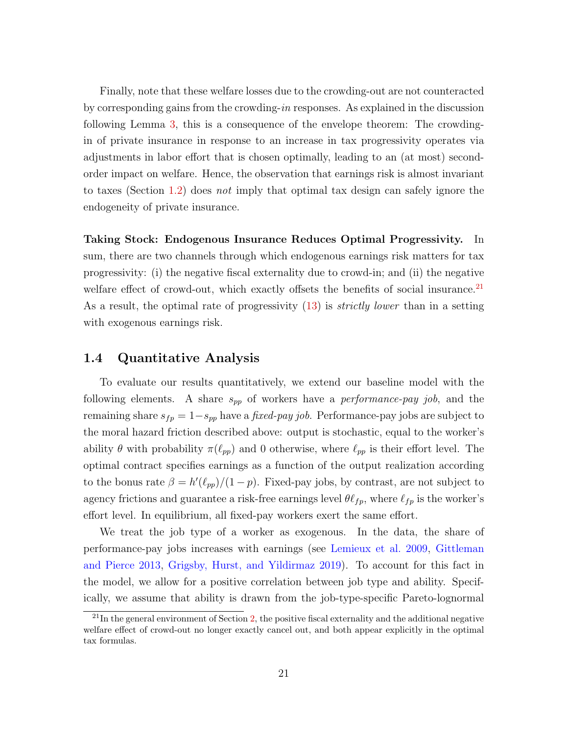Finally, note that these welfare losses due to the crowding-out are not counteracted by corresponding gains from the crowding-in responses. As explained in the discussion following Lemma [3,](#page-17-2) this is a consequence of the envelope theorem: The crowdingin of private insurance in response to an increase in tax progressivity operates via adjustments in labor effort that is chosen optimally, leading to an (at most) secondorder impact on welfare. Hence, the observation that earnings risk is almost invariant to taxes (Section [1.2\)](#page-14-0) does not imply that optimal tax design can safely ignore the endogeneity of private insurance.

Taking Stock: Endogenous Insurance Reduces Optimal Progressivity. In sum, there are two channels through which endogenous earnings risk matters for tax progressivity: (i) the negative fiscal externality due to crowd-in; and (ii) the negative welfare effect of crowd-out, which exactly offsets the benefits of social insurance. $^{21}$  $^{21}$  $^{21}$ As a result, the optimal rate of progressivity [\(13\)](#page-18-3) is *strictly lower* than in a setting with exogenous earnings risk.

## <span id="page-22-0"></span>1.4 Quantitative Analysis

To evaluate our results quantitatively, we extend our baseline model with the following elements. A share  $s_{pp}$  of workers have a *performance-pay job*, and the remaining share  $s_{fp} = 1 - s_{pp}$  have a fixed-pay job. Performance-pay jobs are subject to the moral hazard friction described above: output is stochastic, equal to the worker's ability  $\theta$  with probability  $\pi(\ell_{pp})$  and 0 otherwise, where  $\ell_{pp}$  is their effort level. The optimal contract specifies earnings as a function of the output realization according to the bonus rate  $\beta = h'(\ell_{pp})/(1-p)$ . Fixed-pay jobs, by contrast, are not subject to agency frictions and guarantee a risk-free earnings level  $\theta \ell_{fp}$ , where  $\ell_{fp}$  is the worker's effort level. In equilibrium, all fixed-pay workers exert the same effort.

We treat the job type of a worker as exogenous. In the data, the share of performance-pay jobs increases with earnings (see [Lemieux et al.](#page-115-0) [2009,](#page-115-0) [Gittleman](#page-113-14) [and Pierce](#page-113-14) [2013,](#page-113-14) [Grigsby, Hurst, and Yildirmaz](#page-114-9) [2019\)](#page-114-9). To account for this fact in the model, we allow for a positive correlation between job type and ability. Specifically, we assume that ability is drawn from the job-type-specific Pareto-lognormal

<span id="page-22-1"></span> $^{21}$ In the general environment of Section [2,](#page-28-0) the positive fiscal externality and the additional negative welfare effect of crowd-out no longer exactly cancel out, and both appear explicitly in the optimal tax formulas.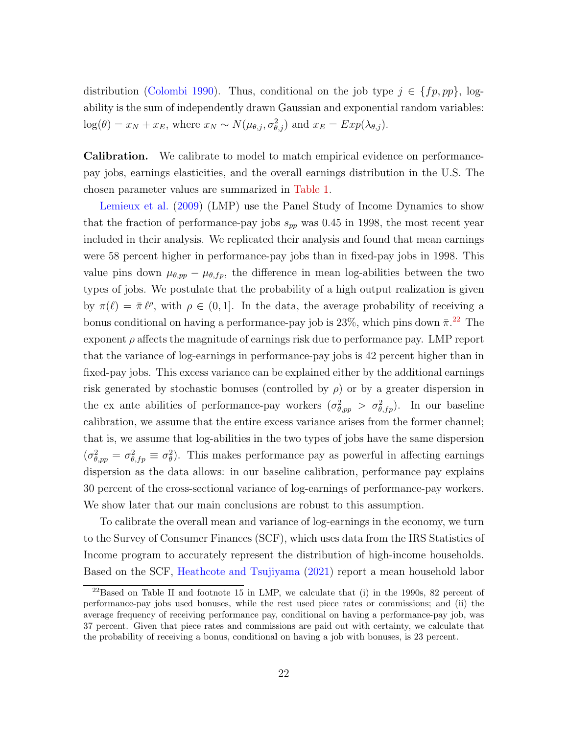distribution [\(Colombi](#page-112-12) [1990\)](#page-112-12). Thus, conditional on the job type  $j \in \{fp, pp\}$ , logability is the sum of independently drawn Gaussian and exponential random variables:  $log(\theta) = x_N + x_E$ , where  $x_N \sim N(\mu_{\theta,j}, \sigma_{\theta,j}^2)$  and  $x_E = Exp(\lambda_{\theta,j}).$ 

Calibration. We calibrate to model to match empirical evidence on performancepay jobs, earnings elasticities, and the overall earnings distribution in the U.S. The chosen parameter values are summarized in [Table 1.](#page-24-0)

[Lemieux et al.](#page-115-0) [\(2009\)](#page-115-0) (LMP) use the Panel Study of Income Dynamics to show that the fraction of performance-pay jobs  $s_{pp}$  was 0.45 in 1998, the most recent year included in their analysis. We replicated their analysis and found that mean earnings were 58 percent higher in performance-pay jobs than in fixed-pay jobs in 1998. This value pins down  $\mu_{\theta,pp} - \mu_{\theta,fp}$ , the difference in mean log-abilities between the two types of jobs. We postulate that the probability of a high output realization is given by  $\pi(\ell) = \bar{\pi} \ell^{\rho}$ , with  $\rho \in (0, 1]$ . In the data, the average probability of receiving a bonus conditional on having a performance-pay job is  $23\%$ , which pins down  $\bar{\pi}$ <sup>[22](#page-23-0)</sup>. The exponent  $\rho$  affects the magnitude of earnings risk due to performance pay. LMP report that the variance of log-earnings in performance-pay jobs is 42 percent higher than in fixed-pay jobs. This excess variance can be explained either by the additional earnings risk generated by stochastic bonuses (controlled by  $\rho$ ) or by a greater dispersion in the ex ante abilities of performance-pay workers  $(\sigma_{\theta,pp}^2 > \sigma_{\theta,fp}^2)$ . In our baseline calibration, we assume that the entire excess variance arises from the former channel; that is, we assume that log-abilities in the two types of jobs have the same dispersion  $(\sigma_{\theta,pp}^2 = \sigma_{\theta,fp}^2 \equiv \sigma_{\theta}^2)$ . This makes performance pay as powerful in affecting earnings dispersion as the data allows: in our baseline calibration, performance pay explains 30 percent of the cross-sectional variance of log-earnings of performance-pay workers. We show later that our main conclusions are robust to this assumption.

To calibrate the overall mean and variance of log-earnings in the economy, we turn to the Survey of Consumer Finances (SCF), which uses data from the IRS Statistics of Income program to accurately represent the distribution of high-income households. Based on the SCF, [Heathcote and Tsujiyama](#page-114-10) [\(2021\)](#page-114-10) report a mean household labor

<span id="page-23-0"></span> $^{22}$ Based on Table II and footnote 15 in LMP, we calculate that (i) in the 1990s, 82 percent of performance-pay jobs used bonuses, while the rest used piece rates or commissions; and (ii) the average frequency of receiving performance pay, conditional on having a performance-pay job, was 37 percent. Given that piece rates and commissions are paid out with certainty, we calculate that the probability of receiving a bonus, conditional on having a job with bonuses, is 23 percent.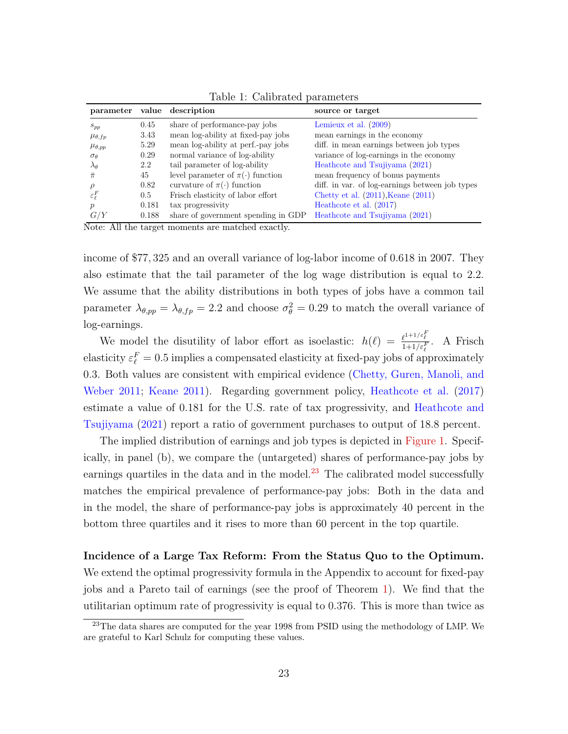|                        |       | parameter value description                          | source or target                                |
|------------------------|-------|------------------------------------------------------|-------------------------------------------------|
| $S_{pp}$               | 0.45  | share of performance-pay jobs                        | Lemieux et al. $(2009)$                         |
| $\mu_{\theta,fp}$      | 3.43  | mean log-ability at fixed-pay jobs                   | mean earnings in the economy                    |
| $\mu_{\theta,pp}$      | 5.29  | mean log-ability at perf.-pay jobs                   | diff. in mean earnings between job types        |
| $\sigma_{\theta}$      | 0.29  | normal variance of log-ability                       | variance of log-earnings in the economy         |
| $\lambda_{\theta}$     | 2.2   | tail parameter of log-ability                        | Heathcote and Tsujiyama (2021)                  |
| $\bar{\pi}$            | 45    | level parameter of $\pi(\cdot)$ function             | mean frequency of bonus payments                |
|                        | 0.82  | curvature of $\pi(\cdot)$ function                   | diff. in var. of log-earnings between job types |
| $\varepsilon_{\ell}^F$ | 0.5   | Frisch elasticity of labor effort                    | Chetty et al. $(2011)$ , Keane $(2011)$         |
| $\mathcal{p}$          | 0.181 | tax progressivity                                    | Heathcote et al. (2017)                         |
| G/Y<br>.               | 0.188 | share of government spending in GDP<br>$\sim$ $\sim$ | Heathcote and Tsujiyama (2021)                  |

<span id="page-24-0"></span>Table 1: Calibrated parameters

Note: All the target moments are matched exactly.

income of \$77, 325 and an overall variance of log-labor income of 0.618 in 2007. They also estimate that the tail parameter of the log wage distribution is equal to 2.2. We assume that the ability distributions in both types of jobs have a common tail parameter  $\lambda_{\theta,pp} = \lambda_{\theta,fp} = 2.2$  and choose  $\sigma_{\theta}^2 = 0.29$  to match the overall variance of log-earnings.

We model the disutility of labor effort as isoelastic:  $h(\ell) = \frac{\ell^{1+1/\varepsilon}\ell}{1+1/\varepsilon\ell}$ . A Frisch elasticity  $\varepsilon_{\ell}^F = 0.5$  implies a compensated elasticity at fixed-pay jobs of approximately 0.3. Both values are consistent with empirical evidence [\(Chetty, Guren, Manoli, and](#page-112-13) [Weber](#page-112-13) [2011;](#page-112-13) [Keane](#page-114-11) [2011\)](#page-114-11). Regarding government policy, [Heathcote et al.](#page-114-7) [\(2017\)](#page-114-7) estimate a value of 0.181 for the U.S. rate of tax progressivity, and [Heathcote and](#page-114-10) [Tsujiyama](#page-114-10) [\(2021\)](#page-114-10) report a ratio of government purchases to output of 18.8 percent.

The implied distribution of earnings and job types is depicted in [Figure 1.](#page-25-0) Specifically, in panel (b), we compare the (untargeted) shares of performance-pay jobs by earnings quartiles in the data and in the model.<sup>[23](#page-24-1)</sup> The calibrated model successfully matches the empirical prevalence of performance-pay jobs: Both in the data and in the model, the share of performance-pay jobs is approximately 40 percent in the bottom three quartiles and it rises to more than 60 percent in the top quartile.

# Incidence of a Large Tax Reform: From the Status Quo to the Optimum. We extend the optimal progressivity formula in the Appendix to account for fixed-pay jobs and a Pareto tail of earnings (see the proof of Theorem [1\)](#page-18-1). We find that the utilitarian optimum rate of progressivity is equal to 0.376. This is more than twice as

<span id="page-24-1"></span><sup>&</sup>lt;sup>23</sup>The data shares are computed for the year 1998 from PSID using the methodology of LMP. We are grateful to Karl Schulz for computing these values.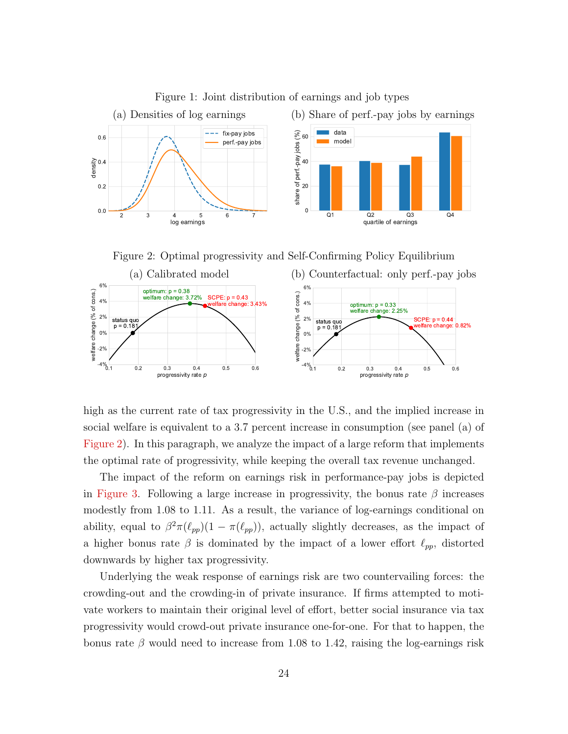

<span id="page-25-0"></span>Figure 1: Joint distribution of earnings and job types

<span id="page-25-1"></span>Figure 2: Optimal progressivity and Self-Confirming Policy Equilibrium



high as the current rate of tax progressivity in the U.S., and the implied increase in social welfare is equivalent to a 3.7 percent increase in consumption (see panel (a) of [Figure 2\)](#page-25-1). In this paragraph, we analyze the impact of a large reform that implements the optimal rate of progressivity, while keeping the overall tax revenue unchanged.

The impact of the reform on earnings risk in performance-pay jobs is depicted in [Figure 3.](#page-26-0) Following a large increase in progressivity, the bonus rate  $\beta$  increases modestly from 1.08 to 1.11. As a result, the variance of log-earnings conditional on ability, equal to  $\beta^2 \pi(\ell_{pp})(1 - \pi(\ell_{pp}))$ , actually slightly decreases, as the impact of a higher bonus rate  $\beta$  is dominated by the impact of a lower effort  $\ell_{pp}$ , distorted downwards by higher tax progressivity.

Underlying the weak response of earnings risk are two countervailing forces: the crowding-out and the crowding-in of private insurance. If firms attempted to motivate workers to maintain their original level of effort, better social insurance via tax progressivity would crowd-out private insurance one-for-one. For that to happen, the bonus rate  $\beta$  would need to increase from 1.08 to 1.42, raising the log-earnings risk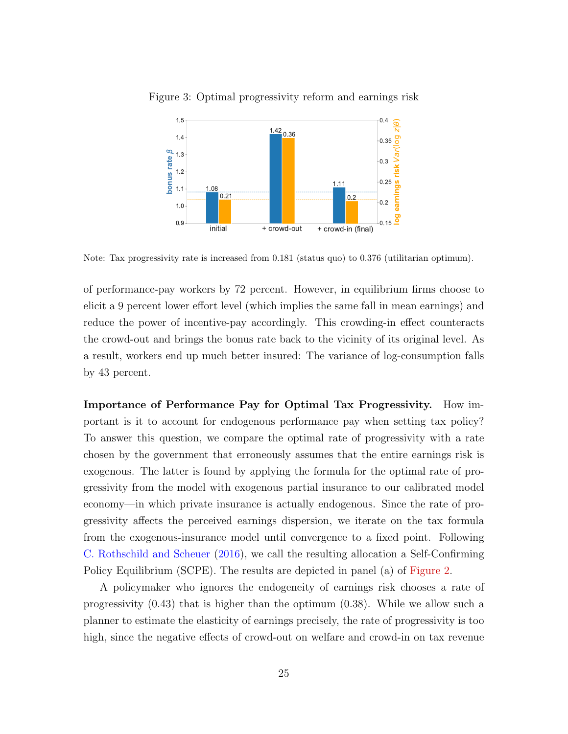<span id="page-26-0"></span>

Figure 3: Optimal progressivity reform and earnings risk

Note: Tax progressivity rate is increased from 0.181 (status quo) to 0.376 (utilitarian optimum).

of performance-pay workers by 72 percent. However, in equilibrium firms choose to elicit a 9 percent lower effort level (which implies the same fall in mean earnings) and reduce the power of incentive-pay accordingly. This crowding-in effect counteracts the crowd-out and brings the bonus rate back to the vicinity of its original level. As a result, workers end up much better insured: The variance of log-consumption falls by 43 percent.

Importance of Performance Pay for Optimal Tax Progressivity. How important is it to account for endogenous performance pay when setting tax policy? To answer this question, we compare the optimal rate of progressivity with a rate chosen by the government that erroneously assumes that the entire earnings risk is exogenous. The latter is found by applying the formula for the optimal rate of progressivity from the model with exogenous partial insurance to our calibrated model economy—in which private insurance is actually endogenous. Since the rate of progressivity affects the perceived earnings dispersion, we iterate on the tax formula from the exogenous-insurance model until convergence to a fixed point. Following [C. Rothschild and Scheuer](#page-115-13) [\(2016\)](#page-115-13), we call the resulting allocation a Self-Confirming Policy Equilibrium (SCPE). The results are depicted in panel (a) of [Figure 2.](#page-25-1)

A policymaker who ignores the endogeneity of earnings risk chooses a rate of progressivity (0.43) that is higher than the optimum (0.38). While we allow such a planner to estimate the elasticity of earnings precisely, the rate of progressivity is too high, since the negative effects of crowd-out on welfare and crowd-in on tax revenue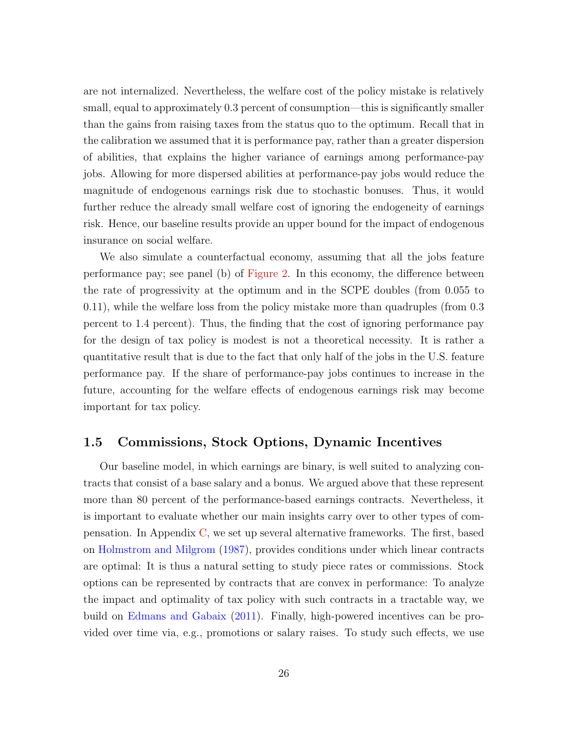are not internalized. Nevertheless, the welfare cost of the policy mistake is relatively small, equal to approximately 0.3 percent of consumption—this is significantly smaller than the gains from raising taxes from the status quo to the optimum. Recall that in the calibration we assumed that it is performance pay, rather than a greater dispersion of abilities, that explains the higher variance of earnings among performance-pay jobs. Allowing for more dispersed abilities at performance-pay jobs would reduce the magnitude of endogenous earnings risk due to stochastic bonuses. Thus, it would further reduce the already small welfare cost of ignoring the endogeneity of earnings risk. Hence, our baseline results provide an upper bound for the impact of endogenous insurance on social welfare.

We also simulate a counterfactual economy, assuming that all the jobs feature performance pay; see panel (b) of [Figure 2.](#page-25-1) In this economy, the difference between the rate of progressivity at the optimum and in the SCPE doubles (from 0.055 to 0.11), while the welfare loss from the policy mistake more than quadruples (from 0.3 percent to 1.4 percent). Thus, the finding that the cost of ignoring performance pay for the design of tax policy is modest is not a theoretical necessity. It is rather a quantitative result that is due to the fact that only half of the jobs in the U.S. feature performance pay. If the share of performance-pay jobs continues to increase in the future, accounting for the welfare effects of endogenous earnings risk may become important for tax policy.

### <span id="page-27-0"></span>1.5 Commissions, Stock Options, Dynamic Incentives

Our baseline model, in which earnings are binary, is well suited to analyzing contracts that consist of a base salary and a bonus. We argued above that these represent more than 80 percent of the performance-based earnings contracts. Nevertheless, it is important to evaluate whether our main insights carry over to other types of compensation. In Appendix [C,](#page-86-0) we set up several alternative frameworks. The first, based on [Holmstrom and Milgrom](#page-114-4) [\(1987\)](#page-114-4), provides conditions under which linear contracts are optimal: It is thus a natural setting to study piece rates or commissions. Stock options can be represented by contracts that are convex in performance: To analyze the impact and optimality of tax policy with such contracts in a tractable way, we build on [Edmans and Gabaix](#page-113-4) [\(2011\)](#page-113-4). Finally, high-powered incentives can be provided over time via, e.g., promotions or salary raises. To study such effects, we use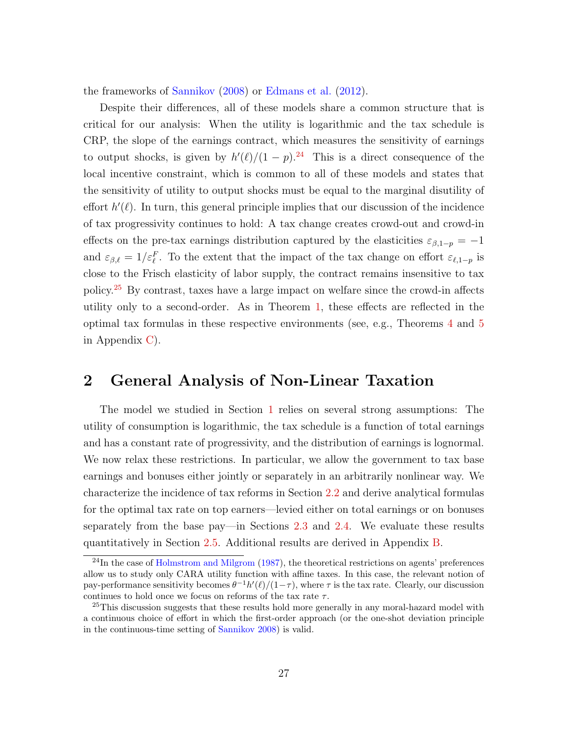the frameworks of [Sannikov](#page-116-2) [\(2008\)](#page-116-2) or [Edmans et al.](#page-113-5) [\(2012\)](#page-113-5).

Despite their differences, all of these models share a common structure that is critical for our analysis: When the utility is logarithmic and the tax schedule is CRP, the slope of the earnings contract, which measures the sensitivity of earnings to output shocks, is given by  $h'(\ell)/(1-p)^{24}$  $h'(\ell)/(1-p)^{24}$  $h'(\ell)/(1-p)^{24}$  This is a direct consequence of the local incentive constraint, which is common to all of these models and states that the sensitivity of utility to output shocks must be equal to the marginal disutility of effort  $h'(\ell)$ . In turn, this general principle implies that our discussion of the incidence of tax progressivity continues to hold: A tax change creates crowd-out and crowd-in effects on the pre-tax earnings distribution captured by the elasticities  $\varepsilon_{\beta,1-p} = -1$ and  $\varepsilon_{\beta,\ell} = 1/\varepsilon_{\ell}^F$ . To the extent that the impact of the tax change on effort  $\varepsilon_{\ell,1-p}$  is close to the Frisch elasticity of labor supply, the contract remains insensitive to tax policy.[25](#page-28-2) By contrast, taxes have a large impact on welfare since the crowd-in affects utility only to a second-order. As in Theorem [1,](#page-18-1) these effects are reflected in the optimal tax formulas in these respective environments (see, e.g., Theorems [4](#page-90-0) and [5](#page-93-0) in Appendix [C\)](#page-86-0).

# <span id="page-28-0"></span>2 General Analysis of Non-Linear Taxation

The model we studied in Section [1](#page-9-0) relies on several strong assumptions: The utility of consumption is logarithmic, the tax schedule is a function of total earnings and has a constant rate of progressivity, and the distribution of earnings is lognormal. We now relax these restrictions. In particular, we allow the government to tax base earnings and bonuses either jointly or separately in an arbitrarily nonlinear way. We characterize the incidence of tax reforms in Section [2.2](#page-30-0) and derive analytical formulas for the optimal tax rate on top earners—levied either on total earnings or on bonuses separately from the base pay—in Sections [2.3](#page-35-0) and [2.4.](#page-39-0) We evaluate these results quantitatively in Section [2.5.](#page-42-0) Additional results are derived in Appendix [B.](#page-60-0)

<span id="page-28-1"></span> $^{24}$ In the case of [Holmstrom and Milgrom](#page-114-4) [\(1987\)](#page-114-4), the theoretical restrictions on agents' preferences allow us to study only CARA utility function with affine taxes. In this case, the relevant notion of pay-performance sensitivity becomes  $\theta^{-1}h'(\ell)/(1-\tau)$ , where  $\tau$  is the tax rate. Clearly, our discussion continues to hold once we focus on reforms of the tax rate  $\tau$ .

<span id="page-28-2"></span> $^{25}$ This discussion suggests that these results hold more generally in any moral-hazard model with a continuous choice of effort in which the first-order approach (or the one-shot deviation principle in the continuous-time setting of [Sannikov](#page-116-2) [2008\)](#page-116-2) is valid.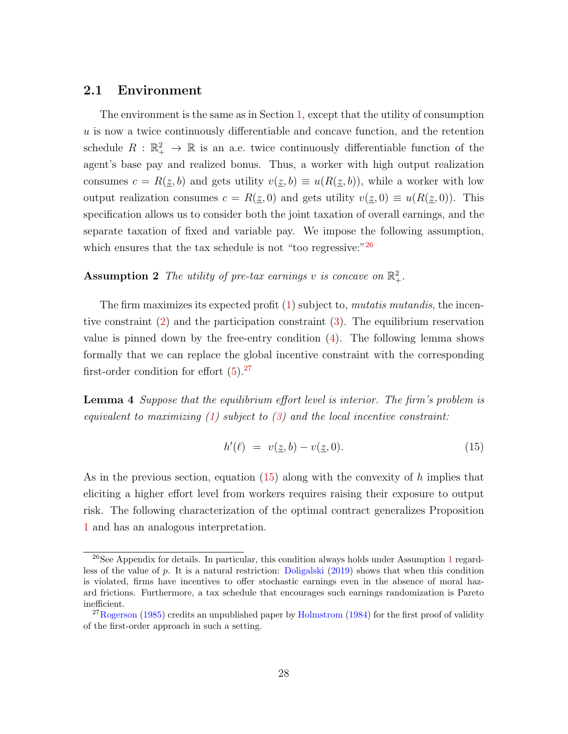## 2.1 Environment

The environment is the same as in Section [1,](#page-9-0) except that the utility of consumption  $u$  is now a twice continuously differentiable and concave function, and the retention schedule  $R : \mathbb{R}_+^2 \to \mathbb{R}$  is an a.e. twice continuously differentiable function of the agent's base pay and realized bonus. Thus, a worker with high output realization consumes  $c = R(\underline{z}, b)$  and gets utility  $v(\underline{z}, b) \equiv u(R(\underline{z}, b))$ , while a worker with low output realization consumes  $c = R(\underline{z}, 0)$  and gets utility  $v(\underline{z}, 0) \equiv u(R(\underline{z}, 0))$ . This specification allows us to consider both the joint taxation of overall earnings, and the separate taxation of fixed and variable pay. We impose the following assumption, which ensures that the tax schedule is not "too regressive:" $^{26}$  $^{26}$  $^{26}$ 

# **Assumption 2** The utility of pre-tax earnings v is concave on  $\mathbb{R}^2_+$ .

The firm maximizes its expected profit [\(1\)](#page-11-6) subject to, *mutatis mutandis*, the incentive constraint [\(2\)](#page-11-1) and the participation constraint [\(3\)](#page-11-7). The equilibrium reservation value is pinned down by the free-entry condition [\(4\)](#page-11-4). The following lemma shows formally that we can replace the global incentive constraint with the corresponding first-order condition for effort  $(5).^{27}$  $(5).^{27}$  $(5).^{27}$  $(5).^{27}$ 

<span id="page-29-0"></span>Lemma 4 Suppose that the equilibrium effort level is interior. The firm's problem is equivalent to maximizing  $(1)$  subject to  $(3)$  and the local incentive constraint:

<span id="page-29-3"></span>
$$
h'(\ell) = v(\underline{z}, b) - v(\underline{z}, 0). \tag{15}
$$

As in the previous section, equation  $(15)$  along with the convexity of h implies that eliciting a higher effort level from workers requires raising their exposure to output risk. The following characterization of the optimal contract generalizes Proposition [1](#page-12-0) and has an analogous interpretation.

<span id="page-29-1"></span><sup>&</sup>lt;sup>26</sup>See Appendix for details. In particular, this condition always holds under Assumption [1](#page-10-3) regardless of the value of p. It is a natural restriction: [Doligalski](#page-113-11) [\(2019\)](#page-113-11) shows that when this condition is violated, firms have incentives to offer stochastic earnings even in the absence of moral hazard frictions. Furthermore, a tax schedule that encourages such earnings randomization is Pareto inefficient.

<span id="page-29-2"></span> $^{27}$ [Rogerson](#page-115-3) [\(1985\)](#page-115-3) credits an unpublished paper by [Holmstrom](#page-114-12) [\(1984\)](#page-114-12) for the first proof of validity of the first-order approach in such a setting.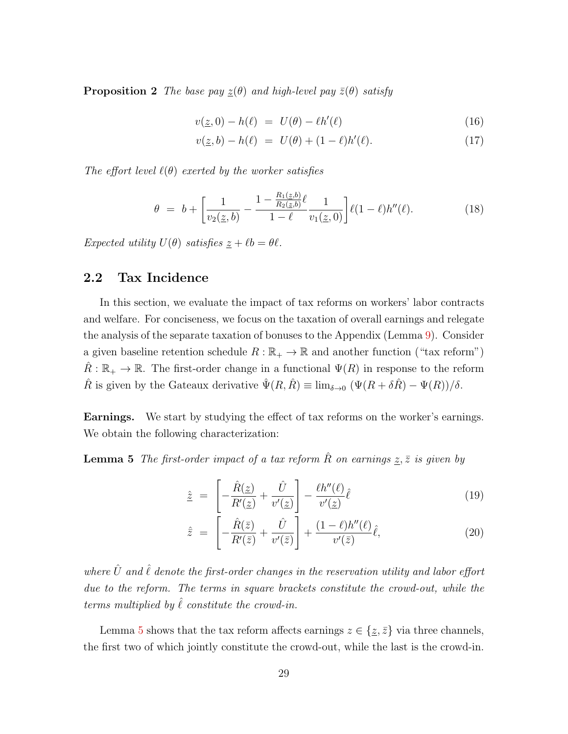**Proposition 2** The base pay  $\underline{z}(\theta)$  and high-level pay  $\overline{z}(\theta)$  satisfy

<span id="page-30-1"></span>
$$
v(\underline{z},0) - h(\ell) = U(\theta) - \ell h'(\ell)
$$
\n(16)

<span id="page-30-2"></span>
$$
v(\underline{z}, b) - h(\ell) = U(\theta) + (1 - \ell)h'(\ell). \tag{17}
$$

The effort level  $\ell(\theta)$  exerted by the worker satisfies

$$
\theta = b + \left[ \frac{1}{v_2(\underline{z}, b)} - \frac{1 - \frac{R_1(\underline{z}, b)}{R_2(\underline{z}, b)} \ell}{1 - \ell} \frac{1}{v_1(\underline{z}, 0)} \right] \ell(1 - \ell) h''(\ell). \tag{18}
$$

Expected utility  $U(\theta)$  satisfies  $\underline{z} + \ell b = \theta \ell$ .

## <span id="page-30-0"></span>2.2 Tax Incidence

In this section, we evaluate the impact of tax reforms on workers' labor contracts and welfare. For conciseness, we focus on the taxation of overall earnings and relegate the analysis of the separate taxation of bonuses to the Appendix (Lemma [9\)](#page-77-0). Consider a given baseline retention schedule  $R : \mathbb{R}_+ \to \mathbb{R}$  and another function ("tax reform")  $\hat{R}: \mathbb{R}_+ \to \mathbb{R}$ . The first-order change in a functional  $\Psi(R)$  in response to the reform  $\hat{R}$  is given by the Gateaux derivative  $\hat{\Psi}(R, \hat{R}) \equiv \lim_{\delta \to 0} (\Psi(R + \delta \hat{R}) - \Psi(R))/\delta$ .

Earnings. We start by studying the effect of tax reforms on the worker's earnings. We obtain the following characterization:

<span id="page-30-3"></span>**Lemma 5** The first-order impact of a tax reform  $\hat{R}$  on earnings  $\underline{z}, \overline{z}$  is given by

<span id="page-30-4"></span>
$$
\hat{\underline{z}} = \left[ -\frac{\hat{R}(\underline{z})}{R'(\underline{z})} + \frac{\hat{U}}{v'(\underline{z})} \right] - \frac{\ell h''(\ell)}{v'(\underline{z})} \hat{\ell}
$$
\n(19)

<span id="page-30-5"></span>
$$
\hat{\bar{z}} = \left[ -\frac{\hat{R}(\bar{z})}{R'(\bar{z})} + \frac{\hat{U}}{v'(\bar{z})} \right] + \frac{(1-\ell)h''(\ell)}{v'(\bar{z})}\hat{\ell},\tag{20}
$$

where  $\hat{U}$  and  $\hat{\ell}$  denote the first-order changes in the reservation utility and labor effort due to the reform. The terms in square brackets constitute the crowd-out, while the terms multiplied by  $\hat{\ell}$  constitute the crowd-in.

Lemma [5](#page-30-3) shows that the tax reform affects earnings  $z \in \{z, \bar{z}\}\$ via three channels, the first two of which jointly constitute the crowd-out, while the last is the crowd-in.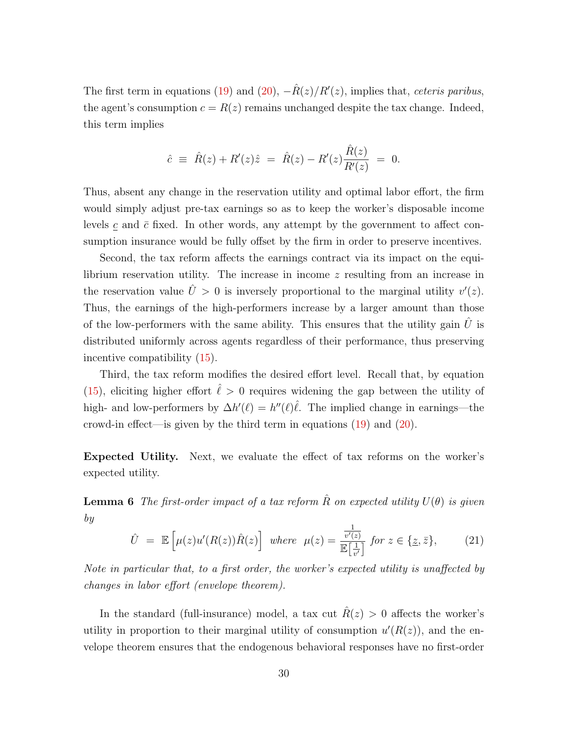The first term in equations [\(19\)](#page-30-4) and [\(20\)](#page-30-5),  $-\hat{R}(z)/R'(z)$ , implies that, *ceteris paribus*, the agent's consumption  $c = R(z)$  remains unchanged despite the tax change. Indeed, this term implies

$$
\hat{c} \ \equiv \ \hat{R}(z) + R'(z)\hat{z} \ = \ \hat{R}(z) - R'(z)\frac{\hat{R}(z)}{R'(z)} \ = \ 0.
$$

Thus, absent any change in the reservation utility and optimal labor effort, the firm would simply adjust pre-tax earnings so as to keep the worker's disposable income levels c and  $\bar{c}$  fixed. In other words, any attempt by the government to affect consumption insurance would be fully offset by the firm in order to preserve incentives.

Second, the tax reform affects the earnings contract via its impact on the equilibrium reservation utility. The increase in income z resulting from an increase in the reservation value  $\hat{U} > 0$  is inversely proportional to the marginal utility  $v'(z)$ . Thus, the earnings of the high-performers increase by a larger amount than those of the low-performers with the same ability. This ensures that the utility gain  $\hat{U}$  is distributed uniformly across agents regardless of their performance, thus preserving incentive compatibility [\(15\)](#page-29-3).

Third, the tax reform modifies the desired effort level. Recall that, by equation [\(15\)](#page-29-3), eliciting higher effort  $\hat{\ell} > 0$  requires widening the gap between the utility of high- and low-performers by  $\Delta h'(\ell) = h''(\ell)\hat{\ell}$ . The implied change in earnings—the crowd-in effect—is given by the third term in equations [\(19\)](#page-30-4) and [\(20\)](#page-30-5).

Expected Utility. Next, we evaluate the effect of tax reforms on the worker's expected utility.

<span id="page-31-1"></span>**Lemma 6** The first-order impact of a tax reform  $\hat{R}$  on expected utility  $U(\theta)$  is given by

<span id="page-31-0"></span>
$$
\hat{U} = \mathbb{E}\left[\mu(z)u'(R(z))\hat{R}(z)\right] \text{ where } \mu(z) = \frac{\frac{1}{v'(z)}}{\mathbb{E}\left[\frac{1}{v'}\right]} \text{ for } z \in \{\underline{z}, \bar{z}\},\tag{21}
$$

Note in particular that, to a first order, the worker's expected utility is unaffected by changes in labor effort (envelope theorem).

In the standard (full-insurance) model, a tax cut  $\hat{R}(z) > 0$  affects the worker's utility in proportion to their marginal utility of consumption  $u'(R(z))$ , and the envelope theorem ensures that the endogenous behavioral responses have no first-order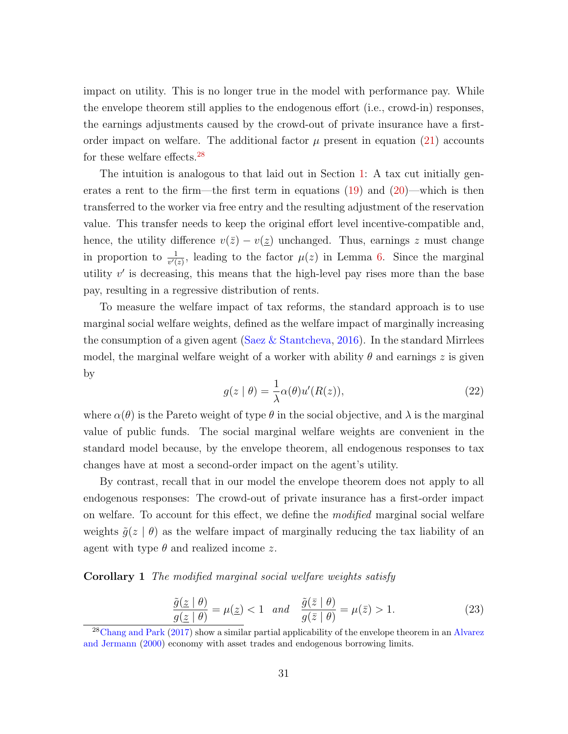impact on utility. This is no longer true in the model with performance pay. While the envelope theorem still applies to the endogenous effort (i.e., crowd-in) responses, the earnings adjustments caused by the crowd-out of private insurance have a firstorder impact on welfare. The additional factor  $\mu$  present in equation [\(21\)](#page-31-0) accounts for these welfare effects.[28](#page-32-0)

The intuition is analogous to that laid out in Section [1:](#page-9-0) A tax cut initially generates a rent to the firm—the first term in equations  $(19)$  and  $(20)$ —which is then transferred to the worker via free entry and the resulting adjustment of the reservation value. This transfer needs to keep the original effort level incentive-compatible and, hence, the utility difference  $v(\bar{z}) - v(z)$  unchanged. Thus, earnings z must change in proportion to  $\frac{1}{v'(z)}$ , leading to the factor  $\mu(z)$  in Lemma [6.](#page-31-1) Since the marginal utility  $v'$  is decreasing, this means that the high-level pay rises more than the base pay, resulting in a regressive distribution of rents.

To measure the welfare impact of tax reforms, the standard approach is to use marginal social welfare weights, defined as the welfare impact of marginally increasing the consumption of a given agent (Saez  $&$  Stantcheva, [2016\)](#page-116-11). In the standard Mirrlees model, the marginal welfare weight of a worker with ability  $\theta$  and earnings z is given by

$$
g(z | \theta) = \frac{1}{\lambda} \alpha(\theta) u'(R(z)), \qquad (22)
$$

where  $\alpha(\theta)$  is the Pareto weight of type  $\theta$  in the social objective, and  $\lambda$  is the marginal value of public funds. The social marginal welfare weights are convenient in the standard model because, by the envelope theorem, all endogenous responses to tax changes have at most a second-order impact on the agent's utility.

By contrast, recall that in our model the envelope theorem does not apply to all endogenous responses: The crowd-out of private insurance has a first-order impact on welfare. To account for this effect, we define the *modified* marginal social welfare weights  $\tilde{g}(z | \theta)$  as the welfare impact of marginally reducing the tax liability of an agent with type  $\theta$  and realized income z.

Corollary 1 The modified marginal social welfare weights satisfy

$$
\frac{\tilde{g}(\underline{z} \mid \theta)}{g(\underline{z} \mid \theta)} = \mu(\underline{z}) < 1 \quad \text{and} \quad \frac{\tilde{g}(\bar{z} \mid \theta)}{g(\bar{z} \mid \theta)} = \mu(\bar{z}) > 1. \tag{23}
$$

<span id="page-32-0"></span><sup>&</sup>lt;sup>28</sup>[Chang and Park](#page-112-10) [\(2017\)](#page-112-10) show a similar partial applicability of the envelope theorem in an [Alvarez](#page-112-14) [and Jermann](#page-112-14) [\(2000\)](#page-112-14) economy with asset trades and endogenous borrowing limits.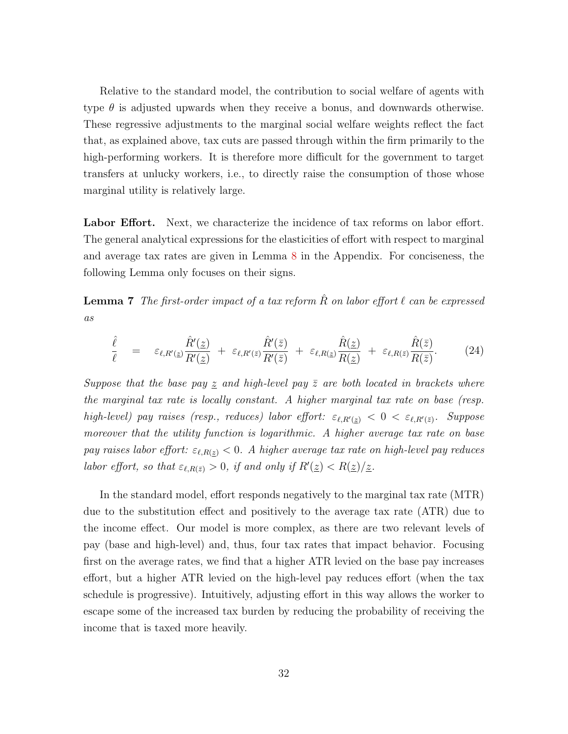Relative to the standard model, the contribution to social welfare of agents with type  $\theta$  is adjusted upwards when they receive a bonus, and downwards otherwise. These regressive adjustments to the marginal social welfare weights reflect the fact that, as explained above, tax cuts are passed through within the firm primarily to the high-performing workers. It is therefore more difficult for the government to target transfers at unlucky workers, i.e., to directly raise the consumption of those whose marginal utility is relatively large.

Labor Effort. Next, we characterize the incidence of tax reforms on labor effort. The general analytical expressions for the elasticities of effort with respect to marginal and average tax rates are given in Lemma [8](#page-63-0) in the Appendix. For conciseness, the following Lemma only focuses on their signs.

<span id="page-33-0"></span>**Lemma 7** The first-order impact of a tax reform  $\hat{R}$  on labor effort  $\ell$  can be expressed as

$$
\frac{\hat{\ell}}{\ell} = \varepsilon_{\ell,R'(\underline{z})} \frac{\hat{R}'(\underline{z})}{R'(\underline{z})} + \varepsilon_{\ell,R'(\bar{z})} \frac{\hat{R}'(\bar{z})}{R'(\bar{z})} + \varepsilon_{\ell,R(\underline{z})} \frac{\hat{R}(\underline{z})}{R(\underline{z})} + \varepsilon_{\ell,R(\bar{z})} \frac{\hat{R}(\bar{z})}{R(\bar{z})}.
$$
(24)

Suppose that the base pay  $\leq$  and high-level pay  $\overline{z}$  are both located in brackets where the marginal tax rate is locally constant. A higher marginal tax rate on base (resp. high-level) pay raises (resp., reduces) labor effort:  $\varepsilon_{\ell,R'(\underline{z})} < 0 < \varepsilon_{\ell,R'(\overline{z})}$ . Suppose moreover that the utility function is logarithmic. A higher average tax rate on base pay raises labor effort:  $\varepsilon_{\ell,R(\underline{z})}$  < 0. A higher average tax rate on high-level pay reduces labor effort, so that  $\varepsilon_{\ell,R(\bar{z})} > 0$ , if and only if  $R'(\underline{z}) < R(\underline{z})/\underline{z}$ .

In the standard model, effort responds negatively to the marginal tax rate (MTR) due to the substitution effect and positively to the average tax rate (ATR) due to the income effect. Our model is more complex, as there are two relevant levels of pay (base and high-level) and, thus, four tax rates that impact behavior. Focusing first on the average rates, we find that a higher ATR levied on the base pay increases effort, but a higher ATR levied on the high-level pay reduces effort (when the tax schedule is progressive). Intuitively, adjusting effort in this way allows the worker to escape some of the increased tax burden by reducing the probability of receiving the income that is taxed more heavily.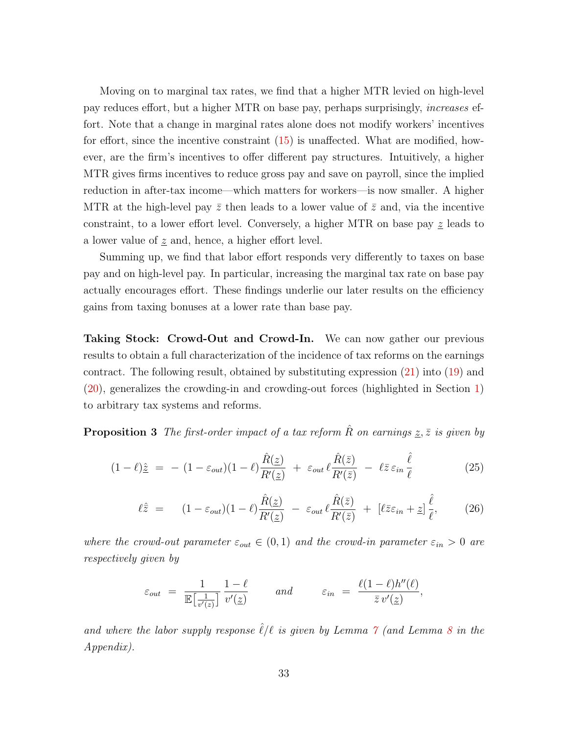Moving on to marginal tax rates, we find that a higher MTR levied on high-level pay reduces effort, but a higher MTR on base pay, perhaps surprisingly, increases effort. Note that a change in marginal rates alone does not modify workers' incentives for effort, since the incentive constraint [\(15\)](#page-29-3) is unaffected. What are modified, however, are the firm's incentives to offer different pay structures. Intuitively, a higher MTR gives firms incentives to reduce gross pay and save on payroll, since the implied reduction in after-tax income—which matters for workers—is now smaller. A higher MTR at the high-level pay  $\bar{z}$  then leads to a lower value of  $\bar{z}$  and, via the incentive constraint, to a lower effort level. Conversely, a higher MTR on base pay  $z$  leads to a lower value of  $z$  and, hence, a higher effort level.

Summing up, we find that labor effort responds very differently to taxes on base pay and on high-level pay. In particular, increasing the marginal tax rate on base pay actually encourages effort. These findings underlie our later results on the efficiency gains from taxing bonuses at a lower rate than base pay.

Taking Stock: Crowd-Out and Crowd-In. We can now gather our previous results to obtain a full characterization of the incidence of tax reforms on the earnings contract. The following result, obtained by substituting expression [\(21\)](#page-31-0) into [\(19\)](#page-30-4) and [\(20\)](#page-30-5), generalizes the crowding-in and crowding-out forces (highlighted in Section [1\)](#page-9-0) to arbitrary tax systems and reforms.

<span id="page-34-0"></span>**Proposition 3** The first-order impact of a tax reform  $\hat{R}$  on earnings  $z, \bar{z}$  is given by

$$
(1 - \ell)\hat{\underline{z}} = - (1 - \varepsilon_{out})(1 - \ell)\frac{\hat{R}(\underline{z})}{R'(\underline{z})} + \varepsilon_{out}\ell\frac{\hat{R}(\bar{z})}{R'(\bar{z})} - \ell\bar{z}\varepsilon_{in}\frac{\hat{\ell}}{\ell}
$$
(25)

$$
\ell \hat{\bar{z}} = (1 - \varepsilon_{out})(1 - \ell) \frac{\hat{R}(\underline{z})}{R'(\underline{z})} - \varepsilon_{out} \ell \frac{\hat{R}(\bar{z})}{R'(\bar{z})} + [\ell \bar{z} \varepsilon_{in} + \underline{z}] \frac{\hat{\ell}}{\ell}, \qquad (26)
$$

where the crowd-out parameter  $\varepsilon_{out} \in (0,1)$  and the crowd-in parameter  $\varepsilon_{in} > 0$  are respectively given by

$$
\varepsilon_{out} = \frac{1}{\mathbb{E}\left[\frac{1}{v'(z)}\right]} \frac{1-\ell}{v'(z)} \quad \text{and} \quad \varepsilon_{in} = \frac{\ell(1-\ell)h''(\ell)}{\bar{z}v'(z)},
$$

and where the labor supply response  $\hat{\ell}/\ell$  is given by Lemma  $\gamma$  (and Lemma [8](#page-63-0) in the Appendix).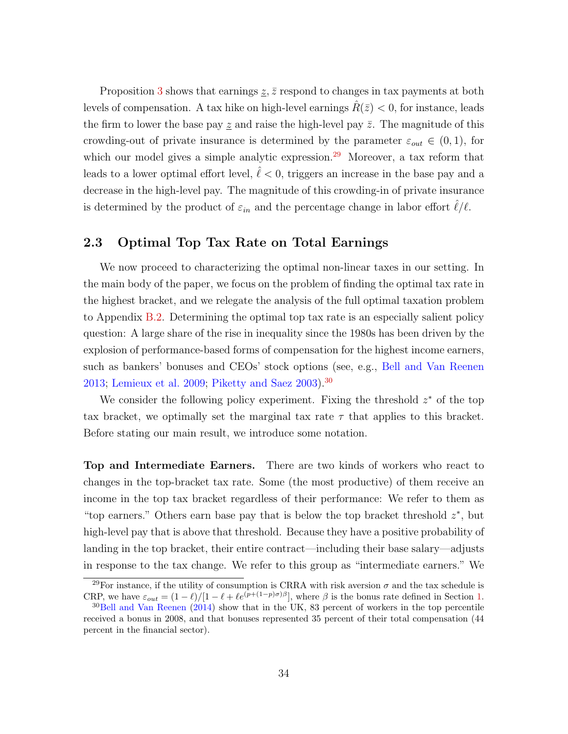Proposition [3](#page-34-0) shows that earnings  $z, \bar{z}$  respond to changes in tax payments at both levels of compensation. A tax hike on high-level earnings  $R(\bar{z}) < 0$ , for instance, leads the firm to lower the base pay z and raise the high-level pay  $\bar{z}$ . The magnitude of this crowding-out of private insurance is determined by the parameter  $\varepsilon_{out} \in (0,1)$ , for which our model gives a simple analytic expression.<sup>[29](#page-35-1)</sup> Moreover, a tax reform that leads to a lower optimal effort level,  $\ell < 0$ , triggers an increase in the base pay and a decrease in the high-level pay. The magnitude of this crowding-in of private insurance is determined by the product of  $\varepsilon_{in}$  and the percentage change in labor effort  $\ell/\ell$ .

## <span id="page-35-0"></span>2.3 Optimal Top Tax Rate on Total Earnings

We now proceed to characterizing the optimal non-linear taxes in our setting. In the main body of the paper, we focus on the problem of finding the optimal tax rate in the highest bracket, and we relegate the analysis of the full optimal taxation problem to Appendix [B.2.](#page-72-0) Determining the optimal top tax rate is an especially salient policy question: A large share of the rise in inequality since the 1980s has been driven by the explosion of performance-based forms of compensation for the highest income earners, such as bankers' bonuses and CEOs' stock options (see, e.g., [Bell and Van Reenen](#page-112-0) [2013;](#page-112-0) [Lemieux et al.](#page-115-0) [2009;](#page-115-0) [Piketty and Saez](#page-115-1)  $2003$ .<sup>[30](#page-35-2)</sup>

We consider the following policy experiment. Fixing the threshold  $z^*$  of the top tax bracket, we optimally set the marginal tax rate  $\tau$  that applies to this bracket. Before stating our main result, we introduce some notation.

Top and Intermediate Earners. There are two kinds of workers who react to changes in the top-bracket tax rate. Some (the most productive) of them receive an income in the top tax bracket regardless of their performance: We refer to them as "top earners." Others earn base pay that is below the top bracket threshold  $z^*$ , but high-level pay that is above that threshold. Because they have a positive probability of landing in the top bracket, their entire contract—including their base salary—adjusts in response to the tax change. We refer to this group as "intermediate earners." We

<span id="page-35-1"></span><sup>&</sup>lt;sup>29</sup>For instance, if the utility of consumption is CRRA with risk aversion  $\sigma$  and the tax schedule is CRP, we have  $\varepsilon_{out} = (1 - \ell)/[1 - \ell + \ell e^{(p+(1-p)\sigma)\beta}]$ , where  $\beta$  is the bonus rate defined in Section [1.](#page-9-0)

<span id="page-35-2"></span><sup>&</sup>lt;sup>30</sup>[Bell and Van Reenen](#page-112-1) [\(2014\)](#page-112-1) show that in the UK, 83 percent of workers in the top percentile received a bonus in 2008, and that bonuses represented 35 percent of their total compensation (44 percent in the financial sector).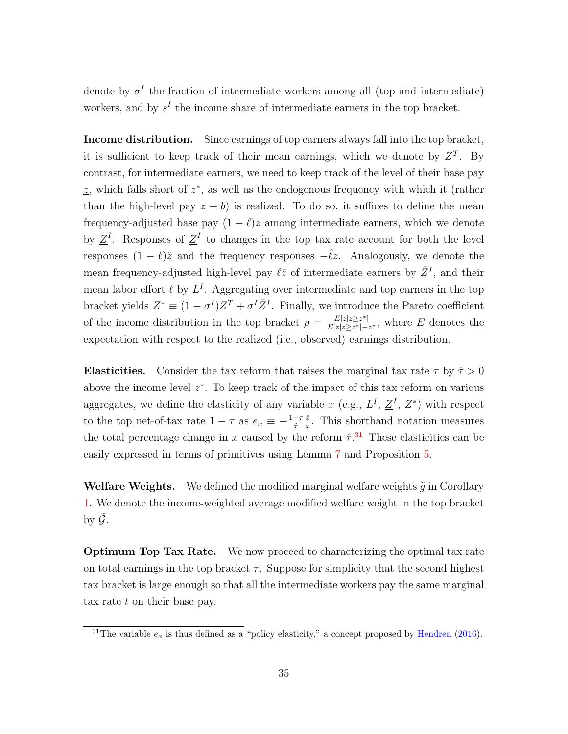denote by  $\sigma^I$  the fraction of intermediate workers among all (top and intermediate) workers, and by  $s<sup>I</sup>$  the income share of intermediate earners in the top bracket.

Income distribution. Since earnings of top earners always fall into the top bracket, it is sufficient to keep track of their mean earnings, which we denote by  $Z<sup>T</sup>$ . By contrast, for intermediate earners, we need to keep track of the level of their base pay  $\underline{z}$ , which falls short of  $z^*$ , as well as the endogenous frequency with which it (rather than the high-level pay  $z + b$ ) is realized. To do so, it suffices to define the mean frequency-adjusted base pay  $(1 - \ell)z$  among intermediate earners, which we denote by  $\underline{Z}^I$ . Responses of  $\underline{Z}^I$  to changes in the top tax rate account for both the level responses  $(1 - \ell)\hat{\boldsymbol{z}}$  and the frequency responses  $-\hat{\ell}\hat{\boldsymbol{z}}$ . Analogously, we denote the mean frequency-adjusted high-level pay  $\ell \bar{z}$  of intermediate earners by  $\bar{Z}^I$ , and their mean labor effort  $\ell$  by  $L^I$ . Aggregating over intermediate and top earners in the top bracket yields  $Z^* \equiv (1 - \sigma^I)Z^T + \sigma^I \bar{Z}^I$ . Finally, we introduce the Pareto coefficient of the income distribution in the top bracket  $\rho = \frac{E[z|z \geq z^*]}{E[z|z \geq z^*]}$  $\frac{E[z|z\geq z^*]}{E[z|z\geq z^*]-z^*}$ , where E denotes the expectation with respect to the realized (i.e., observed) earnings distribution.

**Elasticities.** Consider the tax reform that raises the marginal tax rate  $\tau$  by  $\hat{\tau} > 0$ above the income level  $z^*$ . To keep track of the impact of this tax reform on various aggregates, we define the elasticity of any variable x (e.g.,  $L^I$ ,  $\underline{Z}^I$ ,  $Z^*$ ) with respect to the top net-of-tax rate  $1 - \tau$  as  $e_x \equiv -\frac{1 - \tau}{\hat{\tau}}$  $\hat{x}$  $\frac{\ddot{x}}{x}$ . This shorthand notation measures the total percentage change in x caused by the reform  $\hat{\tau}$ .<sup>[31](#page-36-0)</sup> These elasticities can be easily expressed in terms of primitives using Lemma [7](#page-33-0) and Proposition [5.](#page-30-0)

**Welfare Weights.** We defined the modified marginal welfare weights  $\tilde{g}$  in Corollary [1.](#page-32-0) We denote the income-weighted average modified welfare weight in the top bracket by  $\mathcal G$ .

Optimum Top Tax Rate. We now proceed to characterizing the optimal tax rate on total earnings in the top bracket  $\tau$ . Suppose for simplicity that the second highest tax bracket is large enough so that all the intermediate workers pay the same marginal tax rate t on their base pay.

<span id="page-36-1"></span><span id="page-36-0"></span><sup>&</sup>lt;sup>31</sup>The variable  $e_x$  is thus defined as a "policy elasticity," a concept proposed by [Hendren](#page-114-0) [\(2016\)](#page-114-0).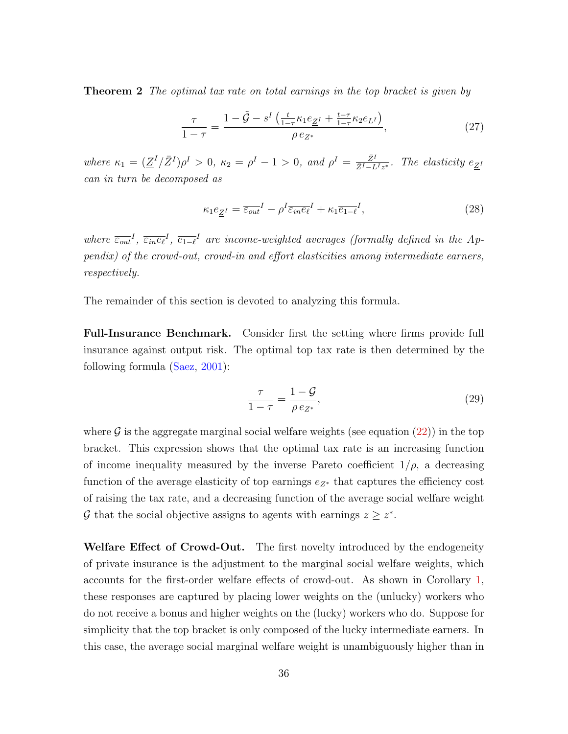**Theorem 2** The optimal tax rate on total earnings in the top bracket is given by

<span id="page-37-1"></span>
$$
\frac{\tau}{1-\tau} = \frac{1-\tilde{G} - s^I \left(\frac{t}{1-\tau} \kappa_1 e_{Z'} + \frac{t-\tau}{1-\tau} \kappa_2 e_{L'}\right)}{\rho \, e_{Z^*}},\tag{27}
$$

where  $\kappa_1 = (\underline{Z}^I/\bar{Z}^I)\rho^I > 0$ ,  $\kappa_2 = \rho^I - 1 > 0$ , and  $\rho^I = \frac{\bar{Z}^I}{\bar{Z}^I - I}$  $\frac{Z^1}{\bar{Z}^I - L^I z^*}$ . The elasticity  $e_{\underline{Z}^I}$ can in turn be decomposed as

<span id="page-37-2"></span>
$$
\kappa_1 e_{\underline{Z}^I} = \overline{\varepsilon_{out}}^I - \rho^I \overline{\varepsilon_{in} e_\ell}^I + \kappa_1 \overline{e_{1-\ell}}^I,
$$
\n(28)

where  $\overline{\epsilon_{out}}^I$ ,  $\overline{\epsilon_{in}^e\epsilon^I}$ ,  $\overline{e_{1-\ell}}^I$  are income-weighted averages (formally defined in the Appendix) of the crowd-out, crowd-in and effort elasticities among intermediate earners, respectively.

The remainder of this section is devoted to analyzing this formula.

Full-Insurance Benchmark. Consider first the setting where firms provide full insurance against output risk. The optimal top tax rate is then determined by the following formula [\(Saez,](#page-116-0) [2001\)](#page-116-0):

<span id="page-37-0"></span>
$$
\frac{\tau}{1-\tau} = \frac{1-\mathcal{G}}{\rho \, e_{Z^*}},\tag{29}
$$

where  $\mathcal G$  is the aggregate marginal social welfare weights (see equation [\(22\)](#page-32-1)) in the top bracket. This expression shows that the optimal tax rate is an increasing function of income inequality measured by the inverse Pareto coefficient  $1/\rho$ , a decreasing function of the average elasticity of top earnings  $e_{Z^*}$  that captures the efficiency cost of raising the tax rate, and a decreasing function of the average social welfare weight G that the social objective assigns to agents with earnings  $z \geq z^*$ .

Welfare Effect of Crowd-Out. The first novelty introduced by the endogeneity of private insurance is the adjustment to the marginal social welfare weights, which accounts for the first-order welfare effects of crowd-out. As shown in Corollary [1,](#page-32-0) these responses are captured by placing lower weights on the (unlucky) workers who do not receive a bonus and higher weights on the (lucky) workers who do. Suppose for simplicity that the top bracket is only composed of the lucky intermediate earners. In this case, the average social marginal welfare weight is unambiguously higher than in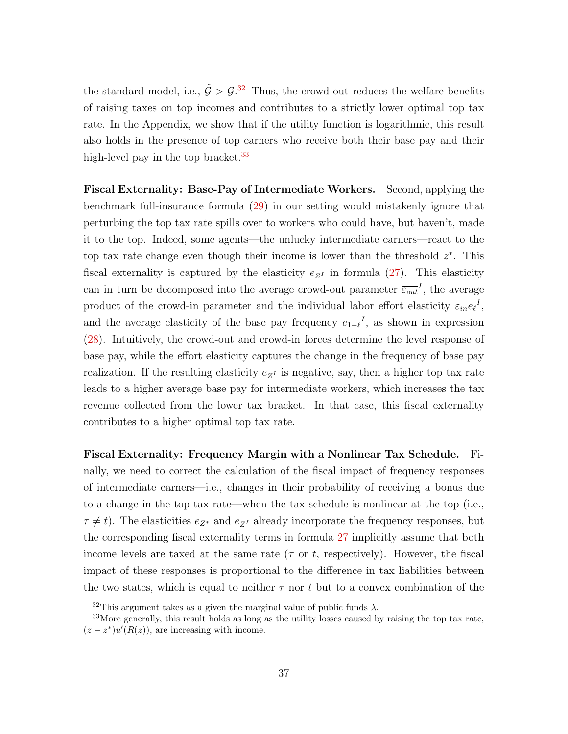the standard model, i.e.,  $\tilde{G} > \mathcal{G}^{32}$  $\tilde{G} > \mathcal{G}^{32}$  $\tilde{G} > \mathcal{G}^{32}$  Thus, the crowd-out reduces the welfare benefits of raising taxes on top incomes and contributes to a strictly lower optimal top tax rate. In the Appendix, we show that if the utility function is logarithmic, this result also holds in the presence of top earners who receive both their base pay and their high-level pay in the top bracket. $33$ 

Fiscal Externality: Base-Pay of Intermediate Workers. Second, applying the benchmark full-insurance formula [\(29\)](#page-37-0) in our setting would mistakenly ignore that perturbing the top tax rate spills over to workers who could have, but haven't, made it to the top. Indeed, some agents—the unlucky intermediate earners—react to the top tax rate change even though their income is lower than the threshold  $z^*$ . This fiscal externality is captured by the elasticity  $e_{\underline{Z}^I}$  in formula [\(27\)](#page-37-1). This elasticity can in turn be decomposed into the average crowd-out parameter  $\overline{\varepsilon_{out}}^I$ , the average product of the crowd-in parameter and the individual labor effort elasticity  $\overline{\varepsilon_{in}e_{\ell}}^{I}$ , and the average elasticity of the base pay frequency  $\overline{e_{1-\ell}}^I$ , as shown in expression [\(28\)](#page-37-2). Intuitively, the crowd-out and crowd-in forces determine the level response of base pay, while the effort elasticity captures the change in the frequency of base pay realization. If the resulting elasticity  $e_{\underline{Z}^I}$  is negative, say, then a higher top tax rate leads to a higher average base pay for intermediate workers, which increases the tax revenue collected from the lower tax bracket. In that case, this fiscal externality contributes to a higher optimal top tax rate.

Fiscal Externality: Frequency Margin with a Nonlinear Tax Schedule. Finally, we need to correct the calculation of the fiscal impact of frequency responses of intermediate earners—i.e., changes in their probability of receiving a bonus due to a change in the top tax rate—when the tax schedule is nonlinear at the top (i.e.,  $\tau \neq t$ ). The elasticities  $e_{Z^*}$  and  $e_{Z^I}$  already incorporate the frequency responses, but the corresponding fiscal externality terms in formula [27](#page-37-1) implicitly assume that both income levels are taxed at the same rate ( $\tau$  or t, respectively). However, the fiscal impact of these responses is proportional to the difference in tax liabilities between the two states, which is equal to neither  $\tau$  nor t but to a convex combination of the

<span id="page-38-1"></span><span id="page-38-0"></span><sup>&</sup>lt;sup>32</sup>This argument takes as a given the marginal value of public funds  $\lambda$ .

<sup>&</sup>lt;sup>33</sup>More generally, this result holds as long as the utility losses caused by raising the top tax rate,  $(z-z^*)u'(R(z))$ , are increasing with income.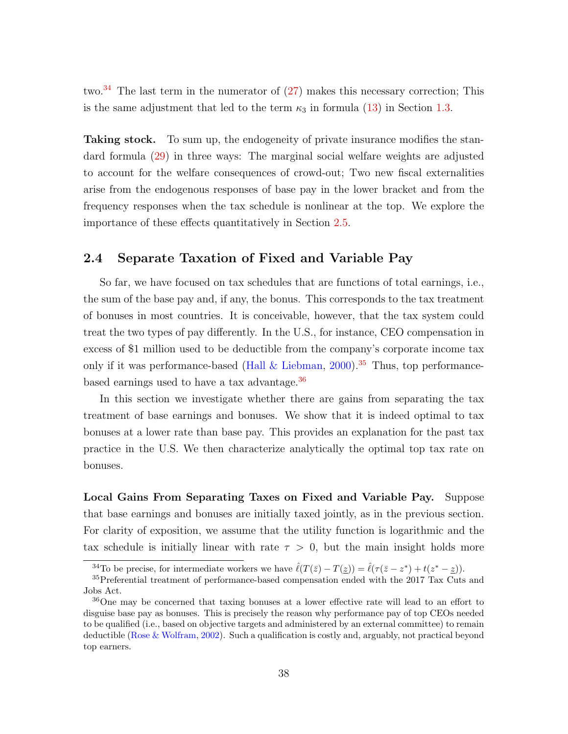two.<sup>[34](#page-39-0)</sup> The last term in the numerator of  $(27)$  makes this necessary correction; This is the same adjustment that led to the term  $\kappa_3$  in formula [\(13\)](#page-18-0) in Section [1.3.](#page-18-1)

Taking stock. To sum up, the endogeneity of private insurance modifies the standard formula [\(29\)](#page-37-0) in three ways: The marginal social welfare weights are adjusted to account for the welfare consequences of crowd-out; Two new fiscal externalities arise from the endogenous responses of base pay in the lower bracket and from the frequency responses when the tax schedule is nonlinear at the top. We explore the importance of these effects quantitatively in Section [2.5.](#page-42-0)

### <span id="page-39-3"></span>2.4 Separate Taxation of Fixed and Variable Pay

So far, we have focused on tax schedules that are functions of total earnings, i.e., the sum of the base pay and, if any, the bonus. This corresponds to the tax treatment of bonuses in most countries. It is conceivable, however, that the tax system could treat the two types of pay differently. In the U.S., for instance, CEO compensation in excess of \$1 million used to be deductible from the company's corporate income tax only if it was performance-based (Hall  $&$  Liebman, [2000\)](#page-114-1).<sup>[35](#page-39-1)</sup> Thus, top performancebased earnings used to have a tax advantage.[36](#page-39-2)

In this section we investigate whether there are gains from separating the tax treatment of base earnings and bonuses. We show that it is indeed optimal to tax bonuses at a lower rate than base pay. This provides an explanation for the past tax practice in the U.S. We then characterize analytically the optimal top tax rate on bonuses.

Local Gains From Separating Taxes on Fixed and Variable Pay. Suppose that base earnings and bonuses are initially taxed jointly, as in the previous section. For clarity of exposition, we assume that the utility function is logarithmic and the tax schedule is initially linear with rate  $\tau > 0$ , but the main insight holds more

<span id="page-39-1"></span><span id="page-39-0"></span><sup>&</sup>lt;sup>34</sup>To be precise, for intermediate workers we have  $\hat{\ell}(T(\bar{z}) - T(\underline{z})) = \hat{\ell}(\tau(\bar{z} - z^*) + t(z^* - \underline{z})).$ 

<sup>35</sup>Preferential treatment of performance-based compensation ended with the 2017 Tax Cuts and Jobs Act.

<span id="page-39-2"></span><sup>36</sup>One may be concerned that taxing bonuses at a lower effective rate will lead to an effort to disguise base pay as bonuses. This is precisely the reason why performance pay of top CEOs needed to be qualified (i.e., based on objective targets and administered by an external committee) to remain deductible [\(Rose & Wolfram,](#page-115-0) [2002\)](#page-115-0). Such a qualification is costly and, arguably, not practical beyond top earners.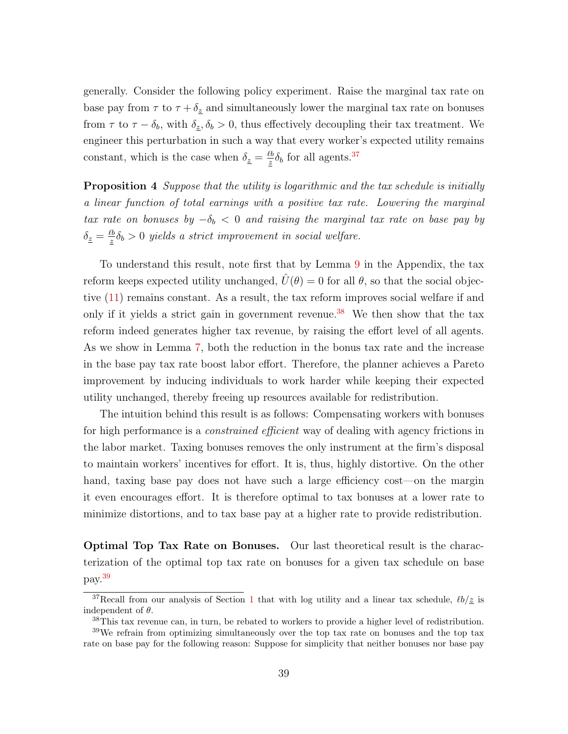generally. Consider the following policy experiment. Raise the marginal tax rate on base pay from  $\tau$  to  $\tau + \delta_z$  and simultaneously lower the marginal tax rate on bonuses from  $\tau$  to  $\tau - \delta_b$ , with  $\delta_z, \delta_b > 0$ , thus effectively decoupling their tax treatment. We engineer this perturbation in such a way that every worker's expected utility remains constant, which is the case when  $\delta_z = \frac{\ell b}{z}$  $\frac{\ell b}{z} \delta_b$  for all agents.<sup>[37](#page-40-0)</sup>

**Proposition 4** Suppose that the utility is logarithmic and the tax schedule is initially a linear function of total earnings with a positive tax rate. Lowering the marginal tax rate on bonuses by  $-\delta_b < 0$  and raising the marginal tax rate on base pay by  $\delta_{\underline{z}}=\frac{\ell b}{z}$  $\frac{\partial b}{\partial \tilde{z}}\delta_b > 0$  yields a strict improvement in social welfare.

To understand this result, note first that by Lemma [9](#page-77-0) in the Appendix, the tax reform keeps expected utility unchanged,  $\hat{U}(\theta) = 0$  for all  $\theta$ , so that the social objective [\(11\)](#page-18-2) remains constant. As a result, the tax reform improves social welfare if and only if it yields a strict gain in government revenue.<sup>[38](#page-40-1)</sup> We then show that the tax reform indeed generates higher tax revenue, by raising the effort level of all agents. As we show in Lemma [7,](#page-33-0) both the reduction in the bonus tax rate and the increase in the base pay tax rate boost labor effort. Therefore, the planner achieves a Pareto improvement by inducing individuals to work harder while keeping their expected utility unchanged, thereby freeing up resources available for redistribution.

The intuition behind this result is as follows: Compensating workers with bonuses for high performance is a *constrained efficient* way of dealing with agency frictions in the labor market. Taxing bonuses removes the only instrument at the firm's disposal to maintain workers' incentives for effort. It is, thus, highly distortive. On the other hand, taxing base pay does not have such a large efficiency cost—on the margin it even encourages effort. It is therefore optimal to tax bonuses at a lower rate to minimize distortions, and to tax base pay at a higher rate to provide redistribution.

Optimal Top Tax Rate on Bonuses. Our last theoretical result is the characterization of the optimal top tax rate on bonuses for a given tax schedule on base pay.[39](#page-40-2)

<span id="page-40-0"></span><sup>&</sup>lt;sup>37</sup>Recall from our analysis of Section [1](#page-9-0) that with log utility and a linear tax schedule,  $\ell b/\underline{z}$  is independent of  $\theta$ .

<span id="page-40-2"></span><span id="page-40-1"></span><sup>38</sup>This tax revenue can, in turn, be rebated to workers to provide a higher level of redistribution.

<sup>39</sup>We refrain from optimizing simultaneously over the top tax rate on bonuses and the top tax rate on base pay for the following reason: Suppose for simplicity that neither bonuses nor base pay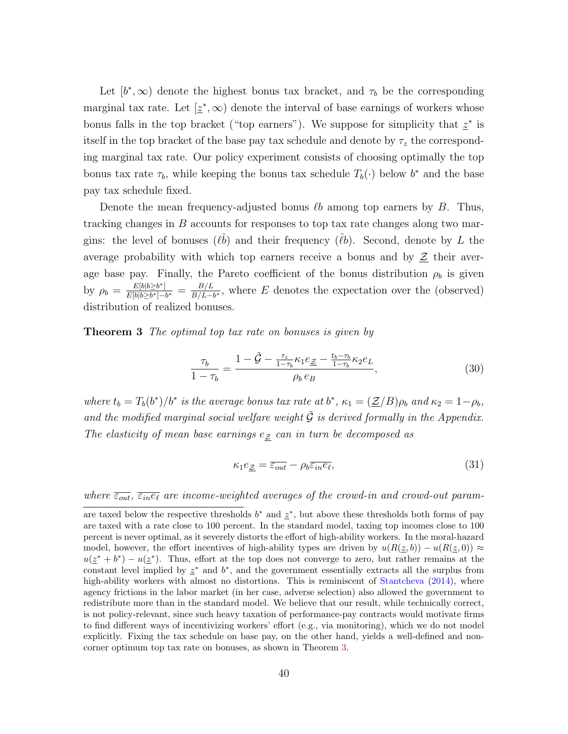Let  $[b^*,\infty)$  denote the highest bonus tax bracket, and  $\tau_b$  be the corresponding marginal tax rate. Let  $[\underline{z}^*, \infty)$  denote the interval of base earnings of workers whose bonus falls in the top bracket ("top earners"). We suppose for simplicity that  $z^*$  is itself in the top bracket of the base pay tax schedule and denote by  $\tau_z$  the corresponding marginal tax rate. Our policy experiment consists of choosing optimally the top bonus tax rate  $\tau_b$ , while keeping the bonus tax schedule  $T_b(\cdot)$  below  $b^*$  and the base pay tax schedule fixed.

Denote the mean frequency-adjusted bonus  $\ell b$  among top earners by B. Thus, tracking changes in  $B$  accounts for responses to top tax rate changes along two margins: the level of bonuses  $(\ell \hat{b})$  and their frequency  $(\ell \hat{b})$ . Second, denote by L the average probability with which top earners receive a bonus and by  $\underline{\mathcal{Z}}$  their average base pay. Finally, the Pareto coefficient of the bonus distribution  $\rho_b$  is given by  $\rho_b = \frac{E[b|b \geq b^*]}{E[b|b \geq b^*]-b^*}$  $\frac{E[b|b\geq b^*]}{E[b|b\geq b^*]-b^*}\,=\,\frac{B/L}{B/L-1}$  $\frac{B/L}{B/L-b^*}$ , where E denotes the expectation over the (observed) distribution of realized bonuses.

<span id="page-41-0"></span>**Theorem 3** The optimal top tax rate on bonuses is given by

<span id="page-41-1"></span>
$$
\frac{\tau_b}{1 - \tau_b} = \frac{1 - \tilde{G} - \frac{\tau_z}{1 - \tau_b} \kappa_1 e_{\underline{Z}} - \frac{t_b - \tau_b}{1 - \tau_b} \kappa_2 e_L}{\rho_b e_B},
$$
\n(30)

where  $t_b = T_b(b^*)/b^*$  is the average bonus tax rate at  $b^*$ ,  $\kappa_1 = (\underline{\mathcal{Z}}/B)\rho_b$  and  $\kappa_2 = 1-\rho_b$ , and the modified marginal social welfare weight  $\tilde{\mathcal{G}}$  is derived formally in the Appendix. The elasticity of mean base earnings  $e_{\mathcal{Z}}$  can in turn be decomposed as

<span id="page-41-2"></span>
$$
\kappa_1 e_{\underline{\mathcal{Z}}} = \overline{\varepsilon_{out}} - \rho_b \overline{\varepsilon_{in} e_{\ell}},\tag{31}
$$

where  $\overline{\varepsilon_{out}}, \overline{\varepsilon_{in}e_\ell}$  are income-weighted averages of the crowd-in and crowd-out param-

are taxed below the respective thresholds  $b^*$  and  $\underline{z}^*$ , but above these thresholds both forms of pay are taxed with a rate close to 100 percent. In the standard model, taxing top incomes close to 100 percent is never optimal, as it severely distorts the effort of high-ability workers. In the moral-hazard model, however, the effort incentives of high-ability types are driven by  $u(R(z, b)) - u(R(z, 0)) \approx$  $u(\underline{z}^* + b^*) - u(\underline{z}^*)$ . Thus, effort at the top does not converge to zero, but rather remains at the constant level implied by  $z^*$  and  $b^*$ , and the government essentially extracts all the surplus from high-ability workers with almost no distortions. This is reminiscent of [Stantcheva](#page-116-1) [\(2014\)](#page-116-1), where agency frictions in the labor market (in her case, adverse selection) also allowed the government to redistribute more than in the standard model. We believe that our result, while technically correct, is not policy-relevant, since such heavy taxation of performance-pay contracts would motivate firms to find different ways of incentivizing workers' effort (e.g., via monitoring), which we do not model explicitly. Fixing the tax schedule on base pay, on the other hand, yields a well-defined and noncorner optimum top tax rate on bonuses, as shown in Theorem [3.](#page-41-0)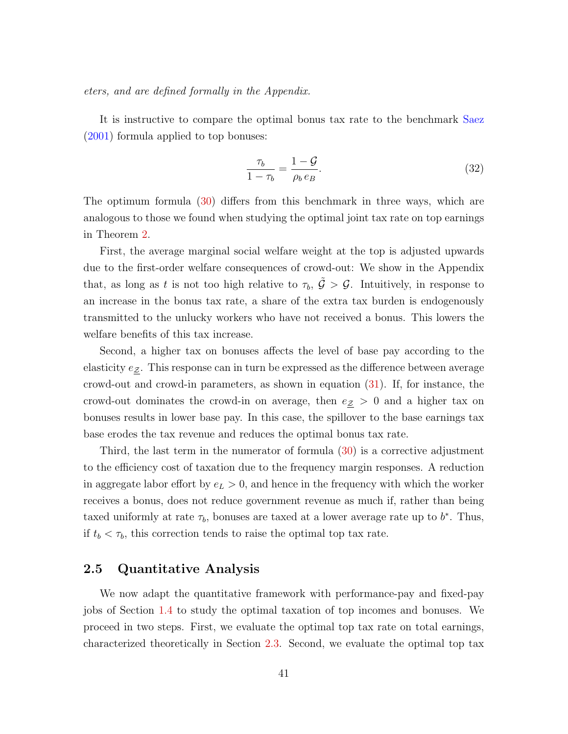eters, and are defined formally in the Appendix.

It is instructive to compare the optimal bonus tax rate to the benchmark [Saez](#page-116-0) [\(2001\)](#page-116-0) formula applied to top bonuses:

$$
\frac{\tau_b}{1 - \tau_b} = \frac{1 - \mathcal{G}}{\rho_b e_B}.\tag{32}
$$

The optimum formula [\(30\)](#page-41-1) differs from this benchmark in three ways, which are analogous to those we found when studying the optimal joint tax rate on top earnings in Theorem [2.](#page-36-1)

First, the average marginal social welfare weight at the top is adjusted upwards due to the first-order welfare consequences of crowd-out: We show in the Appendix that, as long as t is not too high relative to  $\tau_b$ ,  $\tilde{\mathcal{G}} > \mathcal{G}$ . Intuitively, in response to an increase in the bonus tax rate, a share of the extra tax burden is endogenously transmitted to the unlucky workers who have not received a bonus. This lowers the welfare benefits of this tax increase.

Second, a higher tax on bonuses affects the level of base pay according to the elasticity  $e_{\mathcal{Z}}$ . This response can in turn be expressed as the difference between average crowd-out and crowd-in parameters, as shown in equation [\(31\)](#page-41-2). If, for instance, the crowd-out dominates the crowd-in on average, then  $e_{\mathcal{Z}} > 0$  and a higher tax on bonuses results in lower base pay. In this case, the spillover to the base earnings tax base erodes the tax revenue and reduces the optimal bonus tax rate.

Third, the last term in the numerator of formula [\(30\)](#page-41-1) is a corrective adjustment to the efficiency cost of taxation due to the frequency margin responses. A reduction in aggregate labor effort by  $e_L > 0$ , and hence in the frequency with which the worker receives a bonus, does not reduce government revenue as much if, rather than being taxed uniformly at rate  $\tau_b$ , bonuses are taxed at a lower average rate up to  $b^*$ . Thus, if  $t_b < \tau_b$ , this correction tends to raise the optimal top tax rate.

### <span id="page-42-0"></span>2.5 Quantitative Analysis

We now adapt the quantitative framework with performance-pay and fixed-pay jobs of Section [1.4](#page-22-0) to study the optimal taxation of top incomes and bonuses. We proceed in two steps. First, we evaluate the optimal top tax rate on total earnings, characterized theoretically in Section [2.3.](#page-35-0) Second, we evaluate the optimal top tax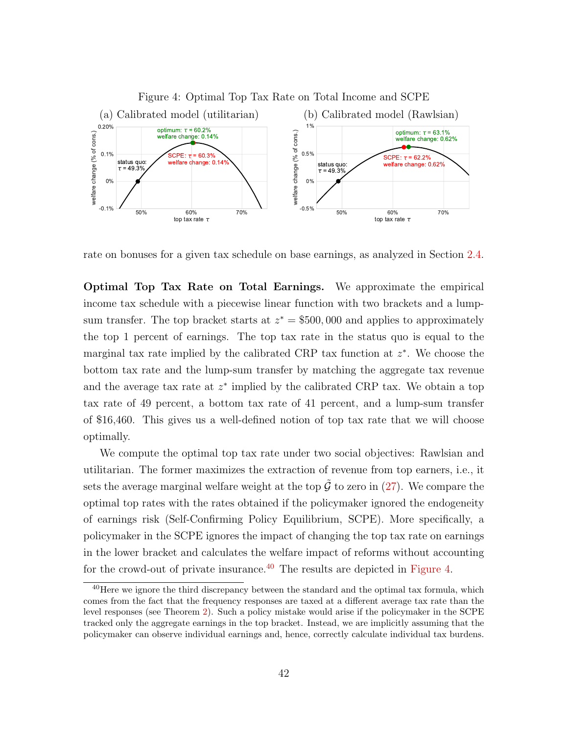<span id="page-43-1"></span>

rate on bonuses for a given tax schedule on base earnings, as analyzed in Section [2.4.](#page-39-3)

Optimal Top Tax Rate on Total Earnings. We approximate the empirical income tax schedule with a piecewise linear function with two brackets and a lumpsum transfer. The top bracket starts at  $z^* = $500,000$  and applies to approximately the top 1 percent of earnings. The top tax rate in the status quo is equal to the marginal tax rate implied by the calibrated CRP tax function at  $z^*$ . We choose the bottom tax rate and the lump-sum transfer by matching the aggregate tax revenue and the average tax rate at  $z^*$  implied by the calibrated CRP tax. We obtain a top tax rate of 49 percent, a bottom tax rate of 41 percent, and a lump-sum transfer of \$16,460. This gives us a well-defined notion of top tax rate that we will choose optimally.

We compute the optimal top tax rate under two social objectives: Rawlsian and utilitarian. The former maximizes the extraction of revenue from top earners, i.e., it sets the average marginal welfare weight at the top  $\hat{G}$  to zero in [\(27\)](#page-37-1). We compare the optimal top rates with the rates obtained if the policymaker ignored the endogeneity of earnings risk (Self-Confirming Policy Equilibrium, SCPE). More specifically, a policymaker in the SCPE ignores the impact of changing the top tax rate on earnings in the lower bracket and calculates the welfare impact of reforms without accounting for the crowd-out of private insurance.<sup>[40](#page-43-0)</sup> The results are depicted in [Figure 4.](#page-43-1)

<span id="page-43-0"></span> $^{40}$ Here we ignore the third discrepancy between the standard and the optimal tax formula, which comes from the fact that the frequency responses are taxed at a different average tax rate than the level responses (see Theorem [2\)](#page-36-1). Such a policy mistake would arise if the policymaker in the SCPE tracked only the aggregate earnings in the top bracket. Instead, we are implicitly assuming that the policymaker can observe individual earnings and, hence, correctly calculate individual tax burdens.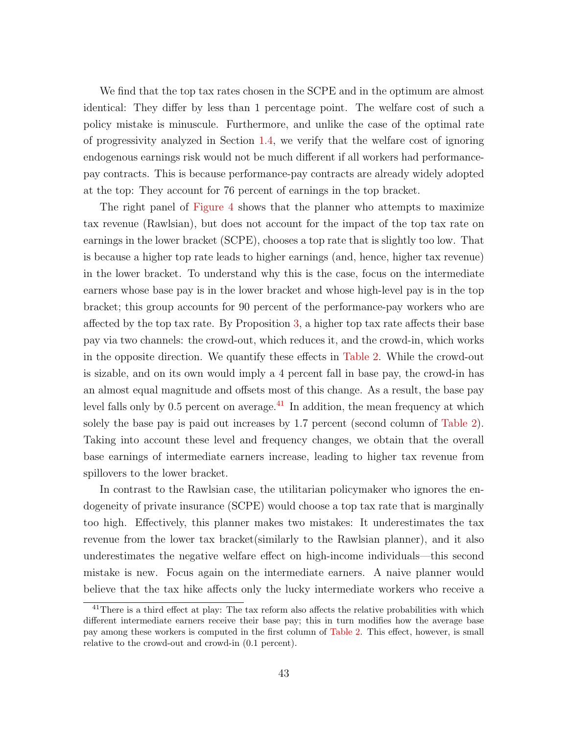We find that the top tax rates chosen in the SCPE and in the optimum are almost identical: They differ by less than 1 percentage point. The welfare cost of such a policy mistake is minuscule. Furthermore, and unlike the case of the optimal rate of progressivity analyzed in Section [1.4,](#page-22-0) we verify that the welfare cost of ignoring endogenous earnings risk would not be much different if all workers had performancepay contracts. This is because performance-pay contracts are already widely adopted at the top: They account for 76 percent of earnings in the top bracket.

The right panel of [Figure 4](#page-43-1) shows that the planner who attempts to maximize tax revenue (Rawlsian), but does not account for the impact of the top tax rate on earnings in the lower bracket (SCPE), chooses a top rate that is slightly too low. That is because a higher top rate leads to higher earnings (and, hence, higher tax revenue) in the lower bracket. To understand why this is the case, focus on the intermediate earners whose base pay is in the lower bracket and whose high-level pay is in the top bracket; this group accounts for 90 percent of the performance-pay workers who are affected by the top tax rate. By Proposition [3,](#page-34-0) a higher top tax rate affects their base pay via two channels: the crowd-out, which reduces it, and the crowd-in, which works in the opposite direction. We quantify these effects in [Table 2.](#page-45-0) While the crowd-out is sizable, and on its own would imply a 4 percent fall in base pay, the crowd-in has an almost equal magnitude and offsets most of this change. As a result, the base pay level falls only by 0.5 percent on average. $^{41}$  $^{41}$  $^{41}$  In addition, the mean frequency at which solely the base pay is paid out increases by 1.7 percent (second column of [Table 2\)](#page-45-0). Taking into account these level and frequency changes, we obtain that the overall base earnings of intermediate earners increase, leading to higher tax revenue from spillovers to the lower bracket.

In contrast to the Rawlsian case, the utilitarian policymaker who ignores the endogeneity of private insurance (SCPE) would choose a top tax rate that is marginally too high. Effectively, this planner makes two mistakes: It underestimates the tax revenue from the lower tax bracket(similarly to the Rawlsian planner), and it also underestimates the negative welfare effect on high-income individuals—this second mistake is new. Focus again on the intermediate earners. A naive planner would believe that the tax hike affects only the lucky intermediate workers who receive a

<span id="page-44-0"></span><sup>&</sup>lt;sup>41</sup>There is a third effect at play: The tax reform also affects the relative probabilities with which different intermediate earners receive their base pay; this in turn modifies how the average base pay among these workers is computed in the first column of [Table 2.](#page-45-0) This effect, however, is small relative to the crowd-out and crowd-in (0.1 percent).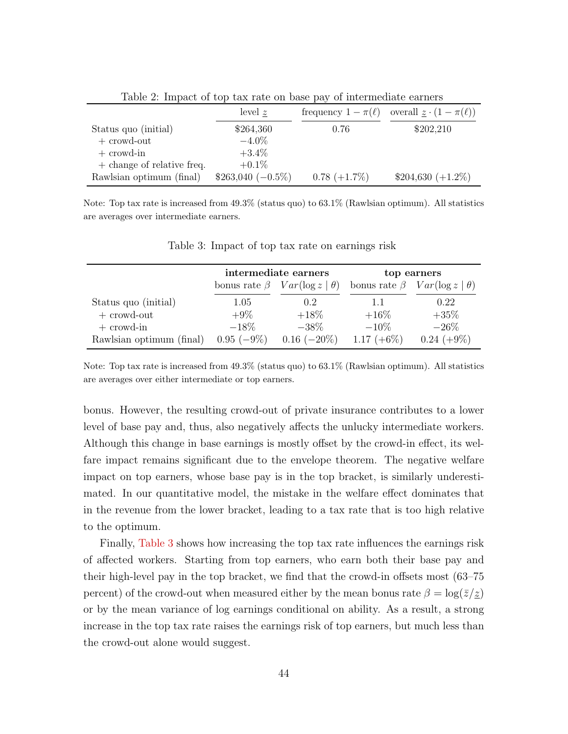| level z             |                 | frequency $1 - \pi(\ell)$ overall $\underline{z} \cdot (1 - \pi(\ell))$ |
|---------------------|-----------------|-------------------------------------------------------------------------|
| \$264,360           | 0.76            | \$202,210                                                               |
| $-4.0\%$            |                 |                                                                         |
| $+3.4\%$            |                 |                                                                         |
| $+0.1\%$            |                 |                                                                         |
| $$263,040 (-0.5\%)$ | $0.78 (+1.7\%)$ | $$204,630 (+1.2\%)$                                                     |
|                     |                 |                                                                         |

<span id="page-45-0"></span>Table 2: Impact of top tax rate on base pay of intermediate earners

Note: Top tax rate is increased from 49.3% (status quo) to 63.1% (Rawlsian optimum). All statistics are averages over intermediate earners.

|                          | intermediate earners |                                           | top earners   |                                          |
|--------------------------|----------------------|-------------------------------------------|---------------|------------------------------------------|
|                          |                      | bonus rate $\beta$ $Var(\log z   \theta)$ |               | bonus rate $\beta$ $Var(log z   \theta)$ |
| Status quo (initial)     | 1.05                 | $0.2^{\circ}$                             | 1.1           | 0.22                                     |
| $+$ crowd-out            | $+9\%$               | $+18\%$                                   | $+16\%$       | $+35%$                                   |
| $+$ crowd-in             | $-18\%$              | $-38\%$                                   | $-10\%$       | $-26\%$                                  |
| Rawlsian optimum (final) | $0.95(-9%)$          | $0.16 (-20\%)$                            | 1.17 $(+6\%)$ | $0.24 (+9\%)$                            |

<span id="page-45-1"></span>Table 3: Impact of top tax rate on earnings risk

Note: Top tax rate is increased from 49.3% (status quo) to 63.1% (Rawlsian optimum). All statistics are averages over either intermediate or top earners.

bonus. However, the resulting crowd-out of private insurance contributes to a lower level of base pay and, thus, also negatively affects the unlucky intermediate workers. Although this change in base earnings is mostly offset by the crowd-in effect, its welfare impact remains significant due to the envelope theorem. The negative welfare impact on top earners, whose base pay is in the top bracket, is similarly underestimated. In our quantitative model, the mistake in the welfare effect dominates that in the revenue from the lower bracket, leading to a tax rate that is too high relative to the optimum.

Finally, [Table 3](#page-45-1) shows how increasing the top tax rate influences the earnings risk of affected workers. Starting from top earners, who earn both their base pay and their high-level pay in the top bracket, we find that the crowd-in offsets most (63–75 percent) of the crowd-out when measured either by the mean bonus rate  $\beta = \log(\bar{z}/z)$ or by the mean variance of log earnings conditional on ability. As a result, a strong increase in the top tax rate raises the earnings risk of top earners, but much less than the crowd-out alone would suggest.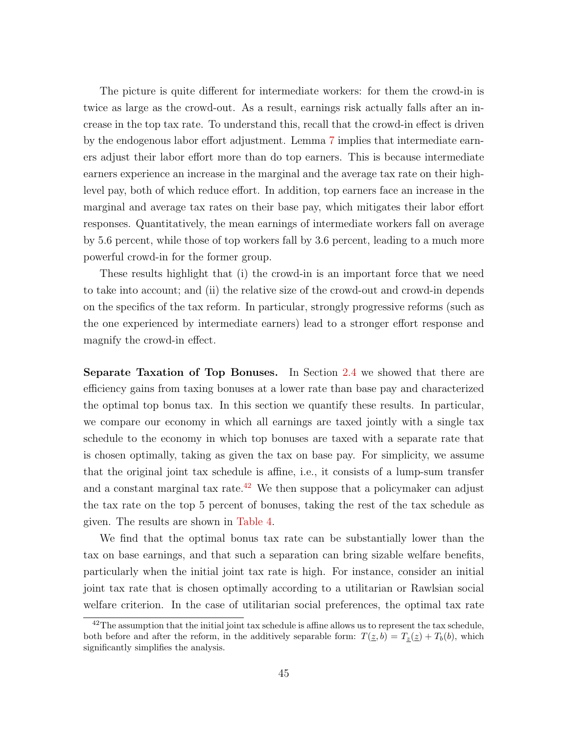The picture is quite different for intermediate workers: for them the crowd-in is twice as large as the crowd-out. As a result, earnings risk actually falls after an increase in the top tax rate. To understand this, recall that the crowd-in effect is driven by the endogenous labor effort adjustment. Lemma [7](#page-33-0) implies that intermediate earners adjust their labor effort more than do top earners. This is because intermediate earners experience an increase in the marginal and the average tax rate on their highlevel pay, both of which reduce effort. In addition, top earners face an increase in the marginal and average tax rates on their base pay, which mitigates their labor effort responses. Quantitatively, the mean earnings of intermediate workers fall on average by 5.6 percent, while those of top workers fall by 3.6 percent, leading to a much more powerful crowd-in for the former group.

These results highlight that (i) the crowd-in is an important force that we need to take into account; and (ii) the relative size of the crowd-out and crowd-in depends on the specifics of the tax reform. In particular, strongly progressive reforms (such as the one experienced by intermediate earners) lead to a stronger effort response and magnify the crowd-in effect.

Separate Taxation of Top Bonuses. In Section [2.4](#page-39-3) we showed that there are efficiency gains from taxing bonuses at a lower rate than base pay and characterized the optimal top bonus tax. In this section we quantify these results. In particular, we compare our economy in which all earnings are taxed jointly with a single tax schedule to the economy in which top bonuses are taxed with a separate rate that is chosen optimally, taking as given the tax on base pay. For simplicity, we assume that the original joint tax schedule is affine, i.e., it consists of a lump-sum transfer and a constant marginal tax rate.<sup>[42](#page-46-0)</sup> We then suppose that a policymaker can adjust the tax rate on the top 5 percent of bonuses, taking the rest of the tax schedule as given. The results are shown in [Table 4.](#page-47-0)

We find that the optimal bonus tax rate can be substantially lower than the tax on base earnings, and that such a separation can bring sizable welfare benefits, particularly when the initial joint tax rate is high. For instance, consider an initial joint tax rate that is chosen optimally according to a utilitarian or Rawlsian social welfare criterion. In the case of utilitarian social preferences, the optimal tax rate

<span id="page-46-0"></span><sup>&</sup>lt;sup>42</sup>The assumption that the initial joint tax schedule is affine allows us to represent the tax schedule, both before and after the reform, in the additively separable form:  $T(\underline{z}, b) = T_z(\underline{z}) + T_b(b)$ , which significantly simplifies the analysis.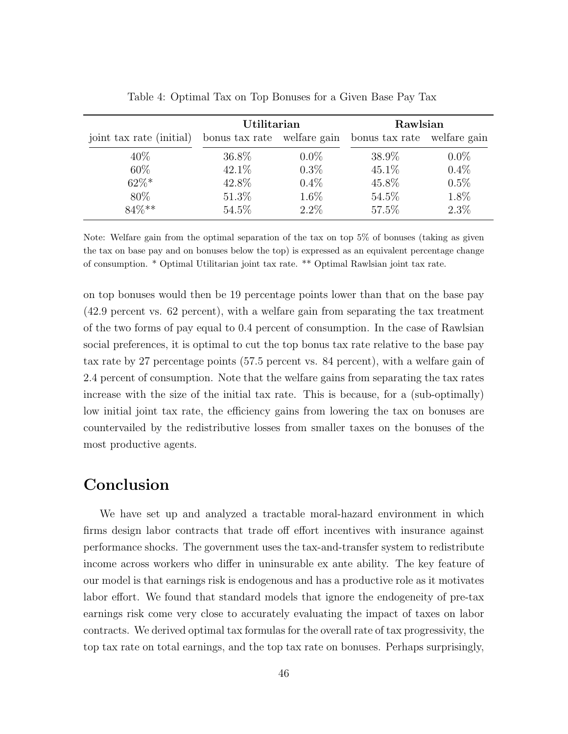|                          | Utilitarian |         | Rawlsian                                                |         |
|--------------------------|-------------|---------|---------------------------------------------------------|---------|
| joint tax rate (initial) |             |         | bonus tax rate welfare gain bonus tax rate welfare gain |         |
| $40\%$                   | 36.8%       | $0.0\%$ | 38.9%                                                   | $0.0\%$ |
| 60\%                     | 42.1%       | $0.3\%$ | $45.1\%$                                                | $0.4\%$ |
| $62\%*$                  | 42.8%       | $0.4\%$ | 45.8%                                                   | $0.5\%$ |
| 80\%                     | 51.3%       | $1.6\%$ | 54.5%                                                   | 1.8%    |
| 84%**                    | 54.5%       | $2.2\%$ | 57.5%                                                   | $2.3\%$ |

<span id="page-47-0"></span>Table 4: Optimal Tax on Top Bonuses for a Given Base Pay Tax

Note: Welfare gain from the optimal separation of the tax on top 5% of bonuses (taking as given the tax on base pay and on bonuses below the top) is expressed as an equivalent percentage change of consumption. \* Optimal Utilitarian joint tax rate. \*\* Optimal Rawlsian joint tax rate.

on top bonuses would then be 19 percentage points lower than that on the base pay (42.9 percent vs. 62 percent), with a welfare gain from separating the tax treatment of the two forms of pay equal to 0.4 percent of consumption. In the case of Rawlsian social preferences, it is optimal to cut the top bonus tax rate relative to the base pay tax rate by 27 percentage points (57.5 percent vs. 84 percent), with a welfare gain of 2.4 percent of consumption. Note that the welfare gains from separating the tax rates increase with the size of the initial tax rate. This is because, for a (sub-optimally) low initial joint tax rate, the efficiency gains from lowering the tax on bonuses are countervailed by the redistributive losses from smaller taxes on the bonuses of the most productive agents.

### Conclusion

We have set up and analyzed a tractable moral-hazard environment in which firms design labor contracts that trade off effort incentives with insurance against performance shocks. The government uses the tax-and-transfer system to redistribute income across workers who differ in uninsurable ex ante ability. The key feature of our model is that earnings risk is endogenous and has a productive role as it motivates labor effort. We found that standard models that ignore the endogeneity of pre-tax earnings risk come very close to accurately evaluating the impact of taxes on labor contracts. We derived optimal tax formulas for the overall rate of tax progressivity, the top tax rate on total earnings, and the top tax rate on bonuses. Perhaps surprisingly,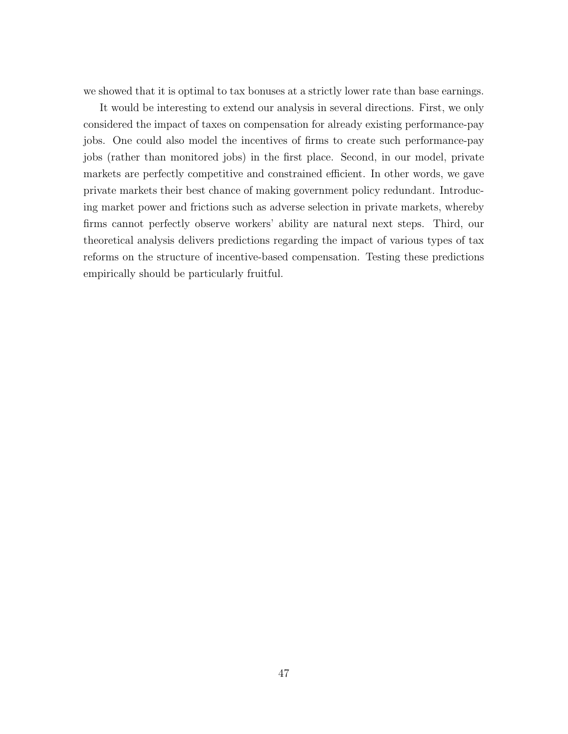we showed that it is optimal to tax bonuses at a strictly lower rate than base earnings.

It would be interesting to extend our analysis in several directions. First, we only considered the impact of taxes on compensation for already existing performance-pay jobs. One could also model the incentives of firms to create such performance-pay jobs (rather than monitored jobs) in the first place. Second, in our model, private markets are perfectly competitive and constrained efficient. In other words, we gave private markets their best chance of making government policy redundant. Introducing market power and frictions such as adverse selection in private markets, whereby firms cannot perfectly observe workers' ability are natural next steps. Third, our theoretical analysis delivers predictions regarding the impact of various types of tax reforms on the structure of incentive-based compensation. Testing these predictions empirically should be particularly fruitful.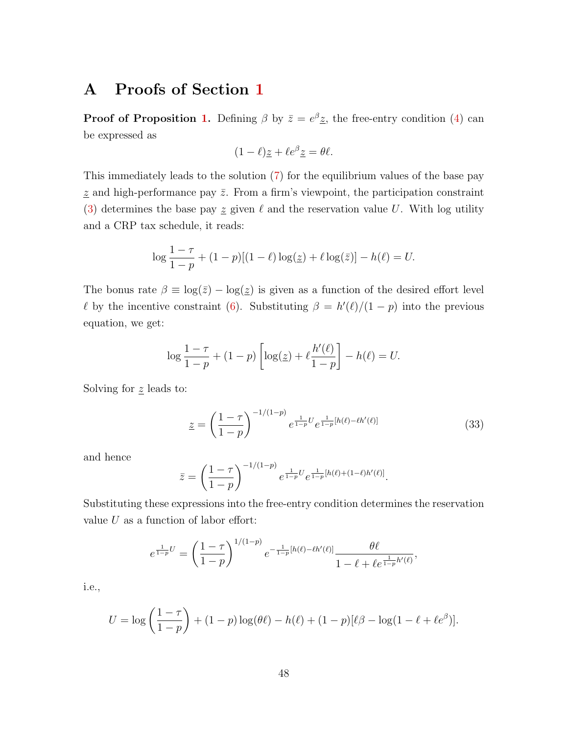# A Proofs of Section [1](#page-9-0)

**Proof of Proposition [1.](#page-12-0)** Defining  $\beta$  by  $\bar{z} = e^{\beta}z$ , the free-entry condition [\(4\)](#page-11-0) can be expressed as

$$
(1 - \ell) \underline{z} + \ell e^{\beta} \underline{z} = \theta \ell.
$$

This immediately leads to the solution [\(7\)](#page-12-1) for the equilibrium values of the base pay  $\underline{z}$  and high-performance pay  $\overline{z}$ . From a firm's viewpoint, the participation constraint [\(3\)](#page-11-1) determines the base pay  $\leq$  given  $\ell$  and the reservation value U. With log utility and a CRP tax schedule, it reads:

$$
\log \frac{1-\tau}{1-p} + (1-p)[(1-\ell)\log(\underline{z}) + \ell \log(\overline{z})] - h(\ell) = U.
$$

The bonus rate  $\beta \equiv \log(\bar{z}) - \log(\bar{z})$  is given as a function of the desired effort level  $\ell$  by the incentive constraint [\(6\)](#page-11-2). Substituting  $\beta = h'(\ell)/(1-p)$  into the previous equation, we get:

$$
\log \frac{1-\tau}{1-p} + (1-p) \left[ \log(z) + \ell \frac{h'(\ell)}{1-p} \right] - h(\ell) = U.
$$

Solving for  $\underline{z}$  leads to:

<span id="page-49-0"></span>
$$
\underline{z} = \left(\frac{1-\tau}{1-p}\right)^{-1/(1-p)} e^{\frac{1}{1-p}U} e^{\frac{1}{1-p}[h(\ell)-\ell h'(\ell)]}
$$
(33)

and hence

$$
\bar{z} = \left(\frac{1-\tau}{1-p}\right)^{-1/(1-p)} e^{\frac{1}{1-p}U} e^{\frac{1}{1-p}[h(\ell)+(1-\ell)h'(\ell)]}.
$$

Substituting these expressions into the free-entry condition determines the reservation value  $U$  as a function of labor effort:

$$
e^{\frac{1}{1-p}U} = \left(\frac{1-\tau}{1-p}\right)^{1/(1-p)} e^{-\frac{1}{1-p}[h(\ell)-\ell h'(\ell)]} \frac{\theta \ell}{1-\ell+\ell e^{\frac{1}{1-p}h'(\ell)}},
$$

i.e.,

$$
U = \log \left( \frac{1 - \tau}{1 - p} \right) + (1 - p) \log(\theta \ell) - h(\ell) + (1 - p)[\ell \beta - \log(1 - \ell + \ell e^{\beta})].
$$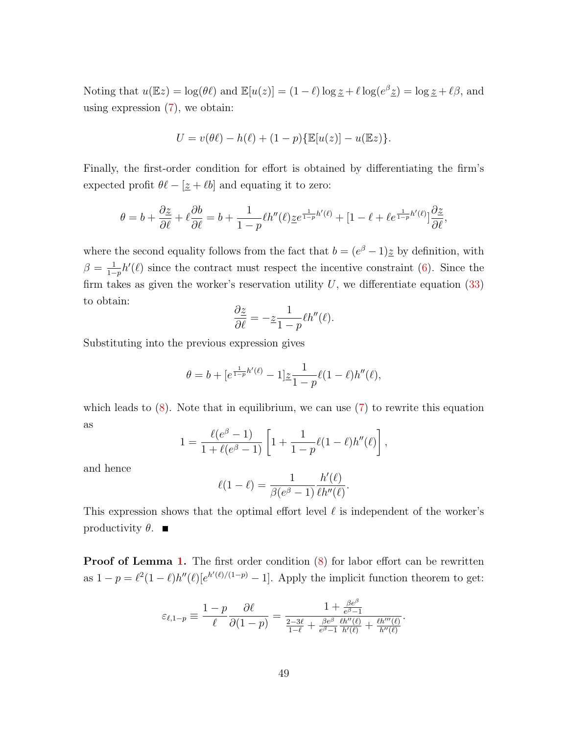Noting that  $u(\mathbb{E}z) = \log(\theta \ell)$  and  $\mathbb{E}[u(z)] = (1 - \ell) \log z + \ell \log(e^{\beta} z) = \log z + \ell \beta$ , and using expression  $(7)$ , we obtain:

$$
U = v(\theta \ell) - h(\ell) + (1 - p) \{ \mathbb{E}[u(z)] - u(\mathbb{E}z) \}.
$$

Finally, the first-order condition for effort is obtained by differentiating the firm's expected profit  $\theta \ell - [\underline{z} + \ell b]$  and equating it to zero:

$$
\theta = b + \frac{\partial z}{\partial \ell} + \ell \frac{\partial b}{\partial \ell} = b + \frac{1}{1-p} \ell h''(\ell) \underline{z} e^{\frac{1}{1-p}h'(\ell)} + [1-\ell+\ell e^{\frac{1}{1-p}h'(\ell)}] \frac{\partial \underline{z}}{\partial \ell},
$$

where the second equality follows from the fact that  $b = (e^{\beta} - 1)\underline{z}$  by definition, with  $\beta = \frac{1}{1}$  $\frac{1}{1-p}h'(\ell)$  since the contract must respect the incentive constraint [\(6\)](#page-11-2). Since the firm takes as given the worker's reservation utility  $U$ , we differentiate equation [\(33\)](#page-49-0) to obtain:

$$
\frac{\partial z}{\partial \ell} = -z \frac{1}{1-p} \ell h''(\ell).
$$

Substituting into the previous expression gives

$$
\theta = b + [e^{\frac{1}{1-p}h'(\ell)} - 1] \underline{z} \frac{1}{1-p} \ell(1-\ell)h''(\ell),
$$

which leads to  $(8)$ . Note that in equilibrium, we can use  $(7)$  to rewrite this equation as

$$
1 = \frac{\ell(e^{\beta} - 1)}{1 + \ell(e^{\beta} - 1)} \left[ 1 + \frac{1}{1 - p} \ell(1 - \ell) h''(\ell) \right],
$$

and hence

$$
\ell(1-\ell) = \frac{1}{\beta(e^{\beta}-1)} \frac{h'(\ell)}{\ell h''(\ell)}.
$$

This expression shows that the optimal effort level  $\ell$  is independent of the worker's productivity  $\theta$ .

**Proof of Lemma [1.](#page-14-0)** The first order condition  $(8)$  for labor effort can be rewritten as  $1 - p = \ell^2 (1 - \ell) h''(\ell) [e^{h'(\ell)/(1-p)} - 1]$ . Apply the implicit function theorem to get:

$$
\varepsilon_{\ell,1-p} \equiv \frac{1-p}{\ell} \frac{\partial \ell}{\partial (1-p)} = \frac{1 + \frac{\beta e^{\beta}}{e^{\beta}-1}}{\frac{2-3\ell}{1-\ell} + \frac{\beta e^{\beta}}{e^{\beta}-1} \frac{\ell h''(\ell)}{h'(\ell)} + \frac{\ell h'''(\ell)}{h''(\ell)}}
$$

.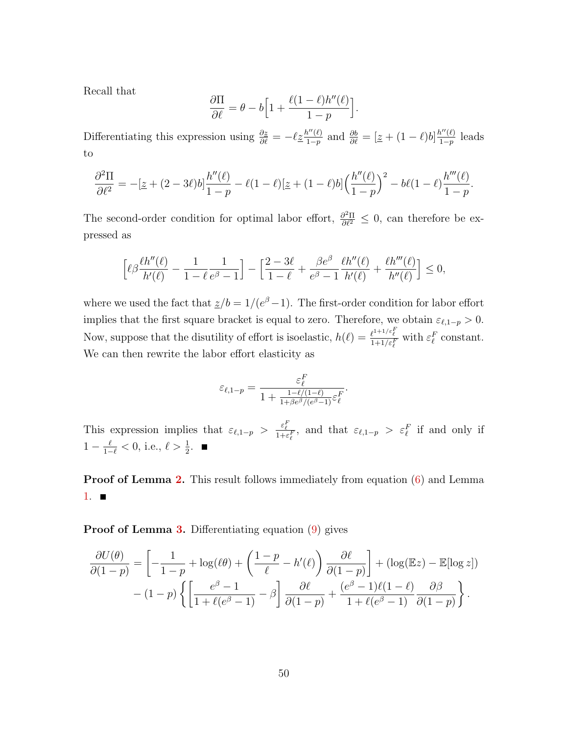Recall that

$$
\frac{\partial \Pi}{\partial \ell} = \theta - b \Big[ 1 + \frac{\ell(1-\ell)h''(\ell)}{1-p} \Big].
$$

Differentiating this expression using  $\frac{\partial z}{\partial \ell} = -\ell \underline{z} \frac{h''(\ell)}{1-p}$  $\frac{h''(\ell)}{1-p}$  and  $\frac{\partial b}{\partial \ell} = \left[\underline{z} + (1-\ell)b\right] \frac{h''(\ell)}{1-p}$  $rac{i^{\prime\prime}(l)}{1-p}$  leads to

$$
\frac{\partial^2 \Pi}{\partial \ell^2} = -[\underline{z} + (2 - 3\ell)b] \frac{h''(\ell)}{1 - p} - \ell(1 - \ell)[\underline{z} + (1 - \ell)b] \left(\frac{h''(\ell)}{1 - p}\right)^2 - b\ell(1 - \ell) \frac{h'''(\ell)}{1 - p}.
$$

The second-order condition for optimal labor effort,  $\frac{\partial^2 \Pi}{\partial \ell^2} \leq 0$ , can therefore be expressed as

$$
\left[\ell\beta\frac{\ell h''(\ell)}{h'(\ell)}-\frac{1}{1-\ell}\frac{1}{e^\beta-1}\right]-\left[\frac{2-3\ell}{1-\ell}+\frac{\beta e^\beta}{e^\beta-1}\frac{\ell h''(\ell)}{h'(\ell)}+\frac{\ell h'''(\ell)}{h''(\ell)}\right]\leq 0,
$$

where we used the fact that  $\frac{z}{b} = 1/(e^{\beta}-1)$ . The first-order condition for labor effort implies that the first square bracket is equal to zero. Therefore, we obtain  $\varepsilon_{\ell,1-p} > 0$ . Now, suppose that the disutility of effort is isoelastic,  $h(\ell) = \frac{\ell^{1+1/\varepsilon_E^F}}{1+1/\varepsilon_E^F}$  with  $\varepsilon_\ell^F$  constant. We can then rewrite the labor effort elasticity as

$$
\varepsilon_{\ell,1-p} = \frac{\varepsilon_{\ell}^F}{1 + \frac{1 - \ell/(1-\ell)}{1 + \beta e^{\beta}/(e^{\beta} - 1)} \varepsilon_{\ell}^F}.
$$

This expression implies that  $\varepsilon_{\ell,1-p} > \frac{\varepsilon_{\ell}^F}{1+\varepsilon_{\ell}^F}$ , and that  $\varepsilon_{\ell,1-p} > \varepsilon_{\ell}^F$  if and only if  $1 - \frac{\ell}{1-\ell} < 0$ , i.e.,  $\ell > \frac{1}{2}$ .

**Proof of Lemma [2.](#page-15-0)** This result follows immediately from equation [\(6\)](#page-11-2) and Lemma [1.](#page-14-0)  $\blacksquare$ 

Proof of Lemma [3.](#page-17-0) Differentiating equation [\(9\)](#page-12-3) gives

$$
\frac{\partial U(\theta)}{\partial (1-p)} = \left[ -\frac{1}{1-p} + \log(\ell\theta) + \left( \frac{1-p}{\ell} - h'(\ell) \right) \frac{\partial \ell}{\partial (1-p)} \right] + (\log(\mathbb{E}z) - \mathbb{E}[\log z])
$$

$$
- (1-p) \left\{ \left[ \frac{e^{\beta} - 1}{1 + \ell(e^{\beta} - 1)} - \beta \right] \frac{\partial \ell}{\partial (1-p)} + \frac{(e^{\beta} - 1)\ell(1-\ell)}{1 + \ell(e^{\beta} - 1)} \frac{\partial \beta}{\partial (1-p)} \right\}.
$$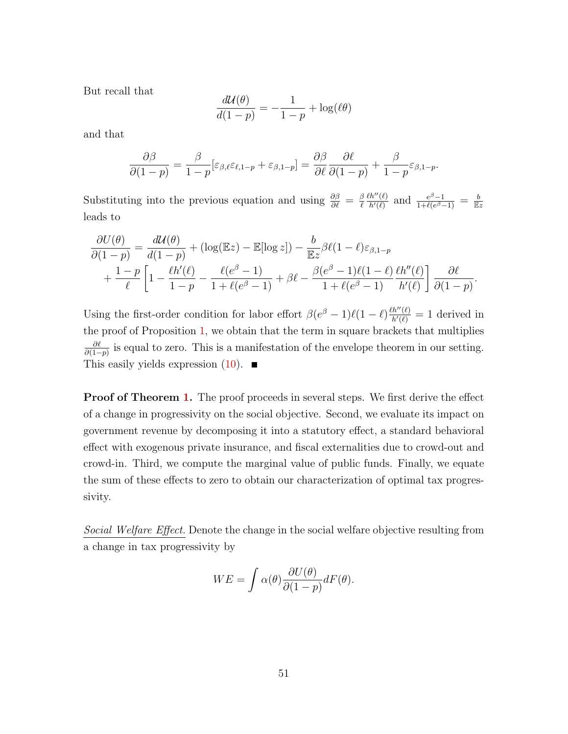But recall that

$$
\frac{d\mathcal{U}(\theta)}{d(1-p)} = -\frac{1}{1-p} + \log(\ell\theta)
$$

and that

$$
\frac{\partial \beta}{\partial (1-p)} = \frac{\beta}{1-p} [\varepsilon_{\beta,\ell} \varepsilon_{\ell,1-p} + \varepsilon_{\beta,1-p}] = \frac{\partial \beta}{\partial \ell} \frac{\partial \ell}{\partial (1-p)} + \frac{\beta}{1-p} \varepsilon_{\beta,1-p}.
$$

Substituting into the previous equation and using  $\frac{\partial \beta}{\partial \ell} = \frac{\beta}{\ell}$  $\ell$  $\ell h''(\ell)$  $\frac{h''(\ell)}{h'(\ell)}$  and  $\frac{e^{\beta}-1}{1+\ell(e^{\beta}-1)}$  $\frac{e^{\beta}-1}{1+\ell(e^{\beta}-1)} = \frac{b}{\mathbb{E}z}$ leads to

$$
\frac{\partial U(\theta)}{\partial (1-p)} = \frac{d\mathcal{U}(\theta)}{d(1-p)} + (\log(\mathbb{E}z) - \mathbb{E}[\log z]) - \frac{b}{\mathbb{E}z}\beta\ell(1-\ell)\varepsilon_{\beta,1-p} \n+ \frac{1-p}{\ell} \left[1 - \frac{\ell h'(\ell)}{1-p} - \frac{\ell(e^{\beta}-1)}{1+\ell(e^{\beta}-1)} + \beta\ell - \frac{\beta(e^{\beta}-1)\ell(1-\ell)}{1+\ell(e^{\beta}-1)}\frac{\ell h''(\ell)}{h'(\ell)}\right] \frac{\partial \ell}{\partial (1-p)}.
$$

Using the first-order condition for labor effort  $\beta(e^{\beta}-1)\ell(1-\ell)\frac{\ell h''(\ell)}{h'(\ell)}=1$  derived in the proof of Proposition [1,](#page-12-0) we obtain that the term in square brackets that multiplies ∂ℓ  $\frac{\partial \ell}{\partial (1-p)}$  is equal to zero. This is a manifestation of the envelope theorem in our setting. This easily yields expression  $(10)$ .

**Proof of Theorem [1.](#page-18-3)** The proof proceeds in several steps. We first derive the effect of a change in progressivity on the social objective. Second, we evaluate its impact on government revenue by decomposing it into a statutory effect, a standard behavioral effect with exogenous private insurance, and fiscal externalities due to crowd-out and crowd-in. Third, we compute the marginal value of public funds. Finally, we equate the sum of these effects to zero to obtain our characterization of optimal tax progressivity.

Social Welfare Effect. Denote the change in the social welfare objective resulting from a change in tax progressivity by

$$
WE = \int \alpha(\theta) \frac{\partial U(\theta)}{\partial (1 - p)} dF(\theta).
$$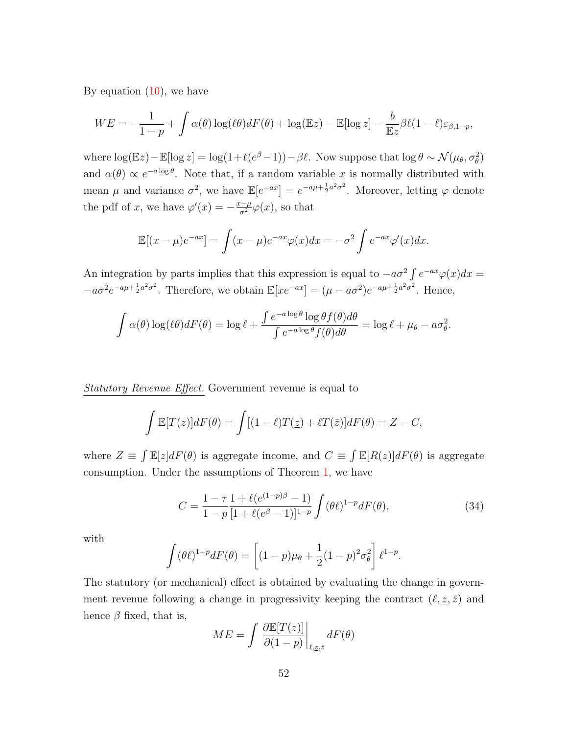By equation  $(10)$ , we have

$$
WE = -\frac{1}{1-p} + \int \alpha(\theta) \log(\ell\theta) dF(\theta) + \log(\mathbb{E}z) - \mathbb{E}[\log z] - \frac{b}{\mathbb{E}z} \beta \ell(1-\ell) \varepsilon_{\beta,1-p},
$$

where  $\log(\mathbb{E}z) - \mathbb{E}[\log z] = \log(1 + \ell(e^{\beta} - 1)) - \beta \ell$ . Now suppose that  $\log \theta \sim \mathcal{N}(\mu_{\theta}, \sigma_{\theta}^2)$ and  $\alpha(\theta) \propto e^{-a \log \theta}$ . Note that, if a random variable x is normally distributed with mean  $\mu$  and variance  $\sigma^2$ , we have  $\mathbb{E}[e^{-ax}] = e^{-a\mu + \frac{1}{2}a^2\sigma^2}$ . Moreover, letting  $\varphi$  denote the pdf of x, we have  $\varphi'(x) = -\frac{x-\mu}{\sigma^2}\varphi(x)$ , so that

$$
\mathbb{E}[(x-\mu)e^{-ax}] = \int (x-\mu)e^{-ax}\varphi(x)dx = -\sigma^2 \int e^{-ax}\varphi'(x)dx.
$$

An integration by parts implies that this expression is equal to  $-a\sigma^2 \int e^{-ax} \varphi(x) dx =$  $-a\sigma^2 e^{-a\mu + \frac{1}{2}a^2\sigma^2}$ . Therefore, we obtain  $\mathbb{E}[xe^{-ax}] = (\mu - a\sigma^2)e^{-a\mu + \frac{1}{2}a^2\sigma^2}$ . Hence,

$$
\int \alpha(\theta) \log(\ell \theta) dF(\theta) = \log \ell + \frac{\int e^{-a \log \theta} \log \theta f(\theta) d\theta}{\int e^{-a \log \theta} f(\theta) d\theta} = \log \ell + \mu_{\theta} - a\sigma_{\theta}^2.
$$

Statutory Revenue Effect. Government revenue is equal to

$$
\int \mathbb{E}[T(z)]dF(\theta) = \int [(1-\ell)T(\underline{z}) + \ell T(\overline{z})]dF(\theta) = Z - C,
$$

where  $Z \equiv \int \mathbb{E}[z] dF(\theta)$  is aggregate income, and  $C \equiv \int \mathbb{E}[R(z)] dF(\theta)$  is aggregate consumption. Under the assumptions of Theorem [1,](#page-18-3) we have

<span id="page-53-0"></span>
$$
C = \frac{1 - \tau}{1 - p} \frac{1 + \ell(e^{(1 - p)\beta} - 1)}{[1 + \ell(e^{\beta} - 1)]^{1 - p}} \int (\theta \ell)^{1 - p} dF(\theta), \tag{34}
$$

with

$$
\int (\theta \ell)^{1-p} dF(\theta) = \left[ (1-p)\mu_{\theta} + \frac{1}{2}(1-p)^2 \sigma_{\theta}^2 \right] \ell^{1-p}.
$$

The statutory (or mechanical) effect is obtained by evaluating the change in government revenue following a change in progressivity keeping the contract  $(\ell, \underline{z}, \overline{z})$  and hence  $\beta$  fixed, that is,

$$
ME = \int \left. \frac{\partial \mathbb{E}[T(z)]}{\partial (1-p)} \right|_{\ell, \underline{z}, \bar{z}} dF(\theta)
$$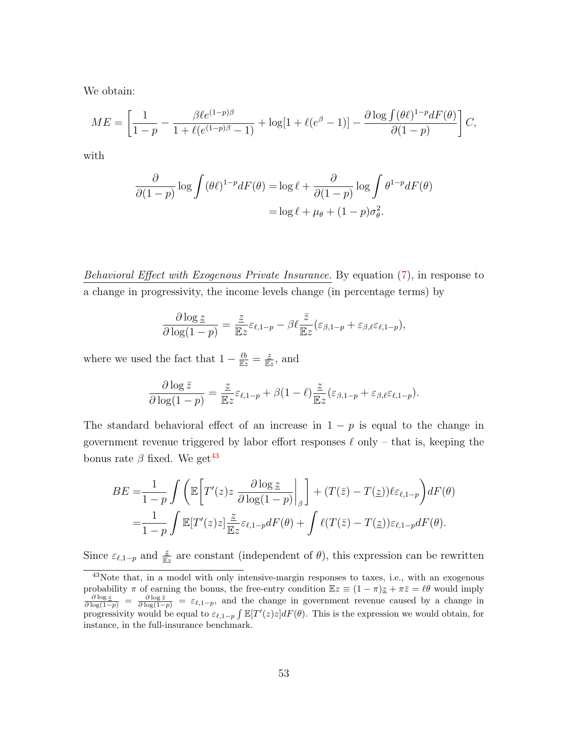We obtain:

$$
ME = \left[ \frac{1}{1-p} - \frac{\beta \ell e^{(1-p)\beta}}{1 + \ell(e^{(1-p)\beta} - 1)} + \log[1 + \ell(e^{\beta} - 1)] - \frac{\partial \log \int (\theta \ell)^{1-p} dF(\theta)}{\partial (1-p)} \right] C,
$$

with

$$
\frac{\partial}{\partial (1-p)} \log \int (\theta \ell)^{1-p} dF(\theta) = \log \ell + \frac{\partial}{\partial (1-p)} \log \int \theta^{1-p} dF(\theta)
$$

$$
= \log \ell + \mu_{\theta} + (1-p)\sigma_{\theta}^2.
$$

Behavioral Effect with Exogenous Private Insurance. By equation [\(7\)](#page-12-1), in response to a change in progressivity, the income levels change (in percentage terms) by

$$
\frac{\partial \log z}{\partial \log(1-p)} = \frac{z}{\mathbb{E}z} \varepsilon_{\ell,1-p} - \beta \ell \frac{\bar{z}}{\mathbb{E}z} (\varepsilon_{\beta,1-p} + \varepsilon_{\beta,\ell} \varepsilon_{\ell,1-p}),
$$

where we used the fact that  $1 - \frac{\ell b}{\mathbb{E}z} = \frac{z}{\mathbb{E}z}$ , and

$$
\frac{\partial \log \bar{z}}{\partial \log(1-p)} = \frac{\bar{z}}{\mathbb{E}z} \varepsilon_{\ell,1-p} + \beta(1-\ell) \frac{\bar{z}}{\mathbb{E}z} (\varepsilon_{\beta,1-p} + \varepsilon_{\beta,\ell} \varepsilon_{\ell,1-p}).
$$

The standard behavioral effect of an increase in  $1 - p$  is equal to the change in government revenue triggered by labor effort responses  $\ell$  only – that is, keeping the bonus rate  $\beta$  fixed. We get<sup>[43](#page-54-0)</sup>

$$
BE = \frac{1}{1-p} \int \left( \mathbb{E} \left[ T'(z) z \frac{\partial \log z}{\partial \log(1-p)} \Big|_{\beta} \right] + (T(\bar{z}) - T(\underline{z})) \ell \varepsilon_{\ell,1-p} \right) dF(\theta)
$$
  
= 
$$
\frac{1}{1-p} \int \mathbb{E} [T'(z) z] \frac{z}{\mathbb{E}z} \varepsilon_{\ell,1-p} dF(\theta) + \int \ell(T(\bar{z}) - T(\underline{z})) \varepsilon_{\ell,1-p} dF(\theta).
$$

Since  $\varepsilon_{\ell,1-p}$  and  $\frac{z}{\mathbb{E}z}$  are constant (independent of  $\theta$ ), this expression can be rewritten

<span id="page-54-0"></span><sup>&</sup>lt;sup>43</sup>Note that, in a model with only intensive-margin responses to taxes, i.e., with an exogenous probability  $\pi$  of earning the bonus, the free-entry condition  $\mathbb{E}z \equiv (1 - \pi)\underline{z} + \pi\overline{z} = \ell\theta$  would imply  $\frac{\partial \log z}{\partial \log(1-p)} = \frac{\partial \log \overline{z}}{\partial \log(1-p)} = \varepsilon_{\ell,1-p}$ , and the change in government revenue caused by a change in progressivity would be equal to  $\varepsilon_{\ell,1-p} \int \mathbb{E}[T'(z)z] dF(\theta)$ . This is the expression we would obtain, for instance, in the full-insurance benchmark.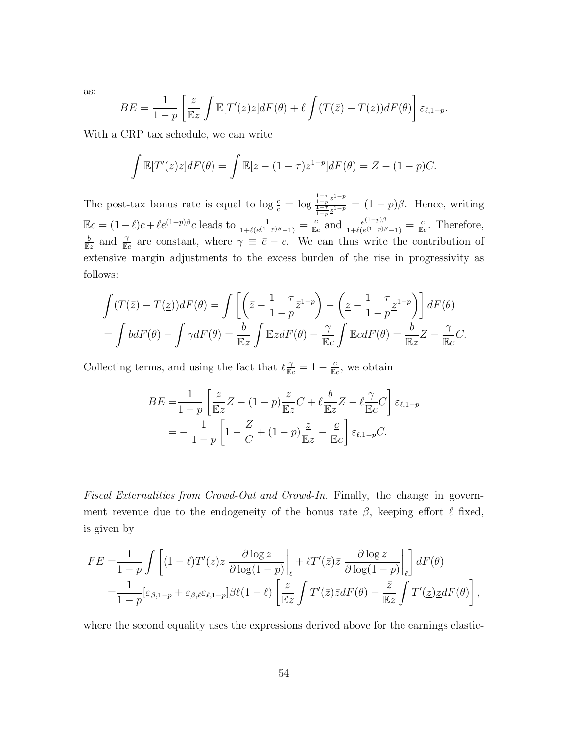as:

$$
BE = \frac{1}{1-p} \left[ \frac{\underline{z}}{\mathbb{E}z} \int \mathbb{E}[T'(z)z] dF(\theta) + \ell \int (T(\overline{z}) - T(\underline{z})) dF(\theta) \right] \varepsilon_{\ell, 1-p}.
$$

With a CRP tax schedule, we can write

$$
\int \mathbb{E}[T'(z)z]dF(\theta) = \int \mathbb{E}[z - (1 - \tau)z^{1-p}]dF(\theta) = Z - (1 - p)C.
$$

The post-tax bonus rate is equal to  $\log \frac{\bar{c}}{c} = \log \frac{\frac{1-\tau}{1-p} \bar{z}^{1-p}}{\frac{1-\tau}{1-\tau} \bar{z}^{1-p}}$  $\frac{1-p^2}{1-p^2} = (1-p)\beta$ . Hence, writing  $\mathbb{E}c = (1-\ell)\underline{c} + \ell e^{(1-p)\beta}\underline{c}$  leads to  $\frac{1}{1+\ell(e^{(1-p)\beta}-1)} = \frac{\underline{c}}{\mathbb{E}c}$  and  $\frac{e^{(1-p)\beta}}{1+\ell(e^{(1-p)\beta}-1)}$  $\frac{e^{(1-p)\beta}}{1+\ell(e^{(1-p)\beta}-1)}=\frac{\bar{c}}{\mathbb{E}c}$ . Therefore,  $\frac{b}{\mathbb{E}z}$  and  $\frac{\gamma}{\mathbb{E}z}$  are constant, where  $\gamma \equiv \bar{c} - \underline{c}$ . We can thus write the contribution of extensive margin adjustments to the excess burden of the rise in progressivity as follows:

$$
\int (T(\bar{z}) - T(\underline{z}))dF(\theta) = \int \left[ \left( \bar{z} - \frac{1 - \tau}{1 - p} \bar{z}^{1 - p} \right) - \left( \underline{z} - \frac{1 - \tau}{1 - p} \underline{z}^{1 - p} \right) \right] dF(\theta)
$$

$$
= \int b dF(\theta) - \int \gamma dF(\theta) = \frac{b}{\mathbb{E}z} \int \mathbb{E}z dF(\theta) - \frac{\gamma}{\mathbb{E}c} \int \mathbb{E} c dF(\theta) = \frac{b}{\mathbb{E}z} Z - \frac{\gamma}{\mathbb{E}c} C.
$$

Collecting terms, and using the fact that  $\ell \frac{\gamma}{\mathbb{E}c} = 1 - \frac{\varepsilon}{\mathbb{E}c}$ , we obtain

$$
BE = \frac{1}{1-p} \left[ \frac{\underline{z}}{\mathbb{E}z} Z - (1-p) \frac{\underline{z}}{\mathbb{E}z} C + \ell \frac{b}{\mathbb{E}z} Z - \ell \frac{\gamma}{\mathbb{E}c} C \right] \varepsilon_{\ell, 1-p}
$$
  
= 
$$
-\frac{1}{1-p} \left[ 1 - \frac{Z}{C} + (1-p) \frac{\underline{z}}{\mathbb{E}z} - \frac{\underline{c}}{\mathbb{E}c} \right] \varepsilon_{\ell, 1-p} C.
$$

Fiscal Externalities from Crowd-Out and Crowd-In. Finally, the change in government revenue due to the endogeneity of the bonus rate  $\beta$ , keeping effort  $\ell$  fixed, is given by

$$
FE = \frac{1}{1-p} \int \left[ (1-\ell)T'(\underline{z})\underline{z} \frac{\partial \log \underline{z}}{\partial \log(1-p)} \bigg|_{\ell} + \ell T'(\overline{z})\overline{z} \frac{\partial \log \overline{z}}{\partial \log(1-p)} \bigg|_{\ell} \right] dF(\theta)
$$
  
= 
$$
\frac{1}{1-p} [\varepsilon_{\beta,1-p} + \varepsilon_{\beta,\ell} \varepsilon_{\ell,1-p}] \beta \ell (1-\ell) \left[ \frac{\underline{z}}{\mathbb{E}z} \int T'(\overline{z})\overline{z} dF(\theta) - \frac{\overline{z}}{\mathbb{E}z} \int T'(\underline{z})\underline{z} dF(\theta) \right],
$$

where the second equality uses the expressions derived above for the earnings elastic-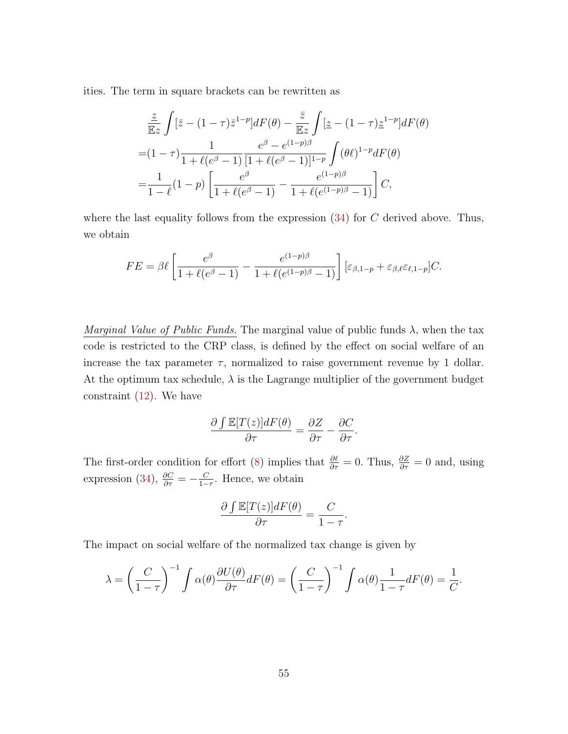ities. The term in square brackets can be rewritten as

$$
\frac{\frac{z}{\mathbb{E}z} \int [\bar{z} - (1 - \tau)\bar{z}^{1-p}]dF(\theta) - \frac{\bar{z}}{\mathbb{E}z} \int [\bar{z} - (1 - \tau)\bar{z}^{1-p}]dF(\theta) \n= (1 - \tau)\frac{1}{1 + \ell(e^{\beta} - 1)} \frac{e^{\beta} - e^{(1-p)\beta}}{[1 + \ell(e^{\beta} - 1)]^{1-p}} \int (\theta \ell)^{1-p} dF(\theta) \n= \frac{1}{1 - \ell}(1 - p) \left[ \frac{e^{\beta}}{1 + \ell(e^{\beta} - 1)} - \frac{e^{(1-p)\beta}}{1 + \ell(e^{(1-p)\beta} - 1)} \right] C,
$$

where the last equality follows from the expression  $(34)$  for C derived above. Thus, we obtain

$$
FE = \beta \ell \left[ \frac{e^{\beta}}{1 + \ell(e^{\beta} - 1)} - \frac{e^{(1-p)\beta}}{1 + \ell(e^{(1-p)\beta} - 1)} \right] \left[ \varepsilon_{\beta, 1-p} + \varepsilon_{\beta, \ell} \varepsilon_{\ell, 1-p} \right] C.
$$

Marginal Value of Public Funds. The marginal value of public funds  $\lambda$ , when the tax code is restricted to the CRP class, is defined by the effect on social welfare of an increase the tax parameter  $\tau$ , normalized to raise government revenue by 1 dollar. At the optimum tax schedule,  $\lambda$  is the Lagrange multiplier of the government budget constraint  $(12)$ . We have

$$
\frac{\partial \int \mathbb{E}[T(z)]dF(\theta)}{\partial \tau} = \frac{\partial Z}{\partial \tau} - \frac{\partial C}{\partial \tau}.
$$

The first-order condition for effort [\(8\)](#page-12-2) implies that  $\frac{\partial \ell}{\partial \tau} = 0$ . Thus,  $\frac{\partial Z}{\partial \tau} = 0$  and, using expression [\(34\)](#page-53-0),  $\frac{\partial C}{\partial \tau} = -\frac{C}{1-\tau}$  $\frac{C}{1-\tau}$ . Hence, we obtain

$$
\frac{\partial \int \mathbb{E}[T(z)]dF(\theta)}{\partial \tau} = \frac{C}{1-\tau}.
$$

The impact on social welfare of the normalized tax change is given by

$$
\lambda = \left(\frac{C}{1-\tau}\right)^{-1} \int \alpha(\theta) \frac{\partial U(\theta)}{\partial \tau} dF(\theta) = \left(\frac{C}{1-\tau}\right)^{-1} \int \alpha(\theta) \frac{1}{1-\tau} dF(\theta) = \frac{1}{C}.
$$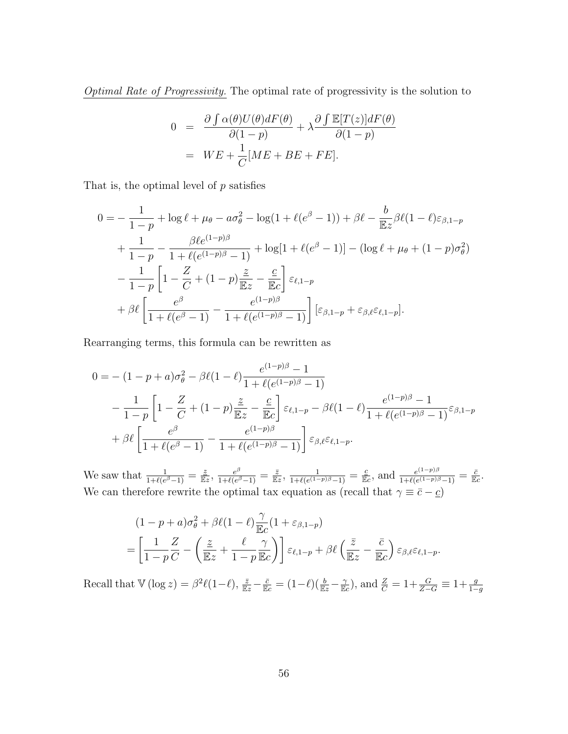Optimal Rate of Progressivity. The optimal rate of progressivity is the solution to

$$
0 = \frac{\partial \int \alpha(\theta)U(\theta)dF(\theta)}{\partial(1-p)} + \lambda \frac{\partial \int \mathbb{E}[T(z)]dF(\theta)}{\partial(1-p)}
$$
  
=  $WE + \frac{1}{C}[ME + BE + FE].$ 

That is, the optimal level of  $p$  satisfies

$$
0 = -\frac{1}{1-p} + \log \ell + \mu_{\theta} - a\sigma_{\theta}^{2} - \log(1 + \ell(e^{\beta} - 1)) + \beta \ell - \frac{b}{\mathbb{E}z} \beta \ell (1 - \ell) \varepsilon_{\beta, 1-p} + \frac{1}{1-p} - \frac{\beta \ell e^{(1-p)\beta}}{1 + \ell(e^{(1-p)\beta} - 1)} + \log[1 + \ell(e^{\beta} - 1)] - (\log \ell + \mu_{\theta} + (1-p)\sigma_{\theta}^{2}) - \frac{1}{1-p} \left[1 - \frac{Z}{C} + (1-p)\frac{\varepsilon}{\mathbb{E}z} - \frac{c}{\mathbb{E}c}\right] \varepsilon_{\ell, 1-p} + \beta \ell \left[\frac{e^{\beta}}{1 + \ell(e^{\beta} - 1)} - \frac{e^{(1-p)\beta}}{1 + \ell(e^{(1-p)\beta} - 1)}\right] \left[\varepsilon_{\beta, 1-p} + \varepsilon_{\beta, \ell} \varepsilon_{\ell, 1-p}\right].
$$

Rearranging terms, this formula can be rewritten as

$$
0 = -(1 - p + a)\sigma_{\theta}^{2} - \beta\ell(1 - \ell)\frac{e^{(1-p)\beta} - 1}{1 + \ell(e^{(1-p)\beta} - 1)}
$$
  
 
$$
-\frac{1}{1-p}\left[1 - \frac{Z}{C} + (1-p)\frac{\underline{z}}{\mathbb{E}z} - \frac{\underline{c}}{\mathbb{E}c}\right]\varepsilon_{\ell,1-p} - \beta\ell(1 - \ell)\frac{e^{(1-p)\beta} - 1}{1 + \ell(e^{(1-p)\beta} - 1)}\varepsilon_{\beta,1-p}
$$
  
 
$$
+\beta\ell\left[\frac{e^{\beta}}{1 + \ell(e^{\beta} - 1)} - \frac{e^{(1-p)\beta}}{1 + \ell(e^{(1-p)\beta} - 1)}\right]\varepsilon_{\beta,\ell}\varepsilon_{\ell,1-p}.
$$

We saw that  $\frac{1}{1+\ell(e^{\beta}-1)}=\frac{\underline{z}}{\mathbb{E}z}$ ,  $\frac{e^{\beta}}{1+\ell(e^{\beta}-1)}$  $\frac{e^{\beta}}{1+\ell(e^{\beta}-1)}=\frac{\bar{z}}{\mathbb{E}z},\,\frac{1}{1+\ell(e^{(1-\beta-\beta)})}$  $\frac{1}{1+\ell(e^{(1-p)\beta}-1)} = \frac{c}{\mathbb{E}c}$ , and  $\frac{e^{(1-p)\beta}}{1+\ell(e^{(1-p)\beta})}$  $\frac{e^{(1-p)\beta}}{1+\ell(e^{(1-p)\beta}-1)}=\frac{\bar{c}}{\mathbb{E}c}.$ We can therefore rewrite the optimal tax equation as (recall that  $\gamma \equiv \bar{c} - \underline{c}$ )

$$
(1 - p + a)\sigma_{\theta}^{2} + \beta \ell (1 - \ell) \frac{\gamma}{\mathbb{E}c} (1 + \varepsilon_{\beta, 1-p})
$$
  
=  $\left[ \frac{1}{1-p} \frac{Z}{C} - \left( \frac{\underline{z}}{\mathbb{E}z} + \frac{\ell}{1-p} \frac{\gamma}{\mathbb{E}c} \right) \right] \varepsilon_{\ell, 1-p} + \beta \ell \left( \frac{\overline{z}}{\mathbb{E}z} - \frac{\overline{c}}{\mathbb{E}c} \right) \varepsilon_{\beta, \ell} \varepsilon_{\ell, 1-p}.$ 

Recall that  $\mathbb{V}(\log z) = \beta^2 \ell(1-\ell), \frac{\overline{z}}{\mathbb{E}z} - \frac{\overline{c}}{\mathbb{E}c} = (1-\ell)(\frac{b}{\mathbb{E}z} - \frac{\gamma}{\mathbb{E}c})$ , and  $\frac{Z}{C} = 1 + \frac{G}{Z-G} \equiv 1 + \frac{g}{1-g}$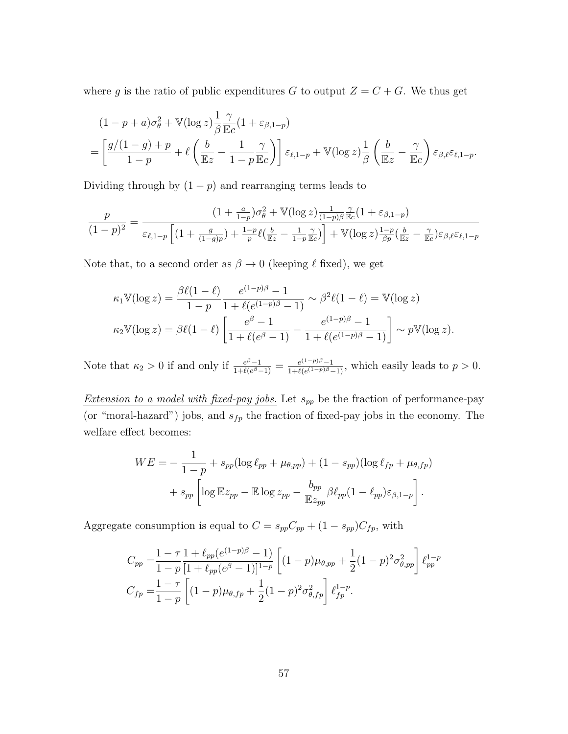where g is the ratio of public expenditures G to output  $Z = C + G$ . We thus get

$$
(1 - p + a)\sigma_{\theta}^{2} + \mathbb{V}(\log z) \frac{1}{\beta} \frac{\gamma}{\mathbb{E}c} (1 + \varepsilon_{\beta, 1-p})
$$
  
=  $\left[ \frac{g/(1 - g) + p}{1 - p} + \ell \left( \frac{b}{\mathbb{E}z} - \frac{1}{1 - p} \frac{\gamma}{\mathbb{E}c} \right) \right] \varepsilon_{\ell, 1-p} + \mathbb{V}(\log z) \frac{1}{\beta} \left( \frac{b}{\mathbb{E}z} - \frac{\gamma}{\mathbb{E}c} \right) \varepsilon_{\beta, \ell} \varepsilon_{\ell, 1-p}.$ 

Dividing through by  $(1 - p)$  and rearranging terms leads to

$$
\frac{p}{(1-p)^2} = \frac{(1+\frac{a}{1-p})\sigma_\theta^2 + \mathbb{V}(\log z)\frac{1}{(1-p)\beta}\frac{\gamma}{\mathbb{E}c}(1+\varepsilon_{\beta,1-p})}{\varepsilon_{\ell,1-p}\left[(1+\frac{g}{(1-g)p})+\frac{1-p}{p}\ell(\frac{b}{\mathbb{E}z}-\frac{1}{1-p}\frac{\gamma}{\mathbb{E}c})\right] + \mathbb{V}(\log z)\frac{1-p}{\beta p}(\frac{b}{\mathbb{E}z}-\frac{\gamma}{\mathbb{E}c})\varepsilon_{\beta,\ell}\varepsilon_{\ell,1-p}}
$$

Note that, to a second order as  $\beta \to 0$  (keeping  $\ell$  fixed), we get

$$
\kappa_1 \mathbb{V}(\log z) = \frac{\beta \ell (1 - \ell)}{1 - p} \frac{e^{(1 - p)\beta} - 1}{1 + \ell(e^{(1 - p)\beta} - 1)} \sim \beta^2 \ell (1 - \ell) = \mathbb{V}(\log z)
$$
  

$$
\kappa_2 \mathbb{V}(\log z) = \beta \ell (1 - \ell) \left[ \frac{e^{\beta} - 1}{1 + \ell(e^{\beta} - 1)} - \frac{e^{(1 - p)\beta} - 1}{1 + \ell(e^{(1 - p)\beta} - 1)} \right] \sim p \mathbb{V}(\log z).
$$

Note that  $\kappa_2 > 0$  if and only if  $\frac{e^{\beta}-1}{1+\ell(e^{\beta}-1)}$  $\frac{e^{\beta}-1}{1+\ell(e^{\beta}-1)}=\frac{e^{(1-p)\beta}-1}{1+\ell(e^{(1-p)\beta}-1)}$  $\frac{e^{(1-p)p}-1}{1+\ell(e^{(1-p)\beta}-1)}$ , which easily leads to  $p>0$ .

Extension to a model with fixed-pay jobs. Let  $s_{pp}$  be the fraction of performance-pay (or "moral-hazard") jobs, and  $s_{fp}$  the fraction of fixed-pay jobs in the economy. The welfare effect becomes:

$$
WE = -\frac{1}{1-p} + s_{pp} (\log \ell_{pp} + \mu_{\theta,pp}) + (1 - s_{pp}) (\log \ell_{fp} + \mu_{\theta,fp})
$$

$$
+ s_{pp} \left[ \log \mathbb{E} z_{pp} - \mathbb{E} \log z_{pp} - \frac{b_{pp}}{\mathbb{E} z_{pp}} \beta \ell_{pp} (1 - \ell_{pp}) \varepsilon_{\beta,1-p} \right].
$$

Aggregate consumption is equal to  $C = s_{pp}C_{pp} + (1 - s_{pp})C_{fp}$ , with

$$
C_{pp} = \frac{1 - \tau}{1 - p} \frac{1 + \ell_{pp}(e^{(1-p)\beta} - 1)}{[1 + \ell_{pp}(e^{\beta} - 1)]^{1-p}} \left[ (1 - p)\mu_{\theta, pp} + \frac{1}{2}(1 - p)^2 \sigma_{\theta, pp}^2 \right] \ell_{pp}^{1-p}
$$
  
\n
$$
C_{fp} = \frac{1 - \tau}{1 - p} \left[ (1 - p)\mu_{\theta, fp} + \frac{1}{2}(1 - p)^2 \sigma_{\theta, fp}^2 \right] \ell_{fp}^{1-p}.
$$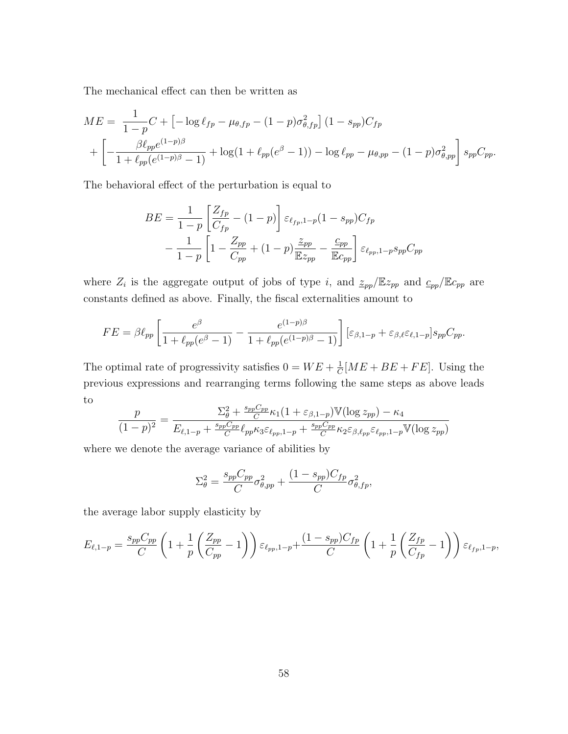The mechanical effect can then be written as

$$
ME = \frac{1}{1-p}C + \left[ -\log \ell_{fp} - \mu_{\theta,fp} - (1-p)\sigma_{\theta,fp}^2 \right] (1 - s_{pp})C_{fp}
$$
  
+ 
$$
\left[ -\frac{\beta \ell_{pp}e^{(1-p)\beta}}{1 + \ell_{pp}(e^{(1-p)\beta} - 1)} + \log(1 + \ell_{pp}(e^{\beta} - 1)) - \log \ell_{pp} - \mu_{\theta,pp} - (1-p)\sigma_{\theta,pp}^2 \right] s_{pp}C_{pp}.
$$

The behavioral effect of the perturbation is equal to

$$
BE = \frac{1}{1-p} \left[ \frac{Z_{fp}}{C_{fp}} - (1-p) \right] \varepsilon_{\ell_{fp},1-p} (1-s_{pp}) C_{fp}
$$

$$
- \frac{1}{1-p} \left[ 1 - \frac{Z_{pp}}{C_{pp}} + (1-p) \frac{\underline{z}_{pp}}{\mathbb{E}z_{pp}} - \frac{c_{pp}}{\mathbb{E}c_{pp}} \right] \varepsilon_{\ell_{pp},1-p} s_{pp} C_{pp}
$$

where  $Z_i$  is the aggregate output of jobs of type i, and  $\mathcal{Z}_{pp}/\mathbb{E}z_{pp}$  and  $\mathcal{C}_{pp}/\mathbb{E}z_{pp}$  are constants defined as above. Finally, the fiscal externalities amount to

$$
FE = \beta \ell_{pp} \left[ \frac{e^{\beta}}{1 + \ell_{pp}(e^{\beta} - 1)} - \frac{e^{(1-p)\beta}}{1 + \ell_{pp}(e^{(1-p)\beta} - 1)} \right] \left[ \varepsilon_{\beta,1-p} + \varepsilon_{\beta,\ell} \varepsilon_{\ell,1-p} \right] s_{pp} C_{pp}.
$$

The optimal rate of progressivity satisfies  $0 = WE + \frac{1}{C}$  $\frac{1}{C}[ME + BE + FE]$ . Using the previous expressions and rearranging terms following the same steps as above leads to

$$
\frac{p}{(1-p)^2} = \frac{\Sigma_{\theta}^2 + \frac{s_{pp}C_{pp}}{C} \kappa_1 (1 + \varepsilon_{\beta,1-p}) \mathbb{V}(\log z_{pp}) - \kappa_4}{E_{\ell,1-p} + \frac{s_{pp}C_{pp}}{C} \ell_{pp} \kappa_3 \varepsilon_{\ell_{pp},1-p} + \frac{s_{pp}C_{pp}}{C} \kappa_2 \varepsilon_{\beta,\ell_{pp}} \varepsilon_{\ell_{pp},1-p} \mathbb{V}(\log z_{pp})}
$$

where we denote the average variance of abilities by

$$
\Sigma_{\theta}^2 = \frac{s_{pp}C_{pp}}{C}\sigma_{\theta,pp}^2 + \frac{(1 - s_{pp})C_{fp}}{C}\sigma_{\theta,fp}^2,
$$

the average labor supply elasticity by

$$
E_{\ell,1-p} = \frac{s_{pp}C_{pp}}{C} \left(1 + \frac{1}{p} \left(\frac{Z_{pp}}{C_{pp}} - 1\right)\right) \varepsilon_{\ell_{pp},1-p} + \frac{(1 - s_{pp})C_{fp}}{C} \left(1 + \frac{1}{p} \left(\frac{Z_{fp}}{C_{fp}} - 1\right)\right) \varepsilon_{\ell_{fp},1-p},
$$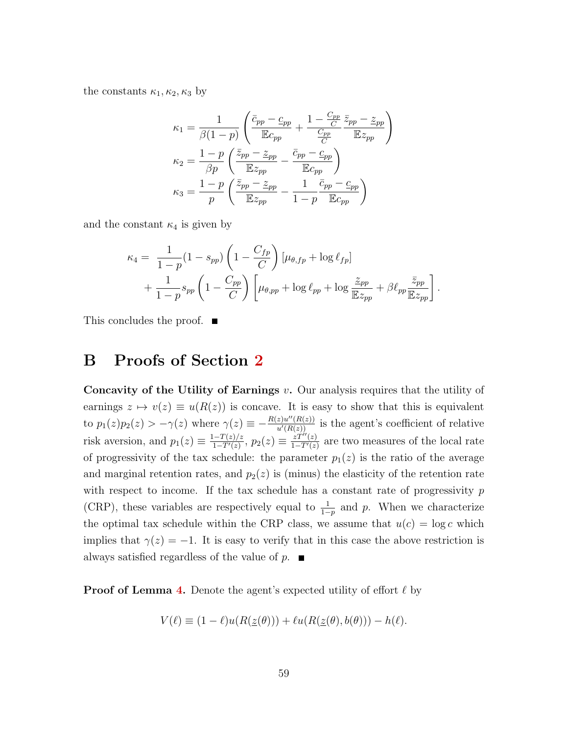the constants  $\kappa_1, \kappa_2, \kappa_3$  by

$$
\kappa_1 = \frac{1}{\beta(1-p)} \left( \frac{\bar{c}_{pp} - \underline{c}_{pp}}{\mathbb{E}c_{pp}} + \frac{1 - \frac{C_{pp}}{C}}{\frac{C_{pp}}{C}} \frac{\bar{z}_{pp} - \underline{z}_{pp}}{\mathbb{E}z_{pp}} \right)
$$

$$
\kappa_2 = \frac{1-p}{\beta p} \left( \frac{\bar{z}_{pp} - \underline{z}_{pp}}{\mathbb{E}z_{pp}} - \frac{\bar{c}_{pp} - \underline{c}_{pp}}{\mathbb{E}c_{pp}} \right)
$$

$$
\kappa_3 = \frac{1-p}{p} \left( \frac{\bar{z}_{pp} - \underline{z}_{pp}}{\mathbb{E}z_{pp}} - \frac{1}{1-p} \frac{\bar{c}_{pp} - \underline{c}_{pp}}{\mathbb{E}c_{pp}} \right)
$$

and the constant  $\kappa_4$  is given by

$$
\kappa_4 = \frac{1}{1-p}(1-s_{pp})\left(1-\frac{C_{fp}}{C}\right)[\mu_{\theta,fp} + \log \ell_{fp}] + \frac{1}{1-p}s_{pp}\left(1-\frac{C_{pp}}{C}\right)\left[\mu_{\theta,pp} + \log \ell_{pp} + \log \frac{\tilde{z}_{pp}}{\mathbb{E}z_{pp}} + \beta \ell_{pp}\frac{\bar{z}_{pp}}{\mathbb{E}z_{pp}}\right].
$$

This concludes the proof. ■

## B Proofs of Section [2](#page-28-0)

Concavity of the Utility of Earnings  $v$ . Our analysis requires that the utility of earnings  $z \mapsto v(z) \equiv u(R(z))$  is concave. It is easy to show that this is equivalent to  $p_1(z)p_2(z) > -\gamma(z)$  where  $\gamma(z) \equiv -\frac{R(z)u''(R(z))}{u'(R(z))}$  is the agent's coefficient of relative risk aversion, and  $p_1(z) \equiv \frac{1-T(z)/z}{1-T'(z)}$  $\frac{(-T(z)/z}{1-T'(z)},\,p_2(z)\equiv\frac{zT''(z)}{1-T'(z)}$  $\frac{zT''(z)}{1-T'(z)}$  are two measures of the local rate of progressivity of the tax schedule: the parameter  $p_1(z)$  is the ratio of the average and marginal retention rates, and  $p_2(z)$  is (minus) the elasticity of the retention rate with respect to income. If the tax schedule has a constant rate of progressivity  $p$ (CRP), these variables are respectively equal to  $\frac{1}{1-p}$  and p. When we characterize the optimal tax schedule within the CRP class, we assume that  $u(c) = \log c$  which implies that  $\gamma(z) = -1$ . It is easy to verify that in this case the above restriction is always satisfied regardless of the value of  $p$ .

**Proof of Lemma [4.](#page-29-0)** Denote the agent's expected utility of effort  $\ell$  by

$$
V(\ell) \equiv (1 - \ell)u(R(\underline{z}(\theta))) + \ell u(R(\underline{z}(\theta), b(\theta))) - h(\ell).
$$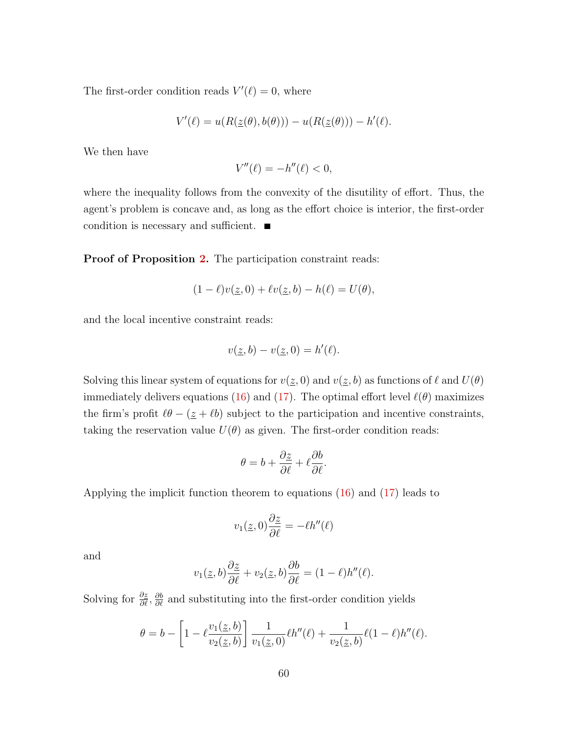The first-order condition reads  $V'(\ell) = 0$ , where

$$
V'(\ell) = u(R(\underline{z}(\theta), b(\theta))) - u(R(\underline{z}(\theta))) - h'(\ell).
$$

We then have

$$
V''(\ell) = -h''(\ell) < 0,
$$

where the inequality follows from the convexity of the disutility of effort. Thus, the agent's problem is concave and, as long as the effort choice is interior, the first-order condition is necessary and sufficient.

Proof of Proposition [2.](#page-29-1) The participation constraint reads:

$$
(1 - \ell)v(\underline{z}, 0) + \ell v(\underline{z}, b) - h(\ell) = U(\theta),
$$

and the local incentive constraint reads:

$$
v(\underline{z},b) - v(\underline{z},0) = h'(\ell).
$$

Solving this linear system of equations for  $v(\underline{z}, 0)$  and  $v(\underline{z}, b)$  as functions of  $\ell$  and  $U(\theta)$ immediately delivers equations [\(16\)](#page-30-1) and [\(17\)](#page-30-2). The optimal effort level  $\ell(\theta)$  maximizes the firm's profit  $\ell\theta$  –  $(\underline{z} + \ell b)$  subject to the participation and incentive constraints, taking the reservation value  $U(\theta)$  as given. The first-order condition reads:

$$
\theta = b + \frac{\partial z}{\partial \ell} + \ell \frac{\partial b}{\partial \ell}.
$$

Applying the implicit function theorem to equations [\(16\)](#page-30-1) and [\(17\)](#page-30-2) leads to

$$
v_1(\underline{z},0)\frac{\partial \underline{z}}{\partial \ell} = -\ell h''(\ell)
$$

and

$$
v_1(\underline{z},b)\frac{\partial \underline{z}}{\partial \ell} + v_2(\underline{z},b)\frac{\partial b}{\partial \ell} = (1-\ell)h''(\ell).
$$

Solving for  $\frac{\partial z}{\partial \ell}$ ,  $\frac{\partial b}{\partial \ell}$  and substituting into the first-order condition yields

$$
\theta = b - \left[1 - \ell \frac{v_1(\underline{z}, b)}{v_2(\underline{z}, b)}\right] \frac{1}{v_1(\underline{z}, 0)} \ell h''(\ell) + \frac{1}{v_2(\underline{z}, b)} \ell (1 - \ell) h''(\ell).
$$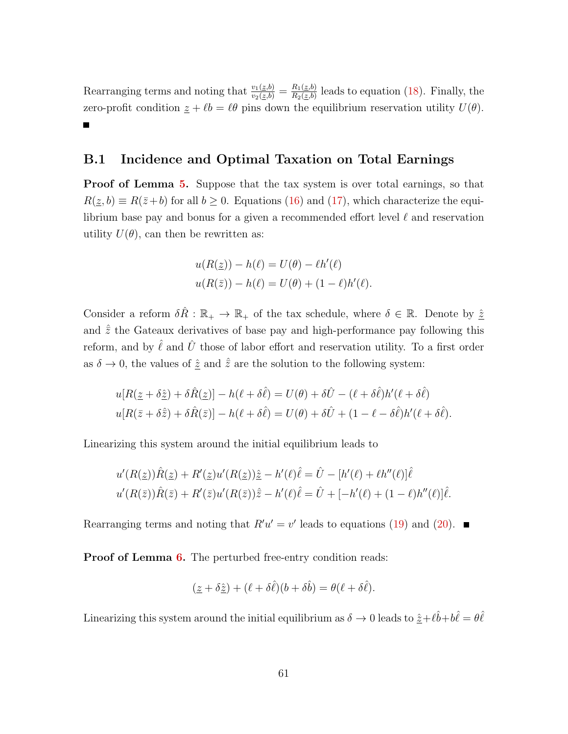Rearranging terms and noting that  $\frac{v_1(z,b)}{v_2(z,b)} = \frac{R_1(z,b)}{R_2(z,b)}$  $\frac{R_1(\mathcal{Z},b)}{R_2(\mathcal{Z},b)}$  leads to equation [\(18\)](#page-30-3). Finally, the zero-profit condition  $\underline{z} + \ell \underline{b} = \ell \theta$  pins down the equilibrium reservation utility  $U(\theta)$ .

### B.1 Incidence and Optimal Taxation on Total Earnings

**Proof of Lemma [5.](#page-30-0)** Suppose that the tax system is over total earnings, so that  $R(\underline{z}, b) \equiv R(\overline{z} + b)$  for all  $b \ge 0$ . Equations [\(16\)](#page-30-1) and [\(17\)](#page-30-2), which characterize the equilibrium base pay and bonus for a given a recommended effort level  $\ell$  and reservation utility  $U(\theta)$ , can then be rewritten as:

$$
u(R(\underline{z})) - h(\ell) = U(\theta) - \ell h'(\ell)
$$
  

$$
u(R(\overline{z})) - h(\ell) = U(\theta) + (1 - \ell)h'(\ell).
$$

Consider a reform  $\delta \hat{R} : \mathbb{R}_+ \to \mathbb{R}_+$  of the tax schedule, where  $\delta \in \mathbb{R}$ . Denote by  $\hat{\underline{z}}$ and  $\hat{\bar{z}}$  the Gateaux derivatives of base pay and high-performance pay following this reform, and by  $\ell$  and  $\bar{U}$  those of labor effort and reservation utility. To a first order as  $\delta \to 0$ , the values of  $\hat{z}$  and  $\hat{z}$  are the solution to the following system:

$$
u[R(\underline{z} + \delta \hat{\underline{z}}) + \delta \hat{R}(\underline{z})] - h(\ell + \delta \hat{\ell}) = U(\theta) + \delta \hat{U} - (\ell + \delta \hat{\ell})h'(\ell + \delta \hat{\ell})
$$
  

$$
u[R(\overline{z} + \delta \hat{\overline{z}}) + \delta \hat{R}(\overline{z})] - h(\ell + \delta \hat{\ell}) = U(\theta) + \delta \hat{U} + (1 - \ell - \delta \hat{\ell})h'(\ell + \delta \hat{\ell}).
$$

Linearizing this system around the initial equilibrium leads to

$$
u'(R(\underline{z}))\hat{R}(\underline{z}) + R'(\underline{z})u'(R(\underline{z}))\hat{\underline{z}} - h'(\ell)\hat{\ell} = \hat{U} - [h'(\ell) + \ell h''(\ell)]\hat{\ell}
$$
  

$$
u'(R(\overline{z}))\hat{R}(\overline{z}) + R'(\overline{z})u'(R(\overline{z}))\hat{\overline{z}} - h'(\ell)\hat{\ell} = \hat{U} + [-h'(\ell) + (1 - \ell)h''(\ell)]\hat{\ell}.
$$

Rearranging terms and noting that  $R'u' = v'$  leads to equations [\(19\)](#page-30-4) and [\(20\)](#page-30-5).

**Proof of Lemma [6.](#page-31-0)** The perturbed free-entry condition reads:

$$
(\underline{z} + \delta \hat{\underline{z}}) + (\ell + \delta \hat{\ell})(b + \delta \hat{b}) = \theta(\ell + \delta \hat{\ell}).
$$

Linearizing this system around the initial equilibrium as  $\delta \to 0$  leads to  $\hat{z}+\ell\hat{b}+b\hat{\ell}=\theta\hat{\ell}$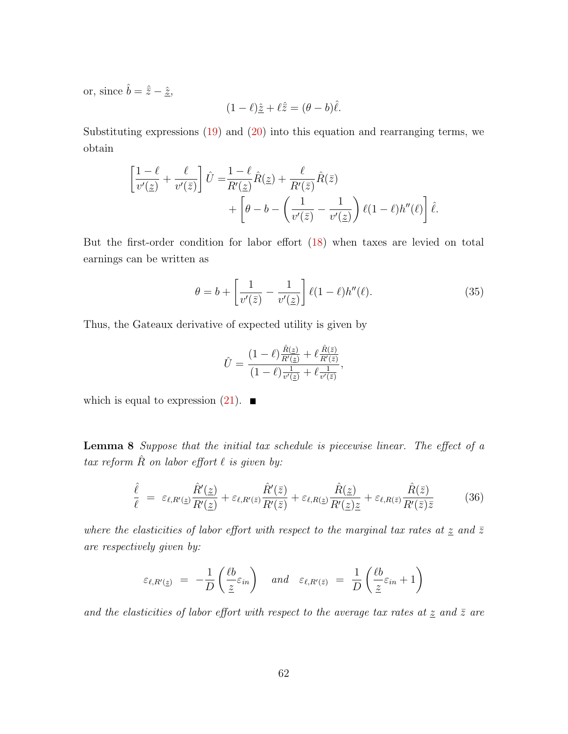or, since  $\hat{b} = \hat{\bar{z}} - \hat{\underline{z}}$ ,

$$
(1 - \ell)\hat{\underline{z}} + \ell \hat{\overline{z}} = (\theta - b)\hat{\ell}.
$$

Substituting expressions  $(19)$  and  $(20)$  into this equation and rearranging terms, we obtain

$$
\begin{aligned} \left[\frac{1-\ell}{v'(\underline{z})} + \frac{\ell}{v'(\bar{z})}\right] \hat{U} &= & \frac{1-\ell}{R'(\underline{z})} \hat{R}(\underline{z}) + \frac{\ell}{R'(\bar{z})} \hat{R}(\bar{z}) \\ &+ \left[\theta - b - \left(\frac{1}{v'(\bar{z})} - \frac{1}{v'(\underline{z})}\right) \ell(1-\ell)h''(\ell)\right] \hat{\ell}. \end{aligned}
$$

But the first-order condition for labor effort [\(18\)](#page-30-3) when taxes are levied on total earnings can be written as

<span id="page-63-1"></span>
$$
\theta = b + \left[\frac{1}{v'(\bar{z})} - \frac{1}{v'(\bar{z})}\right] \ell(1-\ell)h''(\ell). \tag{35}
$$

Thus, the Gateaux derivative of expected utility is given by

$$
\hat{U} = \frac{(1-\ell)\frac{\hat{R}(z)}{R'(z)} + \ell \frac{\hat{R}(\bar{z})}{R'(\bar{z})}}{(1-\ell)\frac{1}{v'(z)} + \ell \frac{1}{v'(\bar{z})}},
$$

which is equal to expression  $(21)$ .

<span id="page-63-0"></span>Lemma 8 Suppose that the initial tax schedule is piecewise linear. The effect of a tax reform  $\hat{R}$  on labor effort  $\ell$  is given by:

<span id="page-63-2"></span>
$$
\frac{\hat{\ell}}{\ell} = \varepsilon_{\ell, R'(z)} \frac{\hat{R}'(z)}{R'(z)} + \varepsilon_{\ell, R'(z)} \frac{\hat{R}'(\bar{z})}{R'(\bar{z})} + \varepsilon_{\ell, R(z)} \frac{\hat{R}(z)}{R'(z)z} + \varepsilon_{\ell, R(\bar{z})} \frac{\hat{R}(\bar{z})}{R'(\bar{z})\bar{z}} \tag{36}
$$

where the elasticities of labor effort with respect to the marginal tax rates at  $\underline{z}$  and  $\overline{z}$ are respectively given by:

$$
\varepsilon_{\ell,R'(z)} = -\frac{1}{D} \left( \frac{\ell b}{\underline{z}} \varepsilon_{in} \right) \quad \text{and} \quad \varepsilon_{\ell,R'(z)} = \frac{1}{D} \left( \frac{\ell b}{\underline{z}} \varepsilon_{in} + 1 \right)
$$

and the elasticities of labor effort with respect to the average tax rates at  $\underline{z}$  and  $\overline{z}$  are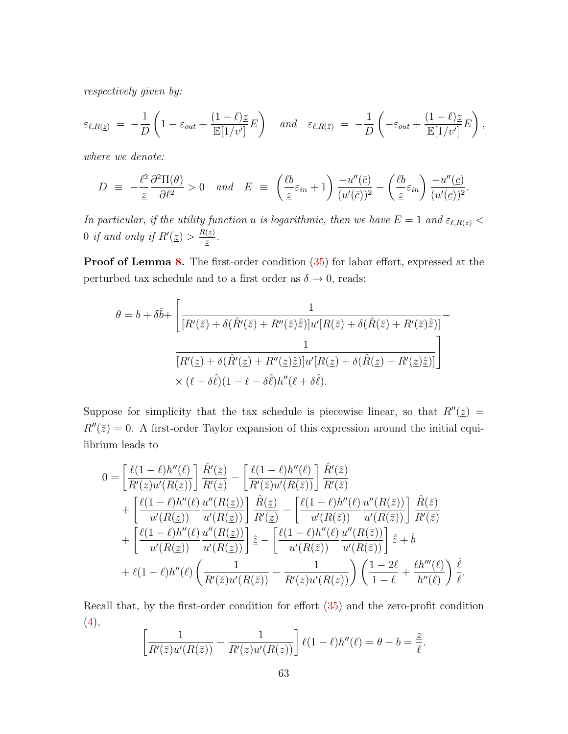respectively given by:

$$
\varepsilon_{\ell,R(\underline{z})} = -\frac{1}{D} \left( 1 - \varepsilon_{out} + \frac{(1-\ell)\underline{z}}{\mathbb{E}[1/v']} E \right) \quad and \quad \varepsilon_{\ell,R(\overline{z})} = -\frac{1}{D} \left( -\varepsilon_{out} + \frac{(1-\ell)\underline{z}}{\mathbb{E}[1/v']} E \right),
$$

where we denote:

$$
D \equiv -\frac{\ell^2}{\underline{z}} \frac{\partial^2 \Pi(\theta)}{\partial \ell^2} > 0 \quad and \quad E \equiv \left(\frac{\ell b}{\underline{z}} \varepsilon_{in} + 1\right) \frac{-u''(\bar{c})}{(u'(\bar{c}))^2} - \left(\frac{\ell b}{\underline{z}} \varepsilon_{in}\right) \frac{-u''(\underline{c})}{(u'(\underline{c}))^2}.
$$

In particular, if the utility function u is logarithmic, then we have  $E = 1$  and  $\varepsilon_{\ell,R(\bar{z})}$ 0 if and only if  $R'(\underline{z}) > \frac{R(\underline{z})}{z}$  $\frac{(\underline{z})}{\underline{z}}$  .

Proof of Lemma [8.](#page-63-0) The first-order condition  $(35)$  for labor effort, expressed at the perturbed tax schedule and to a first order as  $\delta \to 0$ , reads:

$$
\theta = b + \delta \hat{b} + \left[ \frac{1}{[R'(\bar{z}) + \delta(\hat{R}'(\bar{z}) + R''(\bar{z})\hat{\bar{z}})]u'[R(\bar{z}) + \delta(\hat{R}(\bar{z}) + R'(\bar{z})\hat{\bar{z}})]} - \frac{1}{[R'(\underline{z}) + \delta(\hat{R}'(\underline{z}) + R''(\underline{z})\hat{\bar{z}})]u'[R(\underline{z}) + \delta(\hat{R}(\underline{z}) + R'(\underline{z})\hat{\bar{z}})]} \right] \times (\ell + \delta \hat{\ell})(1 - \ell - \delta \hat{\ell})h''(\ell + \delta \hat{\ell}).
$$

Suppose for simplicity that the tax schedule is piecewise linear, so that  $R''(\underline{z}) =$  $R''(\bar{z}) = 0$ . A first-order Taylor expansion of this expression around the initial equilibrium leads to

$$
0 = \left[\frac{\ell(1-\ell)h''(\ell)}{R'(\underline{z})u'(R(\underline{z}))}\right] \frac{\hat{R}'(\underline{z})}{R'(\underline{z})} - \left[\frac{\ell(1-\ell)h''(\ell)}{R'(\overline{z})u'(R(\overline{z}))}\right] \frac{\hat{R}'(\overline{z})}{R'(\overline{z})} + \left[\frac{\ell(1-\ell)h''(\ell)}{u'(R(\underline{z}))} \frac{u''(R(\underline{z}))}{u'(R(\underline{z}))}\right] \frac{\hat{R}(\underline{z})}{R'(\underline{z})} - \left[\frac{\ell(1-\ell)h''(\ell)}{u'(R(\overline{z}))} \frac{u''(R(\overline{z}))}{u'(R(\overline{z}))}\right] \frac{\hat{R}(\overline{z})}{R'(\overline{z})} + \left[\frac{\ell(1-\ell)h''(\ell)}{u'(R(\underline{z}))} \frac{u''(R(\underline{z}))}{u'(R(\underline{z}))}\right] \hat{\underline{z}} - \left[\frac{\ell(1-\ell)h''(\ell)}{u'(R(\overline{z}))} \frac{u''(R(\overline{z}))}{u'(R(\overline{z}))}\right] \hat{\underline{z}} + \hat{b} + \ell(1-\ell)h''(\ell) \left(\frac{1}{R'(\overline{z})u'(R(\overline{z}))} - \frac{1}{R'(\underline{z})u'(R(\underline{z}))}\right) \left(\frac{1-2\ell}{1-\ell} + \frac{\ell h'''(\ell)}{h''(\ell)}\right) \frac{\hat{\ell}}{\ell}.
$$

Recall that, by the first-order condition for effort [\(35\)](#page-63-1) and the zero-profit condition [\(4\)](#page-11-0),

$$
\left[\frac{1}{R'(\bar{z})u'(R(\bar{z}))}-\frac{1}{R'(\underline{z})u'(R(\underline{z}))}\right]\ell(1-\ell)h''(\ell)=\theta-b=\frac{\underline{z}}{\ell}.
$$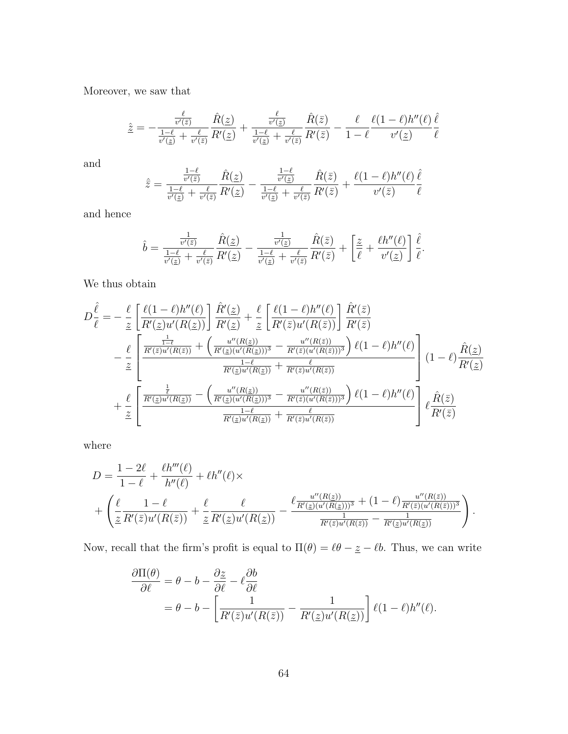Moreover, we saw that

$$
\hat{z} = -\frac{\frac{\ell}{v'(\bar{z})}}{\frac{1-\ell}{v'(\bar{z})} + \frac{\ell}{v'(\bar{z})}} \frac{\hat{R}(\underline{z})}{R'(\underline{z})} + \frac{\frac{\ell}{v'(\underline{z})}}{\frac{1-\ell}{v'(\bar{z})} + \frac{\ell}{v'(\bar{z})}} \frac{\hat{R}(\bar{z})}{R'(\bar{z})} - \frac{\ell}{1-\ell} \frac{\ell(1-\ell)h''(\ell)}{v'(\underline{z})} \frac{\hat{\ell}}{\ell}
$$

and

$$
\hat{\bar{z}} = \frac{\frac{1-\ell}{v'(\bar{z})}}{\frac{1-\ell}{v'(\bar{z})} + \frac{\ell}{v'(z)}} \frac{\hat{R}(\underline{z})}{R'(\underline{z})} - \frac{\frac{1-\ell}{v'(\underline{z})}}{\frac{1-\ell}{v'(\underline{z})} + \frac{\ell}{v'(\bar{z})}} \frac{\hat{R}(\bar{z})}{R'(\bar{z})} + \frac{\ell(1-\ell)h''(\ell)}{v'(\bar{z})} \frac{\hat{\ell}}{\ell}
$$

and hence

$$
\hat{b} = \frac{\frac{1}{v'(\bar{z})}}{\frac{1-\ell}{v'(\bar{z})} + \frac{\ell}{v'(\bar{z})}} \frac{\hat{R}(\underline{z})}{R'(\underline{z})} - \frac{\frac{1}{v'(\underline{z})}}{\frac{1-\ell}{v'(\bar{z})} + \frac{\ell}{v'(\bar{z})}} \frac{\hat{R}(\bar{z})}{R'(\bar{z})} + \left[\frac{\underline{z}}{\ell} + \frac{\ell h''(\ell)}{v'(\underline{z})}\right] \frac{\hat{\ell}}{\ell}.
$$

We thus obtain

$$
D\frac{\hat{\ell}}{\ell} = -\frac{\ell}{\underline{z}} \left[ \frac{\ell(1-\ell)h''(\ell)}{R'(\underline{z})u'(R(\underline{z}))} \right] \frac{\hat{R}'(\underline{z})}{R'(\underline{z})} + \frac{\ell}{\underline{z}} \left[ \frac{\ell(1-\ell)h''(\ell)}{R'(\overline{z})u'(R(\overline{z}))} \right] \frac{\hat{R}'(\overline{z})}{R'(\overline{z})}
$$
  

$$
- \frac{\ell}{\underline{z}} \left[ \frac{\frac{1-\ell}{R'(\overline{z})u'(R(\overline{z}))} + \left( \frac{u''(R(\underline{z}))}{R'(\underline{z})(u'(R(\underline{z})))^3} - \frac{u''(R(\overline{z}))}{R'(\overline{z})(u'(R(\overline{z})))^3} \right) \ell(1-\ell)h''(\ell) \right]
$$

$$
+ \frac{\ell}{\underline{z}} \left[ \frac{\frac{1}{R'(\underline{z})u'(R(\underline{z}))} - \left( \frac{u''(R(\underline{z}))}{R'(\underline{z})(u'(R(\underline{z})))} - \frac{u''(R(\overline{z}))}{R'(\overline{z})(u'(R(\overline{z})))} \right) \ell(1-\ell)h''(\ell) \right]
$$

$$
+ \frac{\ell}{\underline{z}} \left[ \frac{\frac{1}{R'(\underline{z})u'(R(\underline{z}))} - \left( \frac{u''(R(\underline{z}))}{R'(\underline{z})(u'(R(\underline{z})))^3} - \frac{u''(R(\overline{z}))}{R'(\overline{z})(u'(R(\overline{z})))^3} \right) \ell(1-\ell)h''(\ell) \right]
$$

$$
+ \frac{\hat{\ell}}{\underline{z}} \left[ \frac{\ell}{R'(\underline{z})u'(R(\underline{z}))} - \left( \frac{u''(R(\underline{z}))}{R'(\underline{z})(u'(R(\underline{z}))} + \frac{\ell}{R'(\overline{z})u'(R(\overline{z}))} \right) \ell(1-\ell)h''(\ell) \right]
$$

where

$$
D = \frac{1 - 2\ell}{1 - \ell} + \frac{\ell h'''(\ell)}{h''(\ell)} + \ell h''(\ell) \times
$$
  
+ 
$$
\left(\frac{\ell}{\underline{z}} \frac{1 - \ell}{R'(\overline{z})u'(R(\overline{z}))} + \frac{\ell}{\underline{z}} \frac{\ell}{R'(\underline{z})u'(R(\underline{z}))} - \frac{\ell \frac{u''(R(\underline{z}))}{R'(\underline{z})(u'(R(\underline{z})))^3} + (1 - \ell) \frac{u''(R(\overline{z}))}{R'(\overline{z})(u'(R(\overline{z})))^3}}{h''(\overline{z})u'(R(\overline{z}))} \right).
$$

Now, recall that the firm's profit is equal to  $\Pi(\theta) = \ell\theta - \underline{z} - \ell b$ . Thus, we can write

$$
\frac{\partial \Pi(\theta)}{\partial \ell} = \theta - b - \frac{\partial z}{\partial \ell} - \ell \frac{\partial b}{\partial \ell} \n= \theta - b - \left[ \frac{1}{R'(\bar{z})u'(R(\bar{z}))} - \frac{1}{R'(\bar{z})u'(R(\bar{z}))} \right] \ell(1 - \ell)h''(\ell).
$$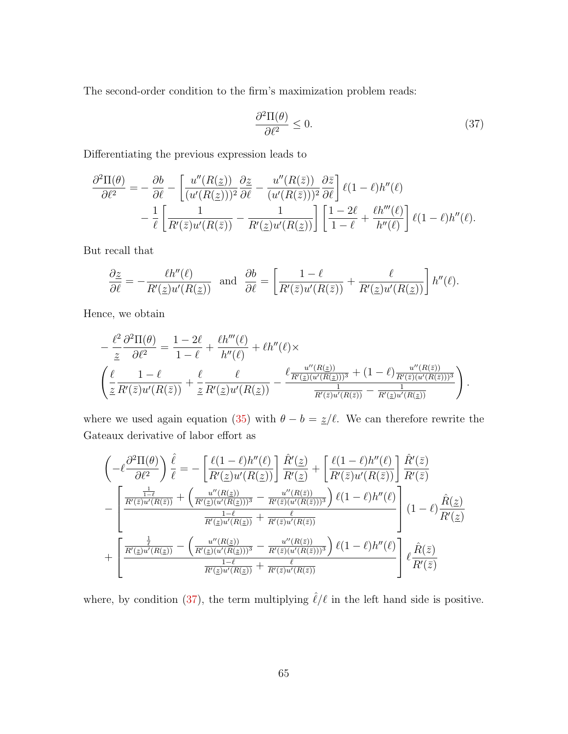The second-order condition to the firm's maximization problem reads:

<span id="page-66-0"></span>
$$
\frac{\partial^2 \Pi(\theta)}{\partial \ell^2} \le 0. \tag{37}
$$

Differentiating the previous expression leads to

$$
\frac{\partial^2 \Pi(\theta)}{\partial \ell^2} = -\frac{\partial b}{\partial \ell} - \left[ \frac{u''(R(\underline{z}))}{(u'(R(\underline{z})))^2} \frac{\partial \underline{z}}{\partial \ell} - \frac{u''(R(\overline{z}))}{(u'(R(\overline{z})))^2} \frac{\partial \overline{z}}{\partial \ell} \right] \ell(1-\ell)h''(\ell) \n- \frac{1}{\ell} \left[ \frac{1}{R'(\overline{z})u'(R(\overline{z}))} - \frac{1}{R'(\underline{z})u'(R(\underline{z}))} \right] \left[ \frac{1-2\ell}{1-\ell} + \frac{\ell h'''(\ell)}{h''(\ell)} \right] \ell(1-\ell)h''(\ell).
$$

But recall that

$$
\frac{\partial z}{\partial \ell} = -\frac{\ell h''(\ell)}{R'(\underline{z})u'(R(\underline{z}))} \text{ and } \frac{\partial b}{\partial \ell} = \left[\frac{1-\ell}{R'(\overline{z})u'(R(\overline{z}))} + \frac{\ell}{R'(\underline{z})u'(R(\underline{z}))}\right]h''(\ell).
$$

Hence, we obtain

$$
-\frac{\ell^2}{\underline{z}}\frac{\partial^2\Pi(\theta)}{\partial\ell^2} = \frac{1-2\ell}{1-\ell} + \frac{\ell h'''(\ell)}{h''(\ell)} + \ell h''(\ell) \times
$$

$$
\left(\frac{\ell}{\underline{z}}\frac{1-\ell}{R'(\overline{z})u'(R(\overline{z}))} + \frac{\ell}{\underline{z}}\frac{\ell}{R'(\underline{z})u'(R(\underline{z}))} - \frac{\ell \frac{u''(R(\underline{z}))}{R'(\underline{z})(u'(R(\underline{z})))^3} + (1-\ell) \frac{u''(R(\overline{z}))}{R'(\overline{z})(u'(R(\overline{z})))^3}}{\frac{1}{R'(\overline{z})u'(R(\overline{z}))} - \frac{1}{R'(\underline{z})u'(R(\underline{z}))}}\right).
$$

where we used again equation [\(35\)](#page-63-1) with  $\theta - b = \frac{z}{\ell}$ . We can therefore rewrite the Gateaux derivative of labor effort as

$$
\begin{split}\n&\left(-\ell \frac{\partial^2 \Pi(\theta)}{\partial \ell^2}\right) \frac{\hat{\ell}}{\ell} = -\left[\frac{\ell(1-\ell)h''(\ell)}{R'(z)u'(R(z))}\right] \frac{\hat{R}'(z)}{R'(z)} + \left[\frac{\ell(1-\ell)h''(\ell)}{R'(z)u'(R(z))}\right] \frac{\hat{R}'(\bar{z})}{R'(\bar{z})} \\
&- \left[\frac{\frac{1}{R'(\bar{z})u'(R(\bar{z}))} + \left(\frac{u''(R(z))}{R'(z)u'(R(z)))^3} - \frac{u''(R(\bar{z}))}{R'(\bar{z})(u'(R(\bar{z})))^3}\right) \ell(1-\ell)h''(\ell)}{\frac{1-\ell}{R'(\bar{z})u'(R(\bar{z}))} + \frac{\ell}{R'(\bar{z})u'(R(\bar{z}))}}\right] (1-\ell) \frac{\hat{R}(z)}{R'(z)} \\
&+ \left[\frac{\frac{1}{\ell}}{\frac{R'(z)u'(R(z))}{R'(\bar{z})(u'(R(z)))^3} - \frac{u''(R(\bar{z}))}{R'(\bar{z})(u'(R(\bar{z})))^3}\right) \ell(1-\ell)h''(\ell)}{\frac{1-\ell}{R'(\bar{z})u'(R(\bar{z}))} + \frac{\ell}{R'(\bar{z})u'(R(\bar{z}))}}\right] \ell \frac{\hat{R}(\bar{z})}{R'(\bar{z})}\n\end{split}
$$

where, by condition [\(37\)](#page-66-0), the term multiplying  $\hat{\ell}/\ell$  in the left hand side is positive.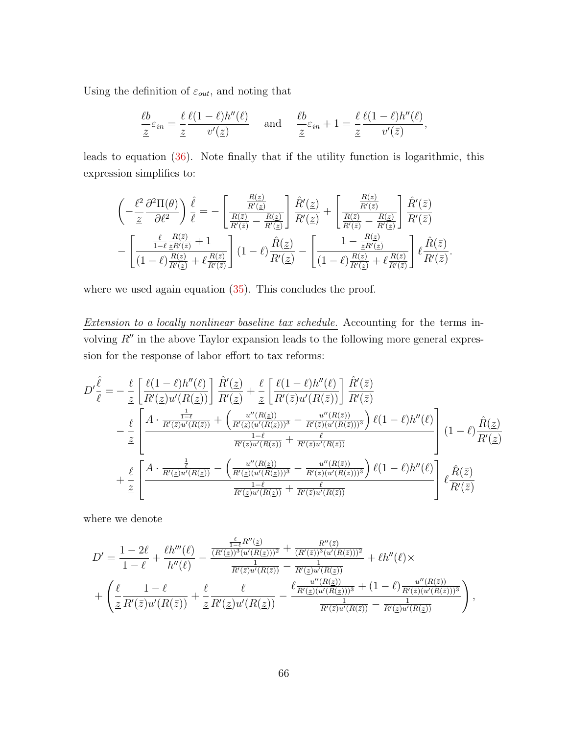Using the definition of  $\varepsilon_{out}$ , and noting that

$$
\frac{\ell b}{\underline{z}} \varepsilon_{in} = \frac{\ell}{\underline{z}} \frac{\ell(1-\ell)h''(\ell)}{v'(z)} \quad \text{and} \quad \frac{\ell b}{\underline{z}} \varepsilon_{in} + 1 = \frac{\ell}{\underline{z}} \frac{\ell(1-\ell)h''(\ell)}{v'(\overline{z})},
$$

leads to equation [\(36\)](#page-63-2). Note finally that if the utility function is logarithmic, this expression simplifies to:

$$
\begin{split}\n&\left(-\frac{\ell^2}{\underline{z}}\frac{\partial^2\Pi(\theta)}{\partial\ell^2}\right)\frac{\hat{\ell}}{\ell} = -\left[\frac{\frac{R(\underline{z})}{R'(\underline{z})}}{\frac{R(\overline{z})}{R'(\underline{z})}-\frac{R(\underline{z})}{R'(\underline{z})}}\right]\frac{\hat{R}'(\underline{z})}{R'(\underline{z})} + \left[\frac{\frac{R(\overline{z})}{R'(\overline{z})}}{\frac{R(\overline{z})}{R'(\overline{z})}-\frac{R(\underline{z})}{R'(\underline{z})}}\right]\frac{\hat{R}'(\overline{z})}{R'(\overline{z})} \\
&-\left[\frac{\frac{\ell}{1-\ell}\frac{R(\overline{z})}{\underline{z}R'(\overline{z})}+1}{(1-\ell)\frac{R(\underline{z})}{R'(\underline{z})}+\ell\frac{R(\overline{z})}{R'(\overline{z})}}\right](1-\ell)\frac{\hat{R}(\underline{z})}{R'(\underline{z})} - \left[\frac{1-\frac{R(\underline{z})}{\underline{z}R'(\underline{z})}}{(1-\ell)\frac{R(\underline{z})}{R'(\underline{z})}+\ell\frac{R(\overline{z})}{R'(\overline{z})}}\right]\ell\frac{\hat{R}(\overline{z})}{R'(\overline{z})}.\n\end{split}
$$

where we used again equation  $(35)$ . This concludes the proof.

Extension to a locally nonlinear baseline tax schedule. Accounting for the terms involving  $R''$  in the above Taylor expansion leads to the following more general expression for the response of labor effort to tax reforms:

$$
D'\frac{\hat{\ell}}{\ell} = -\frac{\ell}{\underline{z}} \left[ \frac{\ell(1-\ell)h''(\ell)}{R'(\underline{z})u'(R(\underline{z}))} \right] \frac{\hat{R}'(\underline{z})}{R'(\underline{z})} + \frac{\ell}{\underline{z}} \left[ \frac{\ell(1-\ell)h''(\ell)}{R'(\bar{z})u'(R(\bar{z}))} \right] \frac{\hat{R}'(\bar{z})}{R'(\bar{z})}
$$

$$
- \frac{\ell}{\underline{z}} \left[ \frac{A \cdot \frac{1}{R'(\bar{z})u'(R(\bar{z}))} + \left( \frac{u''(R(\underline{z}))}{R'(\underline{z})(u'(R(\underline{z})))^3} - \frac{u''(R(\underline{z}))}{R'(\bar{z})(u'(R(\underline{z})))^3} \right) \ell(1-\ell)h''(\ell)}{h'(\underline{z})u'(R(\underline{z}))} \right] (1-\ell) \frac{\hat{R}(\underline{z})}{R'(\underline{z})}
$$

$$
+ \frac{\ell}{\underline{z}} \left[ \frac{A \cdot \frac{1}{R'(\underline{z})u'(R(\underline{z}))} - \left( \frac{u''(R(\underline{z}))}{R'(\underline{z})(u'(R(\underline{z})))^3} - \frac{u''(R(\underline{z}))}{R'(\bar{z})(u'(R(\underline{z})))^3} \right) \ell(1-\ell)h''(\ell)}{h'(\underline{z})u'(R(\underline{z}))} \right] \ell \frac{\hat{R}(\bar{z})}{R'(\bar{z})}
$$

where we denote

$$
D' = \frac{1 - 2\ell}{1 - \ell} + \frac{\ell h'''(\ell)}{h''(\ell)} - \frac{\frac{\ell}{(R'(\underline{z}))^3 (u'(R(\underline{z})))^2} + \frac{R''(\overline{z})}{(R'(\overline{z}))^3 (u'(R(\overline{z})))^2}}{\frac{1}{R'(\overline{z}) u'(R(\overline{z}))} - \frac{1}{R'(\underline{z}) u'(R(\overline{z}))}} + \ell h''(\ell) \times + \left( \frac{\ell}{\underline{z}} \frac{1 - \ell}{R'(\overline{z}) u'(R(\overline{z}))} + \frac{\ell}{\underline{z}} \frac{\ell}{R'(\underline{z}) u'(R(\underline{z}))} - \frac{\ell \frac{u''(R(\underline{z}))}{R'(\underline{z})(u'(R(\underline{z})))^3} + (1 - \ell) \frac{u''(R(\overline{z}))}{R'(\overline{z})(u'(R(\overline{z})))^3}}{\frac{1}{R'(\overline{z}) u'(R(\overline{z}))} - \frac{1}{R'(\underline{z}) u'(R(\underline{z}))}} \right),
$$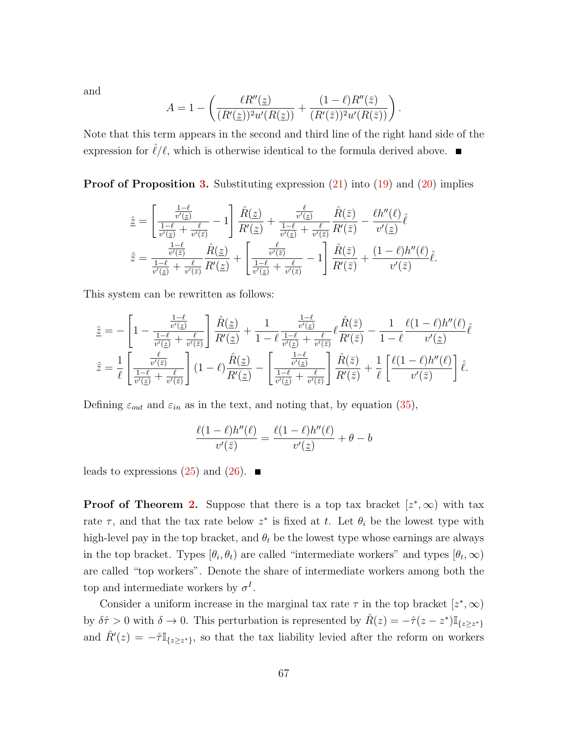and

$$
A = 1 - \left( \frac{\ell R''(z)}{(R'(z))^2 u'(R(z))} + \frac{(1 - \ell)R''(\bar{z})}{(R'(\bar{z}))^2 u'(R(\bar{z}))} \right).
$$

Note that this term appears in the second and third line of the right hand side of the expression for  $\hat{\ell}/\ell$ , which is otherwise identical to the formula derived above.

**Proof of Proposition [3.](#page-34-0)** Substituting expression  $(21)$  into  $(19)$  and  $(20)$  implies

$$
\begin{split}\n\hat{z} &= \left[\frac{\frac{1-\ell}{v'(z)}}{\frac{1-\ell}{v'(z)} + \frac{\ell}{v'(z)}} - 1\right] \frac{\hat{R}(z)}{R'(z)} + \frac{\frac{\ell}{v'(z)}}{\frac{1-\ell}{v'(z)} + \frac{\ell}{v'(z)}} \frac{\hat{R}(\bar{z})}{R'(\bar{z})} - \frac{\ell h''(\ell)}{v'(z)} \hat{\ell} \\
\hat{z} &= \frac{\frac{1-\ell}{v'(z)}}{\frac{1-\ell}{v'(z)} + \frac{\ell}{v'(z)}} \frac{\hat{R}(z)}{R'(z)} + \left[\frac{\frac{\ell}{v'(z)}}{\frac{1-\ell}{v'(z)} + \frac{\ell}{v'(z)}} - 1\right] \frac{\hat{R}(\bar{z})}{R'(\bar{z})} + \frac{(1-\ell)h''(\ell)}{v'(\bar{z})} \hat{\ell}.\n\end{split}
$$

This system can be rewritten as follows:

$$
\hat{\underline{z}} = -\left[1 - \frac{\frac{1-\ell}{v'(z)}}{\frac{1-\ell}{v'(z)} + \frac{\ell}{v'(\bar{z})}}\right] \frac{\hat{R}(\underline{z})}{R'(\underline{z})} + \frac{1}{1-\ell} \frac{\frac{1-\ell}{v'(z)}}{\frac{1-\ell}{v'(z)} + \frac{\ell}{v'(\bar{z})}} \ell \frac{\hat{R}(\bar{z})}{R'(\bar{z})} - \frac{1}{1-\ell} \frac{\ell(1-\ell)h''(\ell)}{v'(\underline{z})} \hat{\ell}
$$
\n
$$
\hat{\overline{z}} = \frac{1}{\ell} \left[ \frac{\frac{\ell}{v'(z)}}{\frac{1-\ell}{v'(z)} + \frac{\ell}{v'(\bar{z})}} \right] (1-\ell) \frac{\hat{R}(\underline{z})}{R'(\underline{z})} - \left[ \frac{\frac{1-\ell}{v'(z)}}{\frac{1-\ell}{v'(z)} + \frac{\ell}{v'(\bar{z})}} \right] \frac{\hat{R}(\bar{z})}{R'(\bar{z})} + \frac{1}{\ell} \left[ \frac{\ell(1-\ell)h''(\ell)}{v'(\bar{z})} \right] \hat{\ell}.
$$

Defining  $\varepsilon_{out}$  and  $\varepsilon_{in}$  as in the text, and noting that, by equation [\(35\)](#page-63-1),

$$
\frac{\ell(1-\ell)h''(\ell)}{v'(\bar{z})} = \frac{\ell(1-\ell)h''(\ell)}{v'(\underline{z})} + \theta - b
$$

leads to expressions  $(25)$  and  $(26)$ .

**Proof of Theorem [2.](#page-36-1)** Suppose that there is a top tax bracket  $[z^*,\infty)$  with tax rate  $\tau$ , and that the tax rate below  $z^*$  is fixed at t. Let  $\theta_i$  be the lowest type with high-level pay in the top bracket, and  $\theta_t$  be the lowest type whose earnings are always in the top bracket. Types  $[\theta_i, \theta_t)$  are called "intermediate workers" and types  $[\theta_t, \infty)$ are called "top workers". Denote the share of intermediate workers among both the top and intermediate workers by  $\sigma^I$ .

Consider a uniform increase in the marginal tax rate  $\tau$  in the top bracket  $[z^*,\infty)$ by  $\delta \hat{\tau} > 0$  with  $\delta \to 0$ . This perturbation is represented by  $\hat{R}(z) = -\hat{\tau}(z - z^*) \mathbb{I}_{\{z \geq z^*\}}$ and  $\hat{R}'(z) = -\hat{\tau} \mathbb{I}_{\{z \geq z^*\}}$ , so that the tax liability levied after the reform on workers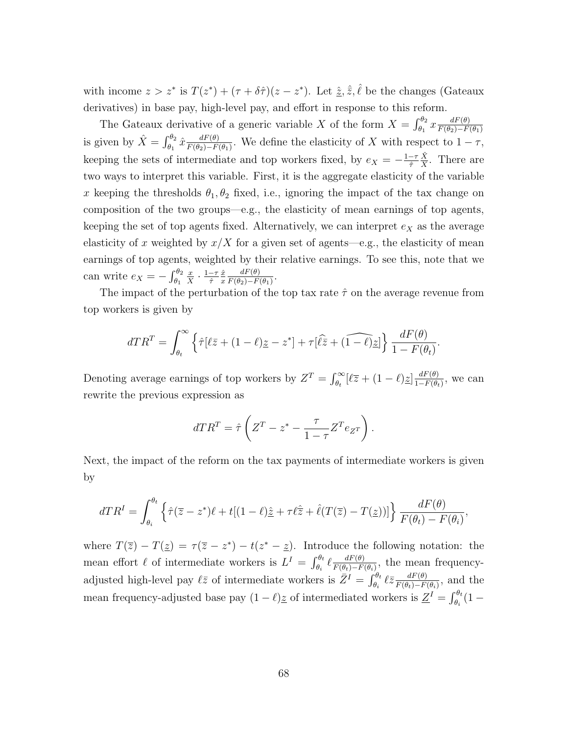with income  $z > z^*$  is  $T(z^*) + (\tau + \delta \hat{\tau})(z - z^*)$ . Let  $\hat{z}, \hat{z}, \hat{\ell}$  be the changes (Gateaux derivatives) in base pay, high-level pay, and effort in response to this reform.

The Gateaux derivative of a generic variable X of the form  $X = \int_{\theta_1}^{\theta_2} x \frac{dF(\theta)}{F(\theta_2) - F(\theta_1)}$  $F(\theta_2) - F(\theta_1)$ is given by  $\hat{X} = \int_{\theta_1}^{\theta_2} \hat{x} \frac{dF(\theta)}{F(\theta_2) - F}$  $\frac{dF(\theta)}{F(\theta_2)-F(\theta_1)}$ . We define the elasticity of X with respect to  $1-\tau$ , keeping the sets of intermediate and top workers fixed, by  $e_X = -\frac{1-\tau}{\hat{\tau}}$  $\hat{\tau}$  $\hat{X}$  $\frac{X}{X}$ . There are two ways to interpret this variable. First, it is the aggregate elasticity of the variable x keeping the thresholds  $\theta_1, \theta_2$  fixed, i.e., ignoring the impact of the tax change on composition of the two groups—e.g., the elasticity of mean earnings of top agents, keeping the set of top agents fixed. Alternatively, we can interpret  $e<sub>X</sub>$  as the average elasticity of x weighted by  $x/X$  for a given set of agents—e.g., the elasticity of mean earnings of top agents, weighted by their relative earnings. To see this, note that we can write  $e_X = -\int_{\theta_1}^{\theta_2}$ x  $\frac{x}{X} \cdot \frac{1-\tau}{\hat{\tau}}$  $\hat{\tau}$  $\hat{x}$ x  $dF(\theta)$  $\frac{dF(\theta)}{F(\theta_2)-F(\theta_1)}$ .

The impact of the perturbation of the top tax rate  $\hat{\tau}$  on the average revenue from top workers is given by

$$
dTR^{T} = \int_{\theta_{t}}^{\infty} \left\{ \hat{\tau}[\ell \bar{z} + (1 - \ell)\underline{z} - z^{*}] + \tau[\widehat{\ell} \bar{z} + (\widehat{1 - \ell})\underline{z}] \right\} \frac{dF(\theta)}{1 - F(\theta_{t})}.
$$

Denoting average earnings of top workers by  $Z^T = \int_{\theta_t}^{\infty} [\ell \overline{z} + (1 - \ell) \underline{z}] \frac{dF(\theta)}{1 - F(\theta_t)}$  $\frac{dF(\theta)}{1-F(\theta_t)}$ , we can rewrite the previous expression as

$$
dTR^{T} = \hat{\tau} \left( Z^{T} - z^* - \frac{\tau}{1 - \tau} Z^{T} e_{Z^{T}} \right).
$$

Next, the impact of the reform on the tax payments of intermediate workers is given by

$$
dTR^{I} = \int_{\theta_{i}}^{\theta_{t}} \left\{ \hat{\tau}(\overline{z} - z^{*})\ell + t[(1 - \ell)\hat{\underline{z}} + \tau \ell \hat{\overline{z}} + \hat{\ell}(T(\overline{z}) - T(\underline{z}))] \right\} \frac{dF(\theta)}{F(\theta_{t}) - F(\theta_{i})},
$$

where  $T(\overline{z}) - T(\underline{z}) = \tau(\overline{z} - z^*) - t(z^* - \underline{z})$ . Introduce the following notation: the mean effort  $\ell$  of intermediate workers is  $L^I = \int_{\theta_i}^{\theta_t} \ell \frac{dF(\theta)}{F(\theta_t) - F(\theta)}$  $\frac{dF(\theta)}{F(\theta_t)-F(\theta_i)},$  the mean frequencyadjusted high-level pay  $\ell \bar{z}$  of intermediate workers is  $\bar{Z}^I = \int_{\theta_i}^{\theta_t} \ell \bar{z} \frac{dF(\theta)}{F(\theta_t) - F}$  $\frac{dF(\theta)}{F(\theta_t)-F(\theta_i)},$  and the mean frequency-adjusted base pay  $(1 - \ell)$ <sup>z</sup> of intermediated workers is  $\underline{Z}^I = \int_{\theta_i}^{\theta_t} (1 - \ell)$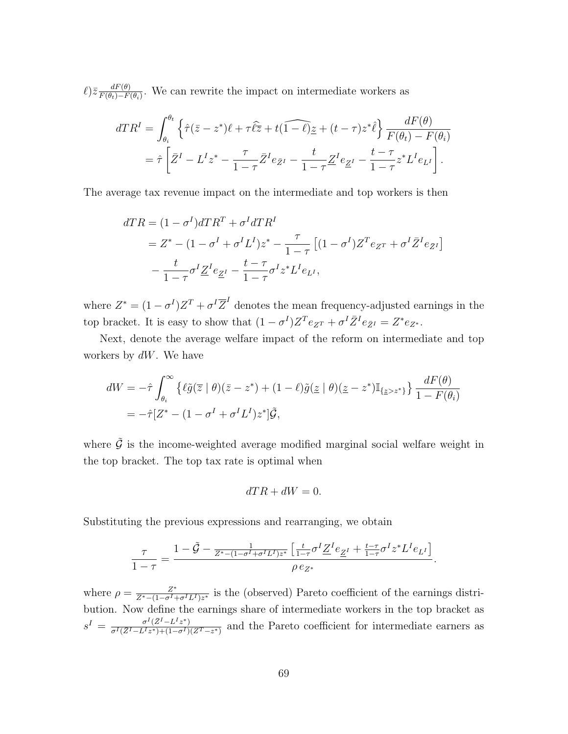$\ell$ ) $\bar{z}$   $\frac{dF(\theta)}{F(\theta_1)-F(\theta)}$  $\frac{dF(\theta)}{F(\theta_t)-F(\theta_i)}$ . We can rewrite the impact on intermediate workers as

$$
dTR^{I} = \int_{\theta_{i}}^{\theta_{t}} \left\{ \hat{\tau}(\bar{z} - z^{*})\ell + \tau \hat{\ell}\bar{z} + t(\widehat{1-\ell})\bar{z} + (t-\tau)z^{*}\hat{\ell} \right\} \frac{dF(\theta)}{F(\theta_{t}) - F(\theta_{i})}
$$
  
=  $\hat{\tau} \left[ \bar{Z}^{I} - L^{I}z^{*} - \frac{\tau}{1-\tau}\bar{Z}^{I}e_{\bar{Z}^{I}} - \frac{t}{1-\tau}\underline{Z}^{I}e_{\underline{Z}^{I}} - \frac{t-\tau}{1-\tau}z^{*}L^{I}e_{L^{I}} \right].$ 

The average tax revenue impact on the intermediate and top workers is then

$$
dTR = (1 - \sigma^I)dTR^T + \sigma^I dTR^I
$$
  
= Z^\* - (1 - \sigma^I + \sigma^I L^I)z^\* - \frac{\tau}{1 - \tau} [(1 - \sigma^I)Z^T e\_{Z^T} + \sigma^I \bar{Z}^I e\_{\bar{Z}^I}]  
-\frac{t}{1 - \tau} \sigma^I \underline{Z}^I e\_{\underline{Z}^I} - \frac{t - \tau}{1 - \tau} \sigma^I z^\* L^I e\_{L^I},

where  $Z^* = (1 - \sigma^I)Z^T + \sigma^I \overline{Z}^I$  denotes the mean frequency-adjusted earnings in the top bracket. It is easy to show that  $(1 - \sigma^I) Z^T e_{Z^T} + \sigma^I \bar{Z}^I e_{\bar{Z}^I} = Z^* e_{Z^*}.$ 

Next, denote the average welfare impact of the reform on intermediate and top workers by  $dW$ . We have

$$
dW = -\hat{\tau} \int_{\theta_i}^{\infty} \left\{ \ell \tilde{g}(\bar{z} \mid \theta)(\bar{z} - z^*) + (1 - \ell) \tilde{g}(\underline{z} \mid \theta)(\underline{z} - z^*) \mathbb{I}_{\{\underline{z} > z^*\}} \right\} \frac{dF(\theta)}{1 - F(\theta_i)}
$$
  
=  $-\hat{\tau} [Z^* - (1 - \sigma^I + \sigma^I L^I) z^*] \tilde{\mathcal{G}},$ 

where  $\tilde{\mathcal{G}}$  is the income-weighted average modified marginal social welfare weight in the top bracket. The top tax rate is optimal when

$$
dTR + dW = 0.
$$

Substituting the previous expressions and rearranging, we obtain

$$
\frac{\tau}{1-\tau}=\frac{1-\tilde{\mathcal{G}}-\frac{1}{Z^*-(1-\sigma^I+\sigma^IL^I)z^*}\left[\frac{t}{1-\tau}\sigma^I\underline{Z}^Ie_{\underline{Z}^I}+\frac{t-\tau}{1-\tau}\sigma^Iz^*L^Ie_{L^I}\right]}{\rho\,e_{Z^*}}.
$$

where  $\rho = \frac{Z^*}{Z^* - (1 - \sigma^I)}$  $\frac{Z^*}{Z^*-(1-\sigma^I+\sigma^IL^I)z^*}$  is the (observed) Pareto coefficient of the earnings distribution. Now define the earnings share of intermediate workers in the top bracket as  $s^I = \frac{\sigma^I(\bar{Z}^I - L^I z^*)}{\sigma^I(\bar{Z}^I - L^I z^*) + (1 - \sigma^I)}$  $\frac{\sigma^2(Z^2 - L^2 z^*)}{\sigma^I(\bar{Z}^I - L^I z^*) + (1 - \sigma^I)(Z^T - z^*)}$  and the Pareto coefficient for intermediate earners as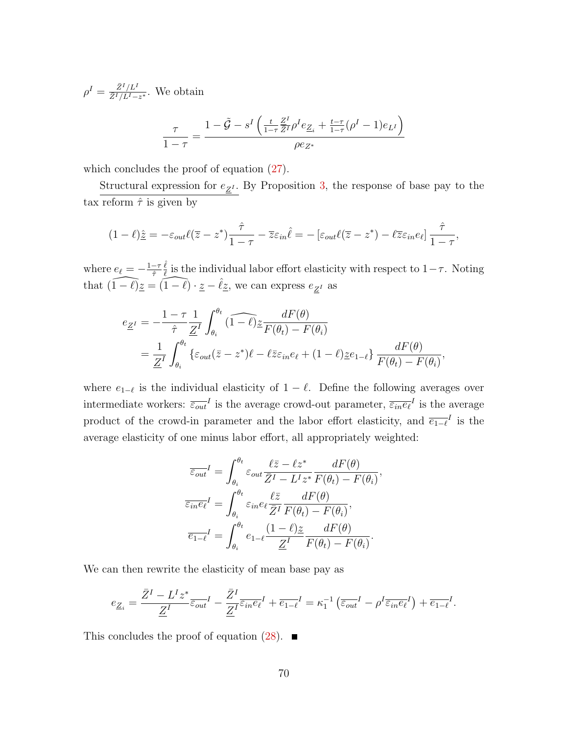$\rho^I = \frac{\bar{Z}^I/L^I}{\bar{Z}^I/L^I-}$  $\frac{Z^T/L^T}{\bar{Z}^I/L^I-z^*}$ . We obtain

$$
\frac{\tau}{1-\tau} = \frac{1-\tilde{\mathcal{G}} - s^I \left(\frac{t}{1-\tau} \frac{\mathcal{Z}^I}{\mathcal{Z}^I} \rho^I e_{\mathcal{Z}_i} + \frac{t-\tau}{1-\tau} (\rho^I - 1) e_{L^I} \right)}{\rho e_{\mathcal{Z}^*}}
$$

which concludes the proof of equation  $(27)$ .

Structural expression for  $e_{\underline{Z}^I}$ . By Proposition [3,](#page-34-0) the response of base pay to the tax reform  $\hat{\tau}$  is given by

$$
(1-\ell)\underline{\hat{z}} = -\varepsilon_{out}\ell(\overline{z}-z^*)\frac{\hat{\tau}}{1-\tau} - \overline{z}\varepsilon_{in}\hat{\ell} = -\left[\varepsilon_{out}\ell(\overline{z}-z^*) - \ell\overline{z}\varepsilon_{in}e_\ell\right]\frac{\hat{\tau}}{1-\tau},
$$

where  $e_{\ell}=-\frac{1-\tau}{\hat{\tau}}$  $\hat{\tau}$  $\hat{\ell}$  $\frac{\ell}{\ell}$  is the individual labor effort elasticity with respect to  $1-\tau$ . Noting that  $\widehat{(1-\ell)z} = \widehat{(1-\ell)} \cdot \widehat{z} - \widehat{\ell}z$ , we can express  $e_{Z'}$  as

$$
e_{\underline{Z}^I} = -\frac{1-\tau}{\hat{\tau}} \frac{1}{\underline{Z}^I} \int_{\theta_i}^{\theta_t} (\widehat{1-\ell}) \underline{z} \frac{dF(\theta)}{F(\theta_t) - F(\theta_i)}
$$
  
= 
$$
\frac{1}{\underline{Z}^I} \int_{\theta_i}^{\theta_t} {\varepsilon_{out} (\bar{z} - z^*) \ell - \ell \bar{z} \varepsilon_{in} e_\ell + (1-\ell) \underline{z} e_{1-\ell}} \frac{dF(\theta)}{F(\theta_t) - F(\theta_i)},
$$

where  $e_{1-\ell}$  is the individual elasticity of  $1-\ell$ . Define the following averages over intermediate workers:  $\overline{\varepsilon_{out}}^I$  is the average crowd-out parameter,  $\overline{\varepsilon_{in}e_\ell}^I$  is the average product of the crowd-in parameter and the labor effort elasticity, and  $\overline{e_{1-\ell}}^I$  is the average elasticity of one minus labor effort, all appropriately weighted:

$$
\overline{\varepsilon_{out}}^I = \int_{\theta_i}^{\theta_t} \varepsilon_{out} \frac{\ell \overline{z} - \ell z^*}{\overline{z}^I - L^I z^*} \frac{dF(\theta)}{F(\theta_t) - F(\theta_i)},
$$

$$
\overline{\varepsilon_{in}^{\epsilon} e^I} = \int_{\theta_i}^{\theta_t} \varepsilon_{in}^{\epsilon} e^{\frac{\ell \overline{z}}{\overline{z}^I}} \frac{dF(\theta)}{F(\theta_t) - F(\theta_i)},
$$

$$
\overline{e_{1-\ell}}^I = \int_{\theta_i}^{\theta_t} e_{1-\ell} \frac{(1-\ell)z}{\underline{Z}^I} \frac{dF(\theta)}{F(\theta_t) - F(\theta_i)}.
$$

We can then rewrite the elasticity of mean base pay as

$$
e_{\underline{Z}_i} = \frac{\bar{Z}^I - L^I z^*}{\underline{Z}^I} \bar{\varepsilon}_{out}^I - \frac{\bar{Z}^I}{\underline{Z}^I} \bar{\varepsilon}_{in} e_{\ell}^I + \bar{e}_{1-\ell}^I = \kappa_1^{-1} \left( \bar{\varepsilon}_{out}^I - \rho^I \bar{\varepsilon}_{in} e_{\ell}^I \right) + \bar{e}_{1-\ell}^I.
$$

This concludes the proof of equation  $(28)$ .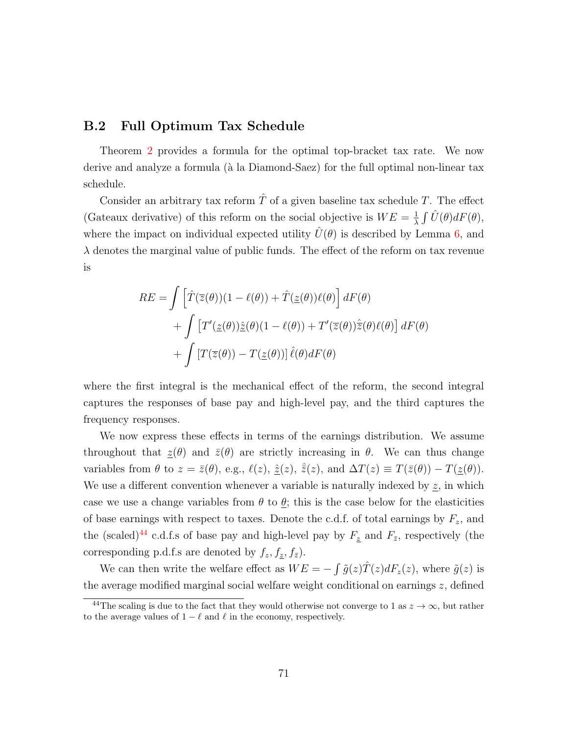### B.2 Full Optimum Tax Schedule

Theorem [2](#page-36-0) provides a formula for the optimal top-bracket tax rate. We now derive and analyze a formula (à la Diamond-Saez) for the full optimal non-linear tax schedule.

Consider an arbitrary tax reform  $\hat{T}$  of a given baseline tax schedule T. The effect (Gateaux derivative) of this reform on the social objective is  $WE = \frac{1}{\lambda}$  $\frac{1}{\lambda} \int \hat{U}(\theta) dF(\theta),$ where the impact on individual expected utility  $U(\theta)$  is described by Lemma [6,](#page-31-0) and  $\lambda$  denotes the marginal value of public funds. The effect of the reform on tax revenue is

$$
RE = \int \left[ \hat{T}(\bar{z}(\theta))(1 - \ell(\theta)) + \hat{T}(\underline{z}(\theta))\ell(\theta) \right] dF(\theta)
$$

$$
+ \int \left[ T'(\underline{z}(\theta))\hat{\underline{z}}(\theta)(1 - \ell(\theta)) + T'(\bar{z}(\theta))\hat{\underline{z}}(\theta)\ell(\theta) \right] dF(\theta)
$$

$$
+ \int \left[ T(\bar{z}(\theta)) - T(\underline{z}(\theta)) \right] \hat{\ell}(\theta) dF(\theta)
$$

where the first integral is the mechanical effect of the reform, the second integral captures the responses of base pay and high-level pay, and the third captures the frequency responses.

We now express these effects in terms of the earnings distribution. We assume throughout that  $\underline{z}(\theta)$  and  $\overline{z}(\theta)$  are strictly increasing in  $\theta$ . We can thus change variables from  $\theta$  to  $z = \bar{z}(\theta)$ , e.g.,  $\ell(z)$ ,  $\hat{z}(z)$ ,  $\hat{z}(z)$ , and  $\Delta T(z) \equiv T(\bar{z}(\theta)) - T(\underline{z}(\theta))$ . We use a different convention whenever a variable is naturally indexed by  $\underline{z}$ , in which case we use a change variables from  $\theta$  to  $\underline{\theta}$ ; this is the case below for the elasticities of base earnings with respect to taxes. Denote the c.d.f. of total earnings by  $F_z$ , and the (scaled)<sup>[44](#page-72-0)</sup> c.d.f.s of base pay and high-level pay by  $F_{\underline{z}}$  and  $F_{\overline{z}}$ , respectively (the corresponding p.d.f.s are denoted by  $f_z, f_{\bar{z}}, f_{\bar{z}}$ .

We can then write the welfare effect as  $WE = -\int \tilde{g}(z)\hat{T}(z)dF_z(z)$ , where  $\tilde{g}(z)$  is the average modified marginal social welfare weight conditional on earnings  $z$ , defined

<span id="page-72-0"></span><sup>&</sup>lt;sup>44</sup>The scaling is due to the fact that they would otherwise not converge to 1 as  $z \to \infty$ , but rather to the average values of  $1 - \ell$  and  $\ell$  in the economy, respectively.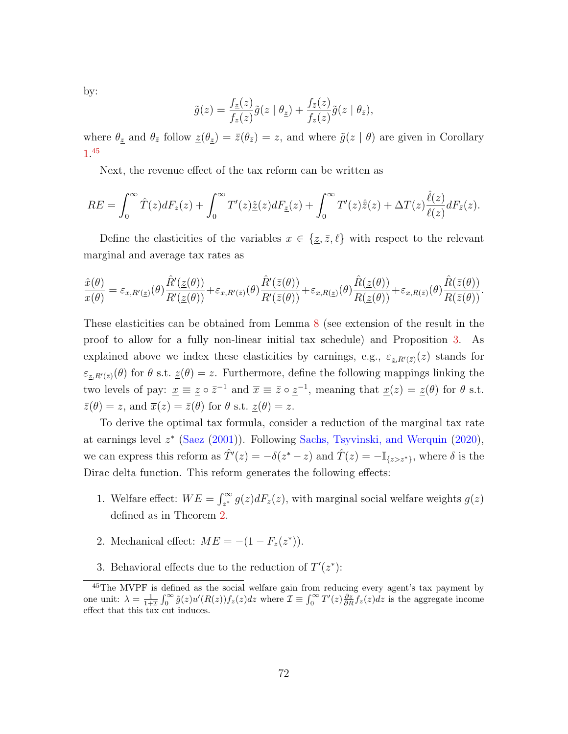by:

$$
\tilde{g}(z) = \frac{f_{\tilde{z}}(z)}{f_{z}(z)}\tilde{g}(z \mid \theta_{\tilde{z}}) + \frac{f_{\tilde{z}}(z)}{f_{z}(z)}\tilde{g}(z \mid \theta_{\tilde{z}}),
$$

where  $\theta_{\underline{z}}$  and  $\theta_{\overline{z}}$  follow  $\underline{z}(\theta_{\underline{z}}) = \overline{z}(\theta_{\overline{z}}) = z$ , and where  $\tilde{g}(z | \theta)$  are given in Corollary [1.](#page-32-0) [45](#page-73-0)

Next, the revenue effect of the tax reform can be written as

$$
RE = \int_0^\infty \hat{T}(z)dF_z(z) + \int_0^\infty T'(z)\hat{\underline{z}}(z)dF_{\underline{z}}(z) + \int_0^\infty T'(z)\hat{\overline{z}}(z) + \Delta T(z)\frac{\hat{\ell}(z)}{\ell(z)}dF_{\overline{z}}(z).
$$

Define the elasticities of the variables  $x \in \{z, \bar{z}, \ell\}$  with respect to the relevant marginal and average tax rates as

$$
\frac{\hat{x}(\theta)}{x(\theta)} = \varepsilon_{x,R'(z)}(\theta) \frac{\hat{R}'(z(\theta))}{R'(z(\theta))} + \varepsilon_{x,R'(z)}(\theta) \frac{\hat{R}'(\bar{z}(\theta))}{R'(\bar{z}(\theta))} + \varepsilon_{x,R(z)}(\theta) \frac{\hat{R}(z(\theta))}{R(z(\theta))} + \varepsilon_{x,R(\bar{z})}(\theta) \frac{\hat{R}(\bar{z}(\theta))}{R(\bar{z}(\theta))}.
$$

These elasticities can be obtained from Lemma [8](#page-63-0) (see extension of the result in the proof to allow for a fully non-linear initial tax schedule) and Proposition [3.](#page-34-0) As explained above we index these elasticities by earnings, e.g.,  $\varepsilon_{\underline{z},R'(\overline{z})}(z)$  stands for  $\varepsilon_{\underline{z},R'(\overline{z})}(\theta)$  for  $\theta$  s.t.  $\underline{z}(\theta) = z$ . Furthermore, define the following mappings linking the two levels of pay:  $\underline{x} \equiv \underline{z} \circ \overline{z}^{-1}$  and  $\overline{x} \equiv \overline{z} \circ \underline{z}^{-1}$ , meaning that  $\underline{x}(z) = \underline{z}(\theta)$  for  $\theta$  s.t.  $\overline{z}(\theta) = z$ , and  $\overline{x}(z) = \overline{z}(\theta)$  for  $\theta$  s.t.  $\underline{z}(\theta) = z$ .

To derive the optimal tax formula, consider a reduction of the marginal tax rate at earnings level  $z^*$  [\(Saez](#page-116-0) [\(2001\)](#page-116-0)). Following [Sachs, Tsyvinski, and Werquin](#page-116-1) [\(2020\)](#page-116-1), we can express this reform as  $\hat{T}'(z) = -\delta(z^* - z)$  and  $\hat{T}(z) = -\mathbb{I}_{\{z > z^*\}}$ , where  $\delta$  is the Dirac delta function. This reform generates the following effects:

- 1. Welfare effect:  $WE = \int_{z^*}^{\infty} g(z) dF_z(z)$ , with marginal social welfare weights  $g(z)$ defined as in Theorem [2.](#page-36-0)
- 2. Mechanical effect:  $ME = -(1 F_z(z^*))$ .
- 3. Behavioral effects due to the reduction of  $T'(z^*)$ :

<span id="page-73-0"></span><sup>&</sup>lt;sup>45</sup>The MVPF is defined as the social welfare gain from reducing every agent's tax payment by one unit:  $\lambda = \frac{1}{1+Z} \int_0^\infty \tilde{g}(z) u'(R(z)) f_z(z) dz$  where  $\mathcal{I} \equiv \int_0^\infty T'(z) \frac{\partial z}{\partial R} f_z(z) dz$  is the aggregate income effect that this tax cut induces.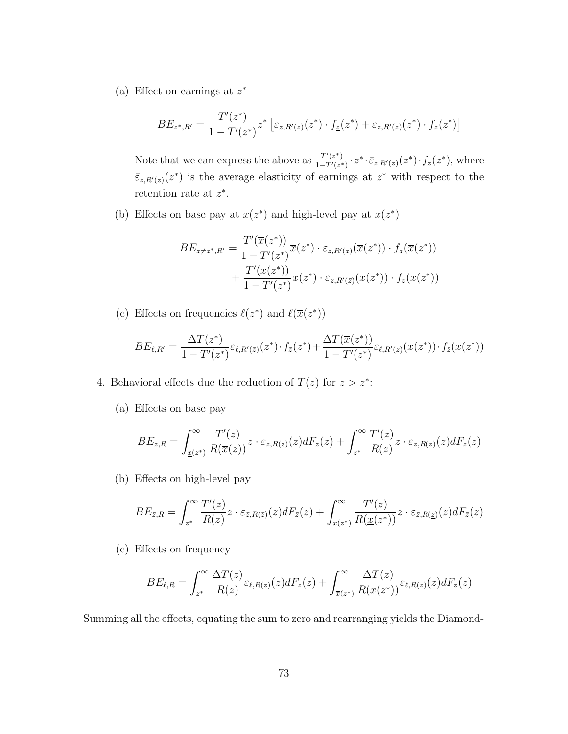(a) Effect on earnings at  $z^*$ 

$$
BE_{z^*,R'} = \frac{T'(z^*)}{1 - T'(z^*)} z^* \left[ \varepsilon_{z,R'(z)}(z^*) \cdot f_{\underline{z}}(z^*) + \varepsilon_{\bar{z},R'(\bar{z})}(z^*) \cdot f_{\bar{z}}(z^*) \right]
$$

Note that we can express the above as  $\frac{T'(z^*)}{1-T'(z^*)}$  $\frac{T'(z^*)}{1-T'(z^*)} \cdot z^* \cdot \bar{\varepsilon}_{z,R'(z)}(z^*) \cdot f_z(z^*)$ , where  $\bar{\varepsilon}_{z,R'(z)}(z^*)$  is the average elasticity of earnings at  $z^*$  with respect to the retention rate at  $z^*$ .

(b) Effects on base pay at  $\underline{x}(z^*)$  and high-level pay at  $\overline{x}(z^*)$ 

$$
BE_{z \neq z^*, R'} = \frac{T'(\overline{x}(z^*))}{1 - T'(z^*)} \overline{x}(z^*) \cdot \varepsilon_{\overline{z}, R'(z)}(\overline{x}(z^*)) \cdot f_{\overline{z}}(\overline{x}(z^*))
$$
  
+ 
$$
\frac{T'(\underline{x}(z^*))}{1 - T'(z^*)} \underline{x}(z^*) \cdot \varepsilon_{\underline{z}, R'(\overline{z})}(\underline{x}(z^*)) \cdot f_{\underline{z}}(\underline{x}(z^*))
$$

(c) Effects on frequencies  $\ell(z^*)$  and  $\ell(\overline{x}(z^*))$ 

$$
BE_{\ell,R'} = \frac{\Delta T(z^*)}{1 - T'(z^*)} \varepsilon_{\ell,R'(\bar{z})}(z^*) \cdot f_{\bar{z}}(z^*) + \frac{\Delta T(\bar{x}(z^*))}{1 - T'(z^*)} \varepsilon_{\ell,R'(\underline{z})}(\bar{x}(z^*)) \cdot f_{\bar{z}}(\bar{x}(z^*))
$$

- 4. Behavioral effects due the reduction of  $T(z)$  for  $z > z^*$ :
	- (a) Effects on base pay

$$
BE_{\underline{z},R} = \int_{\underline{x}(z^*)}^{\infty} \frac{T'(z)}{R(\overline{x}(z))} z \cdot \varepsilon_{\underline{z},R(\overline{z})}(z) dF_{\underline{z}}(z) + \int_{z^*}^{\infty} \frac{T'(z)}{R(z)} z \cdot \varepsilon_{\underline{z},R(\underline{z})}(z) dF_{\underline{z}}(z)
$$

(b) Effects on high-level pay

$$
BE_{\bar{z},R} = \int_{z^*}^{\infty} \frac{T'(z)}{R(z)} z \cdot \varepsilon_{\bar{z},R(\bar{z})}(z) dF_{\bar{z}}(z) + \int_{\bar{x}(z^*)}^{\infty} \frac{T'(z)}{R(\underline{x}(z^*))} z \cdot \varepsilon_{\bar{z},R(\underline{z})}(z) dF_{\bar{z}}(z)
$$

(c) Effects on frequency

$$
BE_{\ell,R} = \int_{z^*}^{\infty} \frac{\Delta T(z)}{R(z)} \varepsilon_{\ell,R(\bar{z})}(z) dF_{\bar{z}}(z) + \int_{\bar{x}(z^*)}^{\infty} \frac{\Delta T(z)}{R(\underline{x}(z^*))} \varepsilon_{\ell,R(\underline{z})}(z) dF_{\bar{z}}(z)
$$

Summing all the effects, equating the sum to zero and rearranging yields the Diamond-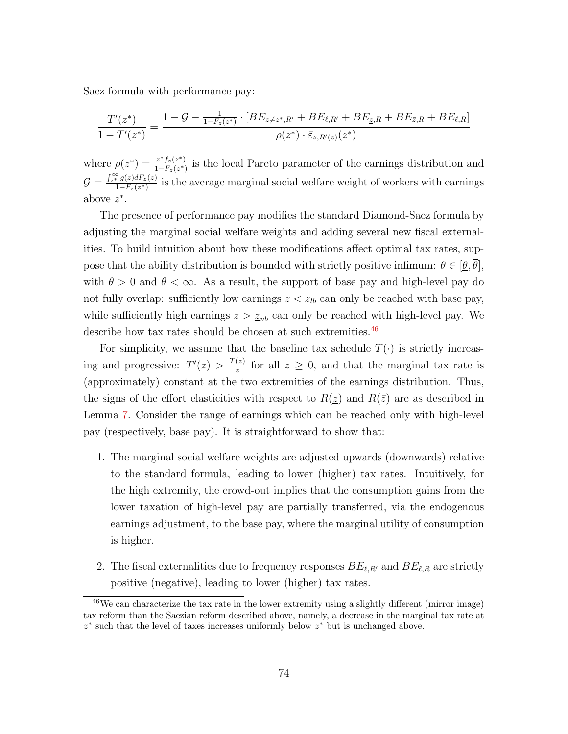Saez formula with performance pay:

$$
\frac{T'(z^*)}{1 - T'(z^*)} = \frac{1 - \mathcal{G} - \frac{1}{1 - F_z(z^*)} \cdot [BE_{z \neq z^*, R'} + BE_{\ell, R'} + BE_{\bar{z}, R} + BE_{\bar{z}, R} + BE_{\ell, R}]}{\rho(z^*) \cdot \bar{\varepsilon}_{z, R'(z)}(z^*)}
$$

where  $\rho(z^*) = \frac{z^* f_z(z^*)}{1 - F(z^*)}$  $\frac{z^* f_z(z^*)}{1-F_z(z^*)}$  is the local Pareto parameter of the earnings distribution and  $\mathcal{G} = \frac{\int_{z^*}^{\infty} g(z) dF_z(z)}{1 - F_z(z^*)}$  $\frac{f*(z)dx}{1-F_z(z^*)}$  is the average marginal social welfare weight of workers with earnings above  $z^*$ .

The presence of performance pay modifies the standard Diamond-Saez formula by adjusting the marginal social welfare weights and adding several new fiscal externalities. To build intuition about how these modifications affect optimal tax rates, suppose that the ability distribution is bounded with strictly positive infimum:  $\theta \in [\theta, \overline{\theta}]$ , with  $\theta > 0$  and  $\bar{\theta} < \infty$ . As a result, the support of base pay and high-level pay do not fully overlap: sufficiently low earnings  $z < \overline{z}_{lb}$  can only be reached with base pay, while sufficiently high earnings  $z > z_{ub}$  can only be reached with high-level pay. We describe how tax rates should be chosen at such extremities.<sup>[46](#page-75-0)</sup>

For simplicity, we assume that the baseline tax schedule  $T(\cdot)$  is strictly increasing and progressive:  $T'(z) > \frac{T(z)}{z}$  $\frac{z}{z}$  for all  $z \geq 0$ , and that the marginal tax rate is (approximately) constant at the two extremities of the earnings distribution. Thus, the signs of the effort elasticities with respect to  $R(z)$  and  $R(\bar{z})$  are as described in Lemma [7.](#page-33-0) Consider the range of earnings which can be reached only with high-level pay (respectively, base pay). It is straightforward to show that:

- 1. The marginal social welfare weights are adjusted upwards (downwards) relative to the standard formula, leading to lower (higher) tax rates. Intuitively, for the high extremity, the crowd-out implies that the consumption gains from the lower taxation of high-level pay are partially transferred, via the endogenous earnings adjustment, to the base pay, where the marginal utility of consumption is higher.
- 2. The fiscal externalities due to frequency responses  $BE_{\ell,R'}$  and  $BE_{\ell,R}$  are strictly positive (negative), leading to lower (higher) tax rates.

<span id="page-75-0"></span> $46$ We can characterize the tax rate in the lower extremity using a slightly different (mirror image) tax reform than the Saezian reform described above, namely, a decrease in the marginal tax rate at z ∗ such that the level of taxes increases uniformly below z <sup>∗</sup> but is unchanged above.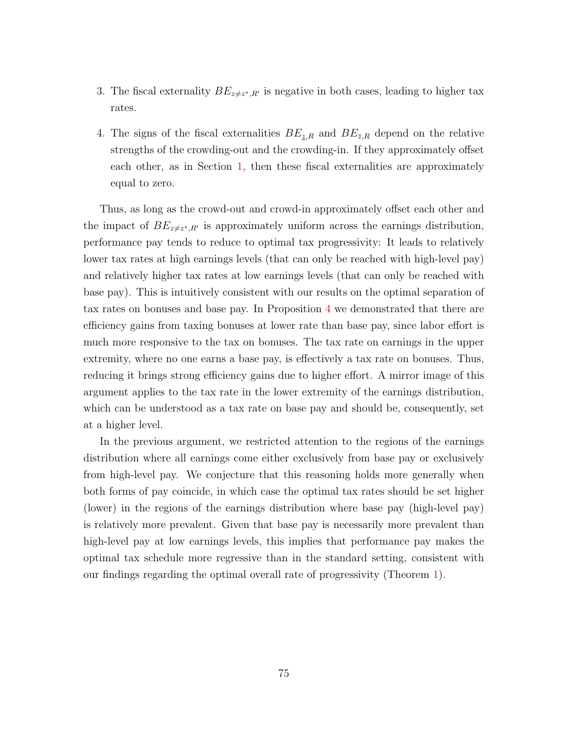- 3. The fiscal externality  $BE_{z\neq z^*,R'}$  is negative in both cases, leading to higher tax rates.
- 4. The signs of the fiscal externalities  $BE_{\tilde{z},R}$  and  $BE_{\tilde{z},R}$  depend on the relative strengths of the crowding-out and the crowding-in. If they approximately offset each other, as in Section [1,](#page-9-0) then these fiscal externalities are approximately equal to zero.

Thus, as long as the crowd-out and crowd-in approximately offset each other and the impact of  $BE_{z\neq z^*,R'}$  is approximately uniform across the earnings distribution, performance pay tends to reduce to optimal tax progressivity: It leads to relatively lower tax rates at high earnings levels (that can only be reached with high-level pay) and relatively higher tax rates at low earnings levels (that can only be reached with base pay). This is intuitively consistent with our results on the optimal separation of tax rates on bonuses and base pay. In Proposition [4](#page-40-0) we demonstrated that there are efficiency gains from taxing bonuses at lower rate than base pay, since labor effort is much more responsive to the tax on bonuses. The tax rate on earnings in the upper extremity, where no one earns a base pay, is effectively a tax rate on bonuses. Thus, reducing it brings strong efficiency gains due to higher effort. A mirror image of this argument applies to the tax rate in the lower extremity of the earnings distribution, which can be understood as a tax rate on base pay and should be, consequently, set at a higher level.

In the previous argument, we restricted attention to the regions of the earnings distribution where all earnings come either exclusively from base pay or exclusively from high-level pay. We conjecture that this reasoning holds more generally when both forms of pay coincide, in which case the optimal tax rates should be set higher (lower) in the regions of the earnings distribution where base pay (high-level pay) is relatively more prevalent. Given that base pay is necessarily more prevalent than high-level pay at low earnings levels, this implies that performance pay makes the optimal tax schedule more regressive than in the standard setting, consistent with our findings regarding the optimal overall rate of progressivity (Theorem [1\)](#page-18-0).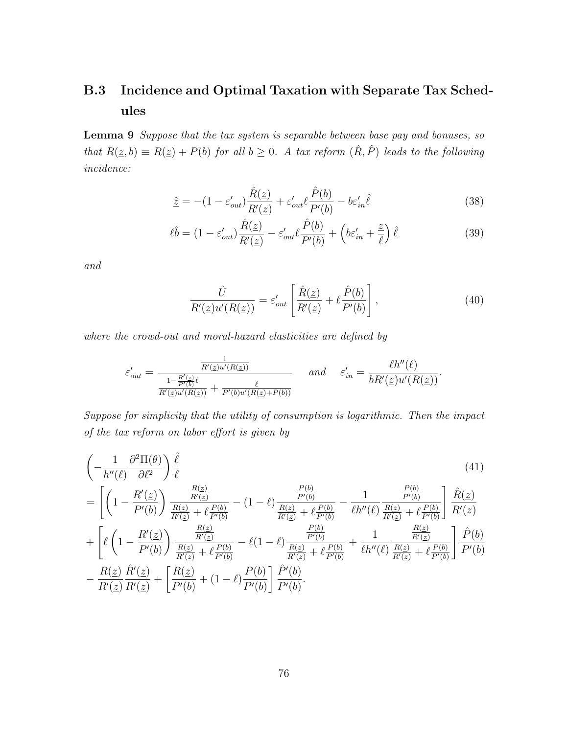# B.3 Incidence and Optimal Taxation with Separate Tax Schedules

<span id="page-77-0"></span>Lemma 9 Suppose that the tax system is separable between base pay and bonuses, so that  $R(\underline{z}, b) \equiv R(\underline{z}) + P(b)$  for all  $b \geq 0$ . A tax reform  $(\hat{R}, \hat{P})$  leads to the following incidence:

<span id="page-77-1"></span>
$$
\hat{\underline{z}} = -(1 - \varepsilon'_{out}) \frac{\hat{R}(\underline{z})}{R'(\underline{z})} + \varepsilon'_{out} \ell \frac{\hat{P}(b)}{P'(b)} - b\varepsilon'_{in} \hat{\ell}
$$
\n(38)

$$
\ell\hat{b} = (1 - \varepsilon'_{out}) \frac{\hat{R}(\underline{z})}{R'(\underline{z})} - \varepsilon'_{out} \ell \frac{\hat{P}(b)}{P'(b)} + \left(b\varepsilon'_{in} + \frac{\tilde{z}}{\ell}\right)\hat{\ell}
$$
(39)

and

<span id="page-77-4"></span><span id="page-77-3"></span><span id="page-77-2"></span>
$$
\frac{\hat{U}}{R'(\underline{z})u'(R(\underline{z}))} = \varepsilon'_{out} \left[ \frac{\hat{R}(\underline{z})}{R'(\underline{z})} + \ell \frac{\hat{P}(b)}{P'(b)} \right],\tag{40}
$$

where the crowd-out and moral-hazard elasticities are defined by

$$
\varepsilon'_{out} = \frac{\frac{1}{R'(\underline{z})u'(R(\underline{z}))}}{\frac{1 - R'(\underline{z})\ell}{R'(\underline{z})u'(R(\underline{z}))} + \frac{\ell}{P'(b)u'(R(\underline{z})+P(b))}}
$$
 and  $\varepsilon'_{in} = \frac{\ell h''(\ell)}{bR'(\underline{z})u'(R(\underline{z}))}.$ 

Suppose for simplicity that the utility of consumption is logarithmic. Then the impact of the tax reform on labor effort is given by

$$
\begin{split}\n&\left(-\frac{1}{h''(\ell)}\frac{\partial^2\Pi(\theta)}{\partial\ell^2}\right)\frac{\hat{\ell}}{\ell} \\
&= \left[\left(1 - \frac{R'(\underline{z})}{P'(b)}\right)\frac{\frac{R(\underline{z})}{R'(\underline{z})}}{\frac{R(\underline{z})}{R'(\underline{z})} + \ell\frac{P(b)}{P'(b)}} - (1 - \ell)\frac{\frac{P(b)}{P'(b)}}{\frac{R(\underline{z})}{R'(\underline{z})} + \ell\frac{P(b)}{P'(b)}} - \frac{1}{\ell h''(\ell)\frac{R(\underline{z})}{R'(\underline{z})} + \ell\frac{P(b)}{P'(b)}}\right]\frac{\hat{R}(\underline{z})}{R'(\underline{z})} \\
&+ \left[\ell\left(1 - \frac{R'(\underline{z})}{P'(b)}\right)\frac{\frac{R(\underline{z})}{R'(\underline{z})}}{\frac{R(\underline{z})}{R'(\underline{z})} + \ell\frac{P(b)}{P'(b)}} - \ell(1 - \ell)\frac{\frac{P(b)}{P'(b)}}{\frac{R(\underline{z})}{R'(\underline{z})} + \ell\frac{P(b)}{P'(b)}} + \frac{1}{\ell h''(\ell)\frac{R(\underline{z})}{R'(\underline{z})} + \ell\frac{P(b)}{P'(b)}}\right]\frac{\hat{P}(b)}{P'(b)} \\
&- \frac{R(\underline{z})}{R'(\underline{z})}\frac{\hat{R}'(\underline{z})}{R'(\underline{z})} + \left[\frac{R(\underline{z})}{P'(b)} + (1 - \ell)\frac{P(b)}{P'(b)}\right]\frac{\hat{P}'(b)}{P'(b)}.\n\end{split}
$$
(41)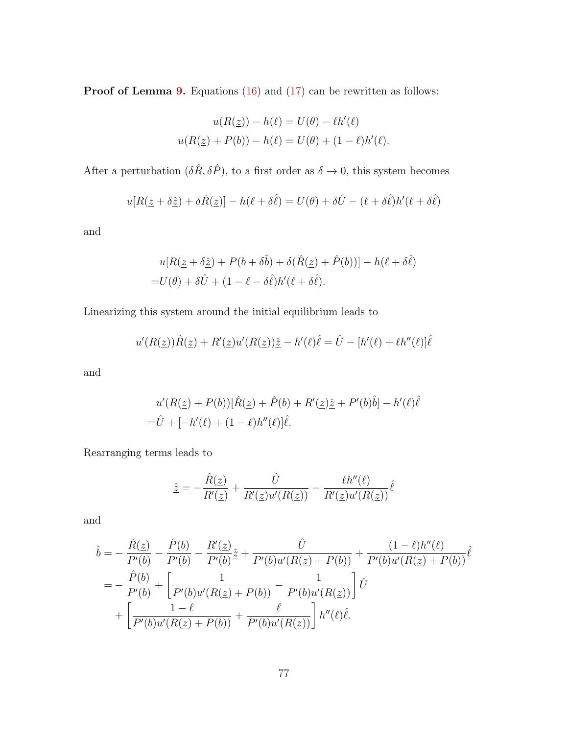Proof of Lemma [9.](#page-77-0) Equations [\(16\)](#page-30-0) and [\(17\)](#page-30-1) can be rewritten as follows:

$$
u(R(\underline{z})) - h(\ell) = U(\theta) - \ell h'(\ell)
$$
  

$$
u(R(\underline{z}) + P(b)) - h(\ell) = U(\theta) + (1 - \ell)h'(\ell).
$$

After a perturbation  $(\delta \hat{R}, \delta \hat{P})$ , to a first order as  $\delta \to 0$ , this system becomes

$$
u[R(\underline{z} + \delta \hat{\underline{z}}) + \delta \hat{R}(\underline{z})] - h(\ell + \delta \hat{\ell}) = U(\theta) + \delta \hat{U} - (\ell + \delta \hat{\ell})h'(\ell + \delta \hat{\ell})
$$

and

$$
u[R(\underline{z} + \delta \hat{\underline{z}}) + P(b + \delta \hat{b}) + \delta(\hat{R}(\underline{z}) + \hat{P}(b))] - h(\ell + \delta \hat{\ell})
$$
  
=  $U(\theta) + \delta \hat{U} + (1 - \ell - \delta \hat{\ell})h'(\ell + \delta \hat{\ell}).$ 

Linearizing this system around the initial equilibrium leads to

$$
u'(R(\underline{z}))\hat{R}(\underline{z}) + R'(\underline{z})u'(R(\underline{z}))\hat{\underline{z}} - h'(\ell)\hat{\ell} = \hat{U} - [h'(\ell) + \ell h''(\ell)]\hat{\ell}
$$

and

$$
u'(R(\underline{z}) + P(b))[\hat{R}(\underline{z}) + \hat{P}(b) + R'(\underline{z})\hat{\underline{z}} + P'(b)\hat{b}] - h'(\ell)\hat{\ell}
$$
  
=  $\hat{U} + [-h'(\ell) + (1 - \ell)h''(\ell)]\hat{\ell}.$ 

Rearranging terms leads to

$$
\hat{\underline{z}} = -\frac{\hat{R}(\underline{z})}{R'(\underline{z})} + \frac{\hat{U}}{R'(\underline{z})u'(R(\underline{z}))} - \frac{\ell h''(\ell)}{R'(\underline{z})u'(R(\underline{z}))}\hat{\ell}
$$

and

$$
\hat{b} = -\frac{\hat{R}(\underline{z})}{P'(b)} - \frac{\hat{P}(b)}{P'(b)} - \frac{R'(\underline{z})}{P'(b)}\hat{z} + \frac{\hat{U}}{P'(b)u'(R(\underline{z}) + P(b))} + \frac{(1 - \ell)h''(\ell)}{P'(b)u'(R(\underline{z}) + P(b))}\hat{\ell}
$$
\n
$$
= -\frac{\hat{P}(b)}{P'(b)} + \left[\frac{1}{P'(b)u'(R(\underline{z}) + P(b))} - \frac{1}{P'(b)u'(R(\underline{z}))}\right]\hat{U}
$$
\n
$$
+ \left[\frac{1 - \ell}{P'(b)u'(R(\underline{z}) + P(b))} + \frac{\ell}{P'(b)u'(R(\underline{z}))}\right]h''(\ell)\hat{\ell}.
$$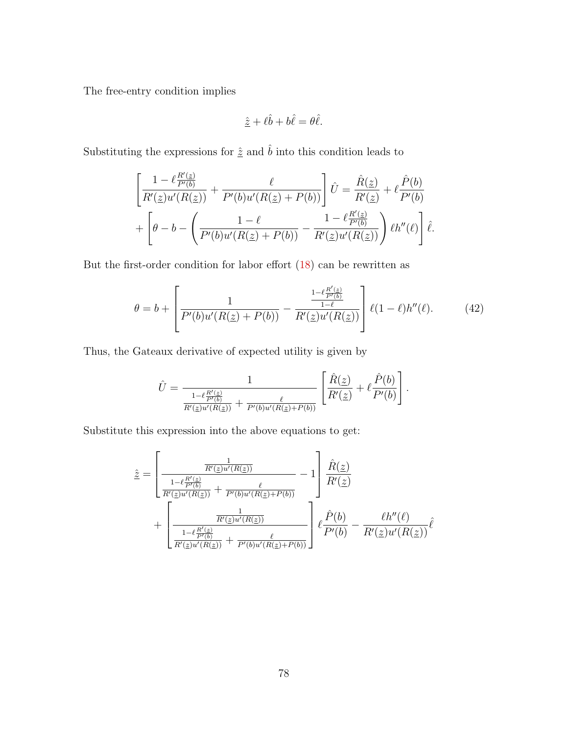The free-entry condition implies

$$
\hat{\underline{z}} + \ell \hat{b} + b\hat{\ell} = \theta \hat{\ell}.
$$

Substituting the expressions for  $\hat{\underline{z}}$  and  $\hat{b}$  into this condition leads to

$$
\left[\frac{1-\ell\frac{R'(\underline{z})}{P'(b)}}{R'(\underline{z})u'(R(\underline{z}))}+\frac{\ell}{P'(b)u'(R(\underline{z})+P(b))}\right]\hat{U}=\frac{\hat{R}(\underline{z})}{R'(\underline{z})}+\ell\frac{\hat{P}(b)}{P'(b)}\\+\left[\theta-b-\left(\frac{1-\ell}{P'(b)u'(R(\underline{z})+P(b))}-\frac{1-\ell\frac{R'(\underline{z})}{P'(b)}}{R'(\underline{z})u'(R(\underline{z}))}\right)\ell h''(\ell)\right]\hat{\ell}.
$$

But the first-order condition for labor effort [\(18\)](#page-30-2) can be rewritten as

<span id="page-79-0"></span>
$$
\theta = b + \left[ \frac{1}{P'(b)u'(R(\underline{z}) + P(b))} - \frac{\frac{1 - \ell \frac{R'(z)}{P'(b)}}{1 - \ell}}{R'(\underline{z})u'(R(\underline{z}))} \right] \ell(1 - \ell)h''(\ell). \tag{42}
$$

Thus, the Gateaux derivative of expected utility is given by

$$
\hat{U} = \frac{1}{\frac{1 - \ell \frac{R'(z)}{P'(b)}}{R'(z)\mu'(R(z))} + \frac{\ell}{P'(b)\mu'(R(z) + P(b))}} \left[ \frac{\hat{R}(\underline{z})}{R'(\underline{z})} + \ell \frac{\hat{P}(b)}{P'(b)} \right].
$$

Substitute this expression into the above equations to get:

$$
\hat{z} = \left[\frac{\frac{1}{R'(\underline{z})u'(R(\underline{z}))}}{\frac{1 - \ell \frac{R'(z)}{P'(b)}}{R'(\underline{z})u'(R(\underline{z}))} + \frac{\ell}{P'(b)u'(R(\underline{z})+P(b))}} - 1\right] \frac{\hat{R}(\underline{z})}{R'(\underline{z})} + \left[\frac{\frac{1}{R'(\underline{z})u'(R(\underline{z}))}}{\frac{1 - \ell \frac{R'(z)}{P'(b)}}{R'(\underline{z})u'(R(\underline{z}))} + \frac{\ell}{P'(b)u'(R(\underline{z})+P(b))}}\right] \ell \frac{\hat{P}(b)}{P'(b)} - \frac{\ell h''(\ell)}{R'(\underline{z})u'(R(\underline{z}))} \hat{\ell}
$$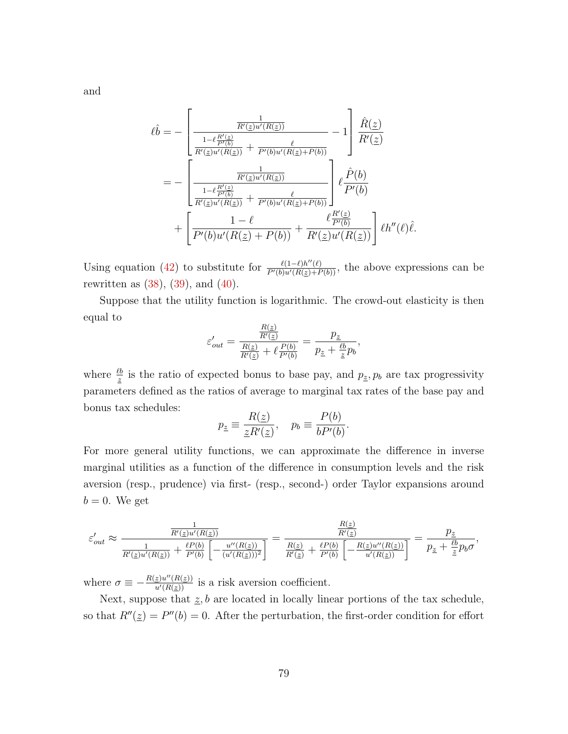$$
\ell \hat{b} = - \left[ \frac{\frac{1}{R'(z)u'(R(z))}}{\frac{1 - \ell \frac{R'(z)}{P'(b)}}{R'(z)u'(R(z))} + \frac{\ell}{P'(b)u'(R(z) + P(b))}} - 1 \right] \frac{\hat{R}(z)}{R'(z)} \n= - \left[ \frac{\frac{1}{R'(z)u'(R(z))}}{\frac{1 - \ell \frac{R'(z)}{P'(b)}}{\frac{R'(z)u'(R(z))}{R'(z)u'(R(z))} + \frac{\ell}{P'(b)u'(R(z) + P(b))}} \right] \ell \frac{\hat{P}(b)}{P'(b)} \n+ \left[ \frac{1 - \ell}{P'(b)u'(R(z) + P(b))} + \frac{\ell \frac{R'(z)}{P'(b)}}{R'(z)u'(R(z))} \right] \ell h''(\ell)\hat{\ell}.
$$

Using equation [\(42\)](#page-79-0) to substitute for  $\frac{\ell(1-\ell)h''(\ell)}{P'(b)u'(R(\epsilon)+P(b))}$ , the above expressions can be rewritten as  $(38)$ ,  $(39)$ , and  $(40)$ .

Suppose that the utility function is logarithmic. The crowd-out elasticity is then equal to

$$
\varepsilon'_{out} = \frac{\frac{R(\underline{z})}{R'(\underline{z})}}{\frac{R(\underline{z})}{R'(\underline{z})} + \ell \frac{P(b)}{P'(b)}} = \frac{p_{\underline{z}}}{p_{\underline{z}} + \frac{\ell b}{\underline{z}} p_b},
$$

where  $\frac{\ell b}{z}$  is the ratio of expected bonus to base pay, and  $p_z, p_b$  are tax progressivity parameters defined as the ratios of average to marginal tax rates of the base pay and bonus tax schedules:

$$
p_{\underline{z}} \equiv \frac{R(\underline{z})}{\underline{z}R'(\underline{z})}, \quad p_b \equiv \frac{P(b)}{bP'(b)}.
$$

For more general utility functions, we can approximate the difference in inverse marginal utilities as a function of the difference in consumption levels and the risk aversion (resp., prudence) via first- (resp., second-) order Taylor expansions around  $b = 0$ . We get

$$
\varepsilon'_{out} \approx \frac{\frac{1}{R'(z)u'(R(z))}}{\frac{1}{R'(z)u'(R(z))} + \frac{\ell P(b)}{P'(b)} \left[ -\frac{u''(R(z))}{(u'(R(z)))^2} \right]} = \frac{\frac{R(z)}{R'(z)}}{\frac{R(z)}{R'(z)} + \frac{\ell P(b)}{P'(b)} \left[ -\frac{R(z)u''(R(z))}{u'(R(z))} \right]} = \frac{p_z}{p_z + \frac{\ell b}{z}p_b\sigma},
$$

where  $\sigma \equiv -\frac{R(z)u''(R(z))}{u'(R(z))}$  is a risk aversion coefficient.

Next, suppose that  $\underline{z}$ , b are located in locally linear portions of the tax schedule, so that  $R''(\underline{z}) = P''(b) = 0$ . After the perturbation, the first-order condition for effort

and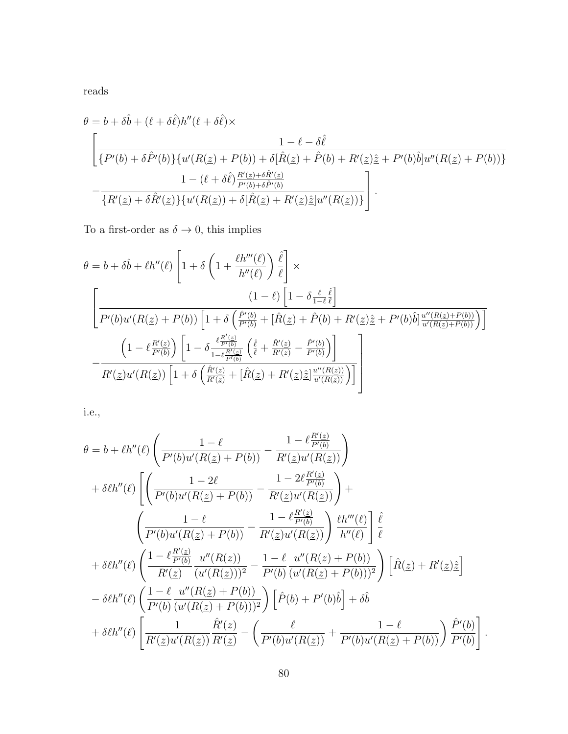reads

$$
\theta = b + \delta \hat{b} + (\ell + \delta \hat{\ell}) h''(\ell + \delta \hat{\ell}) \times
$$
\n
$$
\left[ \frac{1 - \ell - \delta \hat{\ell}}{\{P'(b) + \delta \hat{P}'(b)\} \{u'(R(\underline{z}) + P(b)) + \delta [\hat{R}(\underline{z}) + \hat{P}(b) + R'(\underline{z})\hat{\underline{z}} + P'(b)\hat{b}]u''(R(\underline{z}) + P(b))\}} - \frac{1 - (\ell + \delta \hat{\ell}) \frac{R'(\underline{z}) + \delta \hat{R}'(\underline{z})}{P'(b) + \delta \hat{P}'(b)}}{\{R'(\underline{z}) + \delta \hat{R}'(\underline{z})\} \{u'(R(\underline{z})) + \delta [\hat{R}(\underline{z}) + R'(\underline{z})\hat{\underline{z}}]u''(R(\underline{z}))\}} \right].
$$

To a first-order as  $\delta \to 0,$  this implies

$$
\theta = b + \delta \hat{b} + \ell h''(\ell) \left[ 1 + \delta \left( 1 + \frac{\ell h'''(\ell)}{h''(\ell)} \right) \frac{\hat{\ell}}{\ell} \right] \times
$$
\n
$$
\left[ \frac{(1 - \ell) \left[ 1 - \delta \frac{\ell}{1 - \ell} \frac{\hat{\ell}}{\ell} \right]}{P'(b)u'(R(\underline{z}) + P(b)) \left[ 1 + \delta \left( \frac{\hat{P}'(b)}{P'(b)} + [\hat{R}(\underline{z}) + \hat{P}(b) + R'(\underline{z})\hat{\underline{z}} + P'(b)\hat{b} \right] \frac{u''(R(\underline{z}) + P(b))}{u'(R(\underline{z}) + P(b))} \right) \right]}
$$
\n
$$
- \frac{\left( 1 - \ell \frac{R'(\underline{z})}{P'(b)} \right) \left[ 1 - \delta \frac{\ell \frac{R'(\underline{z})}{P'(b)}}{1 - \ell \frac{R'(\underline{z})}{P'(b)}} \left( \frac{\hat{\ell}}{\ell} + \frac{\hat{R}'(\underline{z})}{R'(\underline{z})} - \frac{\hat{P}'(b)}{P'(b)} \right) \right]}{R'(\underline{z})u'(R(\underline{z})) \left[ 1 + \delta \left( \frac{\hat{R}'(\underline{z})}{R'(\underline{z})} + [\hat{R}(\underline{z}) + R'(\underline{z})\hat{\underline{z}}] \frac{u''(R(\underline{z}))}{u'(R(\underline{z}))} \right) \right]}
$$

i.e.,

$$
\theta = b + \ell h''(\ell) \left( \frac{1 - \ell}{P'(b)u'(R(\underline{z}) + P(b))} - \frac{1 - \ell_{P'(b)}^{R'(\underline{z})}}{R'(\underline{z})u'(R(\underline{z}))} \right) \n+ \delta \ell h''(\ell) \left[ \left( \frac{1 - 2\ell}{P'(b)u'(R(\underline{z}) + P(b))} - \frac{1 - 2\ell_{P'(b)}^{R'(\underline{z})}}{R'(\underline{z})u'(R(\underline{z}))} \right) + \\ \left( \frac{1 - \ell}{P'(b)u'(R(\underline{z}) + P(b))} - \frac{1 - \ell_{P'(b)}^{R'(\underline{z})}}{R'(\underline{z})u'(R(\underline{z}))} \right) \frac{\ell h'''(\ell)}{h''(\ell)} \right] \frac{\hat{\ell}}{\ell} \n+ \delta \ell h''(\ell) \left( \frac{1 - \ell_{P'(b)}^{R'(\underline{z})}}{R'(\underline{z})} \frac{u''(R(\underline{z}))}{(u'(R(\underline{z})))^2} - \frac{1 - \ell}{P'(b)} \frac{u''(R(\underline{z}) + P(b))}{(u'(R(\underline{z}) + P(b)))^2} \right) \left[ \hat{R}(\underline{z}) + R'(\underline{z}) \hat{\underline{z}} \right] \n- \delta \ell h''(\ell) \left( \frac{1 - \ell}{P'(b)} \frac{u''(R(\underline{z}) + P(b))}{(u'(R(\underline{z}) + P(b)))^2} \right) \left[ \hat{P}(b) + P'(b)\hat{b} \right] + \delta \hat{b} \n+ \delta \ell h''(\ell) \left[ \frac{1}{R'(\underline{z})u'(R(\underline{z}))} \frac{\hat{R}'(\underline{z})}{R'(\underline{z})} - \left( \frac{\ell}{P'(b)u'(R(\underline{z}))} + \frac{1 - \ell}{P'(b)u'(R(\underline{z}) + P(b))} \right) \frac{\hat{P}'(b)}{P'(b)} \right].
$$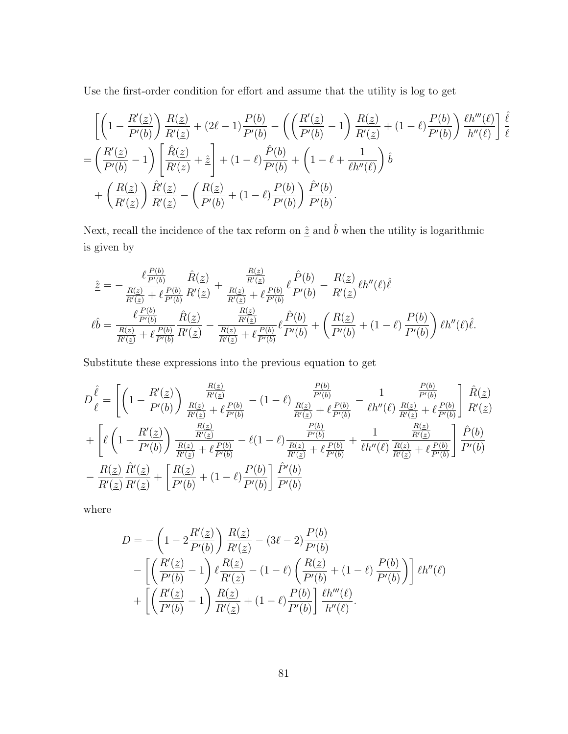Use the first-order condition for effort and assume that the utility is log to get

$$
\begin{split}\n&= \left[ \left( 1 - \frac{R'(\underline{z})}{P'(b)} \right) \frac{R(\underline{z})}{R'(\underline{z})} + (2\ell - 1) \frac{P(b)}{P'(b)} - \left( \left( \frac{R'(\underline{z})}{P'(b)} - 1 \right) \frac{R(\underline{z})}{R'(\underline{z})} + (1 - \ell) \frac{P(b)}{P'(b)} \right) \frac{\ell h'''(\ell)}{h''(\ell)} \right] \frac{\hat{\ell}}{\ell} \\
&= \left( \frac{R'(\underline{z})}{P'(b)} - 1 \right) \left[ \frac{\hat{R}(\underline{z})}{R'(\underline{z})} + \hat{\underline{z}} \right] + (1 - \ell) \frac{\hat{P}(b)}{P'(b)} + \left( 1 - \ell + \frac{1}{\ell h''(\ell)} \right) \hat{b} \\
&+ \left( \frac{R(\underline{z})}{R'(\underline{z})} \right) \frac{\hat{R}'(\underline{z})}{R'(\underline{z})} - \left( \frac{R(\underline{z})}{P'(b)} + (1 - \ell) \frac{P(b)}{P'(b)} \right) \frac{\hat{P}'(b)}{P'(b)}.\n\end{split}
$$

Next, recall the incidence of the tax reform on  $\underline{\hat{z}}$  and<br>  $\hat{b}$  when the utility is logarithmic is given by

$$
\hat{z} = -\frac{\ell \frac{P(b)}{P'(b)}}{\frac{R(z)}{R'(z)} + \ell \frac{P(b)}{P'(b)}} \frac{\hat{R}(z)}{R'(z)} + \frac{\frac{R(z)}{R'(z)}}{\frac{R(z)}{R'(z)} + \ell \frac{P(b)}{P'(b)}} \ell \frac{\hat{P}(b)}{P'(b)} - \frac{R(z)}{R'(z)} \ell h''(\ell) \hat{\ell}
$$
\n
$$
\ell \hat{b} = \frac{\ell \frac{P(b)}{P'(b)}}{\frac{R(z)}{R'(z)} + \ell \frac{P(b)}{P'(b)}} \frac{\hat{R}(z)}{R'(z)} - \frac{\frac{R(z)}{R'(z)}}{\frac{R(z)}{R'(z)} + \ell \frac{P(b)}{P'(b)}} \ell \frac{\hat{P}(b)}{P'(b)} + \left(\frac{R(z)}{P'(b)} + (1 - \ell) \frac{P(b)}{P'(b)}\right) \ell h''(\ell) \hat{\ell}.
$$

Substitute these expressions into the previous equation to get

$$
D\frac{\hat{\ell}}{\ell} = \left[ \left( 1 - \frac{R'(z)}{P'(b)} \right) \frac{\frac{R(z)}{R'(z)}}{\frac{R(z)}{R'(z)} + \ell \frac{P(b)}{P'(b)}} - (1 - \ell) \frac{\frac{P(b)}{R(z)} + \ell \frac{P(b)}{P'(b)}}{\frac{R(z)}{R'(z)} + \ell \frac{P(b)}{P'(b)}} - \frac{1}{\ell h''(\ell) \frac{R(z)}{R(z)} + \ell \frac{P(b)}{P'(b)}} \right] \frac{\hat{R}(z)}{R'(z)}
$$

$$
+ \left[ \ell \left( 1 - \frac{R'(z)}{P'(b)} \right) \frac{\frac{R(z)}{R'(z)}}{\frac{R(z)}{R'(z)} + \ell \frac{P(b)}{P'(b)}} - \ell (1 - \ell) \frac{\frac{P(b)}{P'(b)}}{\frac{R(z)}{R'(z)} + \ell \frac{P(b)}{P'(b)}} + \frac{1}{\ell h''(\ell) \frac{R(z)}{R'(z)} + \ell \frac{P(b)}{P'(b)}} \right] \frac{\hat{P}(b)}{P'(b)}
$$

$$
- \frac{R(z)}{R'(z)} \frac{\hat{R}'(z)}{R'(z)} + \left[ \frac{R(z)}{P'(b)} + (1 - \ell) \frac{P(b)}{P'(b)} \right] \frac{\hat{P}'(b)}{P'(b)}
$$

where

$$
D = -\left(1 - 2\frac{R'(\underline{z})}{P'(b)}\right) \frac{R(\underline{z})}{R'(\underline{z})} - (3\ell - 2)\frac{P(b)}{P'(b)}
$$
  
 
$$
- \left[ \left(\frac{R'(\underline{z})}{P'(b)} - 1\right) \ell \frac{R(\underline{z})}{R'(\underline{z})} - (1 - \ell) \left(\frac{R(\underline{z})}{P'(b)} + (1 - \ell) \frac{P(b)}{P'(b)}\right) \right] \ell h''(\ell)
$$
  
 
$$
+ \left[ \left(\frac{R'(\underline{z})}{P'(b)} - 1\right) \frac{R(\underline{z})}{R'(\underline{z})} + (1 - \ell) \frac{P(b)}{P'(b)} \right] \frac{\ell h'''(\ell)}{h''(\ell)}.
$$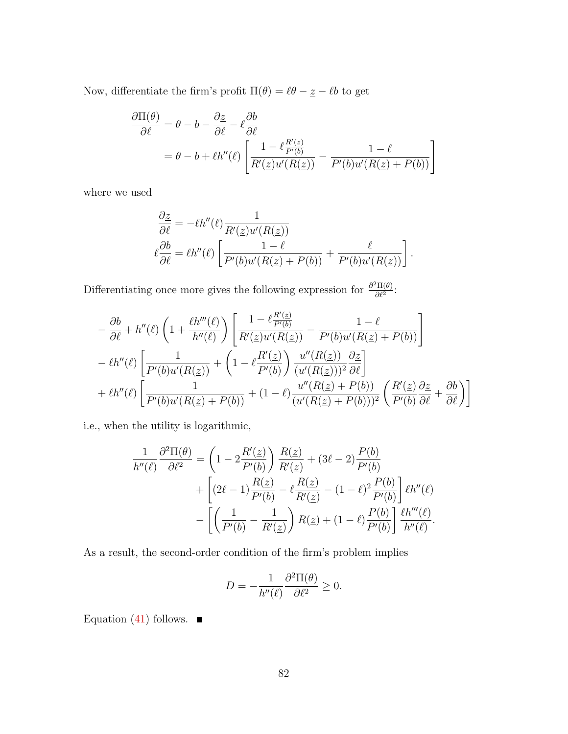Now, differentiate the firm's profit  $\Pi(\theta) = \ell \theta - \underline{z} - \ell b$  to get

$$
\frac{\partial \Pi(\theta)}{\partial \ell} = \theta - b - \frac{\partial z}{\partial \ell} - \ell \frac{\partial b}{\partial \ell}
$$

$$
= \theta - b + \ell h''(\ell) \left[ \frac{1 - \ell \frac{R'(z)}{P'(b)}}{R'(z)u'(R(z))} - \frac{1 - \ell}{P'(b)u'(R(z) + P(b))} \right]
$$

where we used

$$
\frac{\partial \underline{z}}{\partial \ell} = -\ell h''(\ell) \frac{1}{R'(\underline{z})u'(R(\underline{z}))}
$$

$$
\ell \frac{\partial b}{\partial \ell} = \ell h''(\ell) \left[ \frac{1 - \ell}{P'(b)u'(R(\underline{z}) + P(b))} + \frac{\ell}{P'(b)u'(R(\underline{z}))} \right].
$$

Differentiating once more gives the following expression for  $\frac{\partial^2 \Pi(\theta)}{\partial \theta^2}$  $\frac{\partial \Pi(\theta)}{\partial \ell^2}$ :

$$
-\frac{\partial b}{\partial \ell} + h''(\ell) \left(1 + \frac{\ell h'''(\ell)}{h''(\ell)}\right) \left[\frac{1 - \ell \frac{R'(\underline{z})}{P'(\underline{b})}}{R'(\underline{z})u'(R(\underline{z}))} - \frac{1 - \ell}{P'(\underline{b})u'(R(\underline{z}) + P(\underline{b}))}\right] - \ell h''(\ell) \left[\frac{1}{P'(\underline{b})u'(R(\underline{z}))} + \left(1 - \ell \frac{R'(\underline{z})}{P'(\underline{b})}\right) \frac{u''(R(\underline{z}))}{(u'(R(\underline{z})))^2} \frac{\partial \underline{z}}{\partial \ell}\right] + \ell h''(\ell) \left[\frac{1}{P'(\underline{b})u'(R(\underline{z}) + P(\underline{b}))} + (1 - \ell) \frac{u''(R(\underline{z}) + P(\underline{b}))}{(u'(R(\underline{z}) + P(\underline{b})))^2} \left(\frac{R'(\underline{z})}{P'(\underline{b})} \frac{\partial \underline{z}}{\partial \ell} + \frac{\partial \underline{b}}{\partial \ell}\right)\right]
$$

i.e., when the utility is logarithmic,

$$
\frac{1}{h''(\ell)} \frac{\partial^2 \Pi(\theta)}{\partial \ell^2} = \left(1 - 2\frac{R'(\underline{z})}{P'(b)}\right) \frac{R(\underline{z})}{R'(\underline{z})} + (3\ell - 2)\frac{P(b)}{P'(b)} \n+ \left[ (2\ell - 1)\frac{R(\underline{z})}{P'(b)} - \ell \frac{R(\underline{z})}{R'(\underline{z})} - (1 - \ell)^2 \frac{P(b)}{P'(b)} \right] \ell h''(\ell) \n- \left[ \left( \frac{1}{P'(b)} - \frac{1}{R'(\underline{z})} \right) R(\underline{z}) + (1 - \ell) \frac{P(b)}{P'(b)} \right] \frac{\ell h'''(\ell)}{h''(\ell)}.
$$

As a result, the second-order condition of the firm's problem implies

$$
D = -\frac{1}{h''(\ell)} \frac{\partial^2 \Pi(\theta)}{\partial \ell^2} \ge 0.
$$

Equation [\(41\)](#page-77-4) follows.  $\blacksquare$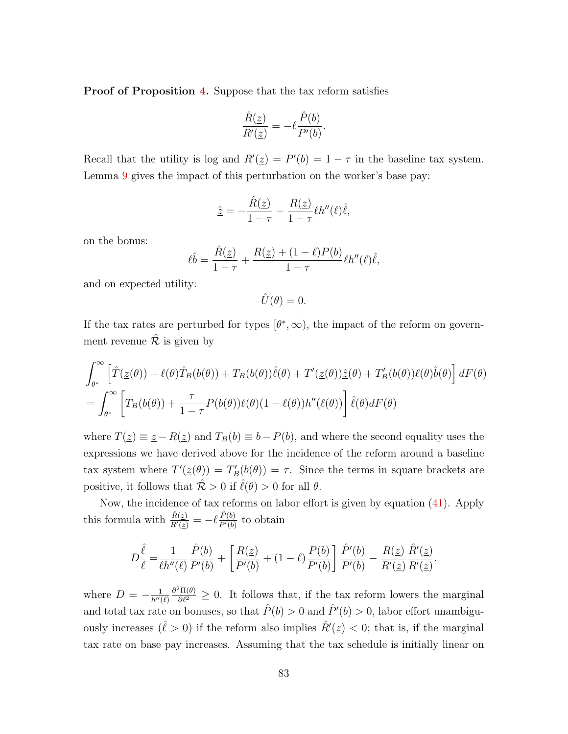Proof of Proposition [4.](#page-40-0) Suppose that the tax reform satisfies

$$
\frac{\hat{R}(\underline{z})}{R'(\underline{z})} = -\ell \frac{\hat{P}(b)}{P'(b)}.
$$

Recall that the utility is log and  $R'(\underline{z}) = P'(b) = 1 - \tau$  in the baseline tax system. Lemma [9](#page-77-0) gives the impact of this perturbation on the worker's base pay:

$$
\hat{\underline{z}} = -\frac{\hat{R}(\underline{z})}{1-\tau} - \frac{R(\underline{z})}{1-\tau} \ell h''(\ell)\hat{\ell},
$$

on the bonus:

$$
\ell \hat{b} = \frac{\hat{R}(\underline{z})}{1 - \tau} + \frac{R(\underline{z}) + (1 - \ell)P(b)}{1 - \tau} \ell h''(\ell) \hat{\ell},
$$

and on expected utility:

$$
\hat{U}(\theta) = 0.
$$

If the tax rates are perturbed for types  $[\theta^*, \infty)$ , the impact of the reform on government revenue  $\hat{\mathcal{R}}$  is given by

$$
\int_{\theta^*}^{\infty} \left[ \hat{T}(\underline{z}(\theta)) + \ell(\theta)\hat{T}_B(b(\theta)) + T_B(b(\theta))\hat{\ell}(\theta) + T'(\underline{z}(\theta))\hat{\underline{z}}(\theta) + T'_B(b(\theta))\ell(\theta)\hat{b}(\theta) \right] dF(\theta)
$$
  
= 
$$
\int_{\theta^*}^{\infty} \left[ T_B(b(\theta)) + \frac{\tau}{1-\tau} P(b(\theta))\ell(\theta)(1-\ell(\theta))h''(\ell(\theta)) \right] \hat{\ell}(\theta) dF(\theta)
$$

where  $T(\underline{z}) \equiv \underline{z} - R(\underline{z})$  and  $T_B(b) \equiv b - P(b)$ , and where the second equality uses the expressions we have derived above for the incidence of the reform around a baseline tax system where  $T'(\underline{z}(\theta)) = T'_B(b(\theta)) = \tau$ . Since the terms in square brackets are positive, it follows that  $\mathcal{\hat{R}} > 0$  if  $\hat{\ell}(\theta) > 0$  for all  $\theta$ .

Now, the incidence of tax reforms on labor effort is given by equation [\(41\)](#page-77-4). Apply this formula with  $\frac{\hat{R}(z)}{R'(z)} = -\ell \frac{\hat{P}(b)}{P'(b)}$  $\frac{P(b)}{P'(b)}$  to obtain

$$
D\frac{\hat{\ell}}{\ell} = \frac{1}{\ell h''(\ell)} \frac{\hat{P}(b)}{P'(b)} + \left[ \frac{R(\underline{z})}{P'(b)} + (1-\ell) \frac{P(b)}{P'(b)} \right] \frac{\hat{P}'(b)}{P'(b)} - \frac{R(\underline{z})}{R'(\underline{z})} \frac{\hat{R}'(\underline{z})}{R'(\underline{z})},
$$

where  $D = -\frac{1}{h''}$  $\overline{h^{\prime\prime}(\ell)}$  $\frac{\partial^2 \Pi(\theta)}{\partial \ell^2} \geq 0$ . It follows that, if the tax reform lowers the marginal and total tax rate on bonuses, so that  $\hat{P}(b) > 0$  and  $\hat{P}'(b) > 0$ , labor effort unambiguously increases  $(\hat{\ell} > 0)$  if the reform also implies  $\hat{R}'(\underline{z}) < 0$ ; that is, if the marginal tax rate on base pay increases. Assuming that the tax schedule is initially linear on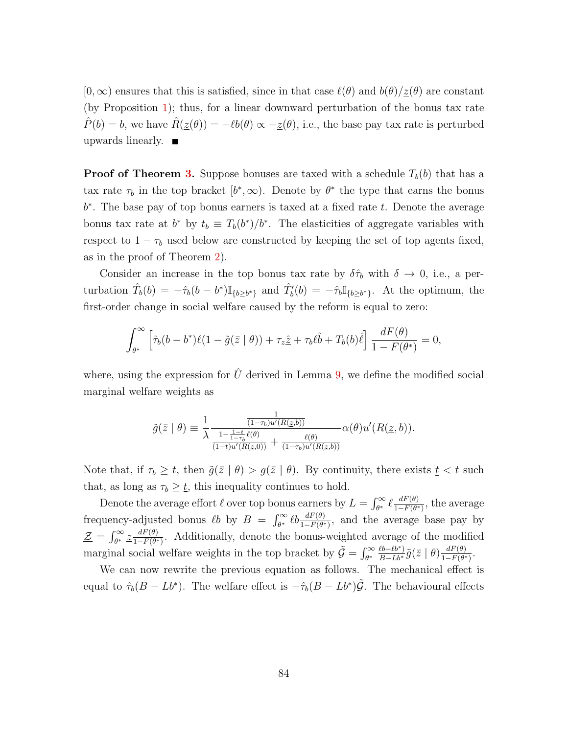$[0,\infty)$  ensures that this is satisfied, since in that case  $\ell(\theta)$  and  $b(\theta)/\underline{z}(\theta)$  are constant (by Proposition [1\)](#page-12-0); thus, for a linear downward perturbation of the bonus tax rate  $\hat{P}(b) = b$ , we have  $\hat{R}(\underline{z}(\theta)) = -\ell b(\theta) \propto -\underline{z}(\theta)$ , i.e., the base pay tax rate is perturbed upwards linearly.  $\blacksquare$ 

**Proof of Theorem [3.](#page-41-0)** Suppose bonuses are taxed with a schedule  $T<sub>b</sub>(b)$  that has a tax rate  $\tau_b$  in the top bracket  $[b^*, \infty)$ . Denote by  $\theta^*$  the type that earns the bonus  $b^*$ . The base pay of top bonus earners is taxed at a fixed rate  $t$ . Denote the average bonus tax rate at  $b^*$  by  $t_b \equiv T_b(b^*)/b^*$ . The elasticities of aggregate variables with respect to  $1 - \tau_b$  used below are constructed by keeping the set of top agents fixed, as in the proof of Theorem [2\)](#page-36-0).

Consider an increase in the top bonus tax rate by  $\delta \hat{\tau}_b$  with  $\delta \to 0$ , i.e., a perturbation  $\hat{T}_b(b) = -\hat{\tau}_b(b-b^*) \mathbb{I}_{\{b \ge b^*\}}$  and  $\hat{T}'_b(b) = -\hat{\tau}_b \mathbb{I}_{\{b \ge b^*\}}$ . At the optimum, the first-order change in social welfare caused by the reform is equal to zero:

$$
\int_{\theta^*}^{\infty} \left[ \hat{\tau}_b(b - b^*) \ell(1 - \tilde{g}(\bar{z} \mid \theta)) + \tau_z \hat{\underline{z}} + \tau_b \ell \hat{b} + T_b(b) \hat{\ell} \right] \frac{dF(\theta)}{1 - F(\theta^*)} = 0,
$$

where, using the expression for  $\hat{U}$  derived in Lemma [9,](#page-77-0) we define the modified social marginal welfare weights as

$$
\tilde{g}(\bar{z} \mid \theta) \equiv \frac{1}{\lambda} \frac{\frac{1}{(1-\tau_b)u'(R(\underline{z},b))}}{\frac{1-\frac{1-t}{1-\tau_b}\ell(\theta)}{(1-t)u'(R(\underline{z},0))} + \frac{\ell(\theta)}{(1-\tau_b)u'(R(\underline{z},b))}} \alpha(\theta)u'(R(\underline{z},b)).
$$

Note that, if  $\tau_b \geq t$ , then  $\tilde{g}(\bar{z} \mid \theta) > g(\bar{z} \mid \theta)$ . By continuity, there exists  $t < t$  such that, as long as  $\tau_b \geq \underline{t}$ , this inequality continues to hold.

Denote the average effort  $\ell$  over top bonus earners by  $L = \int_{\theta^*}^{\infty} \ell \frac{dF(\theta)}{1 - F(\theta^*)}$  $\frac{dF(\theta)}{1-F(\theta^*)}$ , the average frequency-adjusted bonus  $\ell b$  by  $B = \int_{\theta^*}^{\infty} \ell b \frac{dF(\theta)}{1-F(\theta^*)}$ , and the average base pay by Z = R <sup>∞</sup> θ <sup>∗</sup> z dF(θ)  $\frac{dF(\theta)}{1-F(\theta^*)}$ . Additionally, denote the bonus-weighted average of the modified marginal social welfare weights in the top bracket by  $\tilde{G} = \int_{\theta^*}^{\infty} \frac{\ell b - \ell b^*}{B - L b^*} \tilde{g}(\bar{z} \mid \theta) \frac{dF(\theta)}{1 - F(\theta^*)}$  $\frac{dF(\theta)}{1-F(\theta^*)}$ .

We can now rewrite the previous equation as follows. The mechanical effect is equal to  $\hat{\tau}_b(B - Lb^*)$ . The welfare effect is  $-\hat{\tau}_b(B - Lb^*)\tilde{G}$ . The behavioural effects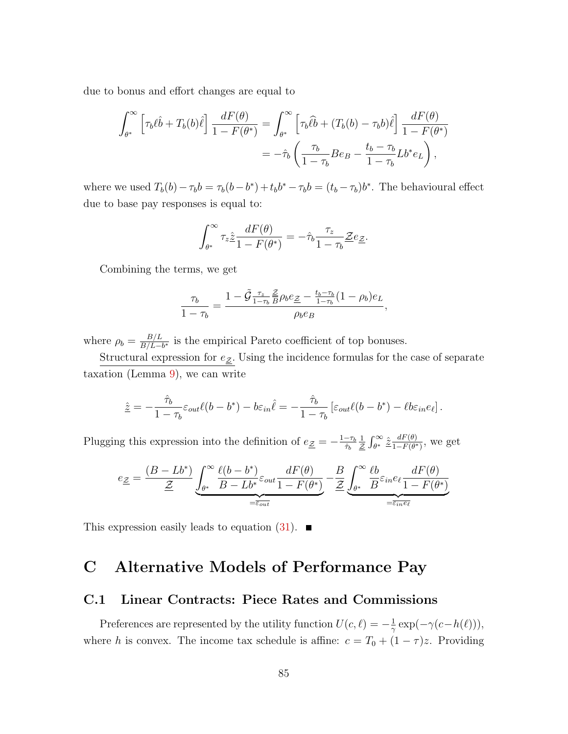due to bonus and effort changes are equal to

$$
\int_{\theta^*}^{\infty} \left[ \tau_b \ell \hat{b} + T_b(b) \hat{\ell} \right] \frac{dF(\theta)}{1 - F(\theta^*)} = \int_{\theta^*}^{\infty} \left[ \tau_b \hat{\ell} \hat{b} + (T_b(b) - \tau_b b) \hat{\ell} \right] \frac{dF(\theta)}{1 - F(\theta^*)}
$$

$$
= -\hat{\tau}_b \left( \frac{\tau_b}{1 - \tau_b} B e_B - \frac{t_b - \tau_b}{1 - \tau_b} L b^* e_L \right),
$$

where we used  $T_b(b) - \tau_b b = \tau_b(b - b^*) + t_b b^* - \tau_b b = (t_b - \tau_b)b^*$ . The behavioural effect due to base pay responses is equal to:

$$
\int_{\theta^*}^{\infty} \tau_z \hat{\underline{z}} \frac{dF(\theta)}{1 - F(\theta^*)} = -\hat{\tau}_b \frac{\tau_z}{1 - \tau_b} \underline{\underline{z}} e_{\underline{z}}.
$$

Combining the terms, we get

$$
\frac{\tau_b}{1-\tau_b} = \frac{1-\tilde{\mathcal{G}}\frac{\tau_z}{1-\tau_b}\frac{\mathcal{Z}}{B}\rho_b e_{\mathcal{Z}} - \frac{t_b-\tau_b}{1-\tau_b}(1-\rho_b)e_L}{\rho_b e_B},
$$

where  $\rho_b = \frac{B/L}{B/L}$  $\frac{B/L}{B/L-b^*}$  is the empirical Pareto coefficient of top bonuses.

Structural expression for  $e_{\underline{\mathcal{Z}}}$ . Using the incidence formulas for the case of separate taxation (Lemma  $9$ ), we can write

$$
\hat{\underline{z}} = -\frac{\hat{\tau}_b}{1 - \tau_b} \varepsilon_{out} \ell(b - b^*) - b \varepsilon_{in} \hat{\ell} = -\frac{\hat{\tau}_b}{1 - \tau_b} \left[ \varepsilon_{out} \ell(b - b^*) - \ell b \varepsilon_{in} e_\ell \right].
$$

Plugging this expression into the definition of  $e_{\mathcal{Z}} = -\frac{1-\tau_b}{\hat{\tau}_b}$  $\hat{\tau}_b$ 1  $\frac{1}{\mathcal{Z}}\int_{\theta^*}^{\infty}\hat{\mathcal{Z}}\frac{dF(\theta)}{1-F(\theta^*)}$  $\frac{dF(\theta)}{1-F(\theta^*)}$ , we get

$$
e_{\underline{Z}} = \frac{(B - Lb^{*})}{\underline{Z}} \underbrace{\int_{\theta^{*}}^{\infty} \frac{\ell(b - b^{*})}{B - Lb^{*}} \varepsilon_{out}}_{=\overline{\varepsilon_{out}}} \frac{dF(\theta)}{1 - F(\theta^{*})} - \underbrace{\frac{B}{Z}}_{\underline{Z}} \underbrace{\int_{\theta^{*}}^{\infty} \frac{\ell b}{B} \varepsilon_{in} e_{\ell}}_{=\overline{\varepsilon_{in}} \overline{e_{\ell}}} \frac{dF(\theta)}{1 - F(\theta^{*})}
$$

This expression easily leads to equation  $(31)$ .

## <span id="page-86-0"></span>C Alternative Models of Performance Pay

#### <span id="page-86-1"></span>C.1 Linear Contracts: Piece Rates and Commissions

Preferences are represented by the utility function  $U(c, \ell) = -\frac{1}{\gamma}$  $\frac{1}{\gamma} \exp(-\gamma(c-h(\ell))),$ where h is convex. The income tax schedule is affine:  $c = T_0 + (1 - \tau)z$ . Providing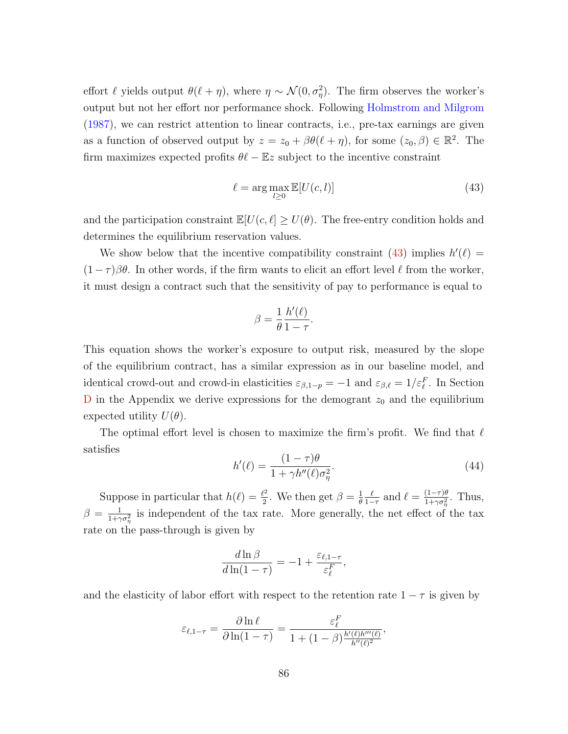effort  $\ell$  yields output  $\theta(\ell + \eta)$ , where  $\eta \sim \mathcal{N}(0, \sigma_{\eta}^2)$ . The firm observes the worker's output but not her effort nor performance shock. Following [Holmstrom and Milgrom](#page-114-0) [\(1987\)](#page-114-0), we can restrict attention to linear contracts, i.e., pre-tax earnings are given as a function of observed output by  $z = z_0 + \beta \theta(\ell + \eta)$ , for some  $(z_0, \beta) \in \mathbb{R}^2$ . The firm maximizes expected profits  $\theta\ell - \mathbb{E}z$  subject to the incentive constraint

<span id="page-87-0"></span>
$$
\ell = \arg \max_{l \ge 0} \mathbb{E}[U(c, l)] \tag{43}
$$

and the participation constraint  $\mathbb{E}[U(c, \ell] \geq U(\theta))$ . The free-entry condition holds and determines the equilibrium reservation values.

We show below that the incentive compatibility constraint [\(43\)](#page-87-0) implies  $h'(\ell)$  =  $(1 - \tau)\beta\theta$ . In other words, if the firm wants to elicit an effort level  $\ell$  from the worker, it must design a contract such that the sensitivity of pay to performance is equal to

$$
\beta = \frac{1}{\theta} \frac{h'(\ell)}{1 - \tau}.
$$

This equation shows the worker's exposure to output risk, measured by the slope of the equilibrium contract, has a similar expression as in our baseline model, and identical crowd-out and crowd-in elasticities  $\varepsilon_{\beta,1-p} = -1$  and  $\varepsilon_{\beta,\ell} = 1/\varepsilon_{\ell}^F$ . In Section [D](#page-97-0) in the Appendix we derive expressions for the demogrant  $z_0$  and the equilibrium expected utility  $U(\theta)$ .

The optimal effort level is chosen to maximize the firm's profit. We find that  $\ell$ satisfies

<span id="page-87-1"></span>
$$
h'(\ell) = \frac{(1-\tau)\theta}{1+\gamma h''(\ell)\sigma_{\eta}^2}.\tag{44}
$$

Suppose in particular that  $h(\ell) = \frac{\ell^2}{2}$  $\frac{\ell^2}{2}$ . We then get  $\beta = \frac{1}{\theta}$ θ  $\ell$  $\frac{\ell}{1-\tau}$  and  $\ell = \frac{(1-\tau)\theta}{1+\gamma\sigma_n^2}$  $\frac{(1-\tau)\theta}{1+\gamma\sigma_{\eta}^2}$ . Thus,  $\beta = \frac{1}{1+\alpha}$  $\frac{1}{1+\gamma\sigma_{\eta}^2}$  is independent of the tax rate. More generally, the net effect of the tax rate on the pass-through is given by

$$
\frac{d\ln\beta}{d\ln(1-\tau)} = -1 + \frac{\varepsilon_{\ell,1-\tau}}{\varepsilon_{\ell}^F},
$$

and the elasticity of labor effort with respect to the retention rate  $1 - \tau$  is given by

$$
\varepsilon_{\ell,1-\tau} = \frac{\partial \ln \ell}{\partial \ln(1-\tau)} = \frac{\varepsilon_{\ell}^F}{1 + (1-\beta) \frac{h'(\ell)h'''(\ell)}{h''(\ell)^2}},
$$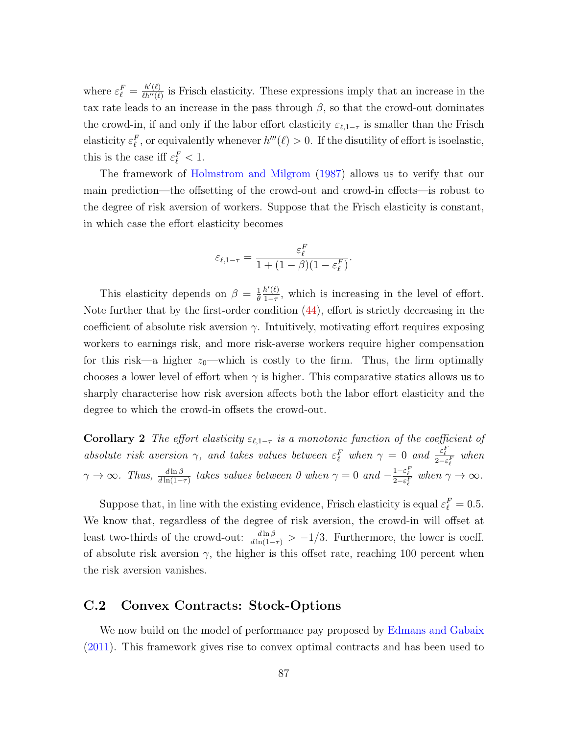where  $\varepsilon_{\ell}^F = \frac{h'(\ell)}{\ell h''(\ell)}$  $\frac{h'(l)}{l(h''(l))}$  is Frisch elasticity. These expressions imply that an increase in the tax rate leads to an increase in the pass through  $\beta$ , so that the crowd-out dominates the crowd-in, if and only if the labor effort elasticity  $\varepsilon_{\ell,1-\tau}$  is smaller than the Frisch elasticity  $\varepsilon_{\ell}^F$ , or equivalently whenever  $h'''(\ell) > 0$ . If the disutility of effort is isoelastic, this is the case iff  $\varepsilon_{\ell}^F < 1$ .

The framework of [Holmstrom and Milgrom](#page-114-0) [\(1987\)](#page-114-0) allows us to verify that our main prediction—the offsetting of the crowd-out and crowd-in effects—is robust to the degree of risk aversion of workers. Suppose that the Frisch elasticity is constant, in which case the effort elasticity becomes

$$
\varepsilon_{\ell, 1-\tau} = \frac{\varepsilon_{\ell}^F}{1 + (1 - \beta)(1 - \varepsilon_{\ell}^F)}.
$$

This elasticity depends on  $\beta = \frac{1}{\theta}$ θ  $h'(\ell)$  $\frac{h'(t)}{1-\tau}$ , which is increasing in the level of effort. Note further that by the first-order condition [\(44\)](#page-87-1), effort is strictly decreasing in the coefficient of absolute risk aversion  $\gamma$ . Intuitively, motivating effort requires exposing workers to earnings risk, and more risk-averse workers require higher compensation for this risk—a higher  $z_0$ —which is costly to the firm. Thus, the firm optimally chooses a lower level of effort when  $\gamma$  is higher. This comparative statics allows us to sharply characterise how risk aversion affects both the labor effort elasticity and the degree to which the crowd-in offsets the crowd-out.

**Corollary 2** The effort elasticity  $\varepsilon_{\ell,1-\tau}$  is a monotonic function of the coefficient of absolute risk aversion  $\gamma$ , and takes values between  $\varepsilon_{\ell}^F$  when  $\gamma = 0$  and  $\frac{\varepsilon_{\ell}^F}{2 - \varepsilon_{\ell}^F}$  when  $\gamma \to \infty$ . Thus,  $\frac{d \ln \beta}{d \ln(1-\tau)}$  takes values between 0 when  $\gamma = 0$  and  $-\frac{1-\varepsilon_{\ell}^F}{2-\varepsilon_{\ell}^F}$  when  $\gamma \to \infty$ .

Suppose that, in line with the existing evidence, Frisch elasticity is equal  $\varepsilon_{\ell}^{F} = 0.5$ . We know that, regardless of the degree of risk aversion, the crowd-in will offset at least two-thirds of the crowd-out:  $\frac{d \ln \beta}{d \ln(1-\tau)} > -1/3$ . Furthermore, the lower is coeff. of absolute risk aversion  $\gamma$ , the higher is this offset rate, reaching 100 percent when the risk aversion vanishes.

#### <span id="page-88-0"></span>C.2 Convex Contracts: Stock-Options

We now build on the model of performance pay proposed by [Edmans and Gabaix](#page-113-0) [\(2011\)](#page-113-0). This framework gives rise to convex optimal contracts and has been used to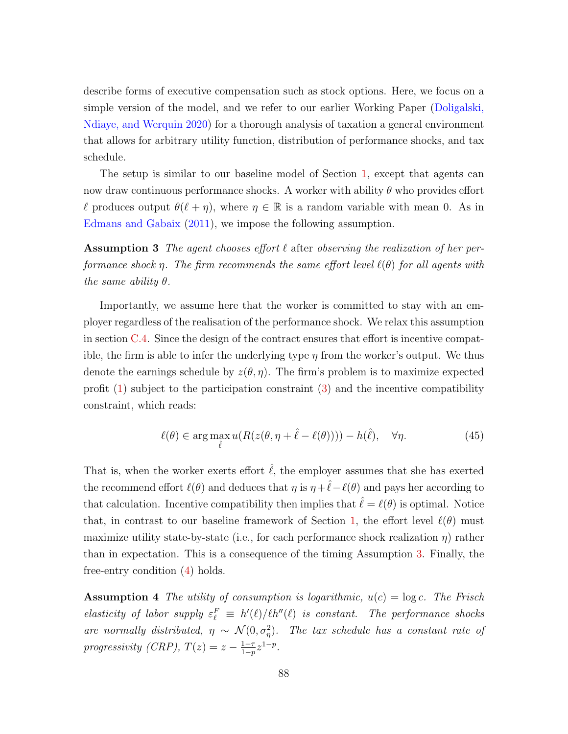describe forms of executive compensation such as stock options. Here, we focus on a simple version of the model, and we refer to our earlier Working Paper [\(Doligalski,](#page-113-1) [Ndiaye, and Werquin](#page-113-1) [2020\)](#page-113-1) for a thorough analysis of taxation a general environment that allows for arbitrary utility function, distribution of performance shocks, and tax schedule.

The setup is similar to our baseline model of Section [1,](#page-9-0) except that agents can now draw continuous performance shocks. A worker with ability  $\theta$  who provides effort  $\ell$  produces output  $\theta(\ell + \eta)$ , where  $\eta \in \mathbb{R}$  is a random variable with mean 0. As in [Edmans and Gabaix](#page-113-0) [\(2011\)](#page-113-0), we impose the following assumption.

<span id="page-89-0"></span>**Assumption 3** The agent chooses effort  $\ell$  after observing the realization of her performance shock  $\eta$ . The firm recommends the same effort level  $\ell(\theta)$  for all agents with the same ability  $\theta$ .

Importantly, we assume here that the worker is committed to stay with an employer regardless of the realisation of the performance shock. We relax this assumption in section [C.4.](#page-94-0) Since the design of the contract ensures that effort is incentive compatible, the firm is able to infer the underlying type  $\eta$  from the worker's output. We thus denote the earnings schedule by  $z(\theta, \eta)$ . The firm's problem is to maximize expected profit [\(1\)](#page-11-0) subject to the participation constraint [\(3\)](#page-11-1) and the incentive compatibility constraint, which reads:

<span id="page-89-1"></span>
$$
\ell(\theta) \in \arg\max_{\hat{\ell}} u(R(z(\theta, \eta + \hat{\ell} - \ell(\theta)))) - h(\hat{\ell}), \quad \forall \eta.
$$
 (45)

That is, when the worker exerts effort  $\ell$ , the employer assumes that she has exerted the recommend effort  $\ell(\theta)$  and deduces that  $\eta$  is  $\eta + \hat{\ell} - \ell(\theta)$  and pays her according to that calculation. Incentive compatibility then implies that  $\hat{\ell} = \ell(\theta)$  is optimal. Notice that, in contrast to our baseline framework of Section [1,](#page-9-0) the effort level  $\ell(\theta)$  must maximize utility state-by-state (i.e., for each performance shock realization  $\eta$ ) rather than in expectation. This is a consequence of the timing Assumption [3.](#page-89-0) Finally, the free-entry condition [\(4\)](#page-11-2) holds.

**Assumption 4** The utility of consumption is logarithmic,  $u(c) = \log c$ . The Frisch elasticity of labor supply  $\varepsilon_{\ell}^F \equiv h'(\ell)/\ell h''(\ell)$  is constant. The performance shocks are normally distributed,  $\eta \sim \mathcal{N}(0, \sigma_{\eta}^2)$ . The tax schedule has a constant rate of progressivity (CRP),  $T(z) = z - \frac{1-\tau}{1-\tau}$  $\frac{1-\tau}{1-p} z^{1-p}$ .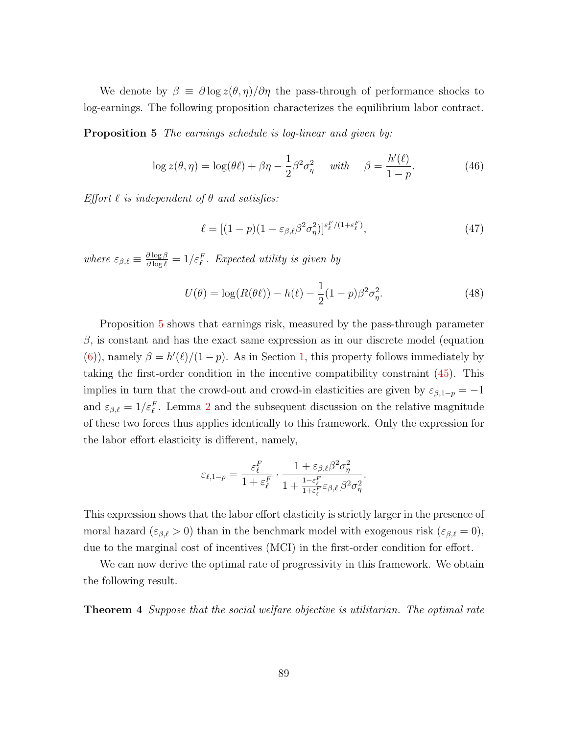We denote by  $\beta \equiv \partial \log z(\theta, \eta) / \partial \eta$  the pass-through of performance shocks to log-earnings. The following proposition characterizes the equilibrium labor contract.

**Proposition 5** The earnings schedule is log-linear and given by:

$$
\log z(\theta, \eta) = \log(\theta \ell) + \beta \eta - \frac{1}{2} \beta^2 \sigma_{\eta}^2 \quad \text{with} \quad \beta = \frac{h'(\ell)}{1 - p}.
$$
 (46)

Effort  $\ell$  is independent of  $\theta$  and satisfies:

<span id="page-90-1"></span><span id="page-90-0"></span>
$$
\ell = [(1-p)(1-\varepsilon_{\beta,\ell}\beta^2\sigma_\eta^2)]^{\varepsilon_\ell^F/(1+\varepsilon_\ell^F)},\tag{47}
$$

where  $\varepsilon_{\beta,\ell} \equiv \frac{\partial \log \beta}{\partial \log \ell} = 1/\varepsilon_{\ell}^F$ . Expected utility is given by

<span id="page-90-2"></span>
$$
U(\theta) = \log(R(\theta \ell)) - h(\ell) - \frac{1}{2}(1 - p)\beta^2 \sigma_\eta^2.
$$
 (48)

Proposition [5](#page-90-0) shows that earnings risk, measured by the pass-through parameter  $\beta$ , is constant and has the exact same expression as in our discrete model (equation [\(6\)](#page-11-3)), namely  $\beta = h'(\ell)/(1-p)$ . As in Section [1,](#page-9-0) this property follows immediately by taking the first-order condition in the incentive compatibility constraint [\(45\)](#page-89-1). This implies in turn that the crowd-out and crowd-in elasticities are given by  $\varepsilon_{\beta,1-p} = -1$ and  $\varepsilon_{\beta,\ell} = 1/\varepsilon_{\ell}^F$ . Lemma [2](#page-15-0) and the subsequent discussion on the relative magnitude of these two forces thus applies identically to this framework. Only the expression for the labor effort elasticity is different, namely,

$$
\varepsilon_{\ell,1-p} = \frac{\varepsilon_{\ell}^F}{1 + \varepsilon_{\ell}^F} \cdot \frac{1 + \varepsilon_{\beta,\ell} \beta^2 \sigma_{\eta}^2}{1 + \frac{1 - \varepsilon_{\ell}^F}{1 + \varepsilon_{\ell}^F} \varepsilon_{\beta,\ell} \beta^2 \sigma_{\eta}^2}.
$$

This expression shows that the labor effort elasticity is strictly larger in the presence of moral hazard ( $\varepsilon_{\beta,\ell} > 0$ ) than in the benchmark model with exogenous risk ( $\varepsilon_{\beta,\ell} = 0$ ), due to the marginal cost of incentives (MCI) in the first-order condition for effort.

We can now derive the optimal rate of progressivity in this framework. We obtain the following result.

<span id="page-90-3"></span>**Theorem 4** Suppose that the social welfare objective is utilitarian. The optimal rate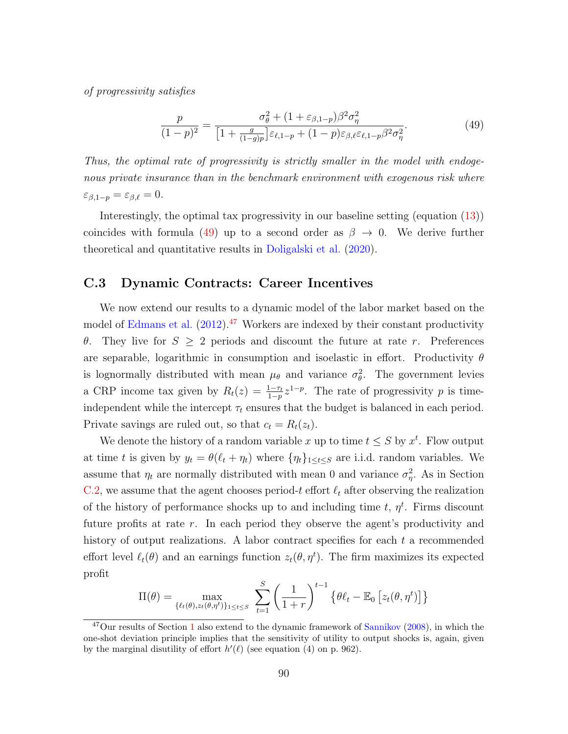of progressivity satisfies

<span id="page-91-0"></span>
$$
\frac{p}{(1-p)^2} = \frac{\sigma_\theta^2 + (1+\varepsilon_{\beta,1-p})\beta^2 \sigma_\eta^2}{\left[1 + \frac{g}{(1-g)p}\right] \varepsilon_{\ell,1-p} + (1-p)\varepsilon_{\beta,\ell} \varepsilon_{\ell,1-p} \beta^2 \sigma_\eta^2}.
$$
(49)

Thus, the optimal rate of progressivity is strictly smaller in the model with endogenous private insurance than in the benchmark environment with exogenous risk where  $\varepsilon_{\beta,1-p} = \varepsilon_{\beta,\ell} = 0.$ 

Interestingly, the optimal tax progressivity in our baseline setting (equation [\(13\)](#page-18-1)) coincides with formula [\(49\)](#page-91-0) up to a second order as  $\beta \to 0$ . We derive further theoretical and quantitative results in [Doligalski et al.](#page-113-1) [\(2020\)](#page-113-1).

### <span id="page-91-2"></span>C.3 Dynamic Contracts: Career Incentives

We now extend our results to a dynamic model of the labor market based on the model of [Edmans et al.](#page-113-2)  $(2012)$ .<sup>[47](#page-91-1)</sup> Workers are indexed by their constant productivity θ. They live for  $S \geq 2$  periods and discount the future at rate r. Preferences are separable, logarithmic in consumption and isoelastic in effort. Productivity  $\theta$ is lognormally distributed with mean  $\mu_{\theta}$  and variance  $\sigma_{\theta}^2$ . The government levies a CRP income tax given by  $R_t(z) = \frac{1-\tau_t}{1-p} z^{1-p}$ . The rate of progressivity p is timeindependent while the intercept  $\tau_t$  ensures that the budget is balanced in each period. Private savings are ruled out, so that  $c_t = R_t(z_t)$ .

We denote the history of a random variable x up to time  $t \leq S$  by  $x^t$ . Flow output at time t is given by  $y_t = \theta(\ell_t + \eta_t)$  where  $\{\eta_t\}_{1 \le t \le S}$  are i.i.d. random variables. We assume that  $\eta_t$  are normally distributed with mean 0 and variance  $\sigma_{\eta}^2$ . As in Section [C.2,](#page-88-0) we assume that the agent chooses period-t effort  $\ell_t$  after observing the realization of the history of performance shocks up to and including time  $t, \eta^t$ . Firms discount future profits at rate r. In each period they observe the agent's productivity and history of output realizations. A labor contract specifies for each  $t$  a recommended effort level  $\ell_t(\theta)$  and an earnings function  $z_t(\theta, \eta^t)$ . The firm maximizes its expected profit

$$
\Pi(\theta) = \max_{\{\ell_t(\theta), z_t(\theta, \eta^t)\}_{1 \le t \le S}} \sum_{t=1}^S \left(\frac{1}{1+r}\right)^{t-1} \left\{\theta\ell_t - \mathbb{E}_0\left[z_t(\theta, \eta^t)\right]\right\}
$$

<span id="page-91-1"></span><sup>&</sup>lt;sup>47</sup>Our results of Section [1](#page-9-0) also extend to the dynamic framework of [Sannikov](#page-116-2) [\(2008\)](#page-116-2), in which the one-shot deviation principle implies that the sensitivity of utility to output shocks is, again, given by the marginal disutility of effort  $h'(\ell)$  (see equation (4) on p. 962).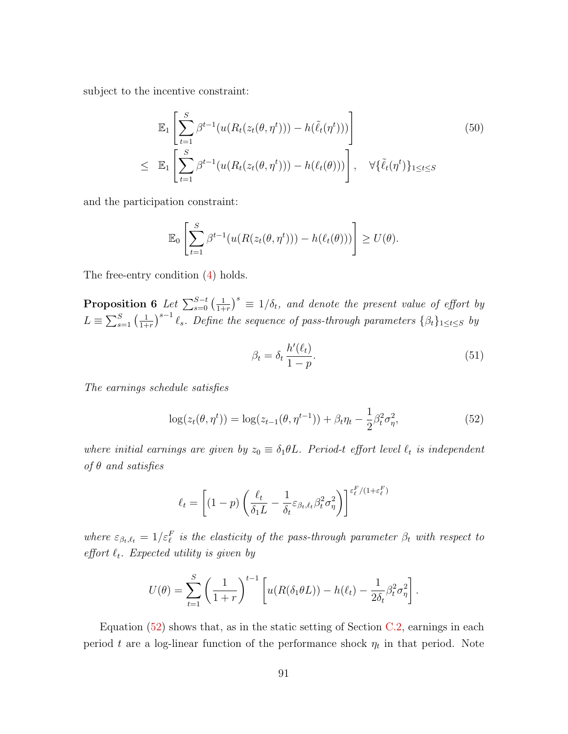subject to the incentive constraint:

$$
\mathbb{E}_{1}\left[\sum_{t=1}^{S}\beta^{t-1}(u(R_{t}(z_{t}(\theta,\eta^{t}))) - h(\tilde{\ell}_{t}(\eta^{t})))\right]
$$
\n
$$
\leq \mathbb{E}_{1}\left[\sum_{t=1}^{S}\beta^{t-1}(u(R_{t}(z_{t}(\theta,\eta^{t}))) - h(\ell_{t}(\theta)))\right], \quad \forall \{\tilde{\ell}_{t}(\eta^{t})\}_{1\leq t\leq S}
$$
\n(50)

and the participation constraint:

$$
\mathbb{E}_0\left[\sum_{t=1}^S \beta^{t-1}(u(R(z_t(\theta,\eta^t))) - h(\ell_t(\theta)))\right] \ge U(\theta).
$$

<span id="page-92-1"></span>The free-entry condition [\(4\)](#page-11-2) holds.

Proposition 6 Let  $\sum_{s=0}^{S-t}\big(\frac{1}{1+s}\big)$  $\frac{1}{1+r}$ <sup>s</sup>  $\equiv$  1/ $\delta_t$ , and denote the present value of effort by  $L \equiv \sum_{s=1}^{S} \left( \frac{1}{1 + \cdots} \right)$  $\frac{1}{1+r}$ )<sup>s-1</sup>  $\ell_s$ . Define the sequence of pass-through parameters  $\{\beta_t\}_{1\leq t\leq S}$  by

$$
\beta_t = \delta_t \, \frac{h'(\ell_t)}{1 - p}.\tag{51}
$$

The earnings schedule satisfies

<span id="page-92-0"></span>
$$
\log(z_t(\theta, \eta^t)) = \log(z_{t-1}(\theta, \eta^{t-1})) + \beta_t \eta_t - \frac{1}{2} \beta_t^2 \sigma_{\eta}^2,
$$
\n(52)

where initial earnings are given by  $z_0 \equiv \delta_1 \theta L$ . Period-t effort level  $\ell_t$  is independent of  $\theta$  and satisfies

$$
\ell_t = \left[ (1-p) \left( \frac{\ell_t}{\delta_1 L} - \frac{1}{\delta_t} \varepsilon_{\beta_t, \ell_t} \beta_t^2 \sigma_\eta^2 \right) \right]^{\varepsilon_t^F / (1 + \varepsilon_t^F)}
$$

where  $\varepsilon_{\beta_t,\ell_t} = 1/\varepsilon_t^F$  is the elasticity of the pass-through parameter  $\beta_t$  with respect to effort  $\ell_t$ . Expected utility is given by

$$
U(\theta) = \sum_{t=1}^{S} \left(\frac{1}{1+r}\right)^{t-1} \left[ u(R(\delta_1 \theta L)) - h(\ell_t) - \frac{1}{2\delta_t} \beta_t^2 \sigma_\eta^2 \right].
$$

Equation  $(52)$  shows that, as in the static setting of Section [C.2,](#page-88-0) earnings in each period t are a log-linear function of the performance shock  $\eta_t$  in that period. Note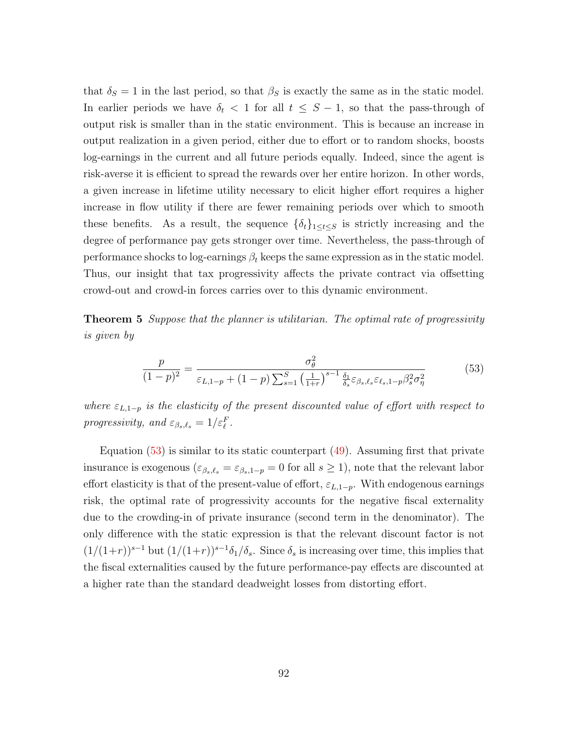that  $\delta_S = 1$  in the last period, so that  $\beta_S$  is exactly the same as in the static model. In earlier periods we have  $\delta_t$  < 1 for all  $t \leq S-1$ , so that the pass-through of output risk is smaller than in the static environment. This is because an increase in output realization in a given period, either due to effort or to random shocks, boosts log-earnings in the current and all future periods equally. Indeed, since the agent is risk-averse it is efficient to spread the rewards over her entire horizon. In other words, a given increase in lifetime utility necessary to elicit higher effort requires a higher increase in flow utility if there are fewer remaining periods over which to smooth these benefits. As a result, the sequence  $\{\delta_t\}_{1\leq t\leq S}$  is strictly increasing and the degree of performance pay gets stronger over time. Nevertheless, the pass-through of performance shocks to log-earnings  $\beta_t$  keeps the same expression as in the static model. Thus, our insight that tax progressivity affects the private contract via offsetting crowd-out and crowd-in forces carries over to this dynamic environment.

**Theorem 5** Suppose that the planner is utilitarian. The optimal rate of progressivity is given by

<span id="page-93-0"></span>
$$
\frac{p}{(1-p)^2} = \frac{\sigma_\theta^2}{\varepsilon_{L,1-p} + (1-p)\sum_{s=1}^S \left(\frac{1}{1+r}\right)^{s-1} \frac{\delta_1}{\delta_s} \varepsilon_{\beta_s,\ell_s} \varepsilon_{\ell_s,1-p} \beta_s^2 \sigma_\eta^2}
$$
(53)

where  $\varepsilon_{L,1-p}$  is the elasticity of the present discounted value of effort with respect to progressivity, and  $\varepsilon_{\beta_s,\ell_s} = 1/\varepsilon_{\ell}^F$ .

Equation  $(53)$  is similar to its static counterpart  $(49)$ . Assuming first that private insurance is exogenous  $(\varepsilon_{\beta_s,\ell_s}=\varepsilon_{\beta_s,1-p}=0$  for all  $s\geq 1$ ), note that the relevant labor effort elasticity is that of the present-value of effort,  $\varepsilon_{L,1-p}$ . With endogenous earnings risk, the optimal rate of progressivity accounts for the negative fiscal externality due to the crowding-in of private insurance (second term in the denominator). The only difference with the static expression is that the relevant discount factor is not  $(1/(1+r))^{s-1}$  but  $(1/(1+r))^{s-1}\delta_1/\delta_s$ . Since  $\delta_s$  is increasing over time, this implies that the fiscal externalities caused by the future performance-pay effects are discounted at a higher rate than the standard deadweight losses from distorting effort.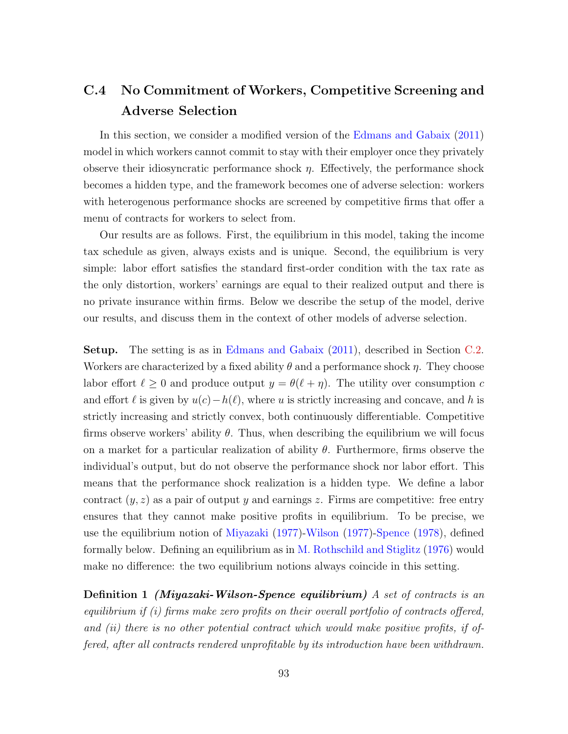# <span id="page-94-0"></span>C.4 No Commitment of Workers, Competitive Screening and Adverse Selection

In this section, we consider a modified version of the [Edmans and Gabaix](#page-113-0) [\(2011\)](#page-113-0) model in which workers cannot commit to stay with their employer once they privately observe their idiosyncratic performance shock  $\eta$ . Effectively, the performance shock becomes a hidden type, and the framework becomes one of adverse selection: workers with heterogenous performance shocks are screened by competitive firms that offer a menu of contracts for workers to select from.

Our results are as follows. First, the equilibrium in this model, taking the income tax schedule as given, always exists and is unique. Second, the equilibrium is very simple: labor effort satisfies the standard first-order condition with the tax rate as the only distortion, workers' earnings are equal to their realized output and there is no private insurance within firms. Below we describe the setup of the model, derive our results, and discuss them in the context of other models of adverse selection.

Setup. The setting is as in [Edmans and Gabaix](#page-113-0) [\(2011\)](#page-113-0), described in Section [C.2.](#page-88-0) Workers are characterized by a fixed ability  $\theta$  and a performance shock  $\eta$ . They choose labor effort  $\ell \geq 0$  and produce output  $y = \theta(\ell + \eta)$ . The utility over consumption c and effort  $\ell$  is given by  $u(c) - h(\ell)$ , where u is strictly increasing and concave, and h is strictly increasing and strictly convex, both continuously differentiable. Competitive firms observe workers' ability  $\theta$ . Thus, when describing the equilibrium we will focus on a market for a particular realization of ability  $\theta$ . Furthermore, firms observe the individual's output, but do not observe the performance shock nor labor effort. This means that the performance shock realization is a hidden type. We define a labor contract  $(y, z)$  as a pair of output y and earnings z. Firms are competitive: free entry ensures that they cannot make positive profits in equilibrium. To be precise, we use the equilibrium notion of [Miyazaki](#page-115-0) [\(1977\)](#page-115-0)[-Wilson](#page-116-3) [\(1977\)](#page-116-3)[-Spence](#page-116-4) [\(1978\)](#page-116-4), defined formally below. Defining an equilibrium as in [M. Rothschild and Stiglitz](#page-115-1) [\(1976\)](#page-115-1) would make no difference: the two equilibrium notions always coincide in this setting.

**Definition 1** (Miyazaki-Wilson-Spence equilibrium) A set of contracts is an equilibrium if (i) firms make zero profits on their overall portfolio of contracts offered, and (ii) there is no other potential contract which would make positive profits, if offered, after all contracts rendered unprofitable by its introduction have been withdrawn.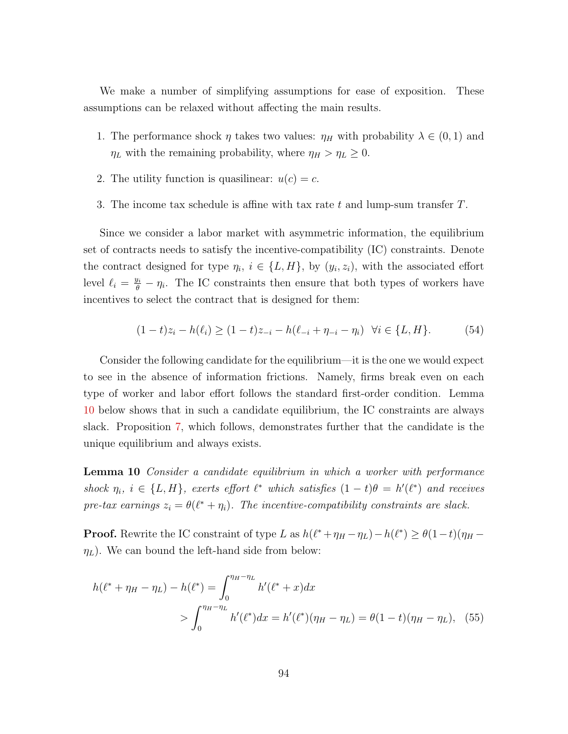We make a number of simplifying assumptions for ease of exposition. These assumptions can be relaxed without affecting the main results.

- 1. The performance shock  $\eta$  takes two values:  $\eta_H$  with probability  $\lambda \in (0,1)$  and  $\eta_L$  with the remaining probability, where  $\eta_H > \eta_L \geq 0$ .
- 2. The utility function is quasilinear:  $u(c) = c$ .
- 3. The income tax schedule is affine with tax rate t and lump-sum transfer  $T$ .

Since we consider a labor market with asymmetric information, the equilibrium set of contracts needs to satisfy the incentive-compatibility (IC) constraints. Denote the contract designed for type  $\eta_i, i \in \{L, H\}$ , by  $(y_i, z_i)$ , with the associated effort level  $\ell_i = \frac{y_i}{\theta} - \eta_i$ . The IC constraints then ensure that both types of workers have incentives to select the contract that is designed for them:

$$
(1-t)z_i - h(\ell_i) \ge (1-t)z_{-i} - h(\ell_{-i} + \eta_{-i} - \eta_i) \quad \forall i \in \{L, H\}.
$$
 (54)

Consider the following candidate for the equilibrium—it is the one we would expect to see in the absence of information frictions. Namely, firms break even on each type of worker and labor effort follows the standard first-order condition. Lemma [10](#page-95-0) below shows that in such a candidate equilibrium, the IC constraints are always slack. Proposition [7,](#page-96-0) which follows, demonstrates further that the candidate is the unique equilibrium and always exists.

<span id="page-95-0"></span>**Lemma 10** Consider a candidate equilibrium in which a worker with performance shock  $\eta_i$ ,  $i \in \{L, H\}$ , exerts effort  $\ell^*$  which satisfies  $(1-t)\theta = h'(\ell^*)$  and receives pre-tax earnings  $z_i = \theta(\ell^* + \eta_i)$ . The incentive-compatibility constraints are slack.

**Proof.** Rewrite the IC constraint of type L as  $h(\ell^* + \eta_H - \eta_L) - h(\ell^*) \geq \theta(1-t)(\eta_H - \eta_L)$  $\eta_L$ ). We can bound the left-hand side from below:

$$
h(\ell^* + \eta_H - \eta_L) - h(\ell^*) = \int_0^{\eta_H - \eta_L} h'(\ell^* + x) dx
$$
  
> 
$$
\int_0^{\eta_H - \eta_L} h'(\ell^*) dx = h'(\ell^*)(\eta_H - \eta_L) = \theta(1 - t)(\eta_H - \eta_L), \quad (55)
$$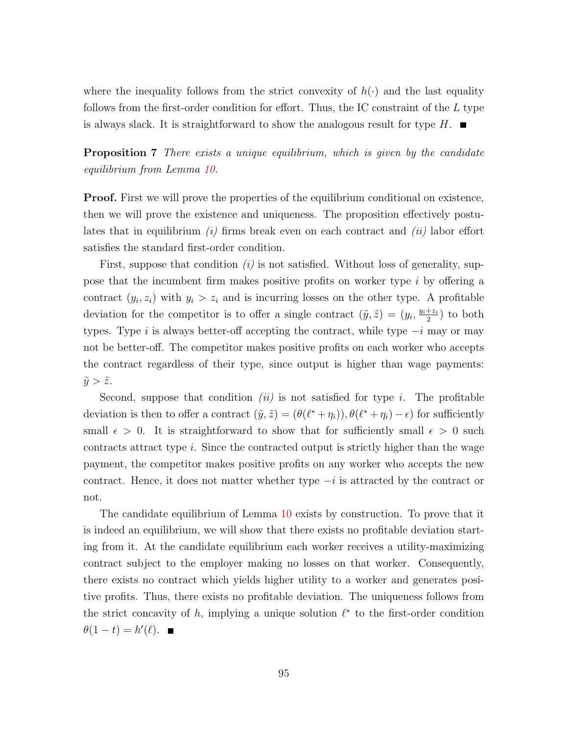where the inequality follows from the strict convexity of  $h(\cdot)$  and the last equality follows from the first-order condition for effort. Thus, the IC constraint of the  $L$  type is always slack. It is straightforward to show the analogous result for type  $H$ .

<span id="page-96-0"></span>**Proposition 7** There exists a unique equilibrium, which is given by the candidate equilibrium from Lemma [10.](#page-95-0)

**Proof.** First we will prove the properties of the equilibrium conditional on existence, then we will prove the existence and uniqueness. The proposition effectively postulates that in equilibrium  $(i)$  firms break even on each contract and  $(ii)$  labor effort satisfies the standard first-order condition.

First, suppose that condition  $(i)$  is not satisfied. Without loss of generality, suppose that the incumbent firm makes positive profits on worker type i by offering a contract  $(y_i, z_i)$  with  $y_i > z_i$  and is incurring losses on the other type. A profitable deviation for the competitor is to offer a single contract  $(\tilde{y}, \tilde{z}) = (y_i, \frac{y_i + z_i}{2})$  $\frac{+z_i}{2}$ ) to both types. Type i is always better-off accepting the contract, while type  $-i$  may or may not be better-off. The competitor makes positive profits on each worker who accepts the contract regardless of their type, since output is higher than wage payments:  $\tilde{y} > \tilde{z}$ .

Second, suppose that condition  $(ii)$  is not satisfied for type i. The profitable deviation is then to offer a contract  $(\tilde{y}, \tilde{z}) = (\theta(\ell^* + \eta_i)), \theta(\ell^* + \eta_i) - \epsilon)$  for sufficiently small  $\epsilon > 0$ . It is straightforward to show that for sufficiently small  $\epsilon > 0$  such contracts attract type  $i$ . Since the contracted output is strictly higher than the wage payment, the competitor makes positive profits on any worker who accepts the new contract. Hence, it does not matter whether type  $-i$  is attracted by the contract or not.

The candidate equilibrium of Lemma [10](#page-95-0) exists by construction. To prove that it is indeed an equilibrium, we will show that there exists no profitable deviation starting from it. At the candidate equilibrium each worker receives a utility-maximizing contract subject to the employer making no losses on that worker. Consequently, there exists no contract which yields higher utility to a worker and generates positive profits. Thus, there exists no profitable deviation. The uniqueness follows from the strict concavity of  $h$ , implying a unique solution  $\ell^*$  to the first-order condition  $\theta(1-t) = h'(\ell).$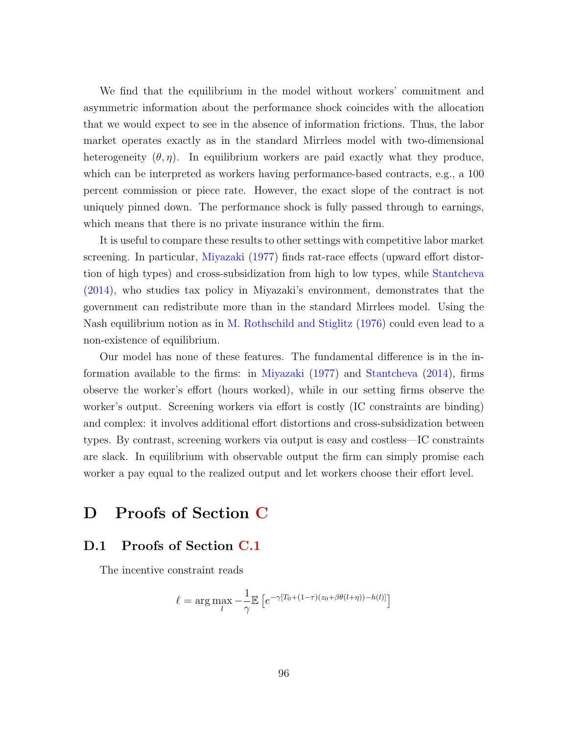We find that the equilibrium in the model without workers' commitment and asymmetric information about the performance shock coincides with the allocation that we would expect to see in the absence of information frictions. Thus, the labor market operates exactly as in the standard Mirrlees model with two-dimensional heterogeneity  $(\theta, \eta)$ . In equilibrium workers are paid exactly what they produce, which can be interpreted as workers having performance-based contracts, e.g., a 100 percent commission or piece rate. However, the exact slope of the contract is not uniquely pinned down. The performance shock is fully passed through to earnings, which means that there is no private insurance within the firm.

It is useful to compare these results to other settings with competitive labor market screening. In particular, [Miyazaki](#page-115-0) [\(1977\)](#page-115-0) finds rat-race effects (upward effort distortion of high types) and cross-subsidization from high to low types, while [Stantcheva](#page-116-5) [\(2014\)](#page-116-5), who studies tax policy in Miyazaki's environment, demonstrates that the government can redistribute more than in the standard Mirrlees model. Using the Nash equilibrium notion as in [M. Rothschild and Stiglitz](#page-115-1) [\(1976\)](#page-115-1) could even lead to a non-existence of equilibrium.

Our model has none of these features. The fundamental difference is in the information available to the firms: in [Miyazaki](#page-115-0) [\(1977\)](#page-115-0) and [Stantcheva](#page-116-5) [\(2014\)](#page-116-5), firms observe the worker's effort (hours worked), while in our setting firms observe the worker's output. Screening workers via effort is costly (IC constraints are binding) and complex: it involves additional effort distortions and cross-subsidization between types. By contrast, screening workers via output is easy and costless—IC constraints are slack. In equilibrium with observable output the firm can simply promise each worker a pay equal to the realized output and let workers choose their effort level.

## <span id="page-97-0"></span>D Proofs of Section [C](#page-86-0)

### D.1 Proofs of Section [C.1](#page-86-1)

The incentive constraint reads

$$
\ell = \arg \max_{l} -\frac{1}{\gamma} \mathbb{E}\left[e^{-\gamma[T_0 + (1-\tau)(z_0 + \beta \theta(l+\eta)) - h(l)]}\right]
$$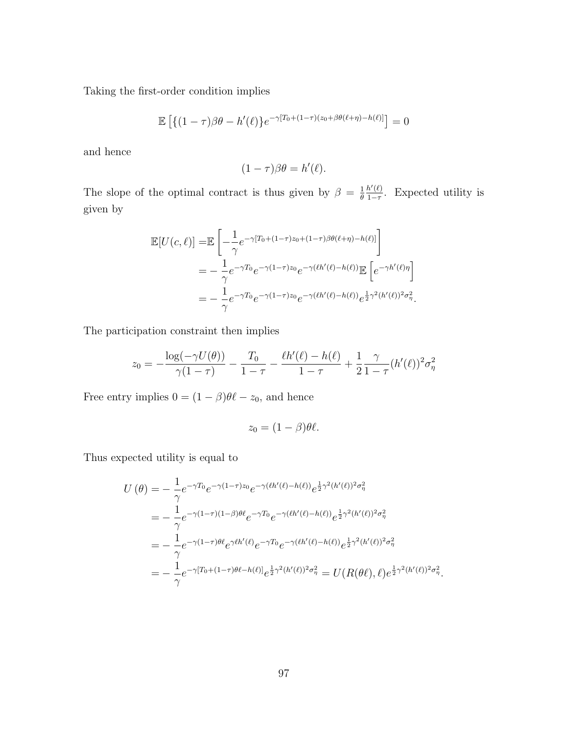Taking the first-order condition implies

$$
\mathbb{E}\left[\left\{(1-\tau)\beta\theta - h'(\ell)\right\}e^{-\gamma[T_0+(1-\tau)(z_0+\beta\theta(\ell+\eta)-h(\ell)]}\right] = 0
$$

and hence

$$
(1 - \tau)\beta\theta = h'(\ell).
$$

The slope of the optimal contract is thus given by  $\beta = \frac{1}{\beta}$ θ  $h'(\ell)$  $\frac{h'(\ell)}{1-\tau}$ . Expected utility is given by

$$
\mathbb{E}[U(c,\ell)] = \mathbb{E}\left[-\frac{1}{\gamma}e^{-\gamma[T_0+(1-\tau)z_0+(1-\tau)\beta\theta(\ell+\eta)-h(\ell)]}\right]
$$
  
\n
$$
= -\frac{1}{\gamma}e^{-\gamma T_0}e^{-\gamma(1-\tau)z_0}e^{-\gamma(\ell h'(\ell)-h(\ell))}\mathbb{E}\left[e^{-\gamma h'(\ell)\eta}\right]
$$
  
\n
$$
= -\frac{1}{\gamma}e^{-\gamma T_0}e^{-\gamma(1-\tau)z_0}e^{-\gamma(\ell h'(\ell)-h(\ell))}e^{\frac{1}{2}\gamma^2(h'(\ell))^2\sigma_{\eta}^2}.
$$

.

.

The participation constraint then implies

$$
z_0 = -\frac{\log(-\gamma U(\theta))}{\gamma(1-\tau)} - \frac{T_0}{1-\tau} - \frac{\ell h'(\ell) - h(\ell)}{1-\tau} + \frac{1}{2} \frac{\gamma}{1-\tau} (h'(\ell))^2 \sigma_\eta^2
$$

Free entry implies  $0 = (1 - \beta)\theta\ell - z_0$ , and hence

$$
z_0 = (1 - \beta)\theta\ell.
$$

Thus expected utility is equal to

$$
U(\theta) = -\frac{1}{\gamma} e^{-\gamma T_0} e^{-\gamma (1-\tau)z_0} e^{-\gamma (\ell h'(\ell) - h(\ell))} e^{\frac{1}{2}\gamma^2 (h'(\ell))^2 \sigma_\eta^2}
$$
  
\n
$$
= -\frac{1}{\gamma} e^{-\gamma (1-\tau)(1-\beta)\theta \ell} e^{-\gamma T_0} e^{-\gamma (\ell h'(\ell) - h(\ell))} e^{\frac{1}{2}\gamma^2 (h'(\ell))^2 \sigma_\eta^2}
$$
  
\n
$$
= -\frac{1}{\gamma} e^{-\gamma (1-\tau)\theta \ell} e^{\gamma \ell h'(\ell)} e^{-\gamma T_0} e^{-\gamma (\ell h'(\ell) - h(\ell))} e^{\frac{1}{2}\gamma^2 (h'(\ell))^2 \sigma_\eta^2}
$$
  
\n
$$
= -\frac{1}{\gamma} e^{-\gamma [T_0 + (1-\tau)\theta \ell - h(\ell)]} e^{\frac{1}{2}\gamma^2 (h'(\ell))^2 \sigma_\eta^2} = U(R(\theta \ell), \ell) e^{\frac{1}{2}\gamma^2 (h'(\ell))^2 \sigma_\eta^2}
$$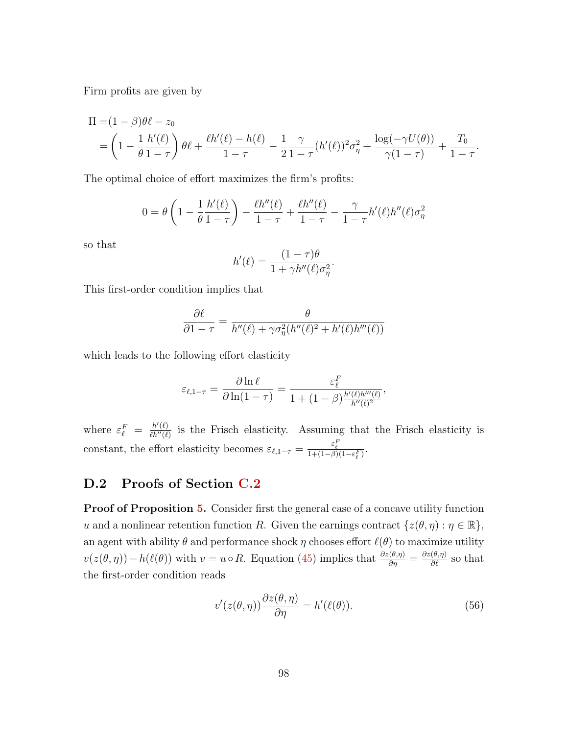Firm profits are given by

$$
\Pi = (1 - \beta)\theta\ell - z_0 \n= \left(1 - \frac{1}{\theta}\frac{h'(\ell)}{1 - \tau}\right)\theta\ell + \frac{\ell h'(\ell) - h(\ell)}{1 - \tau} - \frac{1}{2}\frac{\gamma}{1 - \tau}(h'(\ell))^2\sigma_\eta^2 + \frac{\log(-\gamma U(\theta))}{\gamma(1 - \tau)} + \frac{T_0}{1 - \tau}.
$$

The optimal choice of effort maximizes the firm's profits:

$$
0 = \theta \left( 1 - \frac{1}{\theta} \frac{h'(\ell)}{1 - \tau} \right) - \frac{\ell h''(\ell)}{1 - \tau} + \frac{\ell h''(\ell)}{1 - \tau} - \frac{\gamma}{1 - \tau} h'(\ell) h''(\ell) \sigma_\eta^2
$$

so that

$$
h'(\ell) = \frac{(1-\tau)\theta}{1+\gamma h''(\ell)\sigma_\eta^2}.
$$

This first-order condition implies that

$$
\frac{\partial \ell}{\partial 1 - \tau} = \frac{\theta}{h''(\ell) + \gamma \sigma_{\eta}^2(h''(\ell)^2 + h'(\ell)h'''(\ell))}
$$

which leads to the following effort elasticity

$$
\varepsilon_{\ell, 1-\tau} = \frac{\partial \ln \ell}{\partial \ln (1-\tau)} = \frac{\varepsilon_{\ell}^F}{1 + (1-\beta) \frac{h'(\ell)h'''(\ell)}{h''(\ell)^2}},
$$

where  $\varepsilon_{\ell}^F = \frac{h'(\ell)}{\ell h''(\ell)}$  $\frac{h'(t)}{h''(t)}$  is the Frisch elasticity. Assuming that the Frisch elasticity is constant, the effort elasticity becomes  $\varepsilon_{\ell,1-\tau} = \frac{\varepsilon_{\ell}^F}{1 + (1-\beta)(1-\varepsilon_{\ell}^F)}$ .

### D.2 Proofs of Section [C.2](#page-88-0)

**Proof of Proposition [5.](#page-90-0)** Consider first the general case of a concave utility function u and a nonlinear retention function R. Given the earnings contract  $\{z(\theta, \eta) : \eta \in \mathbb{R}\},\$ an agent with ability  $\theta$  and performance shock  $\eta$  chooses effort  $\ell(\theta)$  to maximize utility  $v(z(\theta, \eta)) - h(\ell(\theta))$  with  $v = u \circ R$ . Equation [\(45\)](#page-89-1) implies that  $\frac{\partial z(\theta, \eta)}{\partial \eta} = \frac{\partial z(\theta, \eta)}{\partial \ell}$  so that the first-order condition reads

$$
v'(z(\theta, \eta))\frac{\partial z(\theta, \eta)}{\partial \eta} = h'(\ell(\theta)).\tag{56}
$$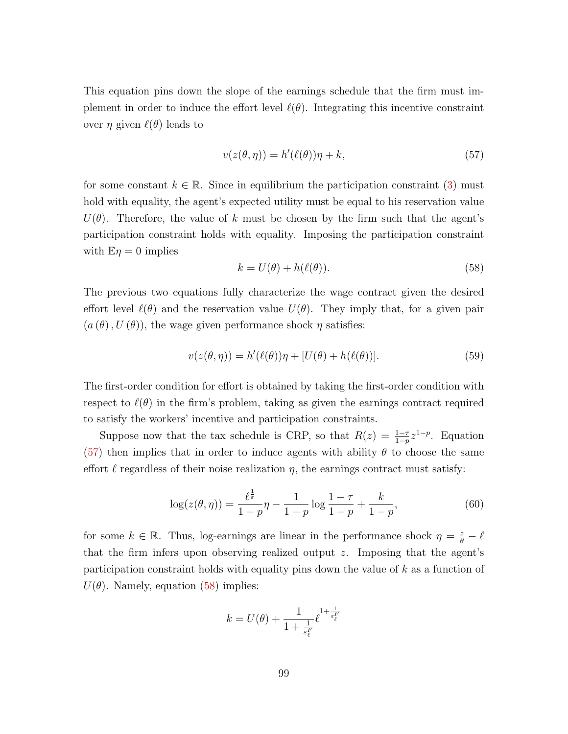This equation pins down the slope of the earnings schedule that the firm must implement in order to induce the effort level  $\ell(\theta)$ . Integrating this incentive constraint over  $η$  given  $\ell(θ)$  leads to

<span id="page-100-0"></span>
$$
v(z(\theta, \eta)) = h'(\ell(\theta))\eta + k,\tag{57}
$$

for some constant  $k \in \mathbb{R}$ . Since in equilibrium the participation constraint [\(3\)](#page-11-1) must hold with equality, the agent's expected utility must be equal to his reservation value  $U(\theta)$ . Therefore, the value of k must be chosen by the firm such that the agent's participation constraint holds with equality. Imposing the participation constraint with  $\mathbb{E} \eta = 0$  implies

<span id="page-100-1"></span>
$$
k = U(\theta) + h(\ell(\theta)).\tag{58}
$$

The previous two equations fully characterize the wage contract given the desired effort level  $\ell(\theta)$  and the reservation value  $U(\theta)$ . They imply that, for a given pair  $(a(\theta), U(\theta))$ , the wage given performance shock  $\eta$  satisfies:

$$
v(z(\theta, \eta)) = h'(\ell(\theta))\eta + [U(\theta) + h(\ell(\theta))].
$$
\n(59)

The first-order condition for effort is obtained by taking the first-order condition with respect to  $\ell(\theta)$  in the firm's problem, taking as given the earnings contract required to satisfy the workers' incentive and participation constraints.

Suppose now that the tax schedule is CRP, so that  $R(z) = \frac{1-\tau}{1-p} z^{1-p}$ . Equation [\(57\)](#page-100-0) then implies that in order to induce agents with ability  $\theta$  to choose the same effort  $\ell$  regardless of their noise realization  $\eta$ , the earnings contract must satisfy:

$$
\log(z(\theta, \eta)) = \frac{\ell^{\frac{1}{\varepsilon}}}{1 - p}\eta - \frac{1}{1 - p}\log\frac{1 - \tau}{1 - p} + \frac{k}{1 - p},\tag{60}
$$

for some  $k \in \mathbb{R}$ . Thus, log-earnings are linear in the performance shock  $\eta = \frac{z}{\theta} - \ell$ that the firm infers upon observing realized output  $z$ . Imposing that the agent's participation constraint holds with equality pins down the value of k as a function of  $U(\theta)$ . Namely, equation [\(58\)](#page-100-1) implies:

$$
k = U(\theta) + \frac{1}{1 + \frac{1}{\varepsilon_{\ell}^F}} \ell^{1 + \frac{1}{\varepsilon_{\ell}^F}}
$$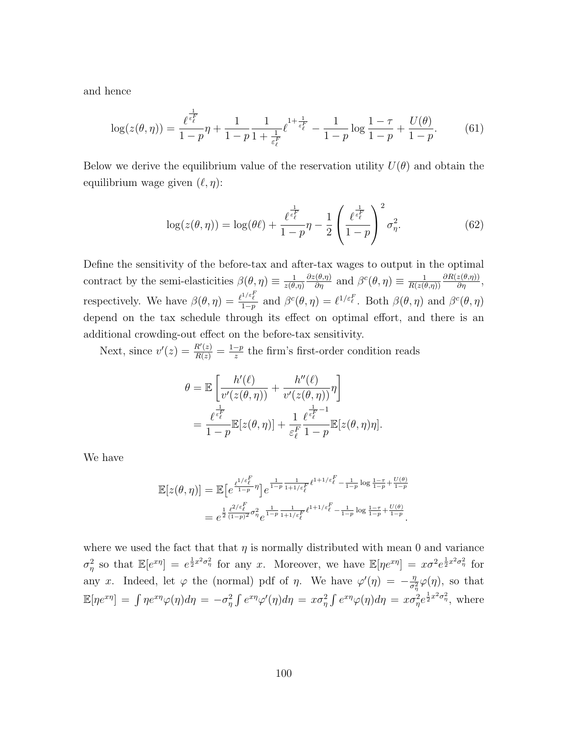and hence

$$
\log(z(\theta,\eta)) = \frac{\ell^{\frac{1}{\varepsilon_{\ell}^F}}}{1-p}\eta + \frac{1}{1-p}\frac{1}{1+\frac{1}{\varepsilon_{\ell}^F}}\ell^{1+\frac{1}{\varepsilon_{\ell}^F}} - \frac{1}{1-p}\log\frac{1-\tau}{1-p} + \frac{U(\theta)}{1-p}.
$$
 (61)

Below we derive the equilibrium value of the reservation utility  $U(\theta)$  and obtain the equilibrium wage given  $(\ell, \eta)$ :

$$
\log(z(\theta,\eta)) = \log(\theta\ell) + \frac{\ell^{\frac{1}{\epsilon_{\ell}^F}}}{1-p}\eta - \frac{1}{2}\left(\frac{\ell^{\frac{1}{\epsilon_{\ell}^F}}}{1-p}\right)^2 \sigma_{\eta}^2.
$$
 (62)

Define the sensitivity of the before-tax and after-tax wages to output in the optimal contract by the semi-elasticities  $\beta(\theta, \eta) \equiv \frac{1}{\gamma(\theta)}$  $z(\theta,\eta)$  $\frac{\partial z(\theta,\eta)}{\partial \eta}$  and  $\beta^c(\theta,\eta) \equiv \frac{1}{R(z(\theta))}$  $R(z(\theta,\eta))$  $\frac{\partial R(z(\theta,\eta))}{\partial \eta},$ respectively. We have  $\beta(\theta, \eta) = \frac{\ell^{1/\varepsilon}}{1-\eta}$  $\frac{1}{1-p}$  and  $\beta^c(\theta, \eta) = \ell^{1/\varepsilon_{\ell}^F}$ . Both  $\beta(\theta, \eta)$  and  $\beta^c(\theta, \eta)$ depend on the tax schedule through its effect on optimal effort, and there is an additional crowding-out effect on the before-tax sensitivity.

Next, since  $v'(z) = \frac{R'(z)}{R(z)} = \frac{1-p}{z}$  $\frac{-p}{z}$  the firm's first-order condition reads

$$
\theta = \mathbb{E}\left[\frac{h'(\ell)}{v'(z(\theta,\eta))} + \frac{h''(\ell)}{v'(z(\theta,\eta))}\eta\right]
$$
  
= 
$$
\frac{\ell^{\frac{1}{\varepsilon_{\ell}^F}}}{1-p}\mathbb{E}[z(\theta,\eta)] + \frac{1}{\varepsilon_{\ell}^F}\frac{\ell^{\frac{1}{\varepsilon_{\ell}^F}-1}}{1-p}\mathbb{E}[z(\theta,\eta)\eta].
$$

We have

$$
\mathbb{E}[z(\theta,\eta)] = \mathbb{E}\left[e^{\frac{\ell^{1/\varepsilon}^F_\ell}{1-p}\eta}\right]e^{\frac{1}{1-p}\frac{1}{1+1/\varepsilon^F_\ell}t^{1+1/\varepsilon^F_\ell} - \frac{1}{1-p}\log\frac{1-\tau}{1-p} + \frac{U(\theta)}{1-p}}= e^{\frac{1}{2}\frac{\ell^{2/\varepsilon}^F_\ell}{(1-p)^2\sigma_\eta^2}e^{\frac{1}{1-p}\frac{1}{1+1/\varepsilon^F_\ell}t^{1+1/\varepsilon^F_\ell} - \frac{1}{1-p}\log\frac{1-\tau}{1-p} + \frac{U(\theta)}{1-p}}.
$$

where we used the fact that that  $\eta$  is normally distributed with mean 0 and variance  $\sigma_{\eta}^2$  so that  $\mathbb{E}[e^{x\eta}] = e^{\frac{1}{2}x^2\sigma_{\eta}^2}$  for any x. Moreover, we have  $\mathbb{E}[\eta e^{x\eta}] = x\sigma^2 e^{\frac{1}{2}x^2\sigma_{\eta}^2}$  for any x. Indeed, let  $\varphi$  the (normal) pdf of  $\eta$ . We have  $\varphi'(\eta) = -\frac{\eta}{\sigma^2}$  $\frac{\eta}{\sigma_{\eta}^2}\varphi(\eta)$ , so that  $\mathbb{E}[\eta e^{x\eta}] = \int \eta e^{x\eta} \varphi(\eta) d\eta = -\sigma_{\eta}^2 \int e^{x\eta} \varphi'(\eta) d\eta = x\sigma_{\eta}^2 \int e^{x\eta} \varphi(\eta) d\eta = x\sigma_{\eta}^2 e^{\frac{1}{2}x^2\sigma_{\eta}^2}$ , where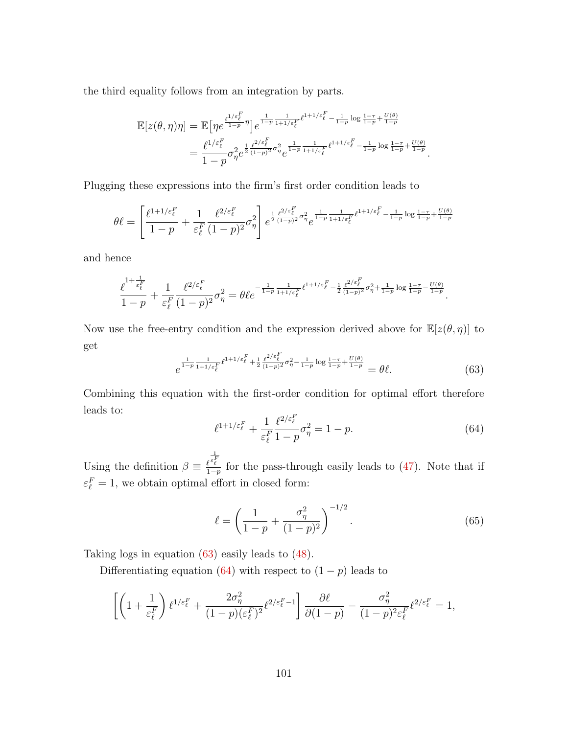the third equality follows from an integration by parts.

$$
\mathbb{E}[z(\theta,\eta)\eta] = \mathbb{E}\big[\eta e^{\frac{\ell^{1/\varepsilon_F^F}}{1-p}\eta}\big]e^{\frac{1}{1-p}\frac{1}{1+1/\varepsilon_F^F}\ell^{1+1/\varepsilon_F^F} - \frac{1}{1-p}\log\frac{1-\tau}{1-p} + \frac{U(\theta)}{1-p}}= \frac{\ell^{1/\varepsilon_F^F}}{1-p}\sigma_\eta^2 e^{\frac{1}{2}\frac{\ell^{2/\varepsilon_F^F}}{(1-p)^2}\sigma_\eta^2}e^{\frac{1}{1-p}\frac{1}{1+1/\varepsilon_F^F}\ell^{1+1/\varepsilon_F^F} - \frac{1}{1-p}\log\frac{1-\tau}{1-p} + \frac{U(\theta)}{1-p}}.
$$

Plugging these expressions into the firm's first order condition leads to

$$
\theta \ell = \left[ \frac{\ell^{1+1/\varepsilon_\ell^F}}{1-p} + \frac{1}{\varepsilon_\ell^F} \frac{\ell^{2/\varepsilon_\ell^F}}{(1-p)^2} \sigma_\eta^2 \right] e^{\frac{1}{2} \frac{\ell^{2/\varepsilon_\ell^F}}{(1-p)^2} \sigma_\eta^2} e^{\frac{1}{1-p} \frac{1}{1+1/\varepsilon_\ell^F} \ell^{1+1/\varepsilon_\ell^F} - \frac{1}{1-p} \log \frac{1-\tau}{1-p} + \frac{U(\theta)}{1-p}}
$$

and hence

$$
\frac{\ell^{1+\frac{1}{\varepsilon_\ell^F}}}{1-p}+\frac{1}{\varepsilon_\ell^F}\frac{\ell^{2/\varepsilon_\ell^F}}{(1-p)^2}\sigma_\eta^2=\theta\ell e^{-\frac{1}{1-p}\frac{1}{1+1/\varepsilon_\ell^F}\ell^{1+1/\varepsilon_\ell^F}-\frac{1}{2}\frac{\ell^{2/\varepsilon_\ell^F}}{(1-p)^2}\sigma_\eta^2+\frac{1}{1-p}\log\frac{1-\tau}{1-p}-\frac{U(\theta)}{1-p}}.\\
$$

Now use the free-entry condition and the expression derived above for  $\mathbb{E}[z(\theta, \eta)]$  to get

<span id="page-102-0"></span>
$$
e^{\frac{1}{1-p}\frac{1}{1+1/\varepsilon_{\ell}^F} \ell^{1+1/\varepsilon_{\ell}^F} + \frac{1}{2}\frac{\ell^{2/\varepsilon_{\ell}^F}}{(1-p)^2}\sigma_{\eta}^2 - \frac{1}{1-p}\log\frac{1-\tau}{1-p} + \frac{U(\theta)}{1-p}} = \theta\ell. \tag{63}
$$

Combining this equation with the first-order condition for optimal effort therefore leads to:

<span id="page-102-1"></span>
$$
\ell^{1+1/\varepsilon_{\ell}^{F}} + \frac{1}{\varepsilon_{\ell}^{F}} \frac{\ell^{2/\varepsilon_{\ell}^{F}}}{1-p} \sigma_{\eta}^{2} = 1 - p.
$$
 (64)

Using the definition  $\beta \equiv \frac{\ell}{1}$  $\frac{1}{\varepsilon_\ell^F}$  $\frac{\ell^2 \ell}{1-p}$  for the pass-through easily leads to [\(47\)](#page-90-1). Note that if  $\varepsilon_{\ell}^F = 1$ , we obtain optimal effort in closed form:

$$
\ell = \left(\frac{1}{1-p} + \frac{\sigma_{\eta}^2}{(1-p)^2}\right)^{-1/2}.\tag{65}
$$

Taking logs in equation [\(63\)](#page-102-0) easily leads to [\(48\)](#page-90-2).

Differentiating equation [\(64\)](#page-102-1) with respect to  $(1 - p)$  leads to

$$
\left[\left(1+\frac{1}{\varepsilon_{\ell}^F}\right)\ell^{1/\varepsilon_{\ell}^F}+\frac{2\sigma_{\eta}^2}{(1-p)(\varepsilon_{\ell}^F)^2}\ell^{2/\varepsilon_{\ell}^F-1}\right]\frac{\partial\ell}{\partial(1-p)}-\frac{\sigma_{\eta}^2}{(1-p)^2\varepsilon_{\ell}^F}\ell^{2/\varepsilon_{\ell}^F}=1,
$$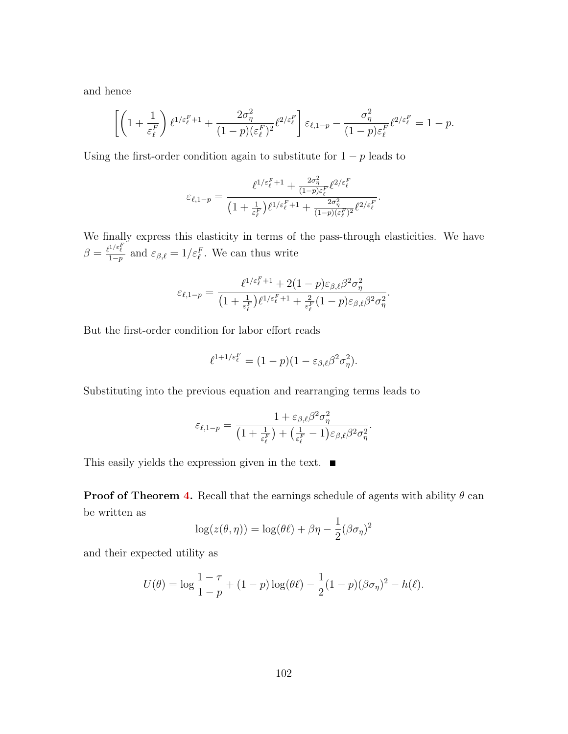and hence

$$
\left[\left(1+\frac{1}{\varepsilon_{\ell}^{F}}\right)\ell^{1/\varepsilon_{\ell}^{F}+1}+\frac{2\sigma_{\eta}^{2}}{(1-p)(\varepsilon_{\ell}^{F})^{2}}\ell^{2/\varepsilon_{\ell}^{F}}\right]\varepsilon_{\ell,1-p}-\frac{\sigma_{\eta}^{2}}{(1-p)\varepsilon_{\ell}^{F}}\ell^{2/\varepsilon_{\ell}^{F}}=1-p.
$$

Using the first-order condition again to substitute for  $1 - p$  leads to

$$
\varepsilon_{\ell,1-p}=\frac{\ell^{1/\varepsilon_\ell^F+1}+\frac{2\sigma_\eta^2}{(1-p)\varepsilon_\ell^F}\ell^{2/\varepsilon_\ell^F}}{\left(1+\frac{1}{\varepsilon_\ell^F}\right)\ell^{1/\varepsilon_\ell^F+1}+\frac{2\sigma_\eta^2}{(1-p)(\varepsilon_\ell^F)^2}\ell^{2/\varepsilon_\ell^F}}.
$$

We finally express this elasticity in terms of the pass-through elasticities. We have  $\beta = \frac{\ell^{1/\varepsilon_E^F}}{1 - n}$  $\frac{1+\epsilon_{\ell}}{1-p}$  and  $\varepsilon_{\beta,\ell}=1/\varepsilon_{\ell}^F$ . We can thus write

$$
\varepsilon_{\ell,1-p} = \frac{\ell^{1/\varepsilon_\ell^F+1} + 2(1-p)\varepsilon_{\beta,\ell}\beta^2\sigma_\eta^2}{\left(1 + \frac{1}{\varepsilon_\ell^F}\right)\ell^{1/\varepsilon_\ell^F+1} + \frac{2}{\varepsilon_\ell^F}(1-p)\varepsilon_{\beta,\ell}\beta^2\sigma_\eta^2}.
$$

But the first-order condition for labor effort reads

$$
\ell^{1+1/\varepsilon_{\ell}^F} = (1-p)(1-\varepsilon_{\beta,\ell}\beta^2\sigma_{\eta}^2).
$$

Substituting into the previous equation and rearranging terms leads to

$$
\varepsilon_{\ell,1-p} = \frac{1 + \varepsilon_{\beta,\ell} \beta^2 \sigma_\eta^2}{\left(1 + \frac{1}{\varepsilon_\ell^F}\right) + \left(\frac{1}{\varepsilon_\ell^F} - 1\right) \varepsilon_{\beta,\ell} \beta^2 \sigma_\eta^2}.
$$

This easily yields the expression given in the text.  $\blacksquare$ 

**Proof of Theorem [4.](#page-90-3)** Recall that the earnings schedule of agents with ability  $\theta$  can be written as

$$
\log(z(\theta, \eta)) = \log(\theta \ell) + \beta \eta - \frac{1}{2} (\beta \sigma_{\eta})^2
$$

and their expected utility as

$$
U(\theta) = \log \frac{1-\tau}{1-p} + (1-p) \log(\theta \ell) - \frac{1}{2} (1-p) (\beta \sigma_{\eta})^2 - h(\ell).
$$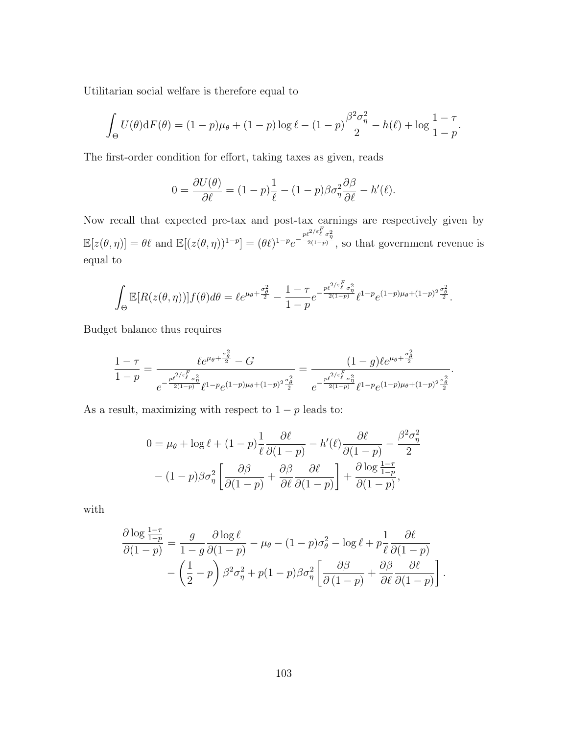Utilitarian social welfare is therefore equal to

$$
\int_{\Theta} U(\theta) dF(\theta) = (1 - p)\mu_{\theta} + (1 - p)\log \ell - (1 - p)\frac{\beta^2 \sigma_{\eta}^2}{2} - h(\ell) + \log \frac{1 - \tau}{1 - p}.
$$

The first-order condition for effort, taking taxes as given, reads

$$
0 = \frac{\partial U(\theta)}{\partial \ell} = (1 - p)\frac{1}{\ell} - (1 - p)\beta \sigma_{\eta}^2 \frac{\partial \beta}{\partial \ell} - h'(\ell).
$$

Now recall that expected pre-tax and post-tax earnings are respectively given by  $\mathbb{E}[z(\theta,\eta)] = \theta \ell$  and  $\mathbb{E}[(z(\theta,\eta))^{1-p}] = (\theta \ell)^{1-p} e^{-\frac{p\ell^{2/\varepsilon} \ell}{2(1-p)}},$  so that government revenue is equal to

$$
\int_{\Theta} \mathbb{E}[R(z(\theta,\eta))]f(\theta)d\theta = \ell e^{\mu_{\theta} + \frac{\sigma_{\theta}^2}{2}} - \frac{1-\tau}{1-p}e^{-\frac{p\ell^{2/\varepsilon}\int_{\ell}^F \sigma_{\eta}^2}{2(1-p)}}\ell^{1-p}e^{(1-p)\mu_{\theta} + (1-p)^2\frac{\sigma_{\theta}^2}{2}}.
$$

Budget balance thus requires

$$
\frac{1-\tau}{1-p} = \frac{\ell e^{\mu_{\theta} + \frac{\sigma_{\theta}^2}{2}} - G}{e^{-\frac{p\ell^{2/\varepsilon}E}{2(1-p)}\ell^{1-p}e^{(1-p)\mu_{\theta} + (1-p)^2\frac{\sigma_{\theta}^2}{2}}}} = \frac{(1-g)\ell e^{\mu_{\theta} + \frac{\sigma_{\theta}^2}{2}}}{e^{-\frac{p\ell^{2/\varepsilon}E}{2(1-p)}\ell^{1-p}e^{(1-p)\mu_{\theta} + (1-p)^2\frac{\sigma_{\theta}^2}{2}}}}.
$$

As a result, maximizing with respect to  $1 - p$  leads to:

$$
0 = \mu_{\theta} + \log \ell + (1 - p) \frac{1}{\ell} \frac{\partial \ell}{\partial (1 - p)} - h'(\ell) \frac{\partial \ell}{\partial (1 - p)} - \frac{\beta^2 \sigma_{\eta}^2}{2}
$$

$$
- (1 - p) \beta \sigma_{\eta}^2 \left[ \frac{\partial \beta}{\partial (1 - p)} + \frac{\partial \beta}{\partial \ell} \frac{\partial \ell}{\partial (1 - p)} \right] + \frac{\partial \log \frac{1 - \tau}{1 - p}}{\partial (1 - p)},
$$

with

$$
\frac{\partial \log \frac{1-\tau}{1-p}}{\partial (1-p)} = \frac{g}{1-g} \frac{\partial \log \ell}{\partial (1-p)} - \mu_{\theta} - (1-p)\sigma_{\theta}^2 - \log \ell + p \frac{1}{\ell} \frac{\partial \ell}{\partial (1-p)} \n- \left(\frac{1}{2} - p\right) \beta^2 \sigma_{\eta}^2 + p(1-p) \beta \sigma_{\eta}^2 \left[ \frac{\partial \beta}{\partial (1-p)} + \frac{\partial \beta}{\partial \ell} \frac{\partial \ell}{\partial (1-p)} \right].
$$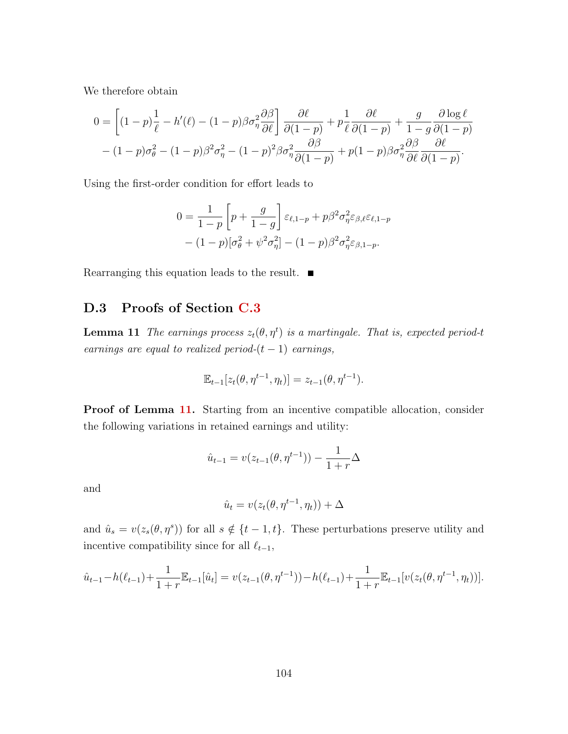We therefore obtain

$$
0 = \left[ (1-p)\frac{1}{\ell} - h'(\ell) - (1-p)\beta\sigma_{\eta}^{2} \frac{\partial \beta}{\partial \ell} \right] \frac{\partial \ell}{\partial (1-p)} + p\frac{1}{\ell} \frac{\partial \ell}{\partial (1-p)} + \frac{g}{1-g} \frac{\partial \log \ell}{\partial (1-p)} - (1-p)\sigma_{\theta}^{2} - (1-p)\beta^{2}\sigma_{\eta}^{2} - (1-p)^{2}\beta\sigma_{\eta}^{2} \frac{\partial \beta}{\partial (1-p)} + p(1-p)\beta\sigma_{\eta}^{2} \frac{\partial \beta}{\partial \ell} \frac{\partial \ell}{\partial (1-p)}.
$$

Using the first-order condition for effort leads to

$$
0 = \frac{1}{1-p} \left[ p + \frac{g}{1-g} \right] \varepsilon_{\ell,1-p} + p\beta^2 \sigma_\eta^2 \varepsilon_{\beta,\ell} \varepsilon_{\ell,1-p}
$$

$$
- (1-p) [\sigma_\theta^2 + \psi^2 \sigma_\eta^2] - (1-p) \beta^2 \sigma_\eta^2 \varepsilon_{\beta,1-p}.
$$

Rearranging this equation leads to the result.

### D.3 Proofs of Section [C.3](#page-91-2)

<span id="page-105-0"></span>**Lemma 11** The earnings process  $z_t(\theta, \eta^t)$  is a martingale. That is, expected period-t earnings are equal to realized period- $(t - 1)$  earnings,

$$
\mathbb{E}_{t-1}[z_t(\theta, \eta^{t-1}, \eta_t)] = z_{t-1}(\theta, \eta^{t-1}).
$$

**Proof of Lemma [11.](#page-105-0)** Starting from an incentive compatible allocation, consider the following variations in retained earnings and utility:

$$
\hat{u}_{t-1} = v(z_{t-1}(\theta, \eta^{t-1})) - \frac{1}{1+r} \Delta
$$

and

$$
\hat{u}_t = v(z_t(\theta, \eta^{t-1}, \eta_t)) + \Delta
$$

and  $\hat{u}_s = v(z_s(\theta, \eta^s))$  for all  $s \notin \{t-1, t\}$ . These perturbations preserve utility and incentive compatibility since for all  $\ell_{t-1}$ ,

$$
\hat{u}_{t-1} - h(\ell_{t-1}) + \frac{1}{1+r} \mathbb{E}_{t-1}[\hat{u}_t] = v(z_{t-1}(\theta, \eta^{t-1})) - h(\ell_{t-1}) + \frac{1}{1+r} \mathbb{E}_{t-1}[v(z_t(\theta, \eta^{t-1}, \eta_t))].
$$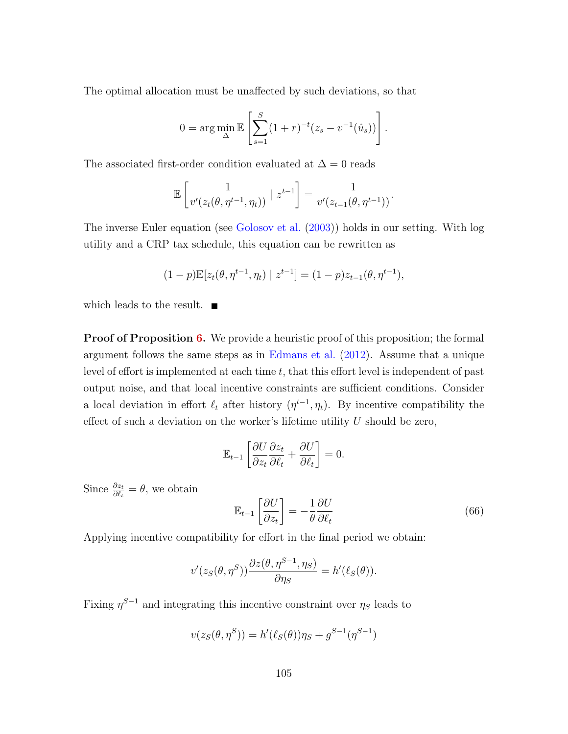The optimal allocation must be unaffected by such deviations, so that

$$
0 = \arg\min_{\Delta} \mathbb{E}\left[\sum_{s=1}^{S} (1+r)^{-t} (z_s - v^{-1}(\hat{u}_s))\right].
$$

The associated first-order condition evaluated at  $\Delta = 0$  reads

$$
\mathbb{E}\left[\frac{1}{v'(z_t(\theta,\eta^{t-1},\eta_t))}\mid z^{t-1}\right] = \frac{1}{v'(z_{t-1}(\theta,\eta^{t-1}))}.
$$

The inverse Euler equation (see [Golosov et al.](#page-113-3) [\(2003\)](#page-113-3)) holds in our setting. With log utility and a CRP tax schedule, this equation can be rewritten as

$$
(1-p)\mathbb{E}[z_t(\theta, \eta^{t-1}, \eta_t) | z^{t-1}] = (1-p)z_{t-1}(\theta, \eta^{t-1}),
$$

which leads to the result.  $\blacksquare$ 

**Proof of Proposition [6.](#page-92-1)** We provide a heuristic proof of this proposition; the formal argument follows the same steps as in [Edmans et al.](#page-113-2) [\(2012\)](#page-113-2). Assume that a unique level of effort is implemented at each time  $t$ , that this effort level is independent of past output noise, and that local incentive constraints are sufficient conditions. Consider a local deviation in effort  $\ell_t$  after history  $(\eta^{t-1}, \eta_t)$ . By incentive compatibility the effect of such a deviation on the worker's lifetime utility  $U$  should be zero,

$$
\mathbb{E}_{t-1} \left[ \frac{\partial U}{\partial z_t} \frac{\partial z_t}{\partial \ell_t} + \frac{\partial U}{\partial \ell_t} \right] = 0.
$$

Since  $\frac{\partial z_t}{\partial \ell_t} = \theta$ , we obtain

$$
\mathbb{E}_{t-1} \left[ \frac{\partial U}{\partial z_t} \right] = -\frac{1}{\theta} \frac{\partial U}{\partial \ell_t} \tag{66}
$$

Applying incentive compatibility for effort in the final period we obtain:

$$
v'(z_S(\theta, \eta^S))\frac{\partial z(\theta, \eta^{S-1}, \eta_S)}{\partial \eta_S} = h'(\ell_S(\theta)).
$$

Fixing  $\eta^{S-1}$  and integrating this incentive constraint over  $\eta_S$  leads to

$$
v(z_S(\theta, \eta^S)) = h'(\ell_S(\theta))\eta_S + g^{S-1}(\eta^{S-1})
$$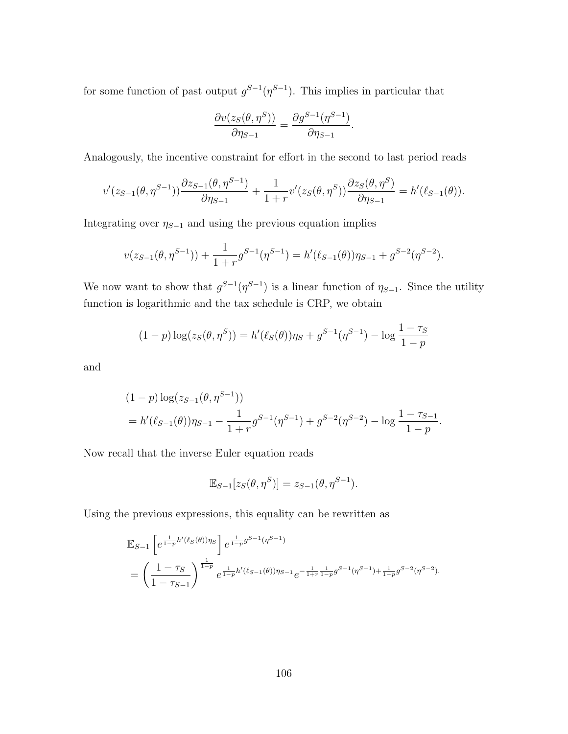for some function of past output  $g^{S-1}(\eta^{S-1})$ . This implies in particular that

$$
\frac{\partial v(z_S(\theta, \eta^S))}{\partial \eta_{S-1}} = \frac{\partial g^{S-1}(\eta^{S-1})}{\partial \eta_{S-1}}.
$$

Analogously, the incentive constraint for effort in the second to last period reads

$$
v'(z_{S-1}(\theta, \eta^{S-1})) \frac{\partial z_{S-1}(\theta, \eta^{S-1})}{\partial \eta_{S-1}} + \frac{1}{1+r} v'(z_S(\theta, \eta^S)) \frac{\partial z_S(\theta, \eta^S)}{\partial \eta_{S-1}} = h'(\ell_{S-1}(\theta)).
$$

Integrating over  $\eta_{S-1}$  and using the previous equation implies

$$
v(z_{S-1}(\theta, \eta^{S-1})) + \frac{1}{1+r}g^{S-1}(\eta^{S-1}) = h'(\ell_{S-1}(\theta))\eta_{S-1} + g^{S-2}(\eta^{S-2}).
$$

We now want to show that  $g^{S-1}(\eta^{S-1})$  is a linear function of  $\eta_{S-1}$ . Since the utility function is logarithmic and the tax schedule is CRP, we obtain

$$
(1-p)\log(z_{S}(\theta,\eta^{S})) = h'(\ell_{S}(\theta))\eta_{S} + g^{S-1}(\eta^{S-1}) - \log \frac{1-\tau_{S}}{1-p}
$$

and

$$
(1-p)\log(z_{S-1}(\theta,\eta^{S-1}))
$$
  
=  $h'(\ell_{S-1}(\theta))\eta_{S-1} - \frac{1}{1+r}g^{S-1}(\eta^{S-1}) + g^{S-2}(\eta^{S-2}) - \log \frac{1-\tau_{S-1}}{1-p}.$ 

Now recall that the inverse Euler equation reads

$$
\mathbb{E}_{S-1}[z_S(\theta, \eta^S)] = z_{S-1}(\theta, \eta^{S-1}).
$$

Using the previous expressions, this equality can be rewritten as

$$
\mathbb{E}_{S-1} \left[ e^{\frac{1}{1-p}h'(\ell_S(\theta))\eta_S} \right] e^{\frac{1}{1-p}g^{S-1}(\eta^{S-1})}
$$
\n
$$
= \left( \frac{1-\tau_S}{1-\tau_{S-1}} \right)^{\frac{1}{1-p}} e^{\frac{1}{1-p}h'(\ell_{S-1}(\theta))\eta_{S-1}} e^{-\frac{1}{1+r}\frac{1}{1-p}g^{S-1}(\eta^{S-1}) + \frac{1}{1-p}g^{S-2}(\eta^{S-2})}.
$$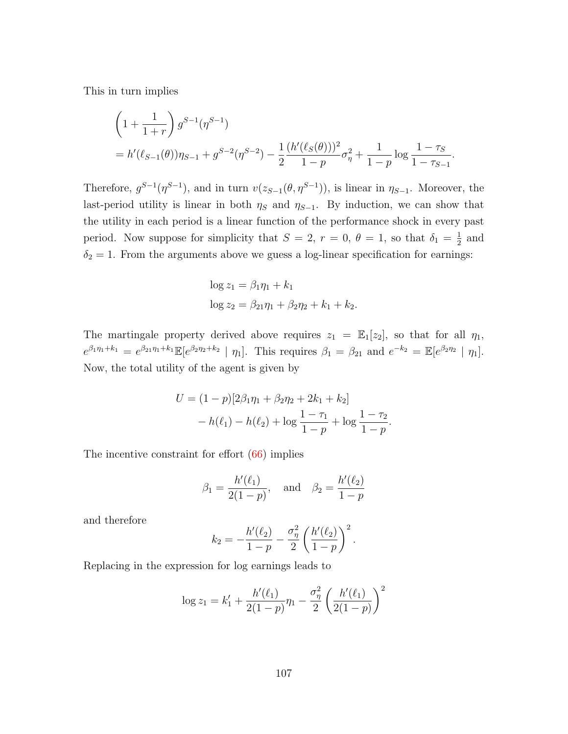This in turn implies

$$
\left(1+\frac{1}{1+r}\right)g^{S-1}(\eta^{S-1})
$$
  
=  $h'(\ell_{S-1}(\theta))\eta_{S-1} + g^{S-2}(\eta^{S-2}) - \frac{1}{2}\frac{(h'(\ell_{S}(\theta)))^2}{1-p}\sigma_{\eta}^2 + \frac{1}{1-p}\log\frac{1-\tau_{S-1}}{1-\tau_{S-1}}.$ 

Therefore,  $g^{S-1}(\eta^{S-1})$ , and in turn  $v(z_{S-1}(\theta, \eta^{S-1}))$ , is linear in  $\eta_{S-1}$ . Moreover, the last-period utility is linear in both  $\eta_s$  and  $\eta_{s-1}$ . By induction, we can show that the utility in each period is a linear function of the performance shock in every past period. Now suppose for simplicity that  $S = 2, r = 0, \theta = 1$ , so that  $\delta_1 = \frac{1}{2}$  $rac{1}{2}$  and  $\delta_2 = 1$ . From the arguments above we guess a log-linear specification for earnings:

$$
\log z_1 = \beta_1 \eta_1 + k_1
$$
  

$$
\log z_2 = \beta_{21} \eta_1 + \beta_2 \eta_2 + k_1 + k_2.
$$

The martingale property derived above requires  $z_1 = \mathbb{E}_1[z_2]$ , so that for all  $\eta_1$ ,  $e^{\beta_1\eta_1+k_1} = e^{\beta_{21}\eta_1+k_1} \mathbb{E}[e^{\beta_2\eta_2+k_2} \mid \eta_1]$ . This requires  $\beta_1 = \beta_{21}$  and  $e^{-k_2} = \mathbb{E}[e^{\beta_2\eta_2} \mid \eta_1]$ . Now, the total utility of the agent is given by

$$
U = (1 - p)[2\beta_1\eta_1 + \beta_2\eta_2 + 2k_1 + k_2]
$$
  
-  $h(\ell_1) - h(\ell_2) + \log \frac{1 - \tau_1}{1 - p} + \log \frac{1 - \tau_2}{1 - p}.$ 

The incentive constraint for effort  $(66)$  implies

$$
\beta_1 = \frac{h'(\ell_1)}{2(1-p)},
$$
 and  $\beta_2 = \frac{h'(\ell_2)}{1-p}$ 

and therefore

$$
k_2 = -\frac{h'(\ell_2)}{1-p} - \frac{\sigma_{\eta}^2}{2} \left( \frac{h'(\ell_2)}{1-p} \right)^2.
$$

Replacing in the expression for log earnings leads to

$$
\log z_1 = k_1' + \frac{h'(\ell_1)}{2(1-p)} \eta_1 - \frac{\sigma_\eta^2}{2} \left(\frac{h'(\ell_1)}{2(1-p)}\right)^2
$$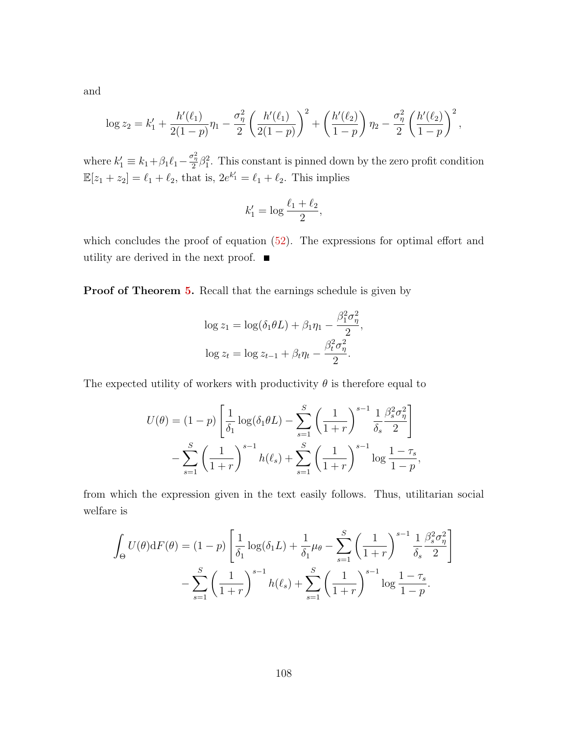and

$$
\log z_2 = k'_1 + \frac{h'(\ell_1)}{2(1-p)} \eta_1 - \frac{\sigma_\eta^2}{2} \left( \frac{h'(\ell_1)}{2(1-p)} \right)^2 + \left( \frac{h'(\ell_2)}{1-p} \right) \eta_2 - \frac{\sigma_\eta^2}{2} \left( \frac{h'(\ell_2)}{1-p} \right)^2,
$$

where  $k'_1 \equiv k_1 + \beta_1 \ell_1 - \frac{\sigma_n^2}{2} \beta_1^2$ . This constant is pinned down by the zero profit condition  $\mathbb{E}[z_1 + z_2] = \ell_1 + \ell_2$ , that is,  $2e^{k'_1} = \ell_1 + \ell_2$ . This implies

$$
k_1' = \log \frac{\ell_1 + \ell_2}{2},
$$

which concludes the proof of equation  $(52)$ . The expressions for optimal effort and utility are derived in the next proof.  $\blacksquare$ 

Proof of Theorem [5.](#page-93-0) Recall that the earnings schedule is given by

$$
\log z_1 = \log(\delta_1 \theta L) + \beta_1 \eta_1 - \frac{\beta_1^2 \sigma_\eta^2}{2},
$$
  

$$
\log z_t = \log z_{t-1} + \beta_t \eta_t - \frac{\beta_t^2 \sigma_\eta^2}{2}.
$$

The expected utility of workers with productivity  $\theta$  is therefore equal to

$$
U(\theta) = (1-p) \left[ \frac{1}{\delta_1} \log(\delta_1 \theta L) - \sum_{s=1}^{S} \left( \frac{1}{1+r} \right)^{s-1} \frac{1}{\delta_s} \frac{\beta_s^2 \sigma_\eta^2}{2} \right] - \sum_{s=1}^{S} \left( \frac{1}{1+r} \right)^{s-1} h(\ell_s) + \sum_{s=1}^{S} \left( \frac{1}{1+r} \right)^{s-1} \log \frac{1-\tau_s}{1-p},
$$

from which the expression given in the text easily follows. Thus, utilitarian social welfare is

$$
\int_{\Theta} U(\theta) dF(\theta) = (1-p) \left[ \frac{1}{\delta_1} \log(\delta_1 L) + \frac{1}{\delta_1} \mu_{\theta} - \sum_{s=1}^{S} \left( \frac{1}{1+r} \right)^{s-1} \frac{1}{\delta_s} \frac{\beta_s^2 \sigma_{\eta}^2}{2} \right] - \sum_{s=1}^{S} \left( \frac{1}{1+r} \right)^{s-1} h(\ell_s) + \sum_{s=1}^{S} \left( \frac{1}{1+r} \right)^{s-1} \log \frac{1-\tau_s}{1-p}.
$$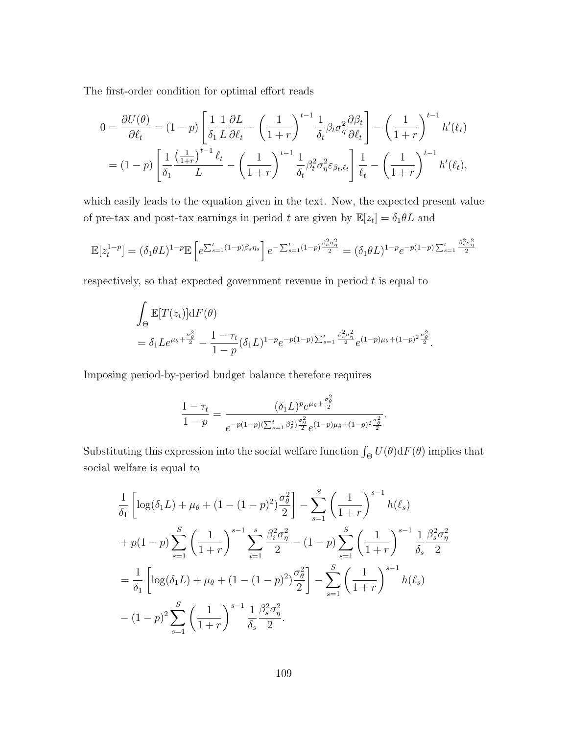The first-order condition for optimal effort reads

$$
0 = \frac{\partial U(\theta)}{\partial \ell_t} = (1-p) \left[ \frac{1}{\delta_1} \frac{1}{L} \frac{\partial L}{\partial \ell_t} - \left( \frac{1}{1+r} \right)^{t-1} \frac{1}{\delta_t} \beta_t \sigma_\eta^2 \frac{\partial \beta_t}{\partial \ell_t} \right] - \left( \frac{1}{1+r} \right)^{t-1} h'(\ell_t)
$$
  
=  $(1-p) \left[ \frac{1}{\delta_1} \frac{\left( \frac{1}{1+r} \right)^{t-1} \ell_t}{L} - \left( \frac{1}{1+r} \right)^{t-1} \frac{1}{\delta_t} \beta_t^2 \sigma_\eta^2 \varepsilon_{\beta_t, \ell_t} \right] \frac{1}{\ell_t} - \left( \frac{1}{1+r} \right)^{t-1} h'(\ell_t),$ 

which easily leads to the equation given in the text. Now, the expected present value of pre-tax and post-tax earnings in period t are given by  $\mathbb{E}[z_t] = \delta_1 \theta L$  and

$$
\mathbb{E}[z_t^{1-p}] = (\delta_1 \theta L)^{1-p} \mathbb{E}\left[e^{\sum_{s=1}^t (1-p)\beta_s \eta_s}\right] e^{-\sum_{s=1}^t (1-p)\frac{\beta_s^2 \sigma_\eta^2}{2}} = (\delta_1 \theta L)^{1-p} e^{-p(1-p)\sum_{s=1}^t \frac{\beta_s^2 \sigma_\eta^2}{2}}
$$

respectively, so that expected government revenue in period  $t$  is equal to

$$
\int_{\Theta} \mathbb{E}[T(z_t)] dF(\theta) \n= \delta_1 Le^{\mu_{\theta} + \frac{\sigma_{\theta}^2}{2}} - \frac{1 - \tau_t}{1 - p} (\delta_1 L)^{1 - p} e^{-p(1 - p) \sum_{s=1}^t \frac{\beta_s^2 \sigma_{\eta}^2}{2}} e^{(1 - p)\mu_{\theta} + (1 - p)^2 \frac{\sigma_{\theta}^2}{2}}.
$$

Imposing period-by-period budget balance therefore requires

$$
\frac{1-\tau_t}{1-p} = \frac{(\delta_1 L)^p e^{\mu_\theta + \frac{\sigma_\theta^2}{2}}}{e^{-p(1-p)(\sum_{s=1}^t \beta_s^2) \frac{\sigma_\eta^2}{2}} e^{(1-p)\mu_\theta + (1-p)^2 \frac{\sigma_\theta^2}{2}}}.
$$

Substituting this expression into the social welfare function  $\int_{\Theta} U(\theta) dF(\theta)$  implies that social welfare is equal to

$$
\frac{1}{\delta_1} \left[ \log(\delta_1 L) + \mu_{\theta} + (1 - (1 - p)^2) \frac{\sigma_{\theta}^2}{2} \right] - \sum_{s=1}^S \left( \frac{1}{1+r} \right)^{s-1} h(\ell_s)
$$
  
+  $p(1-p) \sum_{s=1}^S \left( \frac{1}{1+r} \right)^{s-1} \sum_{i=1}^S \frac{\beta_i^2 \sigma_{\eta}^2}{2} - (1-p) \sum_{s=1}^S \left( \frac{1}{1+r} \right)^{s-1} \frac{1}{\delta_s} \frac{\beta_s^2 \sigma_{\eta}^2}{2}$   
=  $\frac{1}{\delta_1} \left[ \log(\delta_1 L) + \mu_{\theta} + (1 - (1 - p)^2) \frac{\sigma_{\theta}^2}{2} \right] - \sum_{s=1}^S \left( \frac{1}{1+r} \right)^{s-1} h(\ell_s)$   
-  $(1-p)^2 \sum_{s=1}^S \left( \frac{1}{1+r} \right)^{s-1} \frac{1}{\delta_s} \frac{\beta_s^2 \sigma_{\eta}^2}{2}.$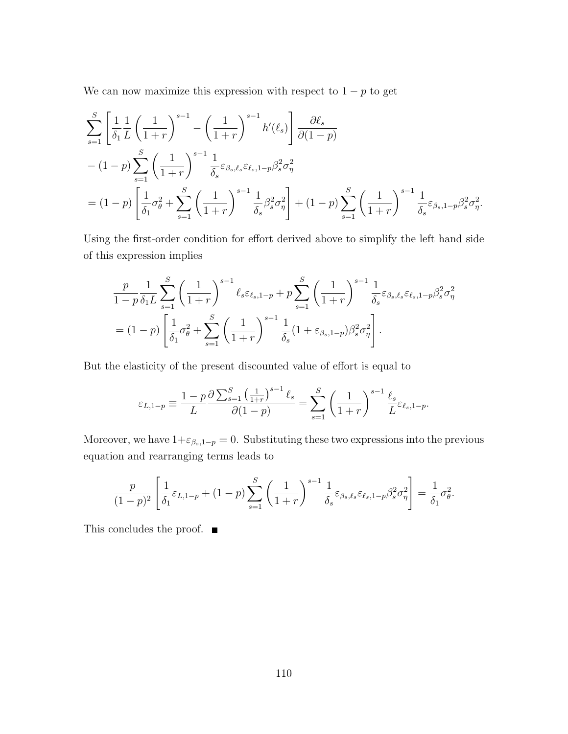We can now maximize this expression with respect to  $1 - p$  to get

$$
\sum_{s=1}^{S} \left[ \frac{1}{\delta_1} \frac{1}{L} \left( \frac{1}{1+r} \right)^{s-1} - \left( \frac{1}{1+r} \right)^{s-1} h'(\ell_s) \right] \frac{\partial \ell_s}{\partial (1-p)} \n- (1-p) \sum_{s=1}^{S} \left( \frac{1}{1+r} \right)^{s-1} \frac{1}{\delta_s} \varepsilon_{\beta_s, \ell_s} \varepsilon_{\ell_s, 1-p} \beta_s^2 \sigma_\eta^2 \n= (1-p) \left[ \frac{1}{\delta_1} \sigma_\theta^2 + \sum_{s=1}^{S} \left( \frac{1}{1+r} \right)^{s-1} \frac{1}{\delta_s} \beta_s^2 \sigma_\eta^2 \right] + (1-p) \sum_{s=1}^{S} \left( \frac{1}{1+r} \right)^{s-1} \frac{1}{\delta_s} \varepsilon_{\beta_s, 1-p} \beta_s^2 \sigma_\eta^2.
$$

Using the first-order condition for effort derived above to simplify the left hand side of this expression implies

$$
\frac{p}{1-p} \frac{1}{\delta_1 L} \sum_{s=1}^{S} \left(\frac{1}{1+r}\right)^{s-1} \ell_s \varepsilon_{\ell_s, 1-p} + p \sum_{s=1}^{S} \left(\frac{1}{1+r}\right)^{s-1} \frac{1}{\delta_s} \varepsilon_{\beta_s, \ell_s} \varepsilon_{\ell_s, 1-p} \beta_s^2 \sigma_\eta^2
$$
  
=  $(1-p) \left[ \frac{1}{\delta_1} \sigma_\theta^2 + \sum_{s=1}^{S} \left(\frac{1}{1+r}\right)^{s-1} \frac{1}{\delta_s} (1 + \varepsilon_{\beta_s, 1-p}) \beta_s^2 \sigma_\eta^2 \right].$ 

But the elasticity of the present discounted value of effort is equal to

$$
\varepsilon_{L,1-p} \equiv \frac{1-p}{L} \frac{\partial \sum_{s=1}^S \left(\frac{1}{1+r}\right)^{s-1} \ell_s}{\partial (1-p)} = \sum_{s=1}^S \left(\frac{1}{1+r}\right)^{s-1} \frac{\ell_s}{L} \varepsilon_{\ell_s,1-p}.
$$

Moreover, we have  $1+\varepsilon_{\beta_s,1-p}=0$ . Substituting these two expressions into the previous equation and rearranging terms leads to

$$
\frac{p}{(1-p)^2} \left[ \frac{1}{\delta_1} \varepsilon_{L,1-p} + (1-p) \sum_{s=1}^S \left( \frac{1}{1+r} \right)^{s-1} \frac{1}{\delta_s} \varepsilon_{\beta_s,\ell_s} \varepsilon_{\ell_s,1-p} \beta_s^2 \sigma_\eta^2 \right] = \frac{1}{\delta_1} \sigma_\theta^2.
$$

This concludes the proof.  $\blacksquare$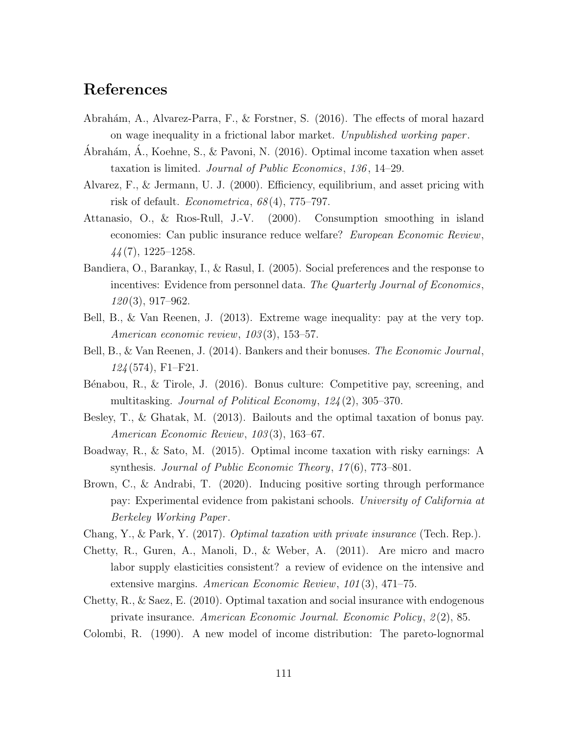## References

- Abrahám, A., Alvarez-Parra, F., & Forstner, S. (2016). The effects of moral hazard on wage inequality in a frictional labor market. Unpublished working paper .
- Ábrahám, Á., Koehne, S., & Pavoni, N. (2016). Optimal income taxation when asset taxation is limited. Journal of Public Economics, 136 , 14–29.
- Alvarez, F., & Jermann, U. J. (2000). Efficiency, equilibrium, and asset pricing with risk of default. Econometrica, 68 (4), 775–797.
- Attanasio, O., & Rıos-Rull, J.-V. (2000). Consumption smoothing in island economies: Can public insurance reduce welfare? European Economic Review, 44 (7), 1225–1258.
- Bandiera, O., Barankay, I., & Rasul, I. (2005). Social preferences and the response to incentives: Evidence from personnel data. The Quarterly Journal of Economics,  $120(3), 917-962.$
- Bell, B., & Van Reenen, J. (2013). Extreme wage inequality: pay at the very top. American economic review, 103 (3), 153–57.
- Bell, B., & Van Reenen, J. (2014). Bankers and their bonuses. The Economic Journal,  $124(574)$ , F1-F21.
- B´enabou, R., & Tirole, J. (2016). Bonus culture: Competitive pay, screening, and multitasking. Journal of Political Economy, 124 (2), 305–370.
- Besley, T., & Ghatak, M. (2013). Bailouts and the optimal taxation of bonus pay. American Economic Review, 103 (3), 163–67.
- Boadway, R., & Sato, M. (2015). Optimal income taxation with risky earnings: A synthesis. Journal of Public Economic Theory, 17(6), 773–801.
- Brown, C., & Andrabi, T. (2020). Inducing positive sorting through performance pay: Experimental evidence from pakistani schools. University of California at Berkeley Working Paper .
- Chang, Y., & Park, Y. (2017). Optimal taxation with private insurance (Tech. Rep.).
- Chetty, R., Guren, A., Manoli, D., & Weber, A. (2011). Are micro and macro labor supply elasticities consistent? a review of evidence on the intensive and extensive margins. American Economic Review, 101 (3), 471–75.
- Chetty, R., & Saez, E. (2010). Optimal taxation and social insurance with endogenous private insurance. American Economic Journal. Economic Policy, 2 (2), 85.
- Colombi, R. (1990). A new model of income distribution: The pareto-lognormal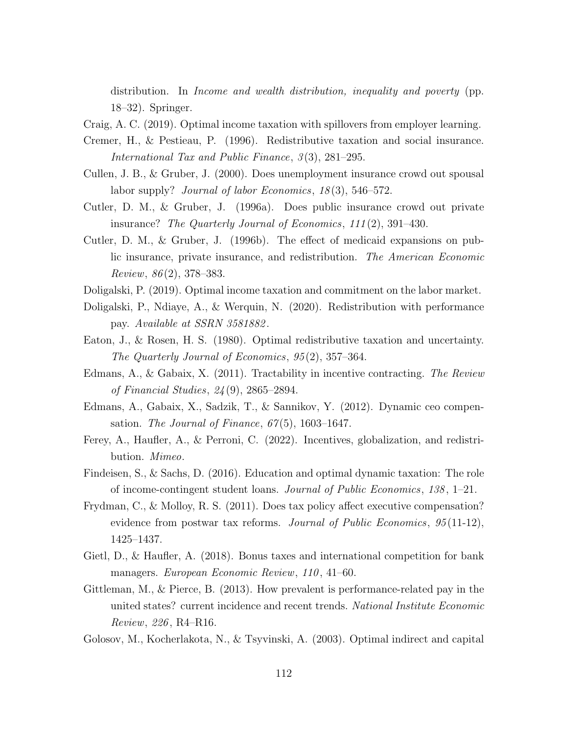distribution. In Income and wealth distribution, inequality and poverty (pp. 18–32). Springer.

Craig, A. C. (2019). Optimal income taxation with spillovers from employer learning.

- Cremer, H., & Pestieau, P. (1996). Redistributive taxation and social insurance. International Tax and Public Finance, 3(3), 281–295.
- Cullen, J. B., & Gruber, J. (2000). Does unemployment insurance crowd out spousal labor supply? *Journal of labor Economics*,  $18(3)$ ,  $546-572$ .
- Cutler, D. M., & Gruber, J. (1996a). Does public insurance crowd out private insurance? The Quarterly Journal of Economics, 111 (2), 391–430.
- Cutler, D. M., & Gruber, J. (1996b). The effect of medicaid expansions on public insurance, private insurance, and redistribution. The American Economic Review,  $86(2)$ , 378–383.
- Doligalski, P. (2019). Optimal income taxation and commitment on the labor market.
- Doligalski, P., Ndiaye, A., & Werquin, N. (2020). Redistribution with performance pay. Available at SSRN 3581882 .
- Eaton, J., & Rosen, H. S. (1980). Optimal redistributive taxation and uncertainty. The Quarterly Journal of Economics, 95 (2), 357–364.
- Edmans, A., & Gabaix, X. (2011). Tractability in incentive contracting. The Review of Financial Studies, 24 (9), 2865–2894.
- Edmans, A., Gabaix, X., Sadzik, T., & Sannikov, Y. (2012). Dynamic ceo compensation. The Journal of Finance,  $67(5)$ , 1603–1647.
- Ferey, A., Haufler, A., & Perroni, C. (2022). Incentives, globalization, and redistribution. Mimeo.
- Findeisen, S., & Sachs, D. (2016). Education and optimal dynamic taxation: The role of income-contingent student loans. Journal of Public Economics, 138 , 1–21.
- Frydman, C., & Molloy, R. S. (2011). Does tax policy affect executive compensation? evidence from postwar tax reforms. Journal of Public Economics,  $95(11-12)$ , 1425–1437.
- Gietl, D., & Haufler, A. (2018). Bonus taxes and international competition for bank managers. European Economic Review, 110, 41–60.
- Gittleman, M., & Pierce, B. (2013). How prevalent is performance-related pay in the united states? current incidence and recent trends. National Institute Economic Review, 226 , R4–R16.
- Golosov, M., Kocherlakota, N., & Tsyvinski, A. (2003). Optimal indirect and capital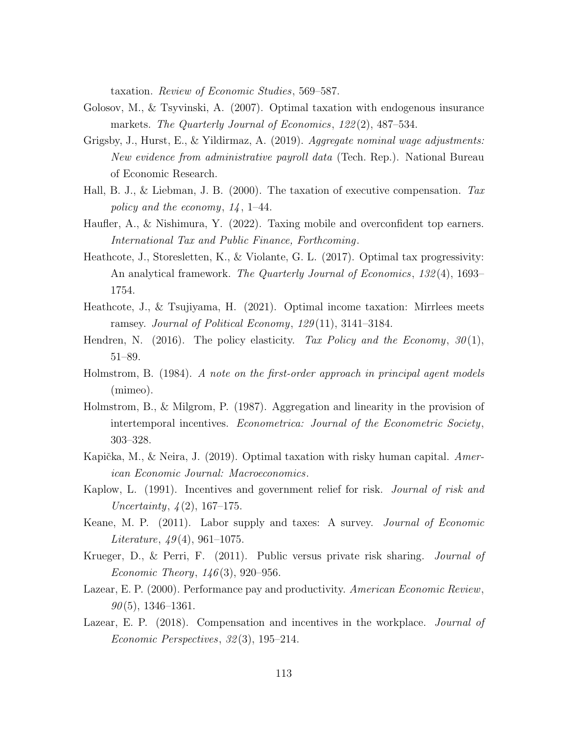taxation. Review of Economic Studies, 569–587.

- Golosov, M., & Tsyvinski, A. (2007). Optimal taxation with endogenous insurance markets. The Quarterly Journal of Economics, 122(2), 487–534.
- Grigsby, J., Hurst, E., & Yildirmaz, A. (2019). Aggregate nominal wage adjustments: New evidence from administrative payroll data (Tech. Rep.). National Bureau of Economic Research.
- Hall, B. J., & Liebman, J. B. (2000). The taxation of executive compensation. Tax policy and the economy,  $14$ , 1–44.
- Haufler, A., & Nishimura, Y. (2022). Taxing mobile and overconfident top earners. International Tax and Public Finance, Forthcoming.
- Heathcote, J., Storesletten, K., & Violante, G. L. (2017). Optimal tax progressivity: An analytical framework. The Quarterly Journal of Economics, 132(4), 1693– 1754.
- Heathcote, J., & Tsujiyama, H. (2021). Optimal income taxation: Mirrlees meets ramsey. Journal of Political Economy, 129(11), 3141–3184.
- Hendren, N. (2016). The policy elasticity. Tax Policy and the Economy,  $30(1)$ , 51–89.
- Holmstrom, B. (1984). A note on the first-order approach in principal agent models (mimeo).
- Holmstrom, B., & Milgrom, P. (1987). Aggregation and linearity in the provision of intertemporal incentives. Econometrica: Journal of the Econometric Society, 303–328.
- Kapička, M., & Neira, J. (2019). Optimal taxation with risky human capital.  $American$ ican Economic Journal: Macroeconomics.
- Kaplow, L. (1991). Incentives and government relief for risk. *Journal of risk and* Uncertainty,  $\frac{1}{2}$ (2), 167–175.
- Keane, M. P. (2011). Labor supply and taxes: A survey. Journal of Economic Literature,  $49(4)$ , 961–1075.
- Krueger, D., & Perri, F. (2011). Public versus private risk sharing. Journal of Economic Theory,  $146(3)$ , 920–956.
- Lazear, E. P. (2000). Performance pay and productivity. American Economic Review,  $90(5)$ , 1346–1361.
- Lazear, E. P. (2018). Compensation and incentives in the workplace. *Journal of* Economic Perspectives, 32 (3), 195–214.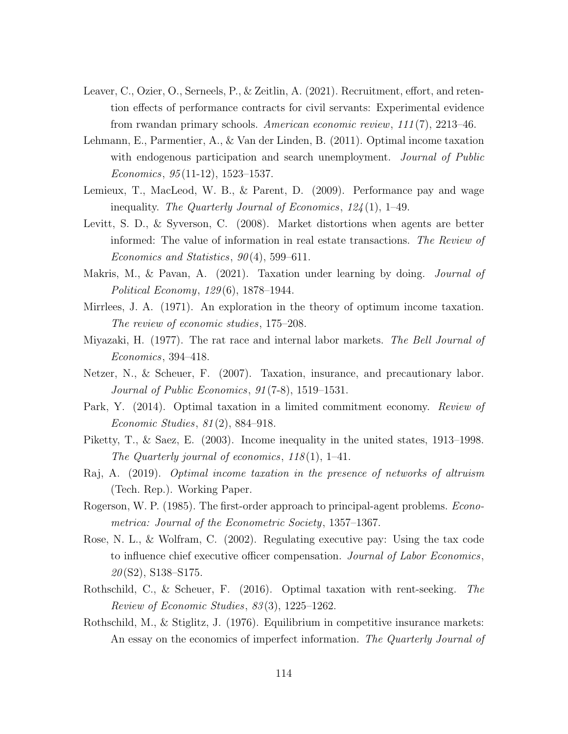- Leaver, C., Ozier, O., Serneels, P., & Zeitlin, A. (2021). Recruitment, effort, and retention effects of performance contracts for civil servants: Experimental evidence from rwandan primary schools. American economic review, 111 (7), 2213–46.
- Lehmann, E., Parmentier, A., & Van der Linden, B. (2011). Optimal income taxation with endogenous participation and search unemployment. Journal of Public  $Economics, 95(11-12), 1523-1537.$
- Lemieux, T., MacLeod, W. B., & Parent, D. (2009). Performance pay and wage inequality. The Quarterly Journal of Economics, 124 (1), 1–49.
- Levitt, S. D., & Syverson, C. (2008). Market distortions when agents are better informed: The value of information in real estate transactions. The Review of Economics and Statistics,  $90(4)$ , 599–611.
- Makris, M., & Pavan, A. (2021). Taxation under learning by doing. *Journal of* Political Economy, 129 (6), 1878–1944.
- Mirrlees, J. A. (1971). An exploration in the theory of optimum income taxation. The review of economic studies, 175–208.
- Miyazaki, H. (1977). The rat race and internal labor markets. The Bell Journal of Economics, 394–418.
- Netzer, N., & Scheuer, F. (2007). Taxation, insurance, and precautionary labor. Journal of Public Economics, 91 (7-8), 1519–1531.
- Park, Y. (2014). Optimal taxation in a limited commitment economy. Review of Economic Studies, 81 (2), 884–918.
- Piketty, T., & Saez, E. (2003). Income inequality in the united states, 1913–1998. The Quarterly journal of economics,  $118(1)$ , 1–41.
- Raj, A. (2019). Optimal income taxation in the presence of networks of altruism (Tech. Rep.). Working Paper.
- Rogerson, W. P. (1985). The first-order approach to principal-agent problems. *Econo*metrica: Journal of the Econometric Society, 1357–1367.
- Rose, N. L., & Wolfram, C. (2002). Regulating executive pay: Using the tax code to influence chief executive officer compensation. Journal of Labor Economics,  $20(S2)$ , S138–S175.
- Rothschild, C., & Scheuer, F. (2016). Optimal taxation with rent-seeking. The Review of Economic Studies, 83 (3), 1225–1262.
- Rothschild, M., & Stiglitz, J. (1976). Equilibrium in competitive insurance markets: An essay on the economics of imperfect information. The Quarterly Journal of